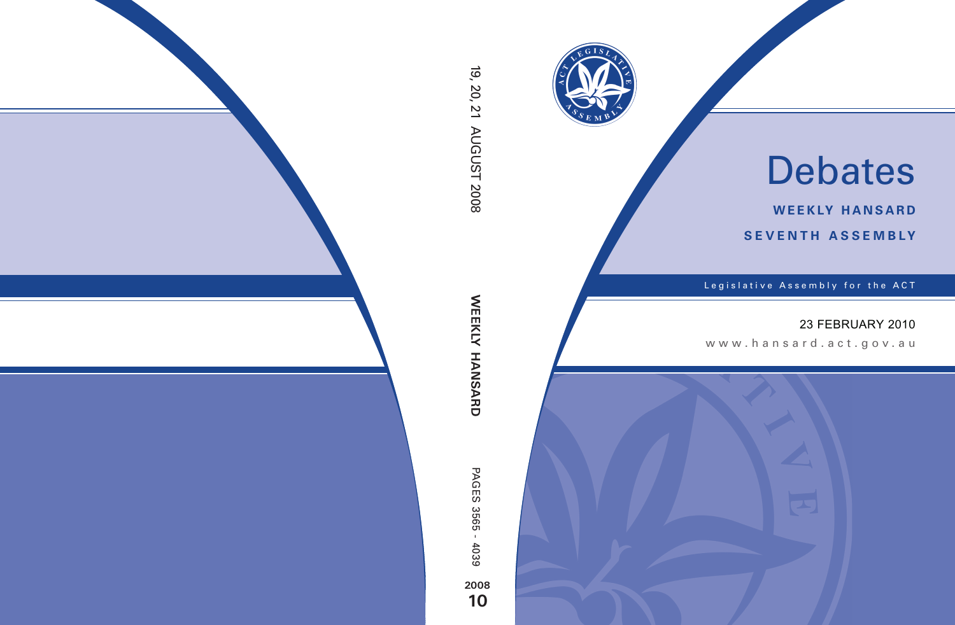

# Debates

**weekly hansard seventh asseMBly**

Legislative Assembly for the ACT

## 23 FEBRUARY 2010

www .hansard.act.go v.au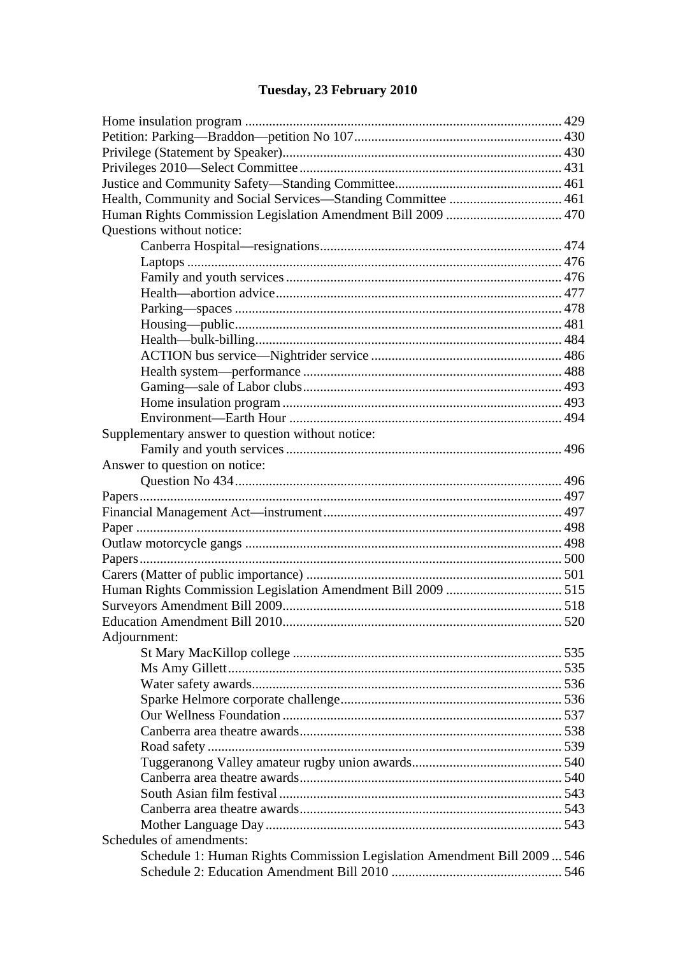# Tuesday, 23 February 2010

| Questions without notice:                                                |      |  |  |
|--------------------------------------------------------------------------|------|--|--|
|                                                                          |      |  |  |
|                                                                          |      |  |  |
|                                                                          |      |  |  |
|                                                                          |      |  |  |
|                                                                          |      |  |  |
|                                                                          |      |  |  |
|                                                                          |      |  |  |
|                                                                          |      |  |  |
|                                                                          |      |  |  |
|                                                                          |      |  |  |
|                                                                          |      |  |  |
|                                                                          |      |  |  |
|                                                                          |      |  |  |
| Supplementary answer to question without notice:                         |      |  |  |
|                                                                          |      |  |  |
| Answer to question on notice:                                            |      |  |  |
|                                                                          |      |  |  |
|                                                                          |      |  |  |
|                                                                          |      |  |  |
|                                                                          |      |  |  |
|                                                                          |      |  |  |
|                                                                          |      |  |  |
|                                                                          |      |  |  |
|                                                                          |      |  |  |
|                                                                          |      |  |  |
| <b>Education Amendment Bill 2010</b>                                     | .520 |  |  |
| Adjournment:                                                             |      |  |  |
|                                                                          |      |  |  |
|                                                                          |      |  |  |
|                                                                          |      |  |  |
|                                                                          |      |  |  |
|                                                                          |      |  |  |
|                                                                          |      |  |  |
|                                                                          |      |  |  |
|                                                                          |      |  |  |
|                                                                          |      |  |  |
|                                                                          |      |  |  |
|                                                                          |      |  |  |
|                                                                          |      |  |  |
| Schedules of amendments:                                                 |      |  |  |
| Schedule 1: Human Rights Commission Legislation Amendment Bill 2009  546 |      |  |  |
|                                                                          |      |  |  |
|                                                                          |      |  |  |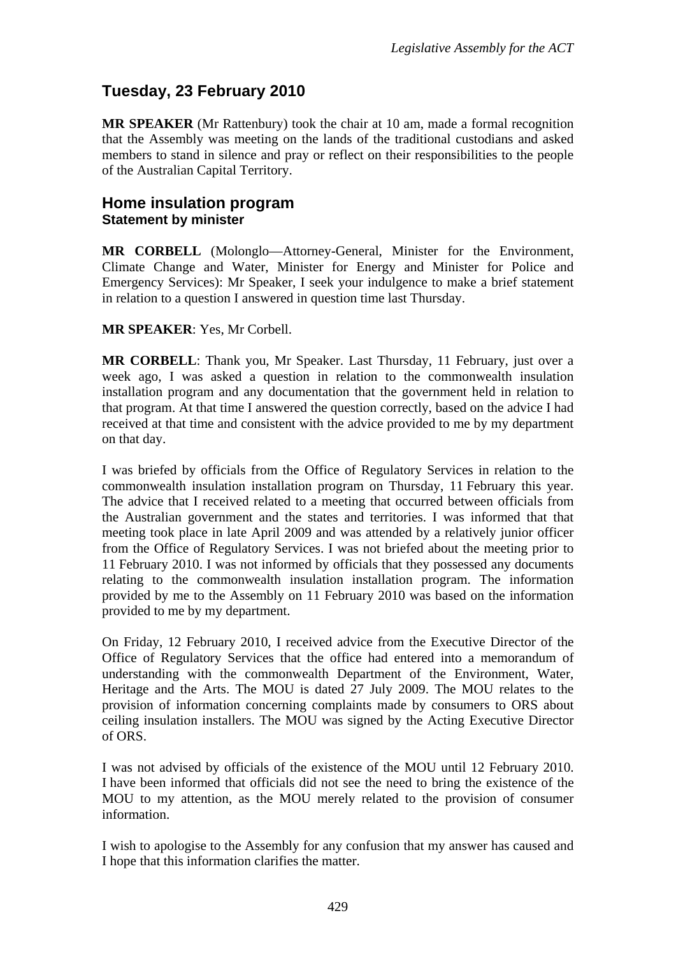## <span id="page-2-0"></span>**Tuesday, 23 February 2010**

**MR SPEAKER** (Mr Rattenbury) took the chair at 10 am, made a formal recognition that the Assembly was meeting on the lands of the traditional custodians and asked members to stand in silence and pray or reflect on their responsibilities to the people of the Australian Capital Territory.

## <span id="page-2-1"></span>**Home insulation program Statement by minister**

**MR CORBELL** (Molonglo—Attorney-General, Minister for the Environment, Climate Change and Water, Minister for Energy and Minister for Police and Emergency Services): Mr Speaker, I seek your indulgence to make a brief statement in relation to a question I answered in question time last Thursday.

#### **MR SPEAKER**: Yes, Mr Corbell.

**MR CORBELL**: Thank you, Mr Speaker. Last Thursday, 11 February, just over a week ago, I was asked a question in relation to the commonwealth insulation installation program and any documentation that the government held in relation to that program. At that time I answered the question correctly, based on the advice I had received at that time and consistent with the advice provided to me by my department on that day.

I was briefed by officials from the Office of Regulatory Services in relation to the commonwealth insulation installation program on Thursday, 11 February this year. The advice that I received related to a meeting that occurred between officials from the Australian government and the states and territories. I was informed that that meeting took place in late April 2009 and was attended by a relatively junior officer from the Office of Regulatory Services. I was not briefed about the meeting prior to 11 February 2010. I was not informed by officials that they possessed any documents relating to the commonwealth insulation installation program. The information provided by me to the Assembly on 11 February 2010 was based on the information provided to me by my department.

On Friday, 12 February 2010, I received advice from the Executive Director of the Office of Regulatory Services that the office had entered into a memorandum of understanding with the commonwealth Department of the Environment, Water, Heritage and the Arts. The MOU is dated 27 July 2009. The MOU relates to the provision of information concerning complaints made by consumers to ORS about ceiling insulation installers. The MOU was signed by the Acting Executive Director of ORS.

I was not advised by officials of the existence of the MOU until 12 February 2010. I have been informed that officials did not see the need to bring the existence of the MOU to my attention, as the MOU merely related to the provision of consumer information.

I wish to apologise to the Assembly for any confusion that my answer has caused and I hope that this information clarifies the matter.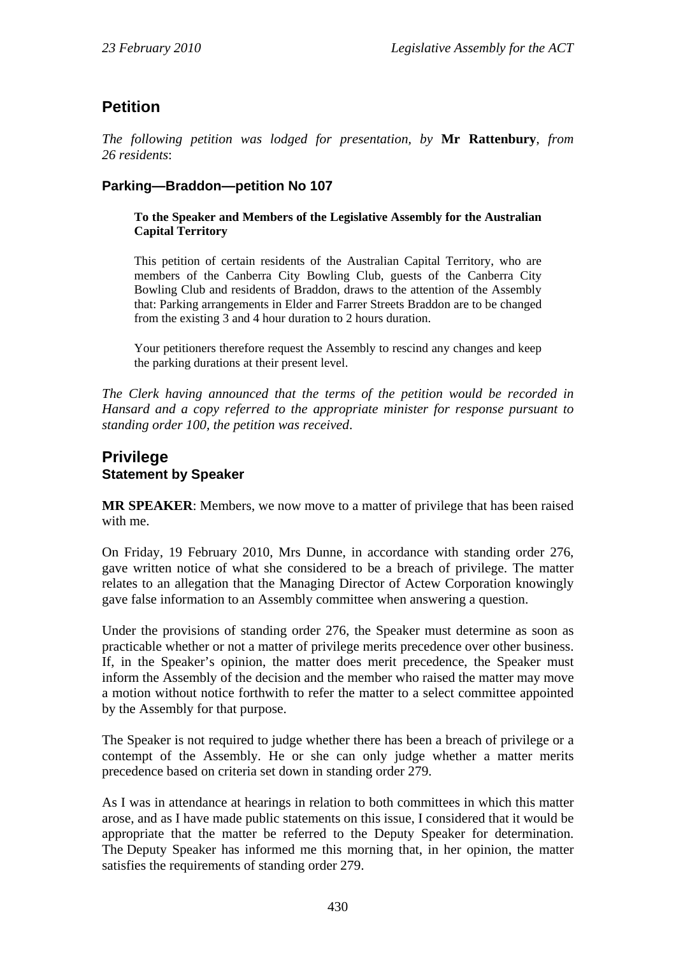## <span id="page-3-0"></span>**Petition**

*The following petition was lodged for presentation, by* **Mr Rattenbury**, *from 26 residents*:

#### **Parking—Braddon—petition No 107**

#### **To the Speaker and Members of the Legislative Assembly for the Australian Capital Territory**

This petition of certain residents of the Australian Capital Territory, who are members of the Canberra City Bowling Club, guests of the Canberra City Bowling Club and residents of Braddon, draws to the attention of the Assembly that: Parking arrangements in Elder and Farrer Streets Braddon are to be changed from the existing 3 and 4 hour duration to 2 hours duration.

Your petitioners therefore request the Assembly to rescind any changes and keep the parking durations at their present level.

*The Clerk having announced that the terms of the petition would be recorded in Hansard and a copy referred to the appropriate minister for response pursuant to standing order 100, the petition was received*.

#### <span id="page-3-1"></span>**Privilege Statement by Speaker**

**MR SPEAKER**: Members, we now move to a matter of privilege that has been raised with me.

On Friday, 19 February 2010, Mrs Dunne, in accordance with standing order 276, gave written notice of what she considered to be a breach of privilege. The matter relates to an allegation that the Managing Director of Actew Corporation knowingly gave false information to an Assembly committee when answering a question.

Under the provisions of standing order 276, the Speaker must determine as soon as practicable whether or not a matter of privilege merits precedence over other business. If, in the Speaker's opinion, the matter does merit precedence, the Speaker must inform the Assembly of the decision and the member who raised the matter may move a motion without notice forthwith to refer the matter to a select committee appointed by the Assembly for that purpose.

The Speaker is not required to judge whether there has been a breach of privilege or a contempt of the Assembly. He or she can only judge whether a matter merits precedence based on criteria set down in standing order 279.

As I was in attendance at hearings in relation to both committees in which this matter arose, and as I have made public statements on this issue, I considered that it would be appropriate that the matter be referred to the Deputy Speaker for determination. The Deputy Speaker has informed me this morning that, in her opinion, the matter satisfies the requirements of standing order 279.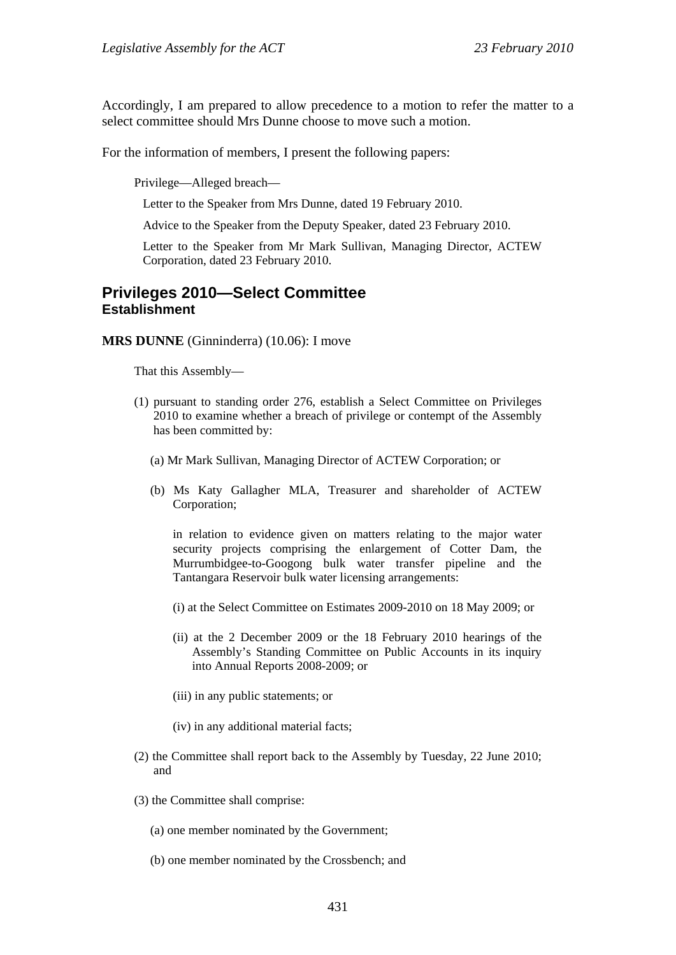Accordingly, I am prepared to allow precedence to a motion to refer the matter to a select committee should Mrs Dunne choose to move such a motion.

For the information of members, I present the following papers:

Privilege—Alleged breach—

Letter to the Speaker from Mrs Dunne, dated 19 February 2010.

Advice to the Speaker from the Deputy Speaker, dated 23 February 2010.

Letter to the Speaker from Mr Mark Sullivan, Managing Director, ACTEW Corporation, dated 23 February 2010.

#### <span id="page-4-0"></span>**Privileges 2010—Select Committee Establishment**

**MRS DUNNE** (Ginninderra) (10.06): I move

That this Assembly—

- (1) pursuant to standing order 276, establish a Select Committee on Privileges 2010 to examine whether a breach of privilege or contempt of the Assembly has been committed by:
	- (a) Mr Mark Sullivan, Managing Director of ACTEW Corporation; or
	- (b) Ms Katy Gallagher MLA, Treasurer and shareholder of ACTEW Corporation;

in relation to evidence given on matters relating to the major water security projects comprising the enlargement of Cotter Dam, the Murrumbidgee-to-Googong bulk water transfer pipeline and the Tantangara Reservoir bulk water licensing arrangements:

- (i) at the Select Committee on Estimates 2009-2010 on 18 May 2009; or
- (ii) at the 2 December 2009 or the 18 February 2010 hearings of the Assembly's Standing Committee on Public Accounts in its inquiry into Annual Reports 2008-2009; or
- (iii) in any public statements; or
- (iv) in any additional material facts;
- (2) the Committee shall report back to the Assembly by Tuesday, 22 June 2010; and
- (3) the Committee shall comprise:
	- (a) one member nominated by the Government;
	- (b) one member nominated by the Crossbench; and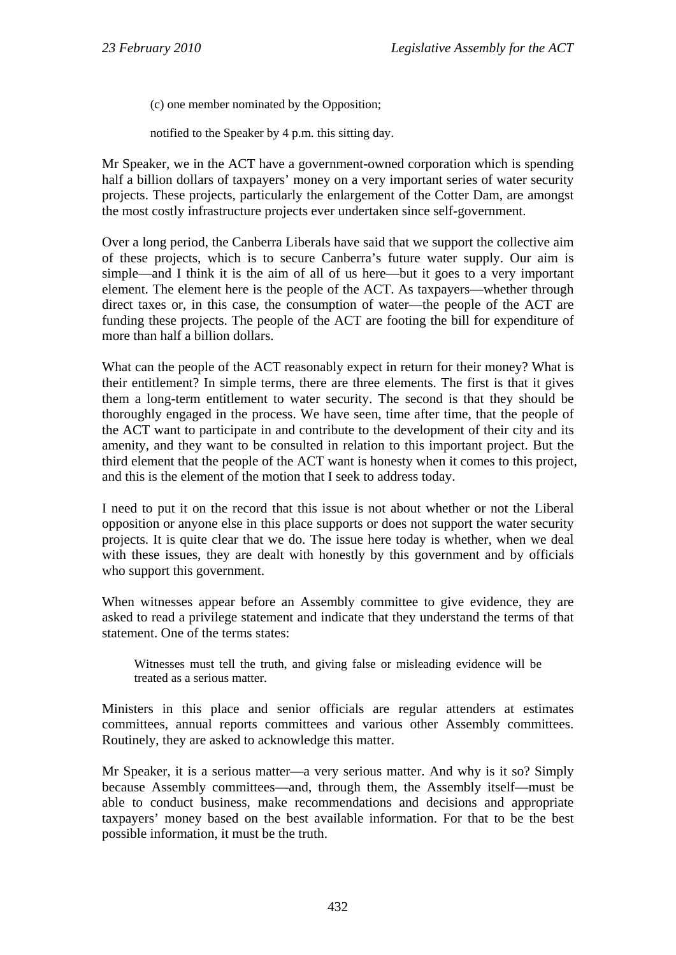(c) one member nominated by the Opposition;

notified to the Speaker by 4 p.m. this sitting day.

Mr Speaker, we in the ACT have a government-owned corporation which is spending half a billion dollars of taxpayers' money on a very important series of water security projects. These projects, particularly the enlargement of the Cotter Dam, are amongst the most costly infrastructure projects ever undertaken since self-government.

Over a long period, the Canberra Liberals have said that we support the collective aim of these projects, which is to secure Canberra's future water supply. Our aim is simple—and I think it is the aim of all of us here—but it goes to a very important element. The element here is the people of the ACT. As taxpayers—whether through direct taxes or, in this case, the consumption of water—the people of the ACT are funding these projects. The people of the ACT are footing the bill for expenditure of more than half a billion dollars.

What can the people of the ACT reasonably expect in return for their money? What is their entitlement? In simple terms, there are three elements. The first is that it gives them a long-term entitlement to water security. The second is that they should be thoroughly engaged in the process. We have seen, time after time, that the people of the ACT want to participate in and contribute to the development of their city and its amenity, and they want to be consulted in relation to this important project. But the third element that the people of the ACT want is honesty when it comes to this project, and this is the element of the motion that I seek to address today.

I need to put it on the record that this issue is not about whether or not the Liberal opposition or anyone else in this place supports or does not support the water security projects. It is quite clear that we do. The issue here today is whether, when we deal with these issues, they are dealt with honestly by this government and by officials who support this government.

When witnesses appear before an Assembly committee to give evidence, they are asked to read a privilege statement and indicate that they understand the terms of that statement. One of the terms states:

Witnesses must tell the truth, and giving false or misleading evidence will be treated as a serious matter.

Ministers in this place and senior officials are regular attenders at estimates committees, annual reports committees and various other Assembly committees. Routinely, they are asked to acknowledge this matter.

Mr Speaker, it is a serious matter—a very serious matter. And why is it so? Simply because Assembly committees—and, through them, the Assembly itself—must be able to conduct business, make recommendations and decisions and appropriate taxpayers' money based on the best available information. For that to be the best possible information, it must be the truth.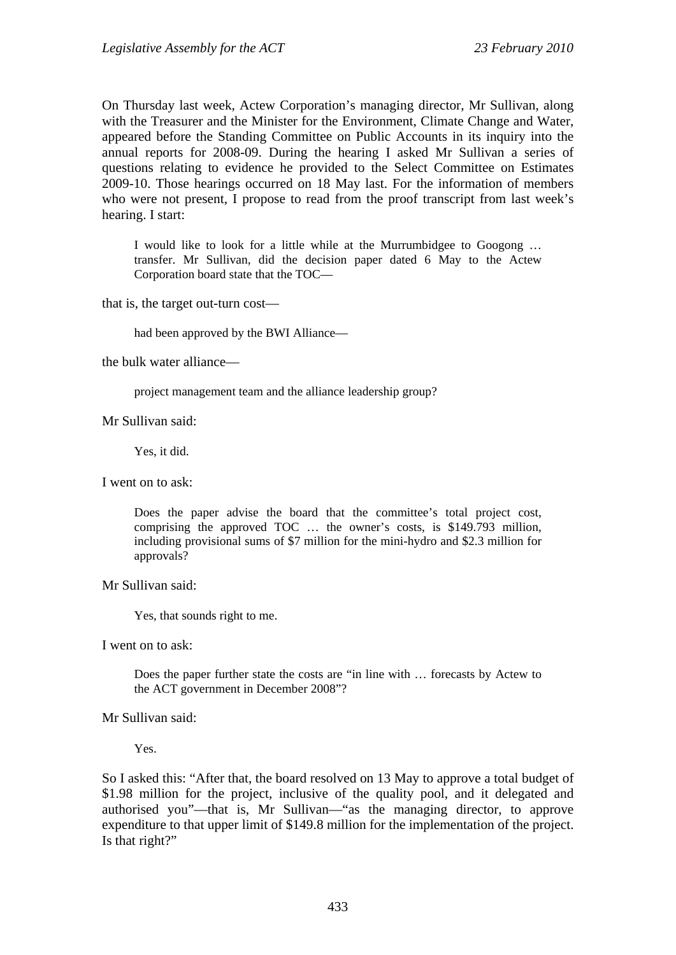On Thursday last week, Actew Corporation's managing director, Mr Sullivan, along with the Treasurer and the Minister for the Environment, Climate Change and Water, appeared before the Standing Committee on Public Accounts in its inquiry into the annual reports for 2008-09. During the hearing I asked Mr Sullivan a series of questions relating to evidence he provided to the Select Committee on Estimates 2009-10. Those hearings occurred on 18 May last. For the information of members who were not present, I propose to read from the proof transcript from last week's hearing. I start:

I would like to look for a little while at the Murrumbidgee to Googong … transfer. Mr Sullivan, did the decision paper dated 6 May to the Actew Corporation board state that the TOC—

that is, the target out-turn cost—

had been approved by the BWI Alliance—

the bulk water alliance—

project management team and the alliance leadership group?

Mr Sullivan said:

Yes, it did.

I went on to ask:

Does the paper advise the board that the committee's total project cost, comprising the approved TOC … the owner's costs, is \$149.793 million, including provisional sums of \$7 million for the mini-hydro and \$2.3 million for approvals?

Mr Sullivan said:

Yes, that sounds right to me.

I went on to ask:

Does the paper further state the costs are "in line with … forecasts by Actew to the ACT government in December 2008"?

Mr Sullivan said:

Yes.

So I asked this: "After that, the board resolved on 13 May to approve a total budget of \$1.98 million for the project, inclusive of the quality pool, and it delegated and authorised you"—that is, Mr Sullivan—"as the managing director, to approve expenditure to that upper limit of \$149.8 million for the implementation of the project. Is that right?"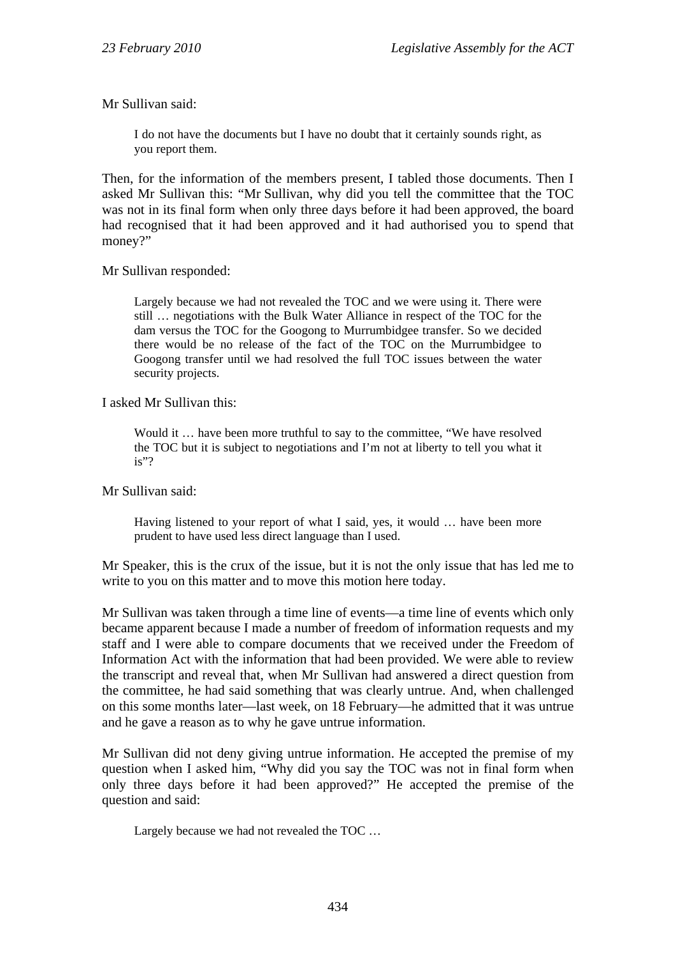Mr Sullivan said:

I do not have the documents but I have no doubt that it certainly sounds right, as you report them.

Then, for the information of the members present, I tabled those documents. Then I asked Mr Sullivan this: "Mr Sullivan, why did you tell the committee that the TOC was not in its final form when only three days before it had been approved, the board had recognised that it had been approved and it had authorised you to spend that money?"

Mr Sullivan responded:

Largely because we had not revealed the TOC and we were using it. There were still … negotiations with the Bulk Water Alliance in respect of the TOC for the dam versus the TOC for the Googong to Murrumbidgee transfer. So we decided there would be no release of the fact of the TOC on the Murrumbidgee to Googong transfer until we had resolved the full TOC issues between the water security projects.

I asked Mr Sullivan this:

Would it ... have been more truthful to say to the committee, "We have resolved" the TOC but it is subject to negotiations and I'm not at liberty to tell you what it is"?

Mr Sullivan said:

Having listened to your report of what I said, yes, it would … have been more prudent to have used less direct language than I used.

Mr Speaker, this is the crux of the issue, but it is not the only issue that has led me to write to you on this matter and to move this motion here today.

Mr Sullivan was taken through a time line of events—a time line of events which only became apparent because I made a number of freedom of information requests and my staff and I were able to compare documents that we received under the Freedom of Information Act with the information that had been provided. We were able to review the transcript and reveal that, when Mr Sullivan had answered a direct question from the committee, he had said something that was clearly untrue. And, when challenged on this some months later—last week, on 18 February—he admitted that it was untrue and he gave a reason as to why he gave untrue information.

Mr Sullivan did not deny giving untrue information. He accepted the premise of my question when I asked him, "Why did you say the TOC was not in final form when only three days before it had been approved?" He accepted the premise of the question and said:

Largely because we had not revealed the TOC …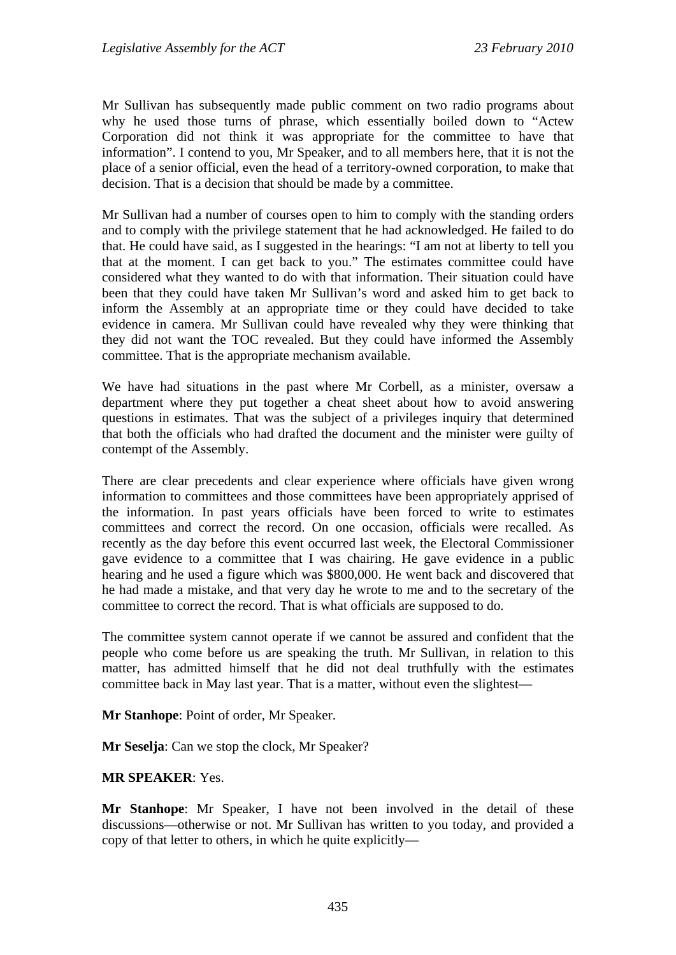Mr Sullivan has subsequently made public comment on two radio programs about why he used those turns of phrase, which essentially boiled down to "Actew Corporation did not think it was appropriate for the committee to have that information". I contend to you, Mr Speaker, and to all members here, that it is not the place of a senior official, even the head of a territory-owned corporation, to make that decision. That is a decision that should be made by a committee.

Mr Sullivan had a number of courses open to him to comply with the standing orders and to comply with the privilege statement that he had acknowledged. He failed to do that. He could have said, as I suggested in the hearings: "I am not at liberty to tell you that at the moment. I can get back to you." The estimates committee could have considered what they wanted to do with that information. Their situation could have been that they could have taken Mr Sullivan's word and asked him to get back to inform the Assembly at an appropriate time or they could have decided to take evidence in camera. Mr Sullivan could have revealed why they were thinking that they did not want the TOC revealed. But they could have informed the Assembly committee. That is the appropriate mechanism available.

We have had situations in the past where Mr Corbell, as a minister, oversaw a department where they put together a cheat sheet about how to avoid answering questions in estimates. That was the subject of a privileges inquiry that determined that both the officials who had drafted the document and the minister were guilty of contempt of the Assembly.

There are clear precedents and clear experience where officials have given wrong information to committees and those committees have been appropriately apprised of the information. In past years officials have been forced to write to estimates committees and correct the record. On one occasion, officials were recalled. As recently as the day before this event occurred last week, the Electoral Commissioner gave evidence to a committee that I was chairing. He gave evidence in a public hearing and he used a figure which was \$800,000. He went back and discovered that he had made a mistake, and that very day he wrote to me and to the secretary of the committee to correct the record. That is what officials are supposed to do.

The committee system cannot operate if we cannot be assured and confident that the people who come before us are speaking the truth. Mr Sullivan, in relation to this matter, has admitted himself that he did not deal truthfully with the estimates committee back in May last year. That is a matter, without even the slightest—

**Mr Stanhope**: Point of order, Mr Speaker.

**Mr Seselja**: Can we stop the clock, Mr Speaker?

#### **MR SPEAKER**: Yes.

**Mr Stanhope**: Mr Speaker, I have not been involved in the detail of these discussions—otherwise or not. Mr Sullivan has written to you today, and provided a copy of that letter to others, in which he quite explicitly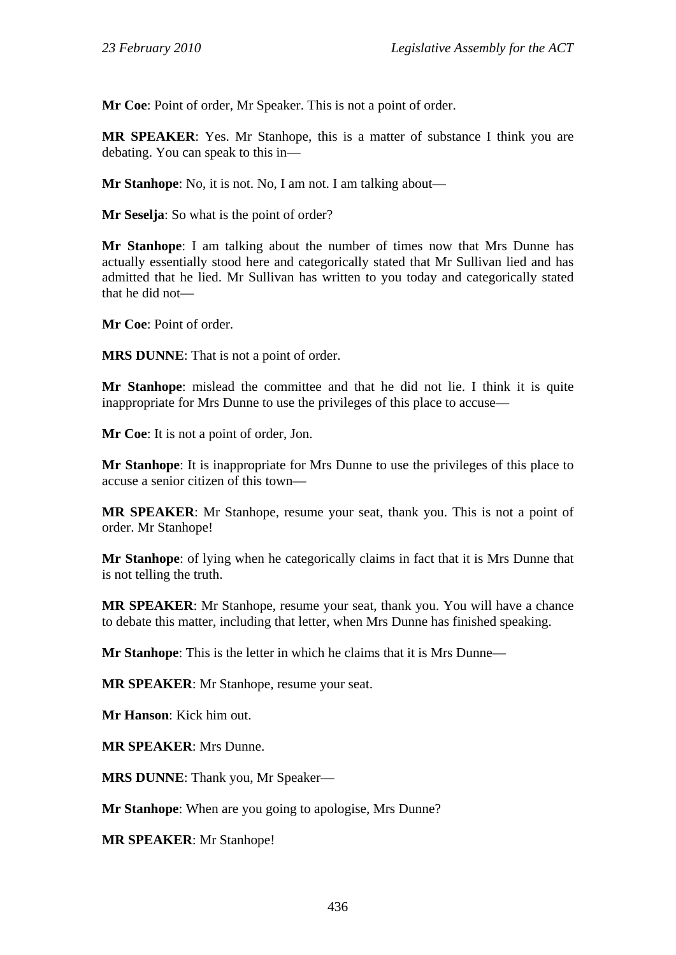**Mr Coe**: Point of order, Mr Speaker. This is not a point of order.

**MR SPEAKER**: Yes. Mr Stanhope, this is a matter of substance I think you are debating. You can speak to this in—

**Mr Stanhope:** No, it is not. No, I am not. I am talking about—

**Mr Seselja**: So what is the point of order?

**Mr Stanhope**: I am talking about the number of times now that Mrs Dunne has actually essentially stood here and categorically stated that Mr Sullivan lied and has admitted that he lied. Mr Sullivan has written to you today and categorically stated that he did not—

**Mr Coe**: Point of order.

**MRS DUNNE**: That is not a point of order.

**Mr Stanhope**: mislead the committee and that he did not lie. I think it is quite inappropriate for Mrs Dunne to use the privileges of this place to accuse—

**Mr Coe**: It is not a point of order, Jon.

**Mr Stanhope**: It is inappropriate for Mrs Dunne to use the privileges of this place to accuse a senior citizen of this town—

**MR SPEAKER**: Mr Stanhope, resume your seat, thank you. This is not a point of order. Mr Stanhope!

**Mr Stanhope**: of lying when he categorically claims in fact that it is Mrs Dunne that is not telling the truth.

**MR SPEAKER**: Mr Stanhope, resume your seat, thank you. You will have a chance to debate this matter, including that letter, when Mrs Dunne has finished speaking.

**Mr Stanhope**: This is the letter in which he claims that it is Mrs Dunne—

**MR SPEAKER**: Mr Stanhope, resume your seat.

**Mr Hanson**: Kick him out.

**MR SPEAKER**: Mrs Dunne.

**MRS DUNNE**: Thank you, Mr Speaker—

**Mr Stanhope**: When are you going to apologise, Mrs Dunne?

**MR SPEAKER**: Mr Stanhope!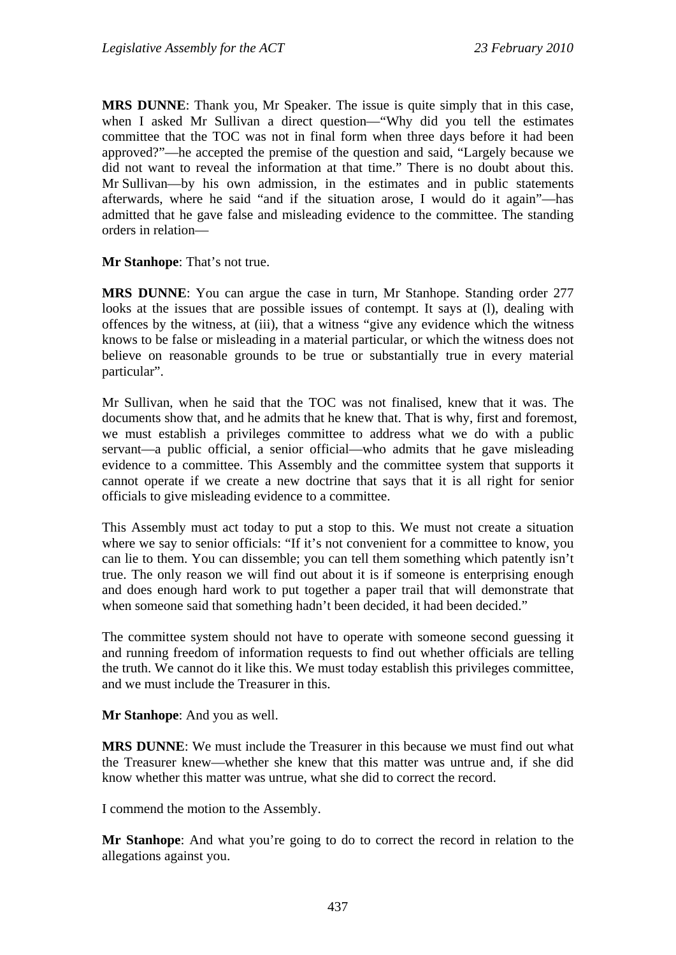**MRS DUNNE**: Thank you, Mr Speaker. The issue is quite simply that in this case, when I asked Mr Sullivan a direct question—"Why did you tell the estimates committee that the TOC was not in final form when three days before it had been approved?"—he accepted the premise of the question and said, "Largely because we did not want to reveal the information at that time." There is no doubt about this. Mr Sullivan—by his own admission, in the estimates and in public statements afterwards, where he said "and if the situation arose, I would do it again"—has admitted that he gave false and misleading evidence to the committee. The standing orders in relation—

**Mr Stanhope**: That's not true.

**MRS DUNNE**: You can argue the case in turn, Mr Stanhope. Standing order 277 looks at the issues that are possible issues of contempt. It says at (l), dealing with offences by the witness, at (iii), that a witness "give any evidence which the witness knows to be false or misleading in a material particular, or which the witness does not believe on reasonable grounds to be true or substantially true in every material particular".

Mr Sullivan, when he said that the TOC was not finalised, knew that it was. The documents show that, and he admits that he knew that. That is why, first and foremost, we must establish a privileges committee to address what we do with a public servant—a public official, a senior official—who admits that he gave misleading evidence to a committee. This Assembly and the committee system that supports it cannot operate if we create a new doctrine that says that it is all right for senior officials to give misleading evidence to a committee.

This Assembly must act today to put a stop to this. We must not create a situation where we say to senior officials: "If it's not convenient for a committee to know, you can lie to them. You can dissemble; you can tell them something which patently isn't true. The only reason we will find out about it is if someone is enterprising enough and does enough hard work to put together a paper trail that will demonstrate that when someone said that something hadn't been decided, it had been decided."

The committee system should not have to operate with someone second guessing it and running freedom of information requests to find out whether officials are telling the truth. We cannot do it like this. We must today establish this privileges committee, and we must include the Treasurer in this.

**Mr Stanhope**: And you as well.

**MRS DUNNE**: We must include the Treasurer in this because we must find out what the Treasurer knew—whether she knew that this matter was untrue and, if she did know whether this matter was untrue, what she did to correct the record.

I commend the motion to the Assembly.

**Mr Stanhope**: And what you're going to do to correct the record in relation to the allegations against you.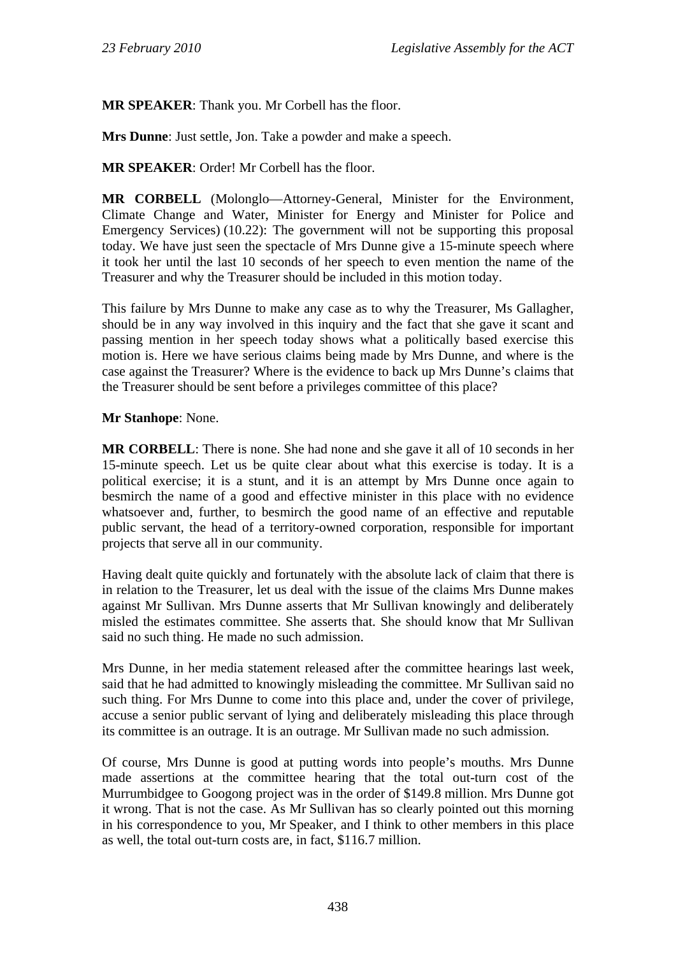**MR SPEAKER**: Thank you. Mr Corbell has the floor.

**Mrs Dunne**: Just settle, Jon. Take a powder and make a speech.

**MR SPEAKER**: Order! Mr Corbell has the floor.

**MR CORBELL** (Molonglo—Attorney-General, Minister for the Environment, Climate Change and Water, Minister for Energy and Minister for Police and Emergency Services) (10.22): The government will not be supporting this proposal today. We have just seen the spectacle of Mrs Dunne give a 15-minute speech where it took her until the last 10 seconds of her speech to even mention the name of the Treasurer and why the Treasurer should be included in this motion today.

This failure by Mrs Dunne to make any case as to why the Treasurer, Ms Gallagher, should be in any way involved in this inquiry and the fact that she gave it scant and passing mention in her speech today shows what a politically based exercise this motion is. Here we have serious claims being made by Mrs Dunne, and where is the case against the Treasurer? Where is the evidence to back up Mrs Dunne's claims that the Treasurer should be sent before a privileges committee of this place?

**Mr Stanhope**: None.

**MR CORBELL**: There is none. She had none and she gave it all of 10 seconds in her 15-minute speech. Let us be quite clear about what this exercise is today. It is a political exercise; it is a stunt, and it is an attempt by Mrs Dunne once again to besmirch the name of a good and effective minister in this place with no evidence whatsoever and, further, to besmirch the good name of an effective and reputable public servant, the head of a territory-owned corporation, responsible for important projects that serve all in our community.

Having dealt quite quickly and fortunately with the absolute lack of claim that there is in relation to the Treasurer, let us deal with the issue of the claims Mrs Dunne makes against Mr Sullivan. Mrs Dunne asserts that Mr Sullivan knowingly and deliberately misled the estimates committee. She asserts that. She should know that Mr Sullivan said no such thing. He made no such admission.

Mrs Dunne, in her media statement released after the committee hearings last week, said that he had admitted to knowingly misleading the committee. Mr Sullivan said no such thing. For Mrs Dunne to come into this place and, under the cover of privilege, accuse a senior public servant of lying and deliberately misleading this place through its committee is an outrage. It is an outrage. Mr Sullivan made no such admission.

Of course, Mrs Dunne is good at putting words into people's mouths. Mrs Dunne made assertions at the committee hearing that the total out-turn cost of the Murrumbidgee to Googong project was in the order of \$149.8 million. Mrs Dunne got it wrong. That is not the case. As Mr Sullivan has so clearly pointed out this morning in his correspondence to you, Mr Speaker, and I think to other members in this place as well, the total out-turn costs are, in fact, \$116.7 million.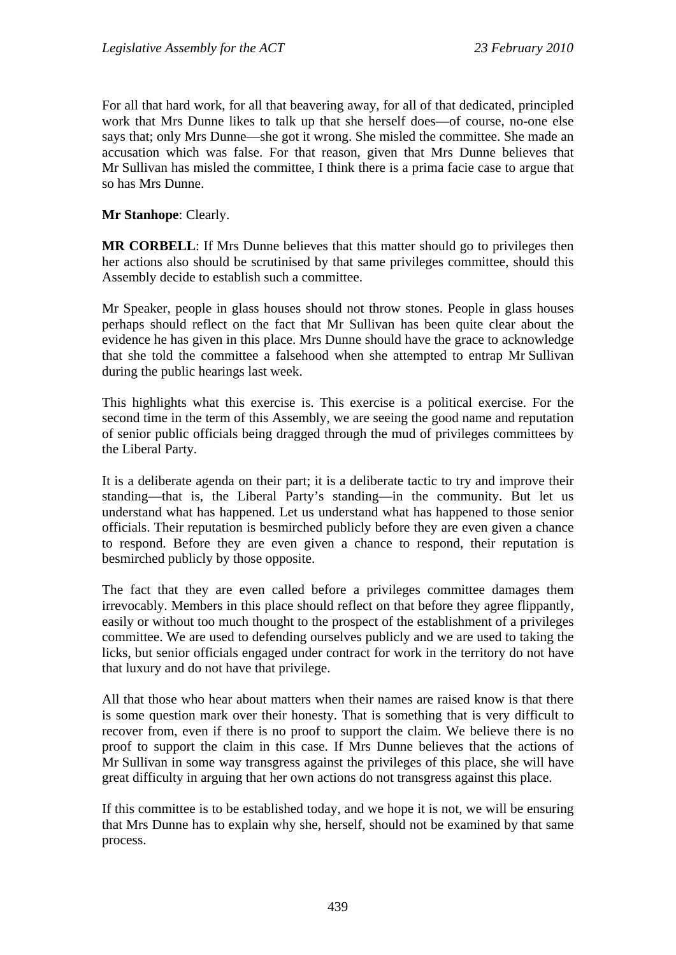For all that hard work, for all that beavering away, for all of that dedicated, principled work that Mrs Dunne likes to talk up that she herself does—of course, no-one else says that; only Mrs Dunne—she got it wrong. She misled the committee. She made an accusation which was false. For that reason, given that Mrs Dunne believes that Mr Sullivan has misled the committee, I think there is a prima facie case to argue that so has Mrs Dunne.

**Mr Stanhope**: Clearly.

**MR CORBELL**: If Mrs Dunne believes that this matter should go to privileges then her actions also should be scrutinised by that same privileges committee, should this Assembly decide to establish such a committee.

Mr Speaker, people in glass houses should not throw stones. People in glass houses perhaps should reflect on the fact that Mr Sullivan has been quite clear about the evidence he has given in this place. Mrs Dunne should have the grace to acknowledge that she told the committee a falsehood when she attempted to entrap Mr Sullivan during the public hearings last week.

This highlights what this exercise is. This exercise is a political exercise. For the second time in the term of this Assembly, we are seeing the good name and reputation of senior public officials being dragged through the mud of privileges committees by the Liberal Party.

It is a deliberate agenda on their part; it is a deliberate tactic to try and improve their standing—that is, the Liberal Party's standing—in the community. But let us understand what has happened. Let us understand what has happened to those senior officials. Their reputation is besmirched publicly before they are even given a chance to respond. Before they are even given a chance to respond, their reputation is besmirched publicly by those opposite.

The fact that they are even called before a privileges committee damages them irrevocably. Members in this place should reflect on that before they agree flippantly, easily or without too much thought to the prospect of the establishment of a privileges committee. We are used to defending ourselves publicly and we are used to taking the licks, but senior officials engaged under contract for work in the territory do not have that luxury and do not have that privilege.

All that those who hear about matters when their names are raised know is that there is some question mark over their honesty. That is something that is very difficult to recover from, even if there is no proof to support the claim. We believe there is no proof to support the claim in this case. If Mrs Dunne believes that the actions of Mr Sullivan in some way transgress against the privileges of this place, she will have great difficulty in arguing that her own actions do not transgress against this place.

If this committee is to be established today, and we hope it is not, we will be ensuring that Mrs Dunne has to explain why she, herself, should not be examined by that same process.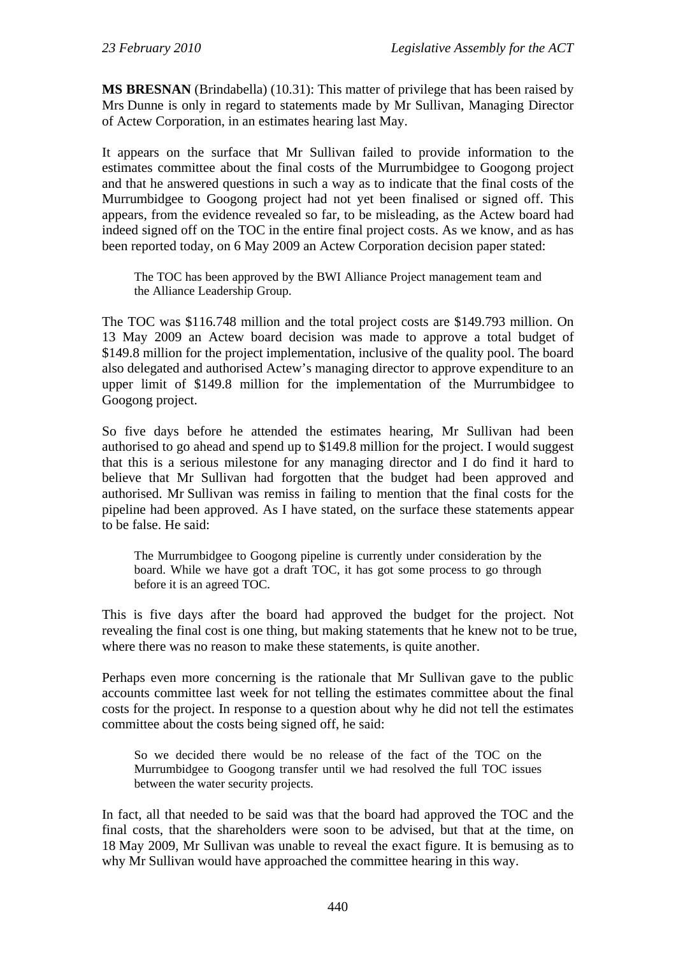**MS BRESNAN** (Brindabella) (10.31): This matter of privilege that has been raised by Mrs Dunne is only in regard to statements made by Mr Sullivan, Managing Director of Actew Corporation, in an estimates hearing last May.

It appears on the surface that Mr Sullivan failed to provide information to the estimates committee about the final costs of the Murrumbidgee to Googong project and that he answered questions in such a way as to indicate that the final costs of the Murrumbidgee to Googong project had not yet been finalised or signed off. This appears, from the evidence revealed so far, to be misleading, as the Actew board had indeed signed off on the TOC in the entire final project costs. As we know, and as has been reported today, on 6 May 2009 an Actew Corporation decision paper stated:

The TOC has been approved by the BWI Alliance Project management team and the Alliance Leadership Group.

The TOC was \$116.748 million and the total project costs are \$149.793 million. On 13 May 2009 an Actew board decision was made to approve a total budget of \$149.8 million for the project implementation, inclusive of the quality pool. The board also delegated and authorised Actew's managing director to approve expenditure to an upper limit of \$149.8 million for the implementation of the Murrumbidgee to Googong project.

So five days before he attended the estimates hearing, Mr Sullivan had been authorised to go ahead and spend up to \$149.8 million for the project. I would suggest that this is a serious milestone for any managing director and I do find it hard to believe that Mr Sullivan had forgotten that the budget had been approved and authorised. Mr Sullivan was remiss in failing to mention that the final costs for the pipeline had been approved. As I have stated, on the surface these statements appear to be false. He said:

The Murrumbidgee to Googong pipeline is currently under consideration by the board. While we have got a draft TOC, it has got some process to go through before it is an agreed TOC.

This is five days after the board had approved the budget for the project. Not revealing the final cost is one thing, but making statements that he knew not to be true, where there was no reason to make these statements, is quite another.

Perhaps even more concerning is the rationale that Mr Sullivan gave to the public accounts committee last week for not telling the estimates committee about the final costs for the project. In response to a question about why he did not tell the estimates committee about the costs being signed off, he said:

So we decided there would be no release of the fact of the TOC on the Murrumbidgee to Googong transfer until we had resolved the full TOC issues between the water security projects.

In fact, all that needed to be said was that the board had approved the TOC and the final costs, that the shareholders were soon to be advised, but that at the time, on 18 May 2009, Mr Sullivan was unable to reveal the exact figure. It is bemusing as to why Mr Sullivan would have approached the committee hearing in this way.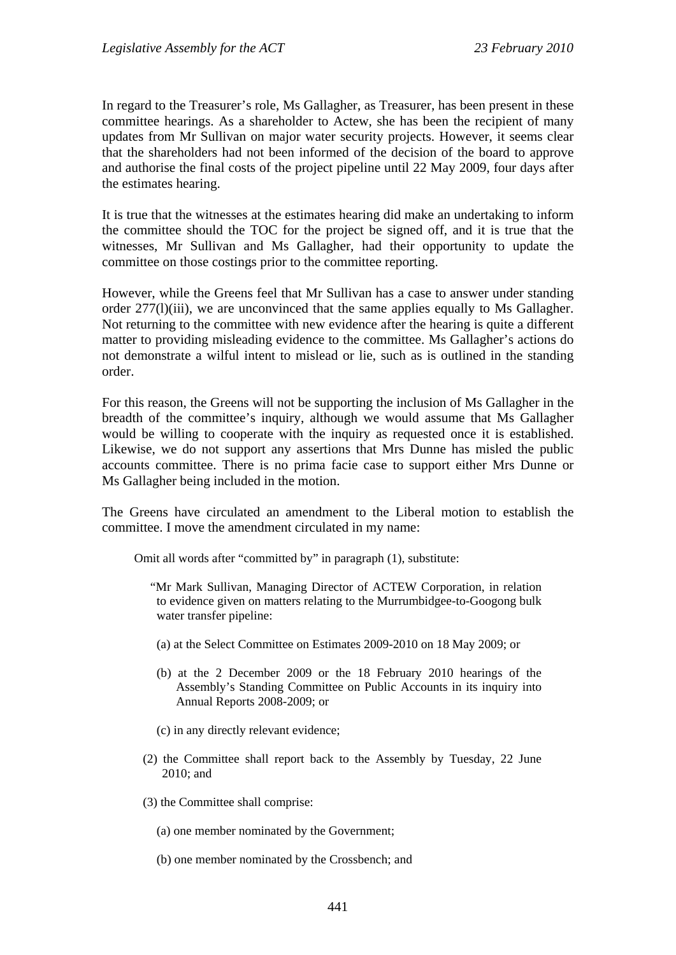In regard to the Treasurer's role, Ms Gallagher, as Treasurer, has been present in these committee hearings. As a shareholder to Actew, she has been the recipient of many updates from Mr Sullivan on major water security projects. However, it seems clear that the shareholders had not been informed of the decision of the board to approve and authorise the final costs of the project pipeline until 22 May 2009, four days after the estimates hearing.

It is true that the witnesses at the estimates hearing did make an undertaking to inform the committee should the TOC for the project be signed off, and it is true that the witnesses, Mr Sullivan and Ms Gallagher, had their opportunity to update the committee on those costings prior to the committee reporting.

However, while the Greens feel that Mr Sullivan has a case to answer under standing order 277(l)(iii), we are unconvinced that the same applies equally to Ms Gallagher. Not returning to the committee with new evidence after the hearing is quite a different matter to providing misleading evidence to the committee. Ms Gallagher's actions do not demonstrate a wilful intent to mislead or lie, such as is outlined in the standing order.

For this reason, the Greens will not be supporting the inclusion of Ms Gallagher in the breadth of the committee's inquiry, although we would assume that Ms Gallagher would be willing to cooperate with the inquiry as requested once it is established. Likewise, we do not support any assertions that Mrs Dunne has misled the public accounts committee. There is no prima facie case to support either Mrs Dunne or Ms Gallagher being included in the motion.

The Greens have circulated an amendment to the Liberal motion to establish the committee. I move the amendment circulated in my name:

Omit all words after "committed by" in paragraph (1), substitute:

- "Mr Mark Sullivan, Managing Director of ACTEW Corporation, in relation to evidence given on matters relating to the Murrumbidgee-to-Googong bulk water transfer pipeline:
- (a) at the Select Committee on Estimates 2009-2010 on 18 May 2009; or
- (b) at the 2 December 2009 or the 18 February 2010 hearings of the Assembly's Standing Committee on Public Accounts in its inquiry into Annual Reports 2008-2009; or
- (c) in any directly relevant evidence;
- (2) the Committee shall report back to the Assembly by Tuesday, 22 June 2010; and
- (3) the Committee shall comprise:
	- (a) one member nominated by the Government;
	- (b) one member nominated by the Crossbench; and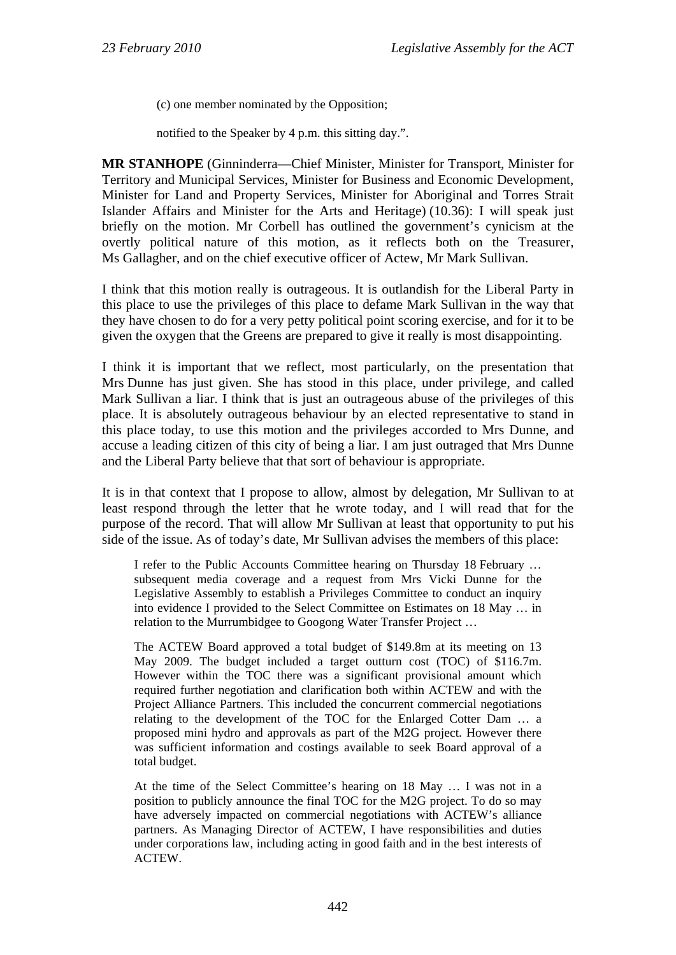(c) one member nominated by the Opposition;

notified to the Speaker by 4 p.m. this sitting day.".

**MR STANHOPE** (Ginninderra—Chief Minister, Minister for Transport, Minister for Territory and Municipal Services, Minister for Business and Economic Development, Minister for Land and Property Services, Minister for Aboriginal and Torres Strait Islander Affairs and Minister for the Arts and Heritage) (10.36): I will speak just briefly on the motion. Mr Corbell has outlined the government's cynicism at the overtly political nature of this motion, as it reflects both on the Treasurer, Ms Gallagher, and on the chief executive officer of Actew, Mr Mark Sullivan.

I think that this motion really is outrageous. It is outlandish for the Liberal Party in this place to use the privileges of this place to defame Mark Sullivan in the way that they have chosen to do for a very petty political point scoring exercise, and for it to be given the oxygen that the Greens are prepared to give it really is most disappointing.

I think it is important that we reflect, most particularly, on the presentation that Mrs Dunne has just given. She has stood in this place, under privilege, and called Mark Sullivan a liar. I think that is just an outrageous abuse of the privileges of this place. It is absolutely outrageous behaviour by an elected representative to stand in this place today, to use this motion and the privileges accorded to Mrs Dunne, and accuse a leading citizen of this city of being a liar. I am just outraged that Mrs Dunne and the Liberal Party believe that that sort of behaviour is appropriate.

It is in that context that I propose to allow, almost by delegation, Mr Sullivan to at least respond through the letter that he wrote today, and I will read that for the purpose of the record. That will allow Mr Sullivan at least that opportunity to put his side of the issue. As of today's date, Mr Sullivan advises the members of this place:

I refer to the Public Accounts Committee hearing on Thursday 18 February … subsequent media coverage and a request from Mrs Vicki Dunne for the Legislative Assembly to establish a Privileges Committee to conduct an inquiry into evidence I provided to the Select Committee on Estimates on 18 May … in relation to the Murrumbidgee to Googong Water Transfer Project …

The ACTEW Board approved a total budget of \$149.8m at its meeting on 13 May 2009. The budget included a target outturn cost (TOC) of \$116.7m. However within the TOC there was a significant provisional amount which required further negotiation and clarification both within ACTEW and with the Project Alliance Partners. This included the concurrent commercial negotiations relating to the development of the TOC for the Enlarged Cotter Dam … a proposed mini hydro and approvals as part of the M2G project. However there was sufficient information and costings available to seek Board approval of a total budget.

At the time of the Select Committee's hearing on 18 May … I was not in a position to publicly announce the final TOC for the M2G project. To do so may have adversely impacted on commercial negotiations with ACTEW's alliance partners. As Managing Director of ACTEW, I have responsibilities and duties under corporations law, including acting in good faith and in the best interests of ACTEW.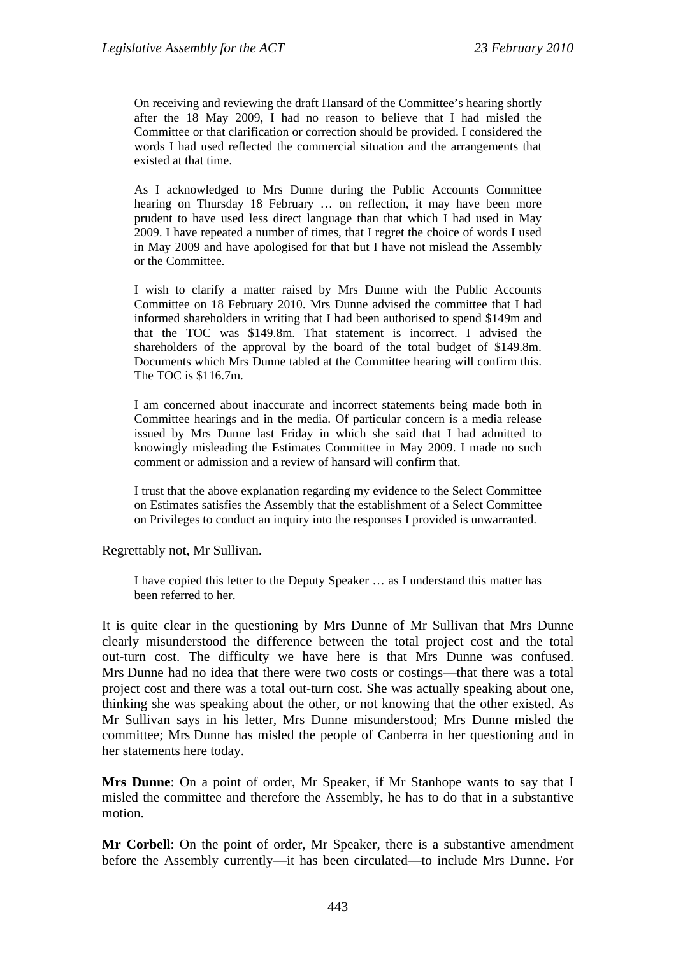On receiving and reviewing the draft Hansard of the Committee's hearing shortly after the 18 May 2009, I had no reason to believe that I had misled the Committee or that clarification or correction should be provided. I considered the words I had used reflected the commercial situation and the arrangements that existed at that time.

As I acknowledged to Mrs Dunne during the Public Accounts Committee hearing on Thursday 18 February … on reflection, it may have been more prudent to have used less direct language than that which I had used in May 2009. I have repeated a number of times, that I regret the choice of words I used in May 2009 and have apologised for that but I have not mislead the Assembly or the Committee.

I wish to clarify a matter raised by Mrs Dunne with the Public Accounts Committee on 18 February 2010. Mrs Dunne advised the committee that I had informed shareholders in writing that I had been authorised to spend \$149m and that the TOC was \$149.8m. That statement is incorrect. I advised the shareholders of the approval by the board of the total budget of \$149.8m. Documents which Mrs Dunne tabled at the Committee hearing will confirm this. The TOC is \$116.7m.

I am concerned about inaccurate and incorrect statements being made both in Committee hearings and in the media. Of particular concern is a media release issued by Mrs Dunne last Friday in which she said that I had admitted to knowingly misleading the Estimates Committee in May 2009. I made no such comment or admission and a review of hansard will confirm that.

I trust that the above explanation regarding my evidence to the Select Committee on Estimates satisfies the Assembly that the establishment of a Select Committee on Privileges to conduct an inquiry into the responses I provided is unwarranted.

Regrettably not, Mr Sullivan.

I have copied this letter to the Deputy Speaker … as I understand this matter has been referred to her.

It is quite clear in the questioning by Mrs Dunne of Mr Sullivan that Mrs Dunne clearly misunderstood the difference between the total project cost and the total out-turn cost. The difficulty we have here is that Mrs Dunne was confused. Mrs Dunne had no idea that there were two costs or costings—that there was a total project cost and there was a total out-turn cost. She was actually speaking about one, thinking she was speaking about the other, or not knowing that the other existed. As Mr Sullivan says in his letter, Mrs Dunne misunderstood; Mrs Dunne misled the committee; Mrs Dunne has misled the people of Canberra in her questioning and in her statements here today.

**Mrs Dunne**: On a point of order, Mr Speaker, if Mr Stanhope wants to say that I misled the committee and therefore the Assembly, he has to do that in a substantive motion.

**Mr Corbell**: On the point of order, Mr Speaker, there is a substantive amendment before the Assembly currently—it has been circulated—to include Mrs Dunne. For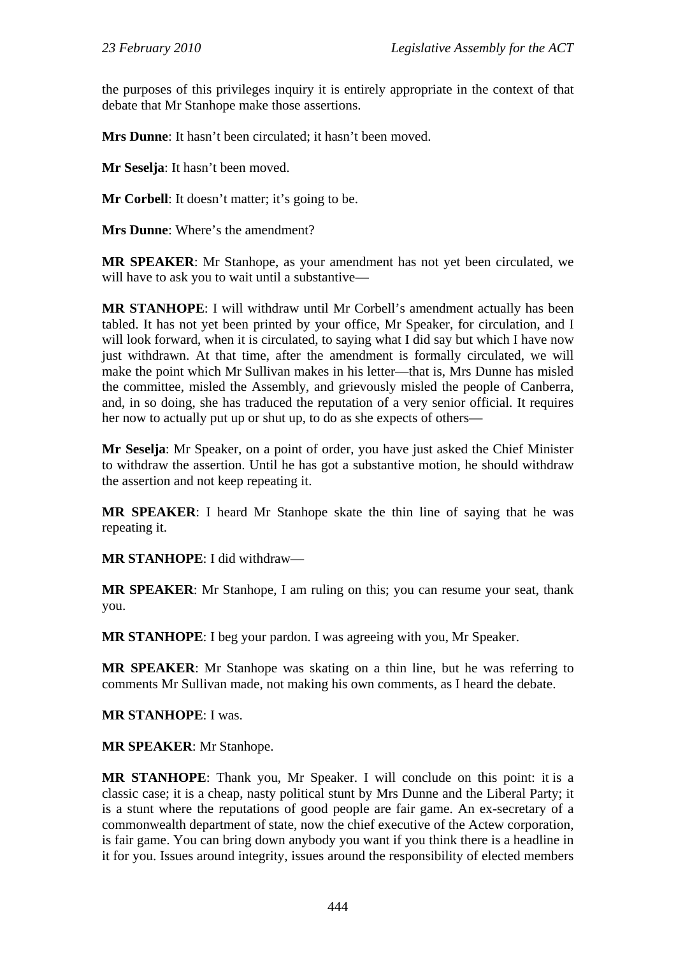the purposes of this privileges inquiry it is entirely appropriate in the context of that debate that Mr Stanhope make those assertions.

**Mrs Dunne**: It hasn't been circulated; it hasn't been moved.

**Mr Seselja**: It hasn't been moved.

**Mr Corbell:** It doesn't matter; it's going to be.

**Mrs Dunne**: Where's the amendment?

**MR SPEAKER**: Mr Stanhope, as your amendment has not yet been circulated, we will have to ask you to wait until a substantive—

**MR STANHOPE**: I will withdraw until Mr Corbell's amendment actually has been tabled. It has not yet been printed by your office, Mr Speaker, for circulation, and I will look forward, when it is circulated, to saying what I did say but which I have now just withdrawn. At that time, after the amendment is formally circulated, we will make the point which Mr Sullivan makes in his letter—that is, Mrs Dunne has misled the committee, misled the Assembly, and grievously misled the people of Canberra, and, in so doing, she has traduced the reputation of a very senior official. It requires her now to actually put up or shut up, to do as she expects of others—

**Mr Seselja**: Mr Speaker, on a point of order, you have just asked the Chief Minister to withdraw the assertion. Until he has got a substantive motion, he should withdraw the assertion and not keep repeating it.

**MR SPEAKER**: I heard Mr Stanhope skate the thin line of saying that he was repeating it.

**MR STANHOPE**: I did withdraw—

**MR SPEAKER**: Mr Stanhope, I am ruling on this; you can resume your seat, thank you.

**MR STANHOPE**: I beg your pardon. I was agreeing with you, Mr Speaker.

**MR SPEAKER**: Mr Stanhope was skating on a thin line, but he was referring to comments Mr Sullivan made, not making his own comments, as I heard the debate.

**MR STANHOPE**: I was.

**MR SPEAKER**: Mr Stanhope.

**MR STANHOPE**: Thank you, Mr Speaker. I will conclude on this point: it is a classic case; it is a cheap, nasty political stunt by Mrs Dunne and the Liberal Party; it is a stunt where the reputations of good people are fair game. An ex-secretary of a commonwealth department of state, now the chief executive of the Actew corporation, is fair game. You can bring down anybody you want if you think there is a headline in it for you. Issues around integrity, issues around the responsibility of elected members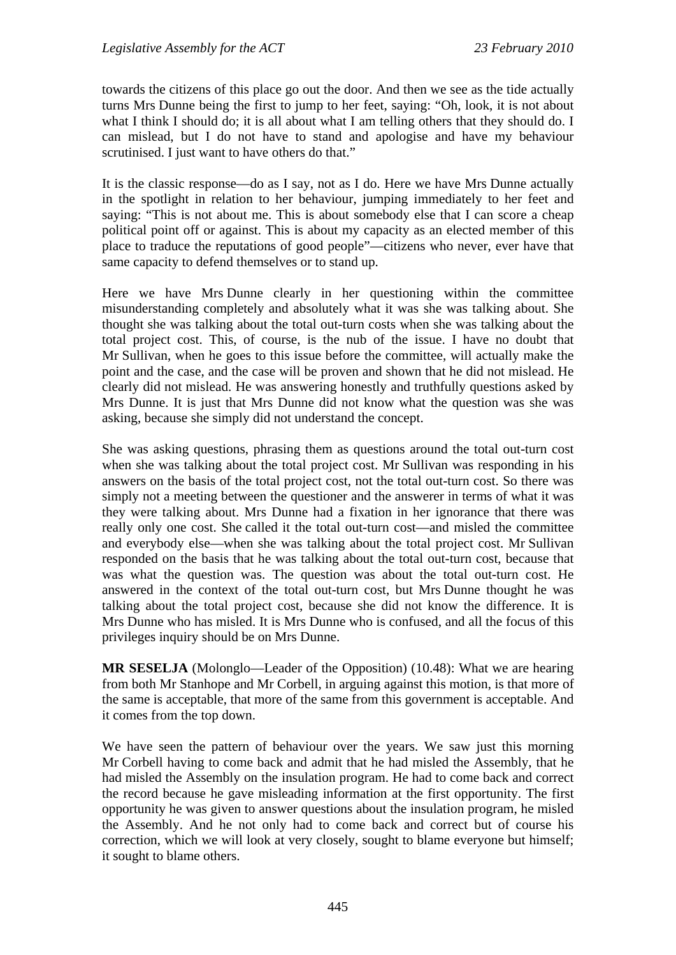towards the citizens of this place go out the door. And then we see as the tide actually turns Mrs Dunne being the first to jump to her feet, saying: "Oh, look, it is not about what I think I should do; it is all about what I am telling others that they should do. I can mislead, but I do not have to stand and apologise and have my behaviour scrutinised. I just want to have others do that."

It is the classic response—do as I say, not as I do. Here we have Mrs Dunne actually in the spotlight in relation to her behaviour, jumping immediately to her feet and saying: "This is not about me. This is about somebody else that I can score a cheap political point off or against. This is about my capacity as an elected member of this place to traduce the reputations of good people"—citizens who never, ever have that same capacity to defend themselves or to stand up.

Here we have Mrs Dunne clearly in her questioning within the committee misunderstanding completely and absolutely what it was she was talking about. She thought she was talking about the total out-turn costs when she was talking about the total project cost. This, of course, is the nub of the issue. I have no doubt that Mr Sullivan, when he goes to this issue before the committee, will actually make the point and the case, and the case will be proven and shown that he did not mislead. He clearly did not mislead. He was answering honestly and truthfully questions asked by Mrs Dunne. It is just that Mrs Dunne did not know what the question was she was asking, because she simply did not understand the concept.

She was asking questions, phrasing them as questions around the total out-turn cost when she was talking about the total project cost. Mr Sullivan was responding in his answers on the basis of the total project cost, not the total out-turn cost. So there was simply not a meeting between the questioner and the answerer in terms of what it was they were talking about. Mrs Dunne had a fixation in her ignorance that there was really only one cost. She called it the total out-turn cost—and misled the committee and everybody else—when she was talking about the total project cost. Mr Sullivan responded on the basis that he was talking about the total out-turn cost, because that was what the question was. The question was about the total out-turn cost. He answered in the context of the total out-turn cost, but Mrs Dunne thought he was talking about the total project cost, because she did not know the difference. It is Mrs Dunne who has misled. It is Mrs Dunne who is confused, and all the focus of this privileges inquiry should be on Mrs Dunne.

**MR SESELJA** (Molonglo—Leader of the Opposition) (10.48): What we are hearing from both Mr Stanhope and Mr Corbell, in arguing against this motion, is that more of the same is acceptable, that more of the same from this government is acceptable. And it comes from the top down.

We have seen the pattern of behaviour over the years. We saw just this morning Mr Corbell having to come back and admit that he had misled the Assembly, that he had misled the Assembly on the insulation program. He had to come back and correct the record because he gave misleading information at the first opportunity. The first opportunity he was given to answer questions about the insulation program, he misled the Assembly. And he not only had to come back and correct but of course his correction, which we will look at very closely, sought to blame everyone but himself; it sought to blame others.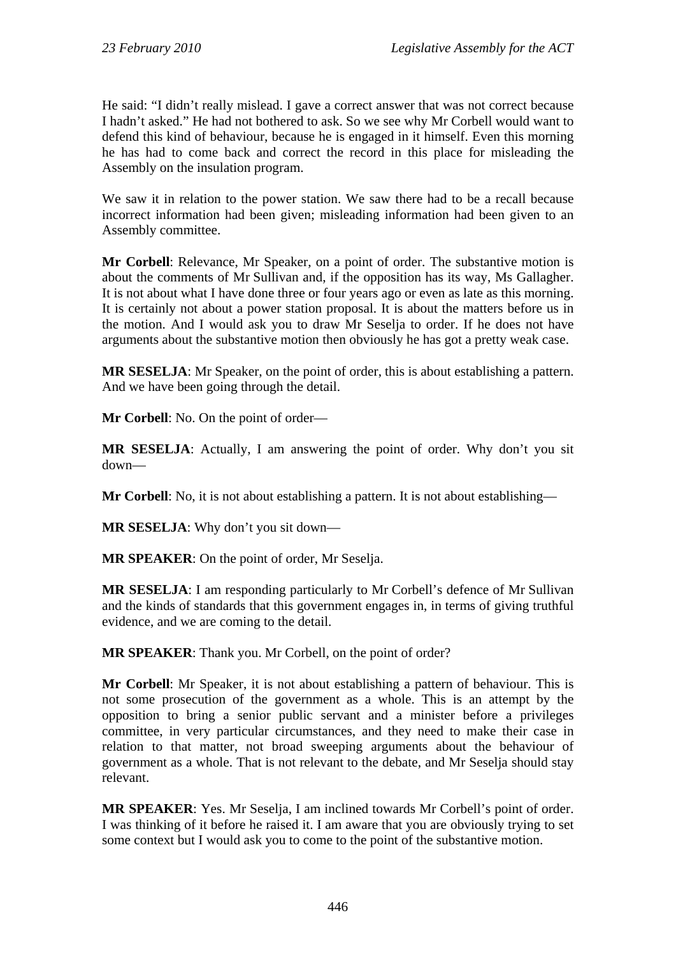He said: "I didn't really mislead. I gave a correct answer that was not correct because I hadn't asked." He had not bothered to ask. So we see why Mr Corbell would want to defend this kind of behaviour, because he is engaged in it himself. Even this morning he has had to come back and correct the record in this place for misleading the Assembly on the insulation program.

We saw it in relation to the power station. We saw there had to be a recall because incorrect information had been given; misleading information had been given to an Assembly committee.

**Mr Corbell**: Relevance, Mr Speaker, on a point of order. The substantive motion is about the comments of Mr Sullivan and, if the opposition has its way, Ms Gallagher. It is not about what I have done three or four years ago or even as late as this morning. It is certainly not about a power station proposal. It is about the matters before us in the motion. And I would ask you to draw Mr Seselja to order. If he does not have arguments about the substantive motion then obviously he has got a pretty weak case.

**MR SESELJA**: Mr Speaker, on the point of order, this is about establishing a pattern. And we have been going through the detail.

**Mr Corbell**: No. On the point of order—

**MR SESELJA**: Actually, I am answering the point of order. Why don't you sit down—

**Mr Corbell**: No, it is not about establishing a pattern. It is not about establishing—

**MR SESELJA**: Why don't you sit down—

**MR SPEAKER**: On the point of order, Mr Seselja.

**MR SESELJA**: I am responding particularly to Mr Corbell's defence of Mr Sullivan and the kinds of standards that this government engages in, in terms of giving truthful evidence, and we are coming to the detail.

**MR SPEAKER**: Thank you. Mr Corbell, on the point of order?

**Mr Corbell**: Mr Speaker, it is not about establishing a pattern of behaviour. This is not some prosecution of the government as a whole. This is an attempt by the opposition to bring a senior public servant and a minister before a privileges committee, in very particular circumstances, and they need to make their case in relation to that matter, not broad sweeping arguments about the behaviour of government as a whole. That is not relevant to the debate, and Mr Seselja should stay relevant.

**MR SPEAKER**: Yes. Mr Seselja, I am inclined towards Mr Corbell's point of order. I was thinking of it before he raised it. I am aware that you are obviously trying to set some context but I would ask you to come to the point of the substantive motion.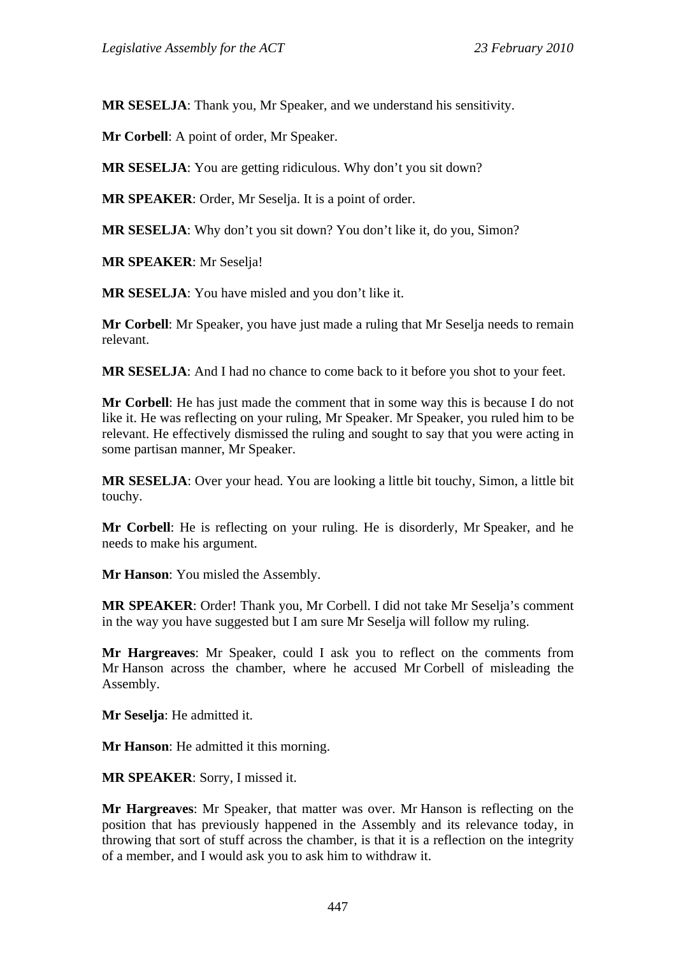**MR SESELJA**: Thank you, Mr Speaker, and we understand his sensitivity.

**Mr Corbell**: A point of order, Mr Speaker.

**MR SESELJA**: You are getting ridiculous. Why don't you sit down?

**MR SPEAKER**: Order, Mr Seselja. It is a point of order.

**MR SESELJA**: Why don't you sit down? You don't like it, do you, Simon?

**MR SPEAKER**: Mr Seselja!

**MR SESELJA**: You have misled and you don't like it.

**Mr Corbell**: Mr Speaker, you have just made a ruling that Mr Seselja needs to remain relevant.

**MR SESELJA**: And I had no chance to come back to it before you shot to your feet.

**Mr Corbell**: He has just made the comment that in some way this is because I do not like it. He was reflecting on your ruling, Mr Speaker. Mr Speaker, you ruled him to be relevant. He effectively dismissed the ruling and sought to say that you were acting in some partisan manner, Mr Speaker.

**MR SESELJA**: Over your head. You are looking a little bit touchy, Simon, a little bit touchy.

**Mr Corbell**: He is reflecting on your ruling. He is disorderly, Mr Speaker, and he needs to make his argument.

**Mr Hanson**: You misled the Assembly.

**MR SPEAKER**: Order! Thank you, Mr Corbell. I did not take Mr Seselja's comment in the way you have suggested but I am sure Mr Seselja will follow my ruling.

**Mr Hargreaves**: Mr Speaker, could I ask you to reflect on the comments from Mr Hanson across the chamber, where he accused Mr Corbell of misleading the Assembly.

**Mr Seselja**: He admitted it.

**Mr Hanson**: He admitted it this morning.

**MR SPEAKER**: Sorry, I missed it.

**Mr Hargreaves**: Mr Speaker, that matter was over. Mr Hanson is reflecting on the position that has previously happened in the Assembly and its relevance today, in throwing that sort of stuff across the chamber, is that it is a reflection on the integrity of a member, and I would ask you to ask him to withdraw it.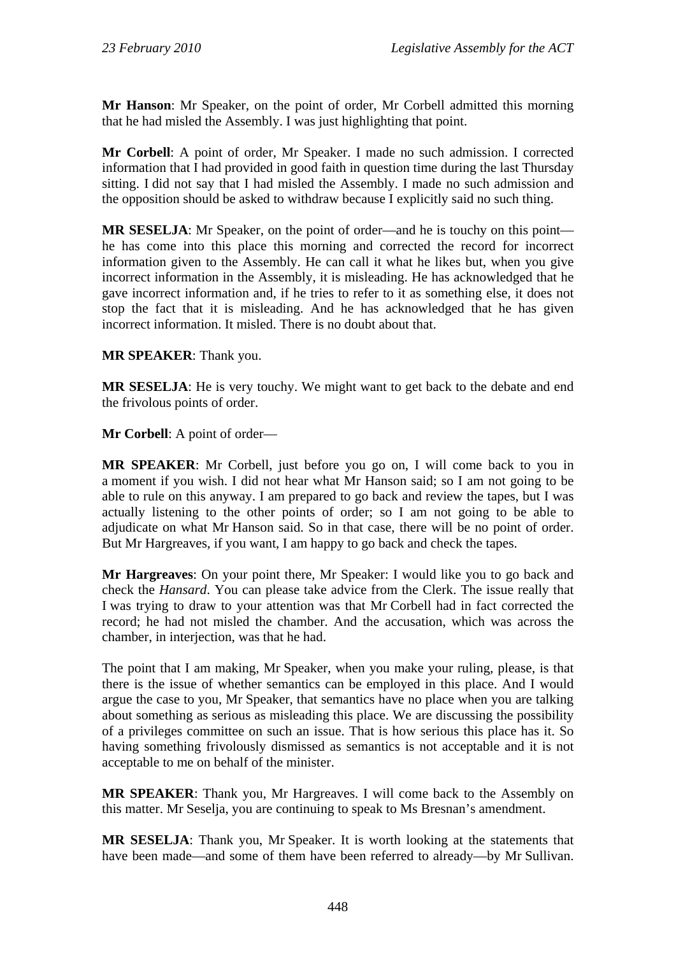**Mr Hanson**: Mr Speaker, on the point of order, Mr Corbell admitted this morning that he had misled the Assembly. I was just highlighting that point.

**Mr Corbell**: A point of order, Mr Speaker. I made no such admission. I corrected information that I had provided in good faith in question time during the last Thursday sitting. I did not say that I had misled the Assembly. I made no such admission and the opposition should be asked to withdraw because I explicitly said no such thing.

**MR SESELJA**: Mr Speaker, on the point of order—and he is touchy on this point he has come into this place this morning and corrected the record for incorrect information given to the Assembly. He can call it what he likes but, when you give incorrect information in the Assembly, it is misleading. He has acknowledged that he gave incorrect information and, if he tries to refer to it as something else, it does not stop the fact that it is misleading. And he has acknowledged that he has given incorrect information. It misled. There is no doubt about that.

**MR SPEAKER**: Thank you.

**MR SESELJA**: He is very touchy. We might want to get back to the debate and end the frivolous points of order.

**Mr Corbell**: A point of order—

**MR SPEAKER**: Mr Corbell, just before you go on, I will come back to you in a moment if you wish. I did not hear what Mr Hanson said; so I am not going to be able to rule on this anyway. I am prepared to go back and review the tapes, but I was actually listening to the other points of order; so I am not going to be able to adjudicate on what Mr Hanson said. So in that case, there will be no point of order. But Mr Hargreaves, if you want, I am happy to go back and check the tapes.

**Mr Hargreaves**: On your point there, Mr Speaker: I would like you to go back and check the *Hansard*. You can please take advice from the Clerk. The issue really that I was trying to draw to your attention was that Mr Corbell had in fact corrected the record; he had not misled the chamber. And the accusation, which was across the chamber, in interjection, was that he had.

The point that I am making, Mr Speaker, when you make your ruling, please, is that there is the issue of whether semantics can be employed in this place. And I would argue the case to you, Mr Speaker, that semantics have no place when you are talking about something as serious as misleading this place. We are discussing the possibility of a privileges committee on such an issue. That is how serious this place has it. So having something frivolously dismissed as semantics is not acceptable and it is not acceptable to me on behalf of the minister.

**MR SPEAKER**: Thank you, Mr Hargreaves. I will come back to the Assembly on this matter. Mr Seselja, you are continuing to speak to Ms Bresnan's amendment.

**MR SESELJA**: Thank you, Mr Speaker. It is worth looking at the statements that have been made—and some of them have been referred to already—by Mr Sullivan.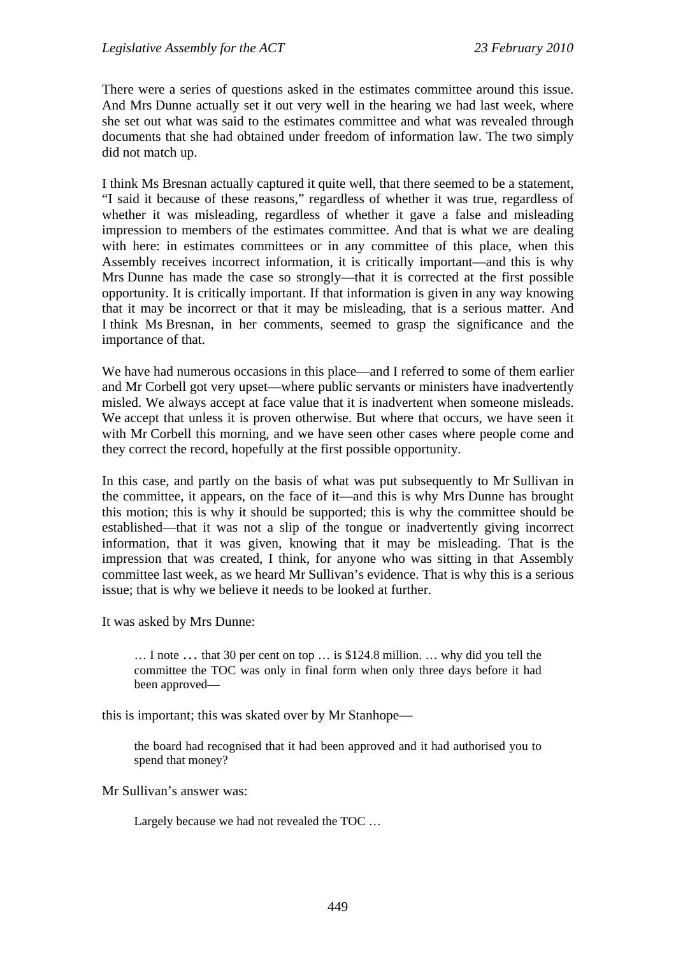There were a series of questions asked in the estimates committee around this issue. And Mrs Dunne actually set it out very well in the hearing we had last week, where she set out what was said to the estimates committee and what was revealed through documents that she had obtained under freedom of information law. The two simply did not match up.

I think Ms Bresnan actually captured it quite well, that there seemed to be a statement, "I said it because of these reasons," regardless of whether it was true, regardless of whether it was misleading, regardless of whether it gave a false and misleading impression to members of the estimates committee. And that is what we are dealing with here: in estimates committees or in any committee of this place, when this Assembly receives incorrect information, it is critically important—and this is why Mrs Dunne has made the case so strongly—that it is corrected at the first possible opportunity. It is critically important. If that information is given in any way knowing that it may be incorrect or that it may be misleading, that is a serious matter. And I think Ms Bresnan, in her comments, seemed to grasp the significance and the importance of that.

We have had numerous occasions in this place—and I referred to some of them earlier and Mr Corbell got very upset—where public servants or ministers have inadvertently misled. We always accept at face value that it is inadvertent when someone misleads. We accept that unless it is proven otherwise. But where that occurs, we have seen it with Mr Corbell this morning, and we have seen other cases where people come and they correct the record, hopefully at the first possible opportunity.

In this case, and partly on the basis of what was put subsequently to Mr Sullivan in the committee, it appears, on the face of it—and this is why Mrs Dunne has brought this motion; this is why it should be supported; this is why the committee should be established—that it was not a slip of the tongue or inadvertently giving incorrect information, that it was given, knowing that it may be misleading. That is the impression that was created, I think, for anyone who was sitting in that Assembly committee last week, as we heard Mr Sullivan's evidence. That is why this is a serious issue; that is why we believe it needs to be looked at further.

It was asked by Mrs Dunne:

… I note … that 30 per cent on top … is \$124.8 million. … why did you tell the committee the TOC was only in final form when only three days before it had been approved—

this is important; this was skated over by Mr Stanhope—

the board had recognised that it had been approved and it had authorised you to spend that money?

Mr Sullivan's answer was:

Largely because we had not revealed the TOC …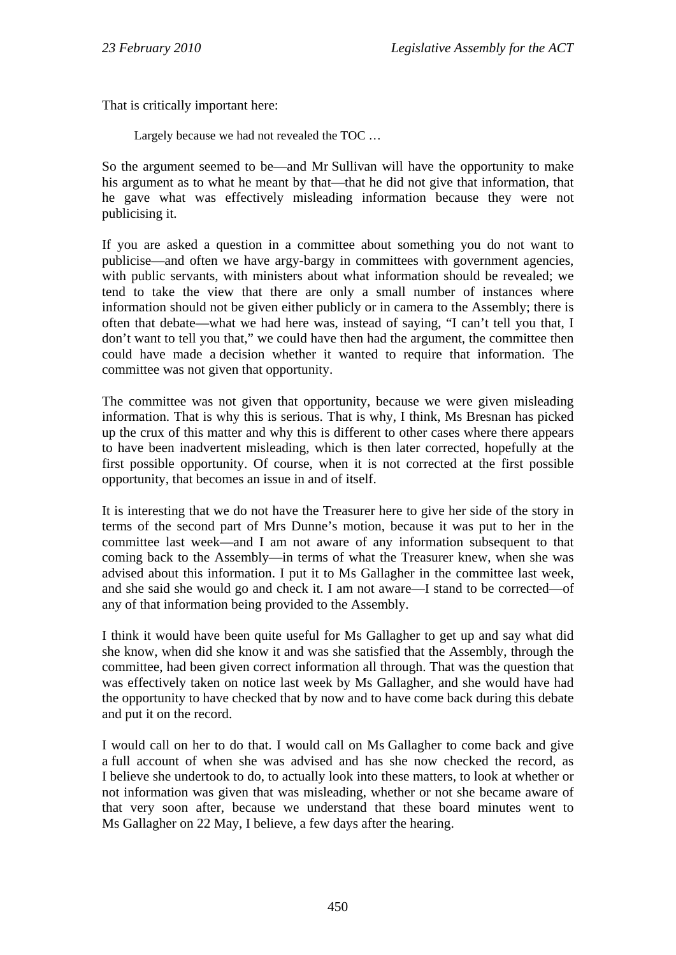That is critically important here:

Largely because we had not revealed the TOC …

So the argument seemed to be—and Mr Sullivan will have the opportunity to make his argument as to what he meant by that—that he did not give that information, that he gave what was effectively misleading information because they were not publicising it.

If you are asked a question in a committee about something you do not want to publicise—and often we have argy-bargy in committees with government agencies, with public servants, with ministers about what information should be revealed; we tend to take the view that there are only a small number of instances where information should not be given either publicly or in camera to the Assembly; there is often that debate—what we had here was, instead of saying, "I can't tell you that, I don't want to tell you that," we could have then had the argument, the committee then could have made a decision whether it wanted to require that information. The committee was not given that opportunity.

The committee was not given that opportunity, because we were given misleading information. That is why this is serious. That is why, I think, Ms Bresnan has picked up the crux of this matter and why this is different to other cases where there appears to have been inadvertent misleading, which is then later corrected, hopefully at the first possible opportunity. Of course, when it is not corrected at the first possible opportunity, that becomes an issue in and of itself.

It is interesting that we do not have the Treasurer here to give her side of the story in terms of the second part of Mrs Dunne's motion, because it was put to her in the committee last week—and I am not aware of any information subsequent to that coming back to the Assembly—in terms of what the Treasurer knew, when she was advised about this information. I put it to Ms Gallagher in the committee last week, and she said she would go and check it. I am not aware—I stand to be corrected—of any of that information being provided to the Assembly.

I think it would have been quite useful for Ms Gallagher to get up and say what did she know, when did she know it and was she satisfied that the Assembly, through the committee, had been given correct information all through. That was the question that was effectively taken on notice last week by Ms Gallagher, and she would have had the opportunity to have checked that by now and to have come back during this debate and put it on the record.

I would call on her to do that. I would call on Ms Gallagher to come back and give a full account of when she was advised and has she now checked the record, as I believe she undertook to do, to actually look into these matters, to look at whether or not information was given that was misleading, whether or not she became aware of that very soon after, because we understand that these board minutes went to Ms Gallagher on 22 May, I believe, a few days after the hearing.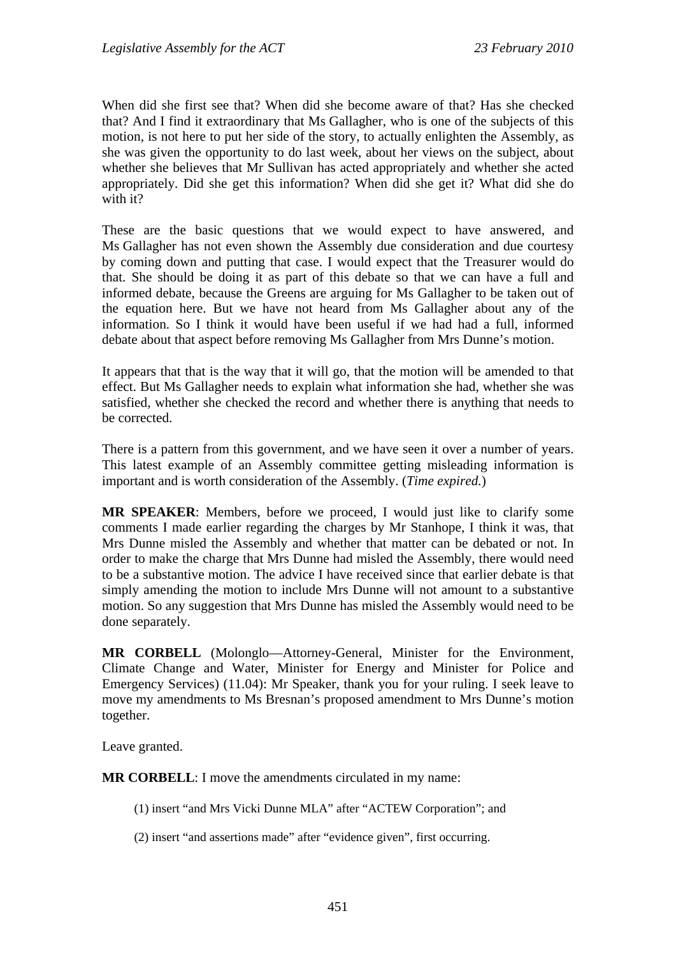When did she first see that? When did she become aware of that? Has she checked that? And I find it extraordinary that Ms Gallagher, who is one of the subjects of this motion, is not here to put her side of the story, to actually enlighten the Assembly, as she was given the opportunity to do last week, about her views on the subject, about whether she believes that Mr Sullivan has acted appropriately and whether she acted appropriately. Did she get this information? When did she get it? What did she do with it?

These are the basic questions that we would expect to have answered, and Ms Gallagher has not even shown the Assembly due consideration and due courtesy by coming down and putting that case. I would expect that the Treasurer would do that. She should be doing it as part of this debate so that we can have a full and informed debate, because the Greens are arguing for Ms Gallagher to be taken out of the equation here. But we have not heard from Ms Gallagher about any of the information. So I think it would have been useful if we had had a full, informed debate about that aspect before removing Ms Gallagher from Mrs Dunne's motion.

It appears that that is the way that it will go, that the motion will be amended to that effect. But Ms Gallagher needs to explain what information she had, whether she was satisfied, whether she checked the record and whether there is anything that needs to be corrected.

There is a pattern from this government, and we have seen it over a number of years. This latest example of an Assembly committee getting misleading information is important and is worth consideration of the Assembly. (*Time expired.*)

**MR SPEAKER**: Members, before we proceed, I would just like to clarify some comments I made earlier regarding the charges by Mr Stanhope, I think it was, that Mrs Dunne misled the Assembly and whether that matter can be debated or not. In order to make the charge that Mrs Dunne had misled the Assembly, there would need to be a substantive motion. The advice I have received since that earlier debate is that simply amending the motion to include Mrs Dunne will not amount to a substantive motion. So any suggestion that Mrs Dunne has misled the Assembly would need to be done separately.

**MR CORBELL** (Molonglo—Attorney-General, Minister for the Environment, Climate Change and Water, Minister for Energy and Minister for Police and Emergency Services) (11.04): Mr Speaker, thank you for your ruling. I seek leave to move my amendments to Ms Bresnan's proposed amendment to Mrs Dunne's motion together.

Leave granted.

**MR CORBELL**: I move the amendments circulated in my name:

- (1) insert "and Mrs Vicki Dunne MLA" after "ACTEW Corporation"; and
- (2) insert "and assertions made" after "evidence given", first occurring.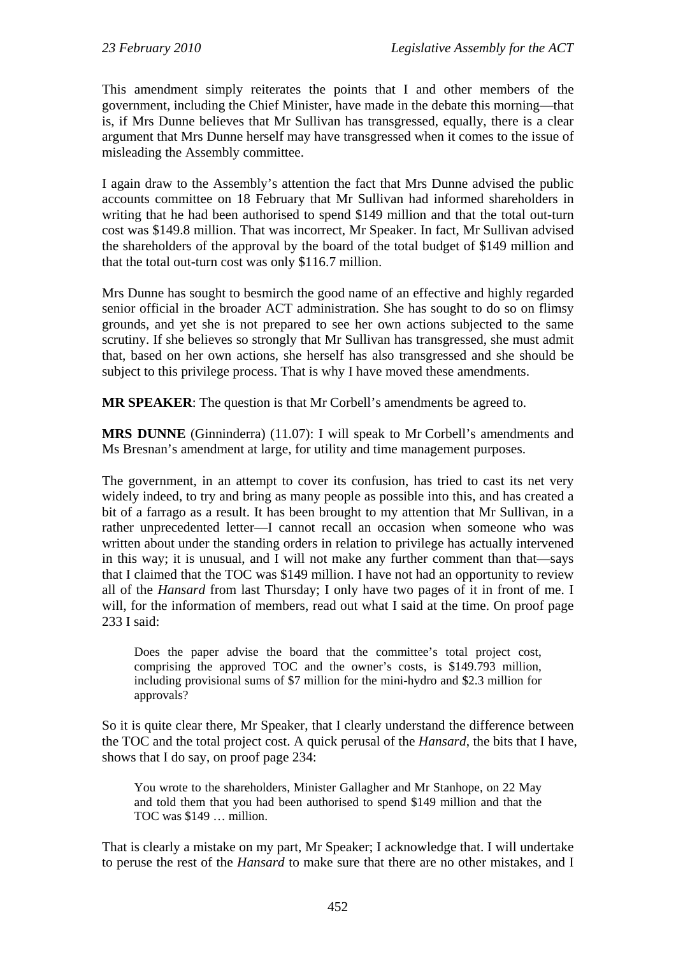This amendment simply reiterates the points that I and other members of the government, including the Chief Minister, have made in the debate this morning—that is, if Mrs Dunne believes that Mr Sullivan has transgressed, equally, there is a clear argument that Mrs Dunne herself may have transgressed when it comes to the issue of misleading the Assembly committee.

I again draw to the Assembly's attention the fact that Mrs Dunne advised the public accounts committee on 18 February that Mr Sullivan had informed shareholders in writing that he had been authorised to spend \$149 million and that the total out-turn cost was \$149.8 million. That was incorrect, Mr Speaker. In fact, Mr Sullivan advised the shareholders of the approval by the board of the total budget of \$149 million and that the total out-turn cost was only \$116.7 million.

Mrs Dunne has sought to besmirch the good name of an effective and highly regarded senior official in the broader ACT administration. She has sought to do so on flimsy grounds, and yet she is not prepared to see her own actions subjected to the same scrutiny. If she believes so strongly that Mr Sullivan has transgressed, she must admit that, based on her own actions, she herself has also transgressed and she should be subject to this privilege process. That is why I have moved these amendments.

**MR SPEAKER**: The question is that Mr Corbell's amendments be agreed to.

**MRS DUNNE** (Ginninderra) (11.07): I will speak to Mr Corbell's amendments and Ms Bresnan's amendment at large, for utility and time management purposes.

The government, in an attempt to cover its confusion, has tried to cast its net very widely indeed, to try and bring as many people as possible into this, and has created a bit of a farrago as a result. It has been brought to my attention that Mr Sullivan, in a rather unprecedented letter—I cannot recall an occasion when someone who was written about under the standing orders in relation to privilege has actually intervened in this way; it is unusual, and I will not make any further comment than that—says that I claimed that the TOC was \$149 million. I have not had an opportunity to review all of the *Hansard* from last Thursday; I only have two pages of it in front of me. I will, for the information of members, read out what I said at the time. On proof page 233 I said:

Does the paper advise the board that the committee's total project cost, comprising the approved TOC and the owner's costs, is \$149.793 million, including provisional sums of \$7 million for the mini-hydro and \$2.3 million for approvals?

So it is quite clear there, Mr Speaker, that I clearly understand the difference between the TOC and the total project cost. A quick perusal of the *Hansard*, the bits that I have, shows that I do say, on proof page 234:

You wrote to the shareholders, Minister Gallagher and Mr Stanhope, on 22 May and told them that you had been authorised to spend \$149 million and that the TOC was \$149 … million.

That is clearly a mistake on my part, Mr Speaker; I acknowledge that. I will undertake to peruse the rest of the *Hansard* to make sure that there are no other mistakes, and I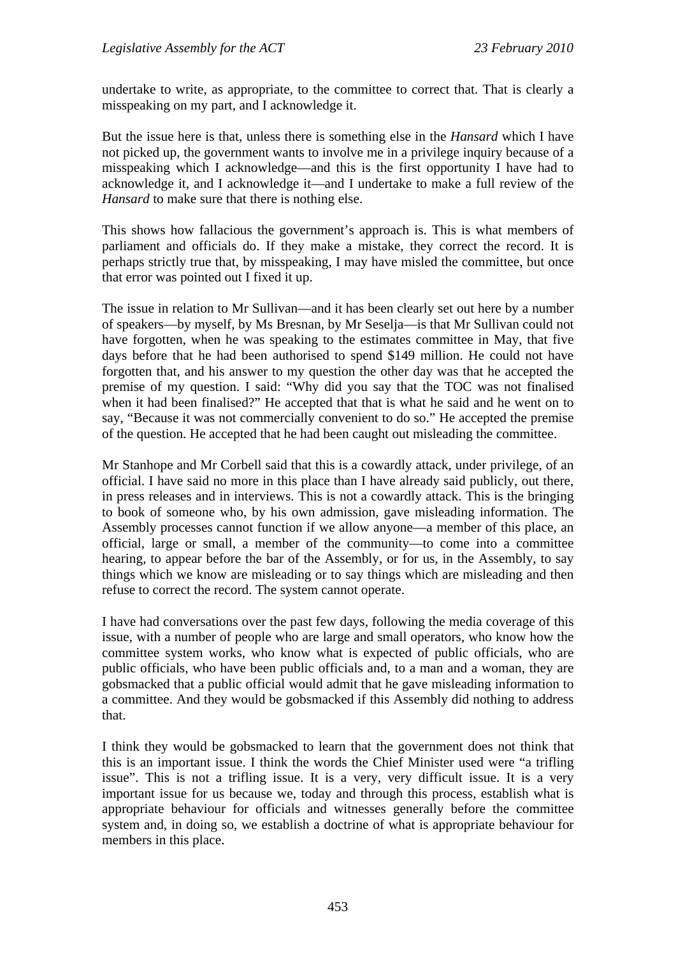undertake to write, as appropriate, to the committee to correct that. That is clearly a misspeaking on my part, and I acknowledge it.

But the issue here is that, unless there is something else in the *Hansard* which I have not picked up, the government wants to involve me in a privilege inquiry because of a misspeaking which I acknowledge—and this is the first opportunity I have had to acknowledge it, and I acknowledge it—and I undertake to make a full review of the *Hansard* to make sure that there is nothing else.

This shows how fallacious the government's approach is. This is what members of parliament and officials do. If they make a mistake, they correct the record. It is perhaps strictly true that, by misspeaking, I may have misled the committee, but once that error was pointed out I fixed it up.

The issue in relation to Mr Sullivan—and it has been clearly set out here by a number of speakers—by myself, by Ms Bresnan, by Mr Seselja—is that Mr Sullivan could not have forgotten, when he was speaking to the estimates committee in May, that five days before that he had been authorised to spend \$149 million. He could not have forgotten that, and his answer to my question the other day was that he accepted the premise of my question. I said: "Why did you say that the TOC was not finalised when it had been finalised?" He accepted that that is what he said and he went on to say, "Because it was not commercially convenient to do so." He accepted the premise of the question. He accepted that he had been caught out misleading the committee.

Mr Stanhope and Mr Corbell said that this is a cowardly attack, under privilege, of an official. I have said no more in this place than I have already said publicly, out there, in press releases and in interviews. This is not a cowardly attack. This is the bringing to book of someone who, by his own admission, gave misleading information. The Assembly processes cannot function if we allow anyone—a member of this place, an official, large or small, a member of the community—to come into a committee hearing, to appear before the bar of the Assembly, or for us, in the Assembly, to say things which we know are misleading or to say things which are misleading and then refuse to correct the record. The system cannot operate.

I have had conversations over the past few days, following the media coverage of this issue, with a number of people who are large and small operators, who know how the committee system works, who know what is expected of public officials, who are public officials, who have been public officials and, to a man and a woman, they are gobsmacked that a public official would admit that he gave misleading information to a committee. And they would be gobsmacked if this Assembly did nothing to address that.

I think they would be gobsmacked to learn that the government does not think that this is an important issue. I think the words the Chief Minister used were "a trifling issue". This is not a trifling issue. It is a very, very difficult issue. It is a very important issue for us because we, today and through this process, establish what is appropriate behaviour for officials and witnesses generally before the committee system and, in doing so, we establish a doctrine of what is appropriate behaviour for members in this place.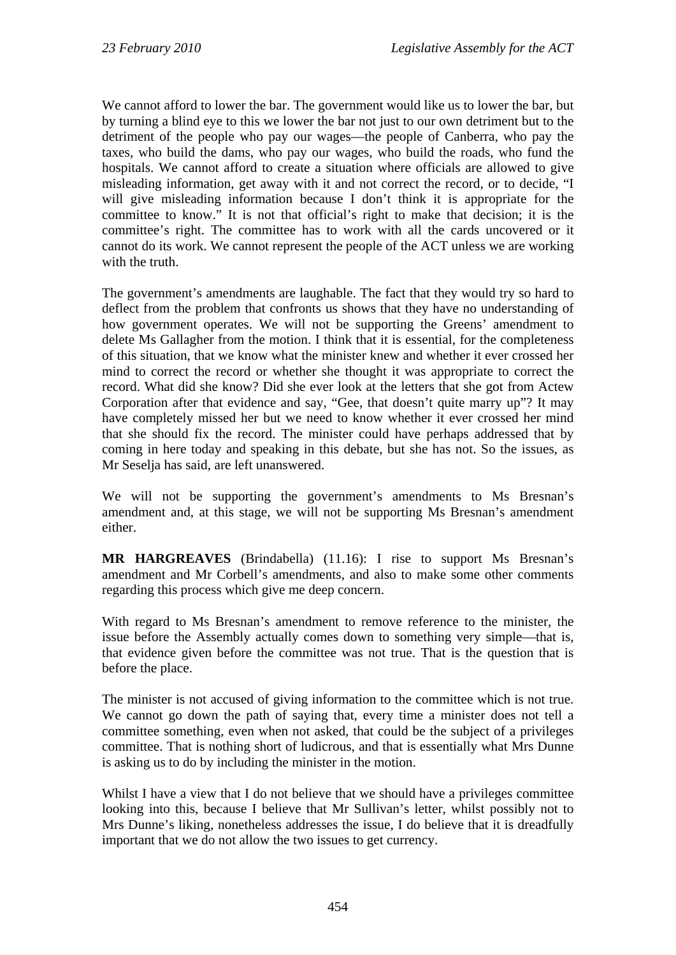We cannot afford to lower the bar. The government would like us to lower the bar, but by turning a blind eye to this we lower the bar not just to our own detriment but to the detriment of the people who pay our wages—the people of Canberra, who pay the taxes, who build the dams, who pay our wages, who build the roads, who fund the hospitals. We cannot afford to create a situation where officials are allowed to give misleading information, get away with it and not correct the record, or to decide, "I will give misleading information because I don't think it is appropriate for the committee to know." It is not that official's right to make that decision; it is the committee's right. The committee has to work with all the cards uncovered or it cannot do its work. We cannot represent the people of the ACT unless we are working with the truth.

The government's amendments are laughable. The fact that they would try so hard to deflect from the problem that confronts us shows that they have no understanding of how government operates. We will not be supporting the Greens' amendment to delete Ms Gallagher from the motion. I think that it is essential, for the completeness of this situation, that we know what the minister knew and whether it ever crossed her mind to correct the record or whether she thought it was appropriate to correct the record. What did she know? Did she ever look at the letters that she got from Actew Corporation after that evidence and say, "Gee, that doesn't quite marry up"? It may have completely missed her but we need to know whether it ever crossed her mind that she should fix the record. The minister could have perhaps addressed that by coming in here today and speaking in this debate, but she has not. So the issues, as Mr Seselja has said, are left unanswered.

We will not be supporting the government's amendments to Ms Bresnan's amendment and, at this stage, we will not be supporting Ms Bresnan's amendment either.

**MR HARGREAVES** (Brindabella) (11.16): I rise to support Ms Bresnan's amendment and Mr Corbell's amendments, and also to make some other comments regarding this process which give me deep concern.

With regard to Ms Bresnan's amendment to remove reference to the minister, the issue before the Assembly actually comes down to something very simple—that is, that evidence given before the committee was not true. That is the question that is before the place.

The minister is not accused of giving information to the committee which is not true. We cannot go down the path of saying that, every time a minister does not tell a committee something, even when not asked, that could be the subject of a privileges committee. That is nothing short of ludicrous, and that is essentially what Mrs Dunne is asking us to do by including the minister in the motion.

Whilst I have a view that I do not believe that we should have a privileges committee looking into this, because I believe that Mr Sullivan's letter, whilst possibly not to Mrs Dunne's liking, nonetheless addresses the issue, I do believe that it is dreadfully important that we do not allow the two issues to get currency.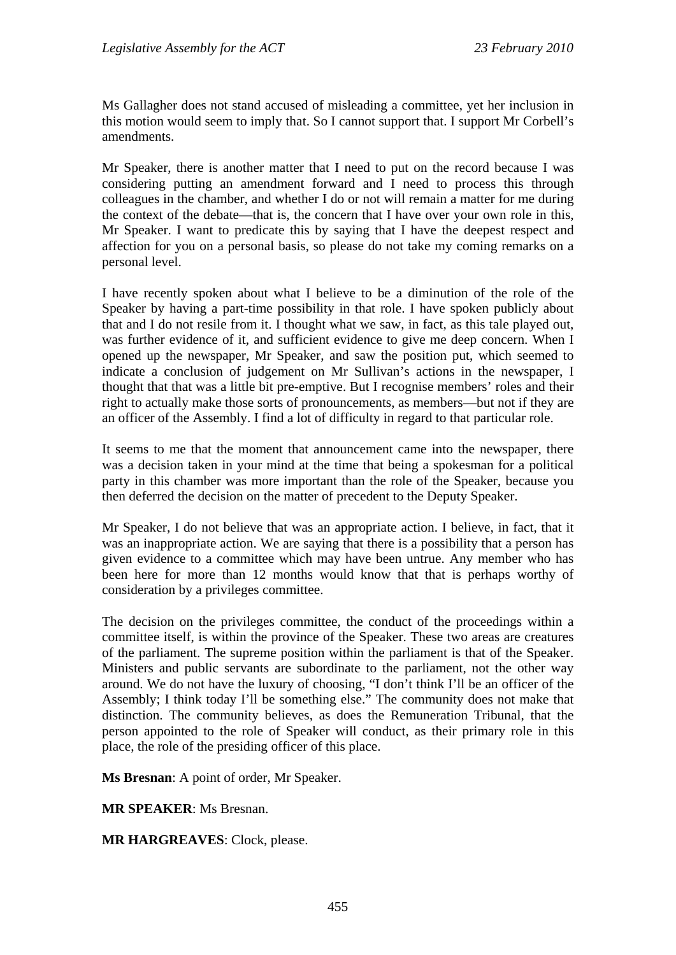Ms Gallagher does not stand accused of misleading a committee, yet her inclusion in this motion would seem to imply that. So I cannot support that. I support Mr Corbell's amendments.

Mr Speaker, there is another matter that I need to put on the record because I was considering putting an amendment forward and I need to process this through colleagues in the chamber, and whether I do or not will remain a matter for me during the context of the debate—that is, the concern that I have over your own role in this, Mr Speaker. I want to predicate this by saying that I have the deepest respect and affection for you on a personal basis, so please do not take my coming remarks on a personal level.

I have recently spoken about what I believe to be a diminution of the role of the Speaker by having a part-time possibility in that role. I have spoken publicly about that and I do not resile from it. I thought what we saw, in fact, as this tale played out, was further evidence of it, and sufficient evidence to give me deep concern. When I opened up the newspaper, Mr Speaker, and saw the position put, which seemed to indicate a conclusion of judgement on Mr Sullivan's actions in the newspaper, I thought that that was a little bit pre-emptive. But I recognise members' roles and their right to actually make those sorts of pronouncements, as members—but not if they are an officer of the Assembly. I find a lot of difficulty in regard to that particular role.

It seems to me that the moment that announcement came into the newspaper, there was a decision taken in your mind at the time that being a spokesman for a political party in this chamber was more important than the role of the Speaker, because you then deferred the decision on the matter of precedent to the Deputy Speaker.

Mr Speaker, I do not believe that was an appropriate action. I believe, in fact, that it was an inappropriate action. We are saying that there is a possibility that a person has given evidence to a committee which may have been untrue. Any member who has been here for more than 12 months would know that that is perhaps worthy of consideration by a privileges committee.

The decision on the privileges committee, the conduct of the proceedings within a committee itself, is within the province of the Speaker. These two areas are creatures of the parliament. The supreme position within the parliament is that of the Speaker. Ministers and public servants are subordinate to the parliament, not the other way around. We do not have the luxury of choosing, "I don't think I'll be an officer of the Assembly; I think today I'll be something else." The community does not make that distinction. The community believes, as does the Remuneration Tribunal, that the person appointed to the role of Speaker will conduct, as their primary role in this place, the role of the presiding officer of this place.

**Ms Bresnan**: A point of order, Mr Speaker.

**MR SPEAKER**: Ms Bresnan.

**MR HARGREAVES**: Clock, please.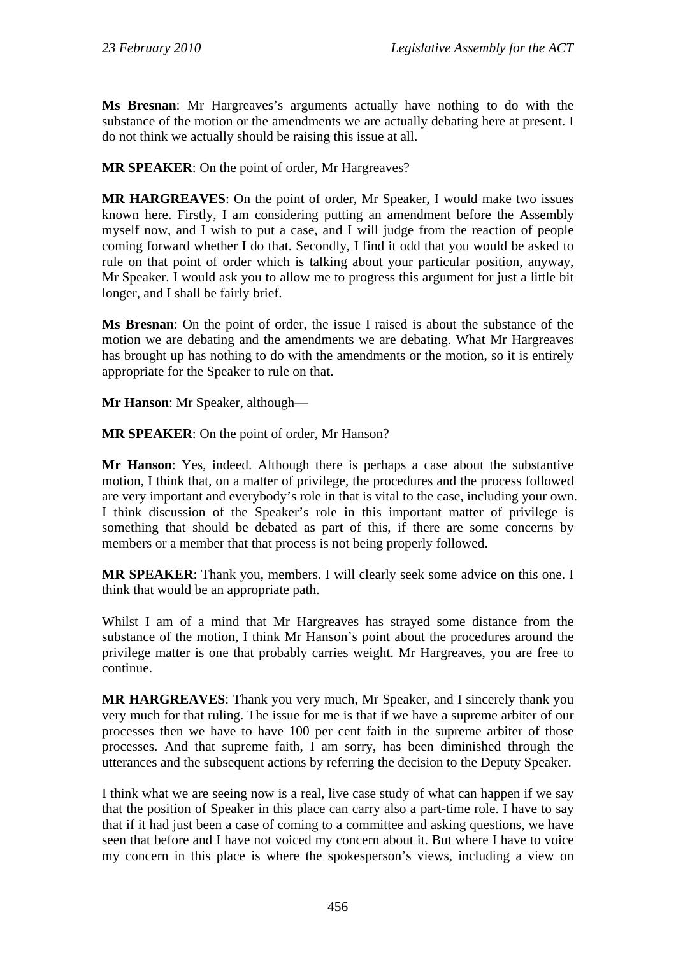**Ms Bresnan**: Mr Hargreaves's arguments actually have nothing to do with the substance of the motion or the amendments we are actually debating here at present. I do not think we actually should be raising this issue at all.

**MR SPEAKER**: On the point of order, Mr Hargreaves?

**MR HARGREAVES**: On the point of order, Mr Speaker, I would make two issues known here. Firstly, I am considering putting an amendment before the Assembly myself now, and I wish to put a case, and I will judge from the reaction of people coming forward whether I do that. Secondly, I find it odd that you would be asked to rule on that point of order which is talking about your particular position, anyway, Mr Speaker. I would ask you to allow me to progress this argument for just a little bit longer, and I shall be fairly brief.

**Ms Bresnan**: On the point of order, the issue I raised is about the substance of the motion we are debating and the amendments we are debating. What Mr Hargreaves has brought up has nothing to do with the amendments or the motion, so it is entirely appropriate for the Speaker to rule on that.

**Mr Hanson**: Mr Speaker, although—

**MR SPEAKER**: On the point of order, Mr Hanson?

**Mr Hanson**: Yes, indeed. Although there is perhaps a case about the substantive motion, I think that, on a matter of privilege, the procedures and the process followed are very important and everybody's role in that is vital to the case, including your own. I think discussion of the Speaker's role in this important matter of privilege is something that should be debated as part of this, if there are some concerns by members or a member that that process is not being properly followed.

**MR SPEAKER:** Thank you, members. I will clearly seek some advice on this one. I think that would be an appropriate path.

Whilst I am of a mind that Mr Hargreaves has strayed some distance from the substance of the motion, I think Mr Hanson's point about the procedures around the privilege matter is one that probably carries weight. Mr Hargreaves, you are free to continue.

**MR HARGREAVES**: Thank you very much, Mr Speaker, and I sincerely thank you very much for that ruling. The issue for me is that if we have a supreme arbiter of our processes then we have to have 100 per cent faith in the supreme arbiter of those processes. And that supreme faith, I am sorry, has been diminished through the utterances and the subsequent actions by referring the decision to the Deputy Speaker.

I think what we are seeing now is a real, live case study of what can happen if we say that the position of Speaker in this place can carry also a part-time role. I have to say that if it had just been a case of coming to a committee and asking questions, we have seen that before and I have not voiced my concern about it. But where I have to voice my concern in this place is where the spokesperson's views, including a view on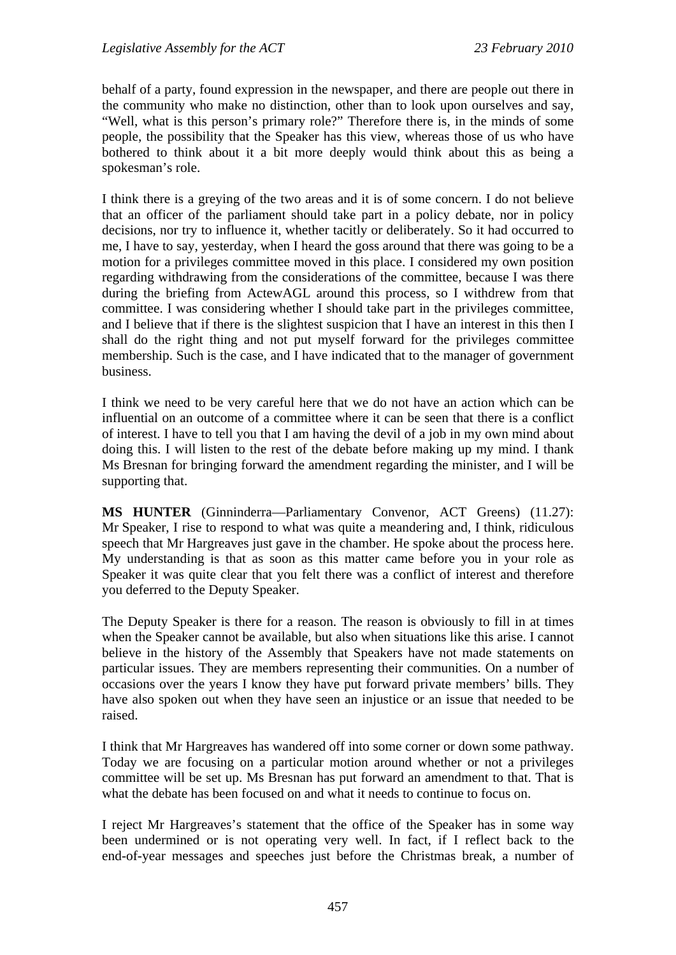behalf of a party, found expression in the newspaper, and there are people out there in the community who make no distinction, other than to look upon ourselves and say, "Well, what is this person's primary role?" Therefore there is, in the minds of some people, the possibility that the Speaker has this view, whereas those of us who have bothered to think about it a bit more deeply would think about this as being a spokesman's role.

I think there is a greying of the two areas and it is of some concern. I do not believe that an officer of the parliament should take part in a policy debate, nor in policy decisions, nor try to influence it, whether tacitly or deliberately. So it had occurred to me, I have to say, yesterday, when I heard the goss around that there was going to be a motion for a privileges committee moved in this place. I considered my own position regarding withdrawing from the considerations of the committee, because I was there during the briefing from ActewAGL around this process, so I withdrew from that committee. I was considering whether I should take part in the privileges committee, and I believe that if there is the slightest suspicion that I have an interest in this then I shall do the right thing and not put myself forward for the privileges committee membership. Such is the case, and I have indicated that to the manager of government business.

I think we need to be very careful here that we do not have an action which can be influential on an outcome of a committee where it can be seen that there is a conflict of interest. I have to tell you that I am having the devil of a job in my own mind about doing this. I will listen to the rest of the debate before making up my mind. I thank Ms Bresnan for bringing forward the amendment regarding the minister, and I will be supporting that.

**MS HUNTER** (Ginninderra—Parliamentary Convenor, ACT Greens) (11.27): Mr Speaker, I rise to respond to what was quite a meandering and, I think, ridiculous speech that Mr Hargreaves just gave in the chamber. He spoke about the process here. My understanding is that as soon as this matter came before you in your role as Speaker it was quite clear that you felt there was a conflict of interest and therefore you deferred to the Deputy Speaker.

The Deputy Speaker is there for a reason. The reason is obviously to fill in at times when the Speaker cannot be available, but also when situations like this arise. I cannot believe in the history of the Assembly that Speakers have not made statements on particular issues. They are members representing their communities. On a number of occasions over the years I know they have put forward private members' bills. They have also spoken out when they have seen an injustice or an issue that needed to be raised.

I think that Mr Hargreaves has wandered off into some corner or down some pathway. Today we are focusing on a particular motion around whether or not a privileges committee will be set up. Ms Bresnan has put forward an amendment to that. That is what the debate has been focused on and what it needs to continue to focus on.

I reject Mr Hargreaves's statement that the office of the Speaker has in some way been undermined or is not operating very well. In fact, if I reflect back to the end-of-year messages and speeches just before the Christmas break, a number of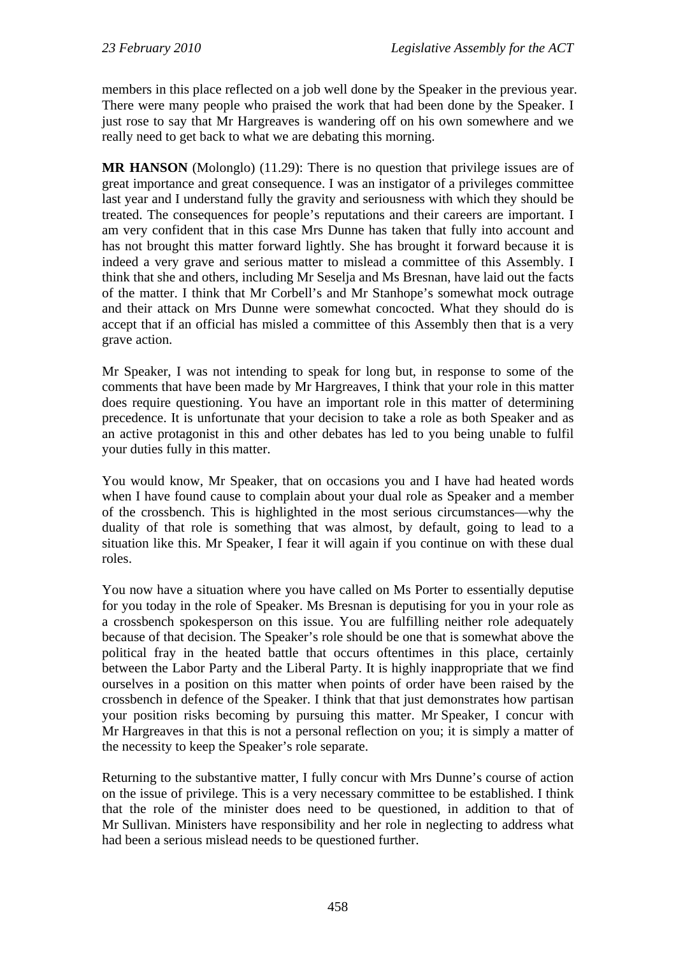members in this place reflected on a job well done by the Speaker in the previous year. There were many people who praised the work that had been done by the Speaker. I just rose to say that Mr Hargreaves is wandering off on his own somewhere and we really need to get back to what we are debating this morning.

**MR HANSON** (Molonglo) (11.29): There is no question that privilege issues are of great importance and great consequence. I was an instigator of a privileges committee last year and I understand fully the gravity and seriousness with which they should be treated. The consequences for people's reputations and their careers are important. I am very confident that in this case Mrs Dunne has taken that fully into account and has not brought this matter forward lightly. She has brought it forward because it is indeed a very grave and serious matter to mislead a committee of this Assembly. I think that she and others, including Mr Seselja and Ms Bresnan, have laid out the facts of the matter. I think that Mr Corbell's and Mr Stanhope's somewhat mock outrage and their attack on Mrs Dunne were somewhat concocted. What they should do is accept that if an official has misled a committee of this Assembly then that is a very grave action.

Mr Speaker, I was not intending to speak for long but, in response to some of the comments that have been made by Mr Hargreaves, I think that your role in this matter does require questioning. You have an important role in this matter of determining precedence. It is unfortunate that your decision to take a role as both Speaker and as an active protagonist in this and other debates has led to you being unable to fulfil your duties fully in this matter.

You would know, Mr Speaker, that on occasions you and I have had heated words when I have found cause to complain about your dual role as Speaker and a member of the crossbench. This is highlighted in the most serious circumstances—why the duality of that role is something that was almost, by default, going to lead to a situation like this. Mr Speaker, I fear it will again if you continue on with these dual roles.

You now have a situation where you have called on Ms Porter to essentially deputise for you today in the role of Speaker. Ms Bresnan is deputising for you in your role as a crossbench spokesperson on this issue. You are fulfilling neither role adequately because of that decision. The Speaker's role should be one that is somewhat above the political fray in the heated battle that occurs oftentimes in this place, certainly between the Labor Party and the Liberal Party. It is highly inappropriate that we find ourselves in a position on this matter when points of order have been raised by the crossbench in defence of the Speaker. I think that that just demonstrates how partisan your position risks becoming by pursuing this matter. Mr Speaker, I concur with Mr Hargreaves in that this is not a personal reflection on you; it is simply a matter of the necessity to keep the Speaker's role separate.

Returning to the substantive matter, I fully concur with Mrs Dunne's course of action on the issue of privilege. This is a very necessary committee to be established. I think that the role of the minister does need to be questioned, in addition to that of Mr Sullivan. Ministers have responsibility and her role in neglecting to address what had been a serious mislead needs to be questioned further.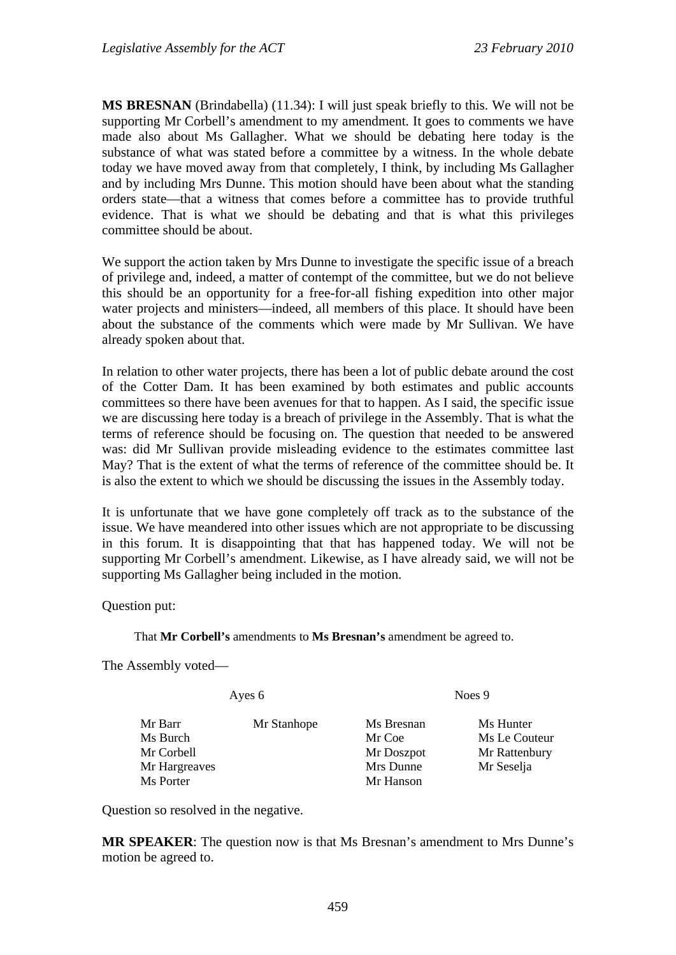**MS BRESNAN** (Brindabella) (11.34): I will just speak briefly to this. We will not be supporting Mr Corbell's amendment to my amendment. It goes to comments we have made also about Ms Gallagher. What we should be debating here today is the substance of what was stated before a committee by a witness. In the whole debate today we have moved away from that completely, I think, by including Ms Gallagher and by including Mrs Dunne. This motion should have been about what the standing orders state—that a witness that comes before a committee has to provide truthful evidence. That is what we should be debating and that is what this privileges committee should be about.

We support the action taken by Mrs Dunne to investigate the specific issue of a breach of privilege and, indeed, a matter of contempt of the committee, but we do not believe this should be an opportunity for a free-for-all fishing expedition into other major water projects and ministers—indeed, all members of this place. It should have been about the substance of the comments which were made by Mr Sullivan. We have already spoken about that.

In relation to other water projects, there has been a lot of public debate around the cost of the Cotter Dam. It has been examined by both estimates and public accounts committees so there have been avenues for that to happen. As I said, the specific issue we are discussing here today is a breach of privilege in the Assembly. That is what the terms of reference should be focusing on. The question that needed to be answered was: did Mr Sullivan provide misleading evidence to the estimates committee last May? That is the extent of what the terms of reference of the committee should be. It is also the extent to which we should be discussing the issues in the Assembly today.

It is unfortunate that we have gone completely off track as to the substance of the issue. We have meandered into other issues which are not appropriate to be discussing in this forum. It is disappointing that that has happened today. We will not be supporting Mr Corbell's amendment. Likewise, as I have already said, we will not be supporting Ms Gallagher being included in the motion.

Question put:

That **Mr Corbell's** amendments to **Ms Bresnan's** amendment be agreed to.

The Assembly voted—

Ayes 6 Noes 9

| Mr Barr       | Mr Stanhope | Ms Bresnan | Ms Hunter     |
|---------------|-------------|------------|---------------|
| Ms Burch      |             | Mr Coe     | Ms Le Couteur |
| Mr Corbell    |             | Mr Doszpot | Mr Rattenbury |
| Mr Hargreaves |             | Mrs Dunne  | Mr Seselja    |
| Ms Porter     |             | Mr Hanson  |               |

Question so resolved in the negative.

**MR SPEAKER**: The question now is that Ms Bresnan's amendment to Mrs Dunne's motion be agreed to.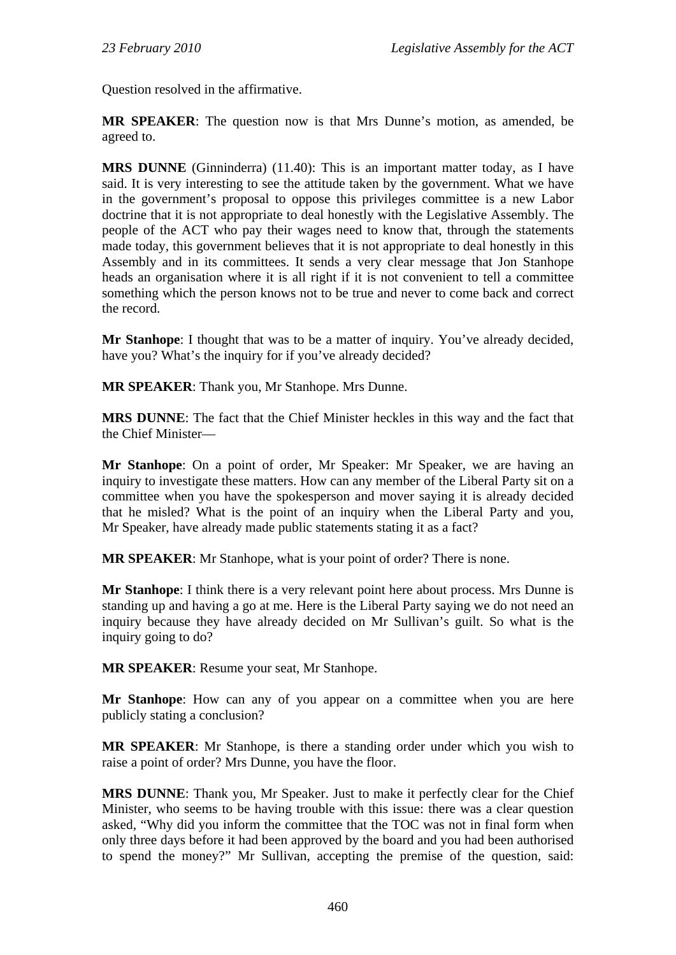Question resolved in the affirmative.

**MR SPEAKER**: The question now is that Mrs Dunne's motion, as amended, be agreed to.

**MRS DUNNE** (Ginninderra) (11.40): This is an important matter today, as I have said. It is very interesting to see the attitude taken by the government. What we have in the government's proposal to oppose this privileges committee is a new Labor doctrine that it is not appropriate to deal honestly with the Legislative Assembly. The people of the ACT who pay their wages need to know that, through the statements made today, this government believes that it is not appropriate to deal honestly in this Assembly and in its committees. It sends a very clear message that Jon Stanhope heads an organisation where it is all right if it is not convenient to tell a committee something which the person knows not to be true and never to come back and correct the record.

**Mr Stanhope**: I thought that was to be a matter of inquiry. You've already decided, have you? What's the inquiry for if you've already decided?

**MR SPEAKER**: Thank you, Mr Stanhope. Mrs Dunne.

**MRS DUNNE**: The fact that the Chief Minister heckles in this way and the fact that the Chief Minister—

**Mr Stanhope**: On a point of order, Mr Speaker: Mr Speaker, we are having an inquiry to investigate these matters. How can any member of the Liberal Party sit on a committee when you have the spokesperson and mover saying it is already decided that he misled? What is the point of an inquiry when the Liberal Party and you, Mr Speaker, have already made public statements stating it as a fact?

**MR SPEAKER**: Mr Stanhope, what is your point of order? There is none.

**Mr Stanhope**: I think there is a very relevant point here about process. Mrs Dunne is standing up and having a go at me. Here is the Liberal Party saying we do not need an inquiry because they have already decided on Mr Sullivan's guilt. So what is the inquiry going to do?

**MR SPEAKER**: Resume your seat, Mr Stanhope.

**Mr Stanhope**: How can any of you appear on a committee when you are here publicly stating a conclusion?

**MR SPEAKER**: Mr Stanhope, is there a standing order under which you wish to raise a point of order? Mrs Dunne, you have the floor.

**MRS DUNNE**: Thank you, Mr Speaker. Just to make it perfectly clear for the Chief Minister, who seems to be having trouble with this issue: there was a clear question asked, "Why did you inform the committee that the TOC was not in final form when only three days before it had been approved by the board and you had been authorised to spend the money?" Mr Sullivan, accepting the premise of the question, said: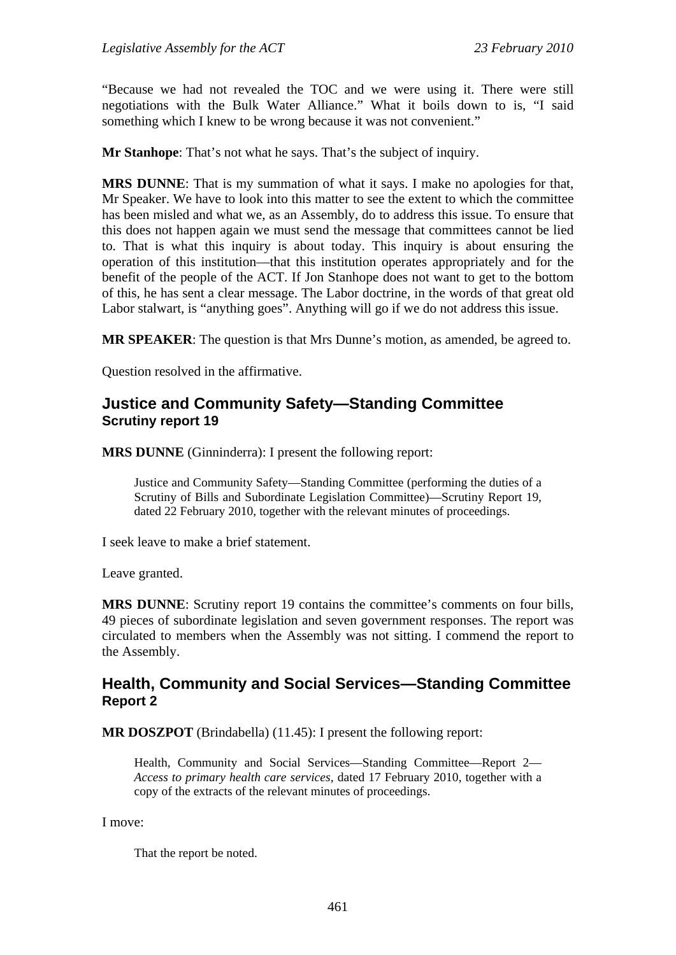"Because we had not revealed the TOC and we were using it. There were still negotiations with the Bulk Water Alliance." What it boils down to is, "I said something which I knew to be wrong because it was not convenient."

**Mr Stanhope**: That's not what he says. That's the subject of inquiry.

**MRS DUNNE**: That is my summation of what it says. I make no apologies for that, Mr Speaker. We have to look into this matter to see the extent to which the committee has been misled and what we, as an Assembly, do to address this issue. To ensure that this does not happen again we must send the message that committees cannot be lied to. That is what this inquiry is about today. This inquiry is about ensuring the operation of this institution—that this institution operates appropriately and for the benefit of the people of the ACT. If Jon Stanhope does not want to get to the bottom of this, he has sent a clear message. The Labor doctrine, in the words of that great old Labor stalwart, is "anything goes". Anything will go if we do not address this issue.

**MR SPEAKER**: The question is that Mrs Dunne's motion, as amended, be agreed to.

Question resolved in the affirmative.

## <span id="page-34-0"></span>**Justice and Community Safety—Standing Committee Scrutiny report 19**

**MRS DUNNE** (Ginninderra): I present the following report:

Justice and Community Safety—Standing Committee (performing the duties of a Scrutiny of Bills and Subordinate Legislation Committee)—Scrutiny Report 19*,*  dated 22 February 2010, together with the relevant minutes of proceedings.

I seek leave to make a brief statement.

Leave granted.

**MRS DUNNE**: Scrutiny report 19 contains the committee's comments on four bills, 49 pieces of subordinate legislation and seven government responses. The report was circulated to members when the Assembly was not sitting. I commend the report to the Assembly.

### <span id="page-34-1"></span>**Health, Community and Social Services—Standing Committee Report 2**

**MR DOSZPOT** (Brindabella) (11.45): I present the following report:

Health, Community and Social Services—Standing Committee—Report 2— *Access to primary health care services,* dated 17 February 2010, together with a copy of the extracts of the relevant minutes of proceedings.

I move:

That the report be noted.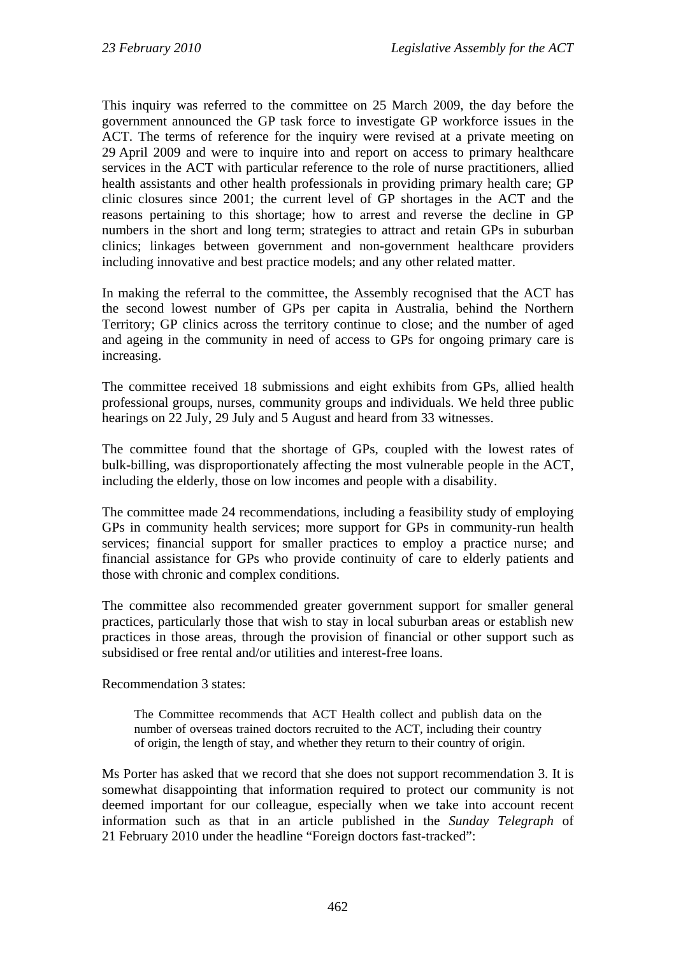This inquiry was referred to the committee on 25 March 2009, the day before the government announced the GP task force to investigate GP workforce issues in the ACT. The terms of reference for the inquiry were revised at a private meeting on 29 April 2009 and were to inquire into and report on access to primary healthcare services in the ACT with particular reference to the role of nurse practitioners, allied health assistants and other health professionals in providing primary health care; GP clinic closures since 2001; the current level of GP shortages in the ACT and the reasons pertaining to this shortage; how to arrest and reverse the decline in GP numbers in the short and long term; strategies to attract and retain GPs in suburban clinics; linkages between government and non-government healthcare providers including innovative and best practice models; and any other related matter.

In making the referral to the committee, the Assembly recognised that the ACT has the second lowest number of GPs per capita in Australia, behind the Northern Territory; GP clinics across the territory continue to close; and the number of aged and ageing in the community in need of access to GPs for ongoing primary care is increasing.

The committee received 18 submissions and eight exhibits from GPs, allied health professional groups, nurses, community groups and individuals. We held three public hearings on 22 July, 29 July and 5 August and heard from 33 witnesses.

The committee found that the shortage of GPs, coupled with the lowest rates of bulk-billing, was disproportionately affecting the most vulnerable people in the ACT, including the elderly, those on low incomes and people with a disability.

The committee made 24 recommendations, including a feasibility study of employing GPs in community health services; more support for GPs in community-run health services; financial support for smaller practices to employ a practice nurse; and financial assistance for GPs who provide continuity of care to elderly patients and those with chronic and complex conditions.

The committee also recommended greater government support for smaller general practices, particularly those that wish to stay in local suburban areas or establish new practices in those areas, through the provision of financial or other support such as subsidised or free rental and/or utilities and interest-free loans.

Recommendation 3 states:

The Committee recommends that ACT Health collect and publish data on the number of overseas trained doctors recruited to the ACT, including their country of origin, the length of stay, and whether they return to their country of origin.

Ms Porter has asked that we record that she does not support recommendation 3. It is somewhat disappointing that information required to protect our community is not deemed important for our colleague, especially when we take into account recent information such as that in an article published in the *Sunday Telegraph* of 21 February 2010 under the headline "Foreign doctors fast-tracked":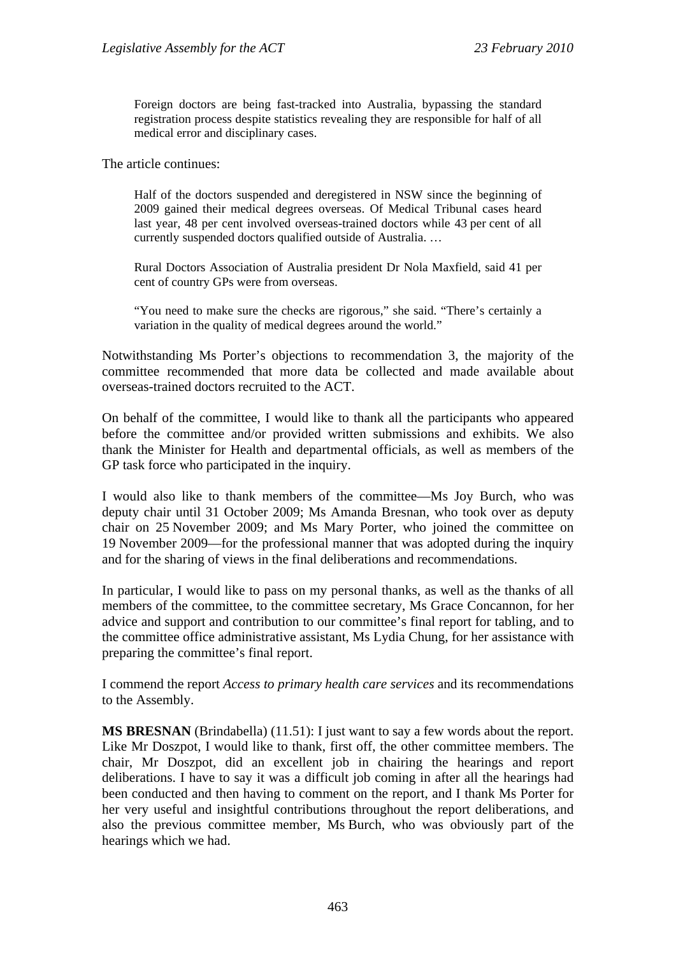Foreign doctors are being fast-tracked into Australia, bypassing the standard registration process despite statistics revealing they are responsible for half of all medical error and disciplinary cases.

The article continues:

Half of the doctors suspended and deregistered in NSW since the beginning of 2009 gained their medical degrees overseas. Of Medical Tribunal cases heard last year, 48 per cent involved overseas-trained doctors while 43 per cent of all currently suspended doctors qualified outside of Australia. …

Rural Doctors Association of Australia president Dr Nola Maxfield, said 41 per cent of country GPs were from overseas.

"You need to make sure the checks are rigorous," she said. "There's certainly a variation in the quality of medical degrees around the world."

Notwithstanding Ms Porter's objections to recommendation 3, the majority of the committee recommended that more data be collected and made available about overseas-trained doctors recruited to the ACT.

On behalf of the committee, I would like to thank all the participants who appeared before the committee and/or provided written submissions and exhibits. We also thank the Minister for Health and departmental officials, as well as members of the GP task force who participated in the inquiry.

I would also like to thank members of the committee—Ms Joy Burch, who was deputy chair until 31 October 2009; Ms Amanda Bresnan, who took over as deputy chair on 25 November 2009; and Ms Mary Porter, who joined the committee on 19 November 2009—for the professional manner that was adopted during the inquiry and for the sharing of views in the final deliberations and recommendations.

In particular, I would like to pass on my personal thanks, as well as the thanks of all members of the committee, to the committee secretary, Ms Grace Concannon, for her advice and support and contribution to our committee's final report for tabling, and to the committee office administrative assistant, Ms Lydia Chung, for her assistance with preparing the committee's final report.

I commend the report *Access to primary health care services* and its recommendations to the Assembly.

**MS BRESNAN** (Brindabella) (11.51): I just want to say a few words about the report. Like Mr Doszpot, I would like to thank, first off, the other committee members. The chair, Mr Doszpot, did an excellent job in chairing the hearings and report deliberations. I have to say it was a difficult job coming in after all the hearings had been conducted and then having to comment on the report, and I thank Ms Porter for her very useful and insightful contributions throughout the report deliberations, and also the previous committee member, Ms Burch, who was obviously part of the hearings which we had.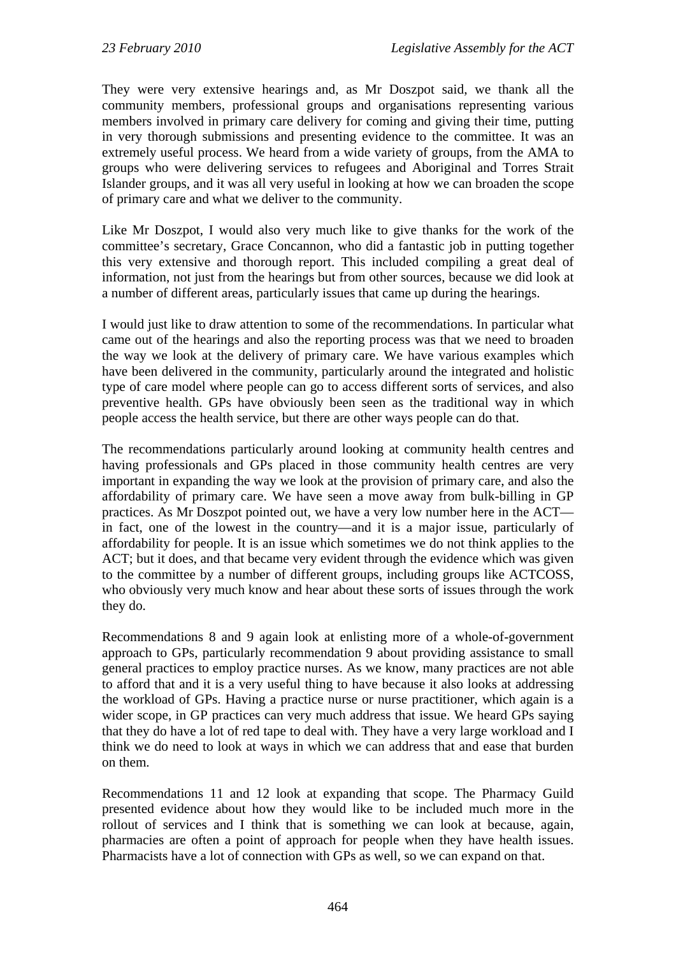They were very extensive hearings and, as Mr Doszpot said, we thank all the community members, professional groups and organisations representing various members involved in primary care delivery for coming and giving their time, putting in very thorough submissions and presenting evidence to the committee. It was an extremely useful process. We heard from a wide variety of groups, from the AMA to groups who were delivering services to refugees and Aboriginal and Torres Strait Islander groups, and it was all very useful in looking at how we can broaden the scope of primary care and what we deliver to the community.

Like Mr Doszpot, I would also very much like to give thanks for the work of the committee's secretary, Grace Concannon, who did a fantastic job in putting together this very extensive and thorough report. This included compiling a great deal of information, not just from the hearings but from other sources, because we did look at a number of different areas, particularly issues that came up during the hearings.

I would just like to draw attention to some of the recommendations. In particular what came out of the hearings and also the reporting process was that we need to broaden the way we look at the delivery of primary care. We have various examples which have been delivered in the community, particularly around the integrated and holistic type of care model where people can go to access different sorts of services, and also preventive health. GPs have obviously been seen as the traditional way in which people access the health service, but there are other ways people can do that.

The recommendations particularly around looking at community health centres and having professionals and GPs placed in those community health centres are very important in expanding the way we look at the provision of primary care, and also the affordability of primary care. We have seen a move away from bulk-billing in GP practices. As Mr Doszpot pointed out, we have a very low number here in the ACT in fact, one of the lowest in the country—and it is a major issue, particularly of affordability for people. It is an issue which sometimes we do not think applies to the ACT; but it does, and that became very evident through the evidence which was given to the committee by a number of different groups, including groups like ACTCOSS, who obviously very much know and hear about these sorts of issues through the work they do.

Recommendations 8 and 9 again look at enlisting more of a whole-of-government approach to GPs, particularly recommendation 9 about providing assistance to small general practices to employ practice nurses. As we know, many practices are not able to afford that and it is a very useful thing to have because it also looks at addressing the workload of GPs. Having a practice nurse or nurse practitioner, which again is a wider scope, in GP practices can very much address that issue. We heard GPs saying that they do have a lot of red tape to deal with. They have a very large workload and I think we do need to look at ways in which we can address that and ease that burden on them.

Recommendations 11 and 12 look at expanding that scope. The Pharmacy Guild presented evidence about how they would like to be included much more in the rollout of services and I think that is something we can look at because, again, pharmacies are often a point of approach for people when they have health issues. Pharmacists have a lot of connection with GPs as well, so we can expand on that.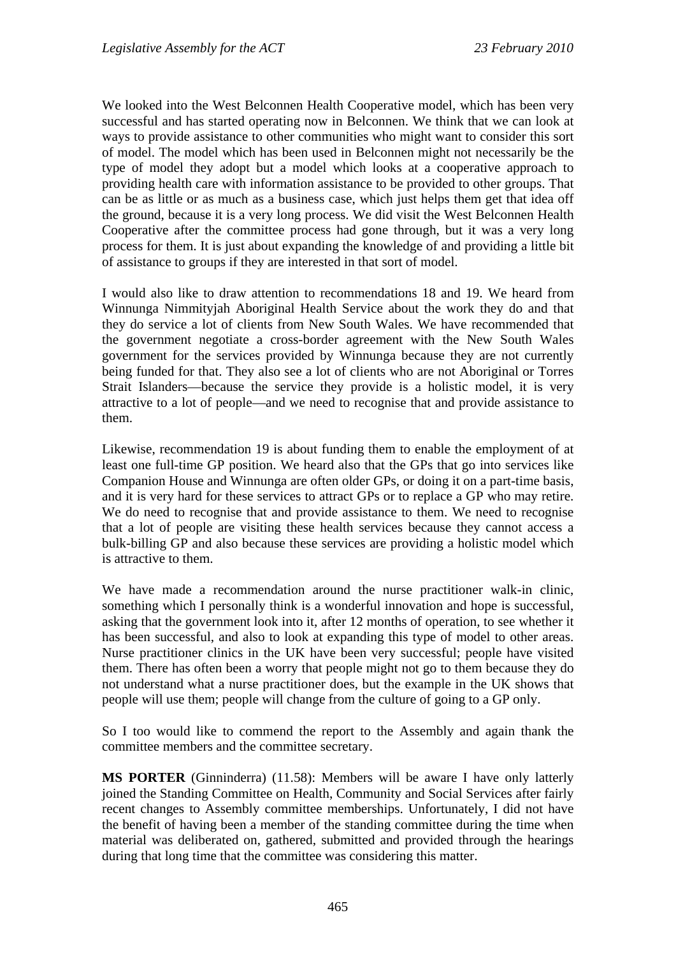We looked into the West Belconnen Health Cooperative model, which has been very successful and has started operating now in Belconnen. We think that we can look at ways to provide assistance to other communities who might want to consider this sort of model. The model which has been used in Belconnen might not necessarily be the type of model they adopt but a model which looks at a cooperative approach to providing health care with information assistance to be provided to other groups. That can be as little or as much as a business case, which just helps them get that idea off the ground, because it is a very long process. We did visit the West Belconnen Health Cooperative after the committee process had gone through, but it was a very long process for them. It is just about expanding the knowledge of and providing a little bit of assistance to groups if they are interested in that sort of model.

I would also like to draw attention to recommendations 18 and 19. We heard from Winnunga Nimmityjah Aboriginal Health Service about the work they do and that they do service a lot of clients from New South Wales. We have recommended that the government negotiate a cross-border agreement with the New South Wales government for the services provided by Winnunga because they are not currently being funded for that. They also see a lot of clients who are not Aboriginal or Torres Strait Islanders—because the service they provide is a holistic model, it is very attractive to a lot of people—and we need to recognise that and provide assistance to them.

Likewise, recommendation 19 is about funding them to enable the employment of at least one full-time GP position. We heard also that the GPs that go into services like Companion House and Winnunga are often older GPs, or doing it on a part-time basis, and it is very hard for these services to attract GPs or to replace a GP who may retire. We do need to recognise that and provide assistance to them. We need to recognise that a lot of people are visiting these health services because they cannot access a bulk-billing GP and also because these services are providing a holistic model which is attractive to them.

We have made a recommendation around the nurse practitioner walk-in clinic, something which I personally think is a wonderful innovation and hope is successful, asking that the government look into it, after 12 months of operation, to see whether it has been successful, and also to look at expanding this type of model to other areas. Nurse practitioner clinics in the UK have been very successful; people have visited them. There has often been a worry that people might not go to them because they do not understand what a nurse practitioner does, but the example in the UK shows that people will use them; people will change from the culture of going to a GP only.

So I too would like to commend the report to the Assembly and again thank the committee members and the committee secretary.

**MS PORTER** (Ginninderra) (11.58): Members will be aware I have only latterly joined the Standing Committee on Health, Community and Social Services after fairly recent changes to Assembly committee memberships. Unfortunately, I did not have the benefit of having been a member of the standing committee during the time when material was deliberated on, gathered, submitted and provided through the hearings during that long time that the committee was considering this matter.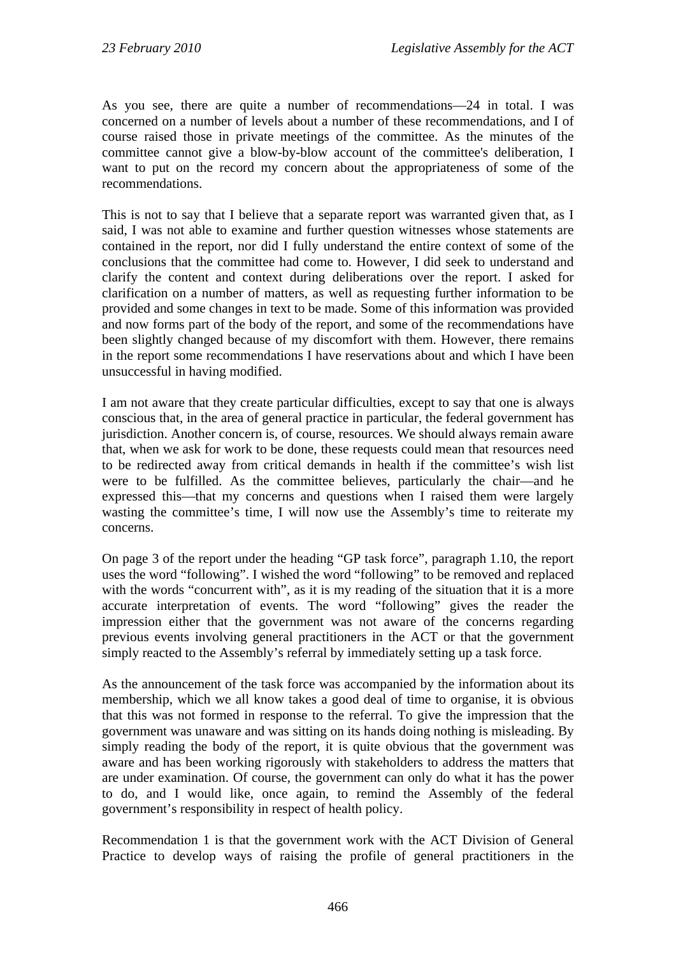As you see, there are quite a number of recommendations—24 in total. I was concerned on a number of levels about a number of these recommendations, and I of course raised those in private meetings of the committee. As the minutes of the committee cannot give a blow-by-blow account of the committee's deliberation, I want to put on the record my concern about the appropriateness of some of the recommendations.

This is not to say that I believe that a separate report was warranted given that, as I said, I was not able to examine and further question witnesses whose statements are contained in the report, nor did I fully understand the entire context of some of the conclusions that the committee had come to. However, I did seek to understand and clarify the content and context during deliberations over the report. I asked for clarification on a number of matters, as well as requesting further information to be provided and some changes in text to be made. Some of this information was provided and now forms part of the body of the report, and some of the recommendations have been slightly changed because of my discomfort with them. However, there remains in the report some recommendations I have reservations about and which I have been unsuccessful in having modified.

I am not aware that they create particular difficulties, except to say that one is always conscious that, in the area of general practice in particular, the federal government has jurisdiction. Another concern is, of course, resources. We should always remain aware that, when we ask for work to be done, these requests could mean that resources need to be redirected away from critical demands in health if the committee's wish list were to be fulfilled. As the committee believes, particularly the chair—and he expressed this—that my concerns and questions when I raised them were largely wasting the committee's time, I will now use the Assembly's time to reiterate my concerns.

On page 3 of the report under the heading "GP task force", paragraph 1.10, the report uses the word "following". I wished the word "following" to be removed and replaced with the words "concurrent with", as it is my reading of the situation that it is a more accurate interpretation of events. The word "following" gives the reader the impression either that the government was not aware of the concerns regarding previous events involving general practitioners in the ACT or that the government simply reacted to the Assembly's referral by immediately setting up a task force.

As the announcement of the task force was accompanied by the information about its membership, which we all know takes a good deal of time to organise, it is obvious that this was not formed in response to the referral. To give the impression that the government was unaware and was sitting on its hands doing nothing is misleading. By simply reading the body of the report, it is quite obvious that the government was aware and has been working rigorously with stakeholders to address the matters that are under examination. Of course, the government can only do what it has the power to do, and I would like, once again, to remind the Assembly of the federal government's responsibility in respect of health policy.

Recommendation 1 is that the government work with the ACT Division of General Practice to develop ways of raising the profile of general practitioners in the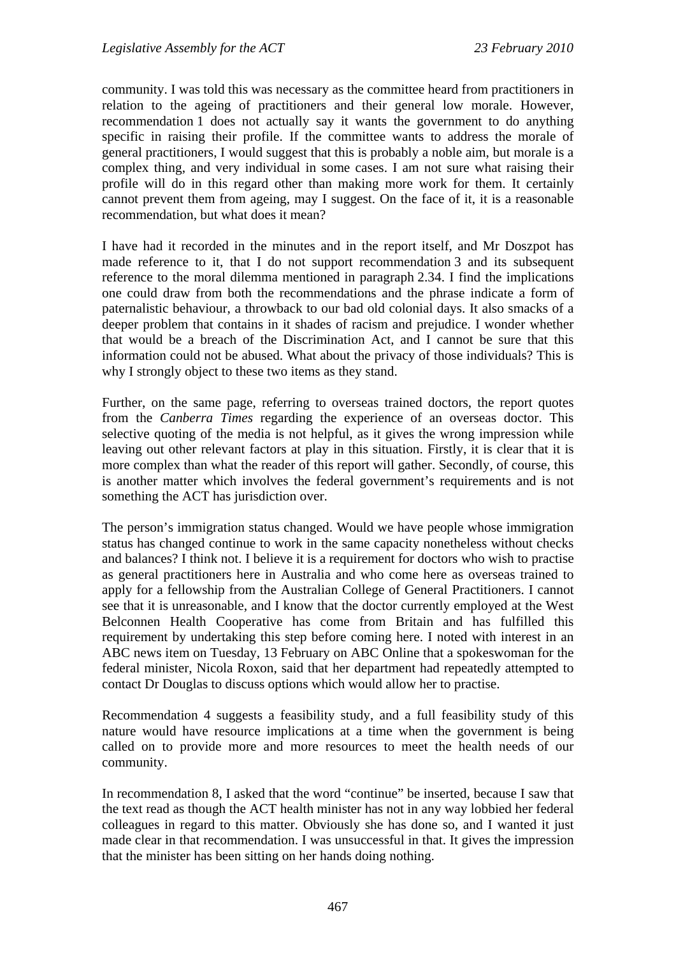community. I was told this was necessary as the committee heard from practitioners in relation to the ageing of practitioners and their general low morale. However, recommendation 1 does not actually say it wants the government to do anything specific in raising their profile. If the committee wants to address the morale of general practitioners, I would suggest that this is probably a noble aim, but morale is a complex thing, and very individual in some cases. I am not sure what raising their profile will do in this regard other than making more work for them. It certainly cannot prevent them from ageing, may I suggest. On the face of it, it is a reasonable recommendation, but what does it mean?

I have had it recorded in the minutes and in the report itself, and Mr Doszpot has made reference to it, that I do not support recommendation 3 and its subsequent reference to the moral dilemma mentioned in paragraph 2.34. I find the implications one could draw from both the recommendations and the phrase indicate a form of paternalistic behaviour, a throwback to our bad old colonial days. It also smacks of a deeper problem that contains in it shades of racism and prejudice. I wonder whether that would be a breach of the Discrimination Act, and I cannot be sure that this information could not be abused. What about the privacy of those individuals? This is why I strongly object to these two items as they stand.

Further, on the same page, referring to overseas trained doctors, the report quotes from the *Canberra Times* regarding the experience of an overseas doctor. This selective quoting of the media is not helpful, as it gives the wrong impression while leaving out other relevant factors at play in this situation. Firstly, it is clear that it is more complex than what the reader of this report will gather. Secondly, of course, this is another matter which involves the federal government's requirements and is not something the ACT has jurisdiction over.

The person's immigration status changed. Would we have people whose immigration status has changed continue to work in the same capacity nonetheless without checks and balances? I think not. I believe it is a requirement for doctors who wish to practise as general practitioners here in Australia and who come here as overseas trained to apply for a fellowship from the Australian College of General Practitioners. I cannot see that it is unreasonable, and I know that the doctor currently employed at the West Belconnen Health Cooperative has come from Britain and has fulfilled this requirement by undertaking this step before coming here. I noted with interest in an ABC news item on Tuesday, 13 February on ABC Online that a spokeswoman for the federal minister, Nicola Roxon, said that her department had repeatedly attempted to contact Dr Douglas to discuss options which would allow her to practise.

Recommendation 4 suggests a feasibility study, and a full feasibility study of this nature would have resource implications at a time when the government is being called on to provide more and more resources to meet the health needs of our community.

In recommendation 8, I asked that the word "continue" be inserted, because I saw that the text read as though the ACT health minister has not in any way lobbied her federal colleagues in regard to this matter. Obviously she has done so, and I wanted it just made clear in that recommendation. I was unsuccessful in that. It gives the impression that the minister has been sitting on her hands doing nothing.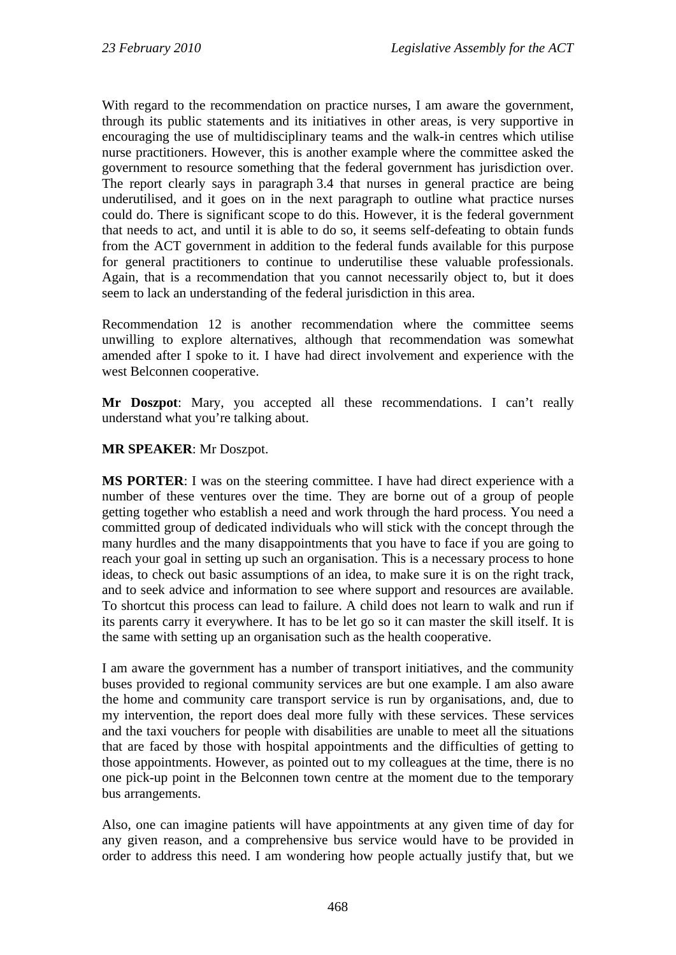With regard to the recommendation on practice nurses, I am aware the government, through its public statements and its initiatives in other areas, is very supportive in encouraging the use of multidisciplinary teams and the walk-in centres which utilise nurse practitioners. However, this is another example where the committee asked the government to resource something that the federal government has jurisdiction over. The report clearly says in paragraph 3.4 that nurses in general practice are being underutilised, and it goes on in the next paragraph to outline what practice nurses could do. There is significant scope to do this. However, it is the federal government that needs to act, and until it is able to do so, it seems self-defeating to obtain funds from the ACT government in addition to the federal funds available for this purpose for general practitioners to continue to underutilise these valuable professionals. Again, that is a recommendation that you cannot necessarily object to, but it does seem to lack an understanding of the federal jurisdiction in this area.

Recommendation 12 is another recommendation where the committee seems unwilling to explore alternatives, although that recommendation was somewhat amended after I spoke to it. I have had direct involvement and experience with the west Belconnen cooperative.

**Mr Doszpot**: Mary, you accepted all these recommendations. I can't really understand what you're talking about.

#### **MR SPEAKER**: Mr Doszpot.

**MS PORTER**: I was on the steering committee. I have had direct experience with a number of these ventures over the time. They are borne out of a group of people getting together who establish a need and work through the hard process. You need a committed group of dedicated individuals who will stick with the concept through the many hurdles and the many disappointments that you have to face if you are going to reach your goal in setting up such an organisation. This is a necessary process to hone ideas, to check out basic assumptions of an idea, to make sure it is on the right track, and to seek advice and information to see where support and resources are available. To shortcut this process can lead to failure. A child does not learn to walk and run if its parents carry it everywhere. It has to be let go so it can master the skill itself. It is the same with setting up an organisation such as the health cooperative.

I am aware the government has a number of transport initiatives, and the community buses provided to regional community services are but one example. I am also aware the home and community care transport service is run by organisations, and, due to my intervention, the report does deal more fully with these services. These services and the taxi vouchers for people with disabilities are unable to meet all the situations that are faced by those with hospital appointments and the difficulties of getting to those appointments. However, as pointed out to my colleagues at the time, there is no one pick-up point in the Belconnen town centre at the moment due to the temporary bus arrangements.

Also, one can imagine patients will have appointments at any given time of day for any given reason, and a comprehensive bus service would have to be provided in order to address this need. I am wondering how people actually justify that, but we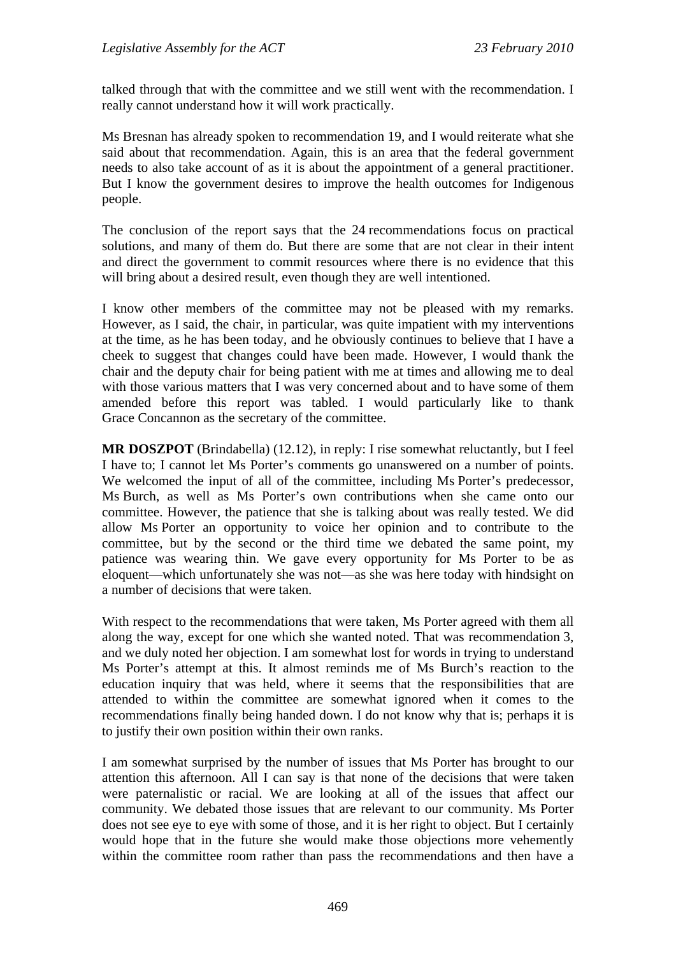talked through that with the committee and we still went with the recommendation. I really cannot understand how it will work practically.

Ms Bresnan has already spoken to recommendation 19, and I would reiterate what she said about that recommendation. Again, this is an area that the federal government needs to also take account of as it is about the appointment of a general practitioner. But I know the government desires to improve the health outcomes for Indigenous people.

The conclusion of the report says that the 24 recommendations focus on practical solutions, and many of them do. But there are some that are not clear in their intent and direct the government to commit resources where there is no evidence that this will bring about a desired result, even though they are well intentioned.

I know other members of the committee may not be pleased with my remarks. However, as I said, the chair, in particular, was quite impatient with my interventions at the time, as he has been today, and he obviously continues to believe that I have a cheek to suggest that changes could have been made. However, I would thank the chair and the deputy chair for being patient with me at times and allowing me to deal with those various matters that I was very concerned about and to have some of them amended before this report was tabled. I would particularly like to thank Grace Concannon as the secretary of the committee.

**MR DOSZPOT** (Brindabella) (12.12), in reply: I rise somewhat reluctantly, but I feel I have to; I cannot let Ms Porter's comments go unanswered on a number of points. We welcomed the input of all of the committee, including Ms Porter's predecessor, Ms Burch, as well as Ms Porter's own contributions when she came onto our committee. However, the patience that she is talking about was really tested. We did allow Ms Porter an opportunity to voice her opinion and to contribute to the committee, but by the second or the third time we debated the same point, my patience was wearing thin. We gave every opportunity for Ms Porter to be as eloquent—which unfortunately she was not—as she was here today with hindsight on a number of decisions that were taken.

With respect to the recommendations that were taken, Ms Porter agreed with them all along the way, except for one which she wanted noted. That was recommendation 3, and we duly noted her objection. I am somewhat lost for words in trying to understand Ms Porter's attempt at this. It almost reminds me of Ms Burch's reaction to the education inquiry that was held, where it seems that the responsibilities that are attended to within the committee are somewhat ignored when it comes to the recommendations finally being handed down. I do not know why that is; perhaps it is to justify their own position within their own ranks.

I am somewhat surprised by the number of issues that Ms Porter has brought to our attention this afternoon. All I can say is that none of the decisions that were taken were paternalistic or racial. We are looking at all of the issues that affect our community. We debated those issues that are relevant to our community. Ms Porter does not see eye to eye with some of those, and it is her right to object. But I certainly would hope that in the future she would make those objections more vehemently within the committee room rather than pass the recommendations and then have a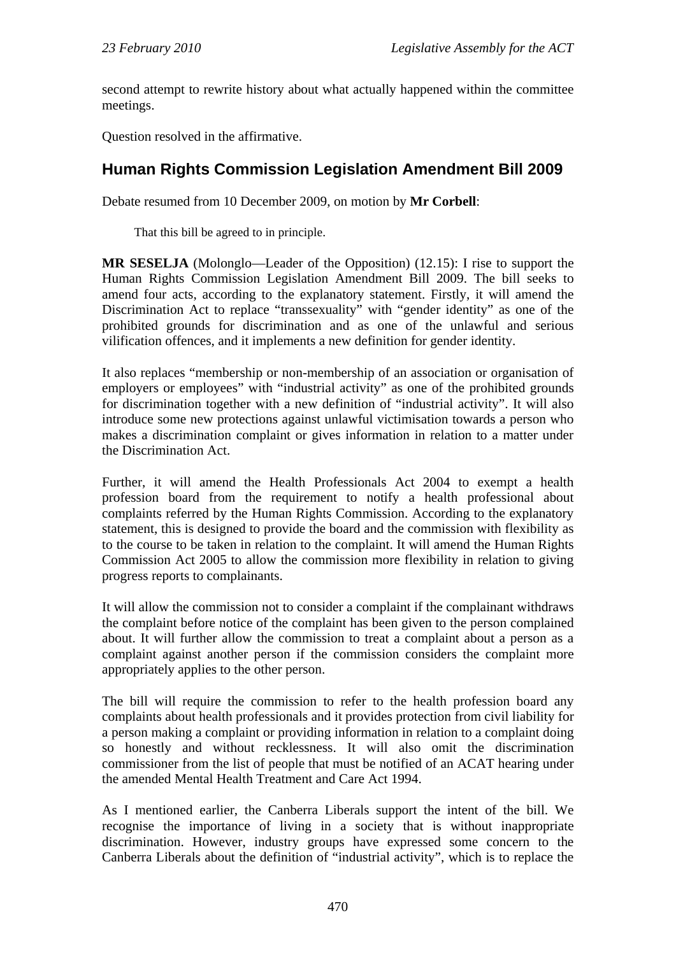second attempt to rewrite history about what actually happened within the committee meetings.

Question resolved in the affirmative.

# **Human Rights Commission Legislation Amendment Bill 2009**

Debate resumed from 10 December 2009, on motion by **Mr Corbell**:

That this bill be agreed to in principle.

**MR SESELJA** (Molonglo—Leader of the Opposition) (12.15): I rise to support the Human Rights Commission Legislation Amendment Bill 2009. The bill seeks to amend four acts, according to the explanatory statement. Firstly, it will amend the Discrimination Act to replace "transsexuality" with "gender identity" as one of the prohibited grounds for discrimination and as one of the unlawful and serious vilification offences, and it implements a new definition for gender identity.

It also replaces "membership or non-membership of an association or organisation of employers or employees" with "industrial activity" as one of the prohibited grounds for discrimination together with a new definition of "industrial activity". It will also introduce some new protections against unlawful victimisation towards a person who makes a discrimination complaint or gives information in relation to a matter under the Discrimination Act.

Further, it will amend the Health Professionals Act 2004 to exempt a health profession board from the requirement to notify a health professional about complaints referred by the Human Rights Commission. According to the explanatory statement, this is designed to provide the board and the commission with flexibility as to the course to be taken in relation to the complaint. It will amend the Human Rights Commission Act 2005 to allow the commission more flexibility in relation to giving progress reports to complainants.

It will allow the commission not to consider a complaint if the complainant withdraws the complaint before notice of the complaint has been given to the person complained about. It will further allow the commission to treat a complaint about a person as a complaint against another person if the commission considers the complaint more appropriately applies to the other person.

The bill will require the commission to refer to the health profession board any complaints about health professionals and it provides protection from civil liability for a person making a complaint or providing information in relation to a complaint doing so honestly and without recklessness. It will also omit the discrimination commissioner from the list of people that must be notified of an ACAT hearing under the amended Mental Health Treatment and Care Act 1994.

As I mentioned earlier, the Canberra Liberals support the intent of the bill. We recognise the importance of living in a society that is without inappropriate discrimination. However, industry groups have expressed some concern to the Canberra Liberals about the definition of "industrial activity", which is to replace the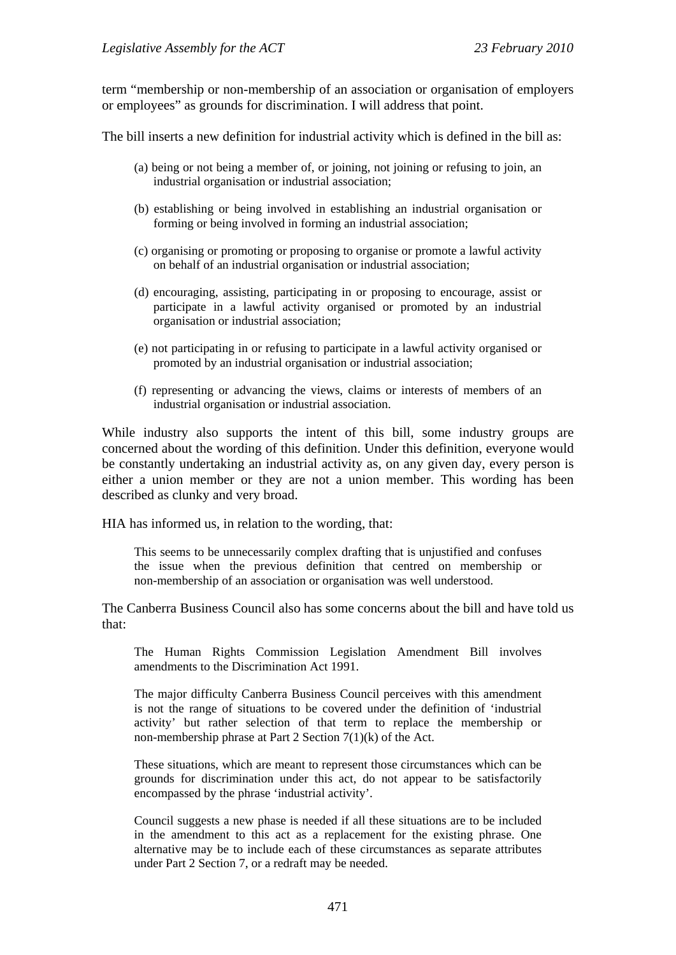term "membership or non-membership of an association or organisation of employers or employees" as grounds for discrimination. I will address that point.

The bill inserts a new definition for industrial activity which is defined in the bill as:

- (a) being or not being a member of, or joining, not joining or refusing to join, an industrial organisation or industrial association;
- (b) establishing or being involved in establishing an industrial organisation or forming or being involved in forming an industrial association;
- (c) organising or promoting or proposing to organise or promote a lawful activity on behalf of an industrial organisation or industrial association;
- (d) encouraging, assisting, participating in or proposing to encourage, assist or participate in a lawful activity organised or promoted by an industrial organisation or industrial association;
- (e) not participating in or refusing to participate in a lawful activity organised or promoted by an industrial organisation or industrial association;
- (f) representing or advancing the views, claims or interests of members of an industrial organisation or industrial association.

While industry also supports the intent of this bill, some industry groups are concerned about the wording of this definition. Under this definition, everyone would be constantly undertaking an industrial activity as, on any given day, every person is either a union member or they are not a union member. This wording has been described as clunky and very broad.

HIA has informed us, in relation to the wording, that:

This seems to be unnecessarily complex drafting that is unjustified and confuses the issue when the previous definition that centred on membership or non-membership of an association or organisation was well understood.

The Canberra Business Council also has some concerns about the bill and have told us that:

The Human Rights Commission Legislation Amendment Bill involves amendments to the Discrimination Act 1991.

The major difficulty Canberra Business Council perceives with this amendment is not the range of situations to be covered under the definition of 'industrial activity' but rather selection of that term to replace the membership or non-membership phrase at Part 2 Section 7(1)(k) of the Act.

These situations, which are meant to represent those circumstances which can be grounds for discrimination under this act, do not appear to be satisfactorily encompassed by the phrase 'industrial activity'.

Council suggests a new phase is needed if all these situations are to be included in the amendment to this act as a replacement for the existing phrase. One alternative may be to include each of these circumstances as separate attributes under Part 2 Section 7, or a redraft may be needed.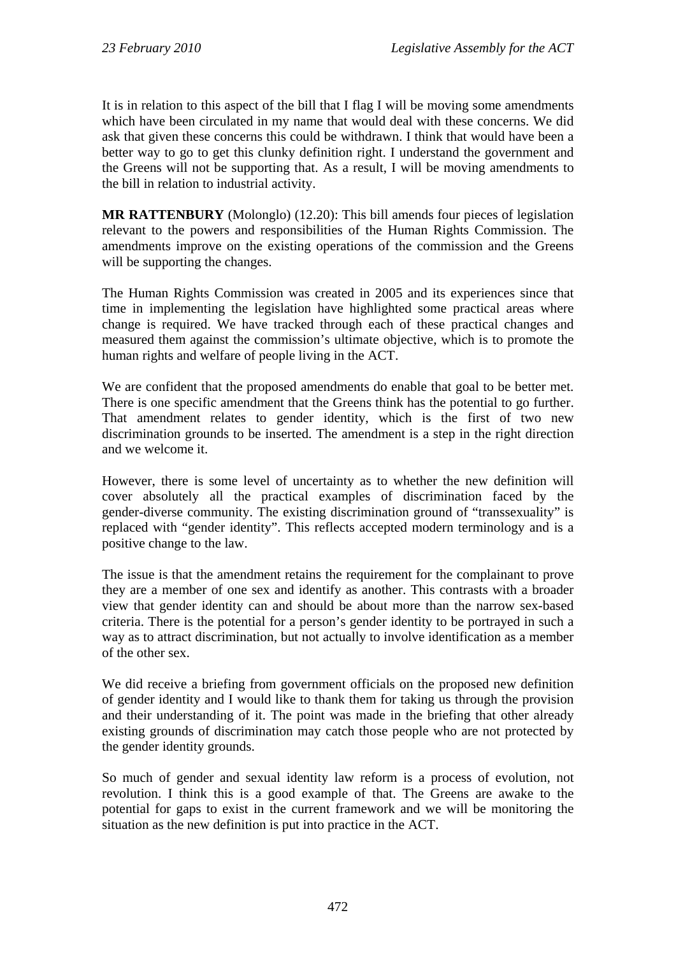It is in relation to this aspect of the bill that I flag I will be moving some amendments which have been circulated in my name that would deal with these concerns. We did ask that given these concerns this could be withdrawn. I think that would have been a better way to go to get this clunky definition right. I understand the government and the Greens will not be supporting that. As a result, I will be moving amendments to the bill in relation to industrial activity.

**MR RATTENBURY** (Molonglo) (12.20): This bill amends four pieces of legislation relevant to the powers and responsibilities of the Human Rights Commission. The amendments improve on the existing operations of the commission and the Greens will be supporting the changes.

The Human Rights Commission was created in 2005 and its experiences since that time in implementing the legislation have highlighted some practical areas where change is required. We have tracked through each of these practical changes and measured them against the commission's ultimate objective, which is to promote the human rights and welfare of people living in the ACT.

We are confident that the proposed amendments do enable that goal to be better met. There is one specific amendment that the Greens think has the potential to go further. That amendment relates to gender identity, which is the first of two new discrimination grounds to be inserted. The amendment is a step in the right direction and we welcome it.

However, there is some level of uncertainty as to whether the new definition will cover absolutely all the practical examples of discrimination faced by the gender-diverse community. The existing discrimination ground of "transsexuality" is replaced with "gender identity". This reflects accepted modern terminology and is a positive change to the law.

The issue is that the amendment retains the requirement for the complainant to prove they are a member of one sex and identify as another. This contrasts with a broader view that gender identity can and should be about more than the narrow sex-based criteria. There is the potential for a person's gender identity to be portrayed in such a way as to attract discrimination, but not actually to involve identification as a member of the other sex.

We did receive a briefing from government officials on the proposed new definition of gender identity and I would like to thank them for taking us through the provision and their understanding of it. The point was made in the briefing that other already existing grounds of discrimination may catch those people who are not protected by the gender identity grounds.

So much of gender and sexual identity law reform is a process of evolution, not revolution. I think this is a good example of that. The Greens are awake to the potential for gaps to exist in the current framework and we will be monitoring the situation as the new definition is put into practice in the ACT.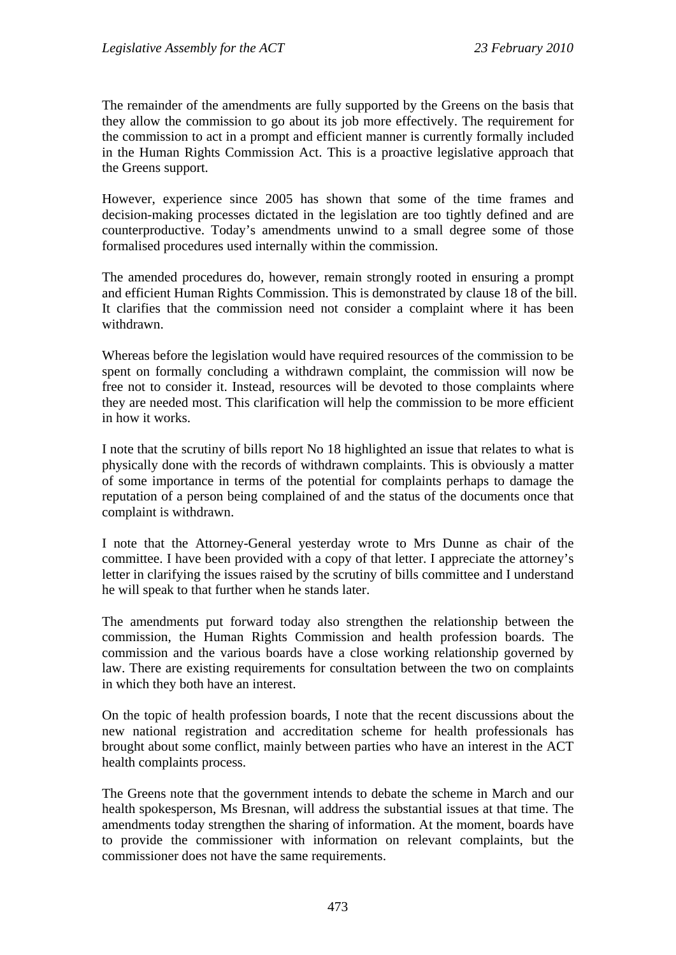The remainder of the amendments are fully supported by the Greens on the basis that they allow the commission to go about its job more effectively. The requirement for the commission to act in a prompt and efficient manner is currently formally included in the Human Rights Commission Act. This is a proactive legislative approach that the Greens support.

However, experience since 2005 has shown that some of the time frames and decision-making processes dictated in the legislation are too tightly defined and are counterproductive. Today's amendments unwind to a small degree some of those formalised procedures used internally within the commission.

The amended procedures do, however, remain strongly rooted in ensuring a prompt and efficient Human Rights Commission. This is demonstrated by clause 18 of the bill. It clarifies that the commission need not consider a complaint where it has been withdrawn.

Whereas before the legislation would have required resources of the commission to be spent on formally concluding a withdrawn complaint, the commission will now be free not to consider it. Instead, resources will be devoted to those complaints where they are needed most. This clarification will help the commission to be more efficient in how it works.

I note that the scrutiny of bills report No 18 highlighted an issue that relates to what is physically done with the records of withdrawn complaints. This is obviously a matter of some importance in terms of the potential for complaints perhaps to damage the reputation of a person being complained of and the status of the documents once that complaint is withdrawn.

I note that the Attorney-General yesterday wrote to Mrs Dunne as chair of the committee. I have been provided with a copy of that letter. I appreciate the attorney's letter in clarifying the issues raised by the scrutiny of bills committee and I understand he will speak to that further when he stands later.

The amendments put forward today also strengthen the relationship between the commission, the Human Rights Commission and health profession boards. The commission and the various boards have a close working relationship governed by law. There are existing requirements for consultation between the two on complaints in which they both have an interest.

On the topic of health profession boards, I note that the recent discussions about the new national registration and accreditation scheme for health professionals has brought about some conflict, mainly between parties who have an interest in the ACT health complaints process.

The Greens note that the government intends to debate the scheme in March and our health spokesperson, Ms Bresnan, will address the substantial issues at that time. The amendments today strengthen the sharing of information. At the moment, boards have to provide the commissioner with information on relevant complaints, but the commissioner does not have the same requirements.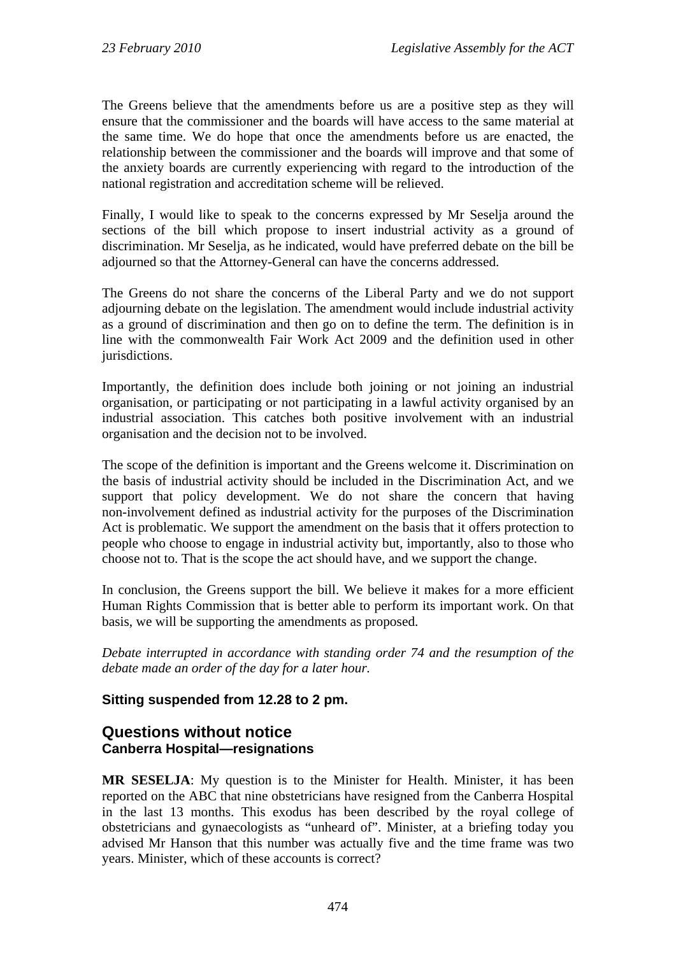The Greens believe that the amendments before us are a positive step as they will ensure that the commissioner and the boards will have access to the same material at the same time. We do hope that once the amendments before us are enacted, the relationship between the commissioner and the boards will improve and that some of the anxiety boards are currently experiencing with regard to the introduction of the national registration and accreditation scheme will be relieved.

Finally, I would like to speak to the concerns expressed by Mr Seselja around the sections of the bill which propose to insert industrial activity as a ground of discrimination. Mr Seselja, as he indicated, would have preferred debate on the bill be adjourned so that the Attorney-General can have the concerns addressed.

The Greens do not share the concerns of the Liberal Party and we do not support adjourning debate on the legislation. The amendment would include industrial activity as a ground of discrimination and then go on to define the term. The definition is in line with the commonwealth Fair Work Act 2009 and the definition used in other jurisdictions.

Importantly, the definition does include both joining or not joining an industrial organisation, or participating or not participating in a lawful activity organised by an industrial association. This catches both positive involvement with an industrial organisation and the decision not to be involved.

The scope of the definition is important and the Greens welcome it. Discrimination on the basis of industrial activity should be included in the Discrimination Act, and we support that policy development. We do not share the concern that having non-involvement defined as industrial activity for the purposes of the Discrimination Act is problematic. We support the amendment on the basis that it offers protection to people who choose to engage in industrial activity but, importantly, also to those who choose not to. That is the scope the act should have, and we support the change.

In conclusion, the Greens support the bill. We believe it makes for a more efficient Human Rights Commission that is better able to perform its important work. On that basis, we will be supporting the amendments as proposed.

*Debate interrupted in accordance with standing order 74 and the resumption of the debate made an order of the day for a later hour.* 

# **Sitting suspended from 12.28 to 2 pm.**

# **Questions without notice Canberra Hospital—resignations**

**MR SESELJA**: My question is to the Minister for Health. Minister, it has been reported on the ABC that nine obstetricians have resigned from the Canberra Hospital in the last 13 months. This exodus has been described by the royal college of obstetricians and gynaecologists as "unheard of". Minister, at a briefing today you advised Mr Hanson that this number was actually five and the time frame was two years. Minister, which of these accounts is correct?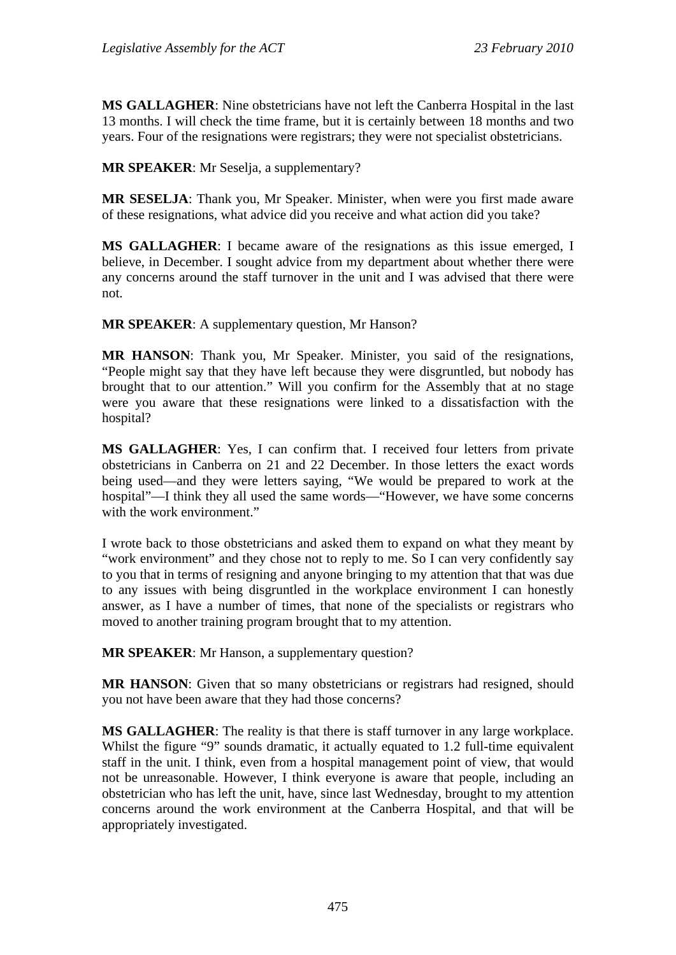**MS GALLAGHER**: Nine obstetricians have not left the Canberra Hospital in the last 13 months. I will check the time frame, but it is certainly between 18 months and two years. Four of the resignations were registrars; they were not specialist obstetricians.

**MR SPEAKER**: Mr Seselja, a supplementary?

**MR SESELJA**: Thank you, Mr Speaker. Minister, when were you first made aware of these resignations, what advice did you receive and what action did you take?

**MS GALLAGHER**: I became aware of the resignations as this issue emerged, I believe, in December. I sought advice from my department about whether there were any concerns around the staff turnover in the unit and I was advised that there were not.

**MR SPEAKER**: A supplementary question, Mr Hanson?

**MR HANSON**: Thank you, Mr Speaker. Minister, you said of the resignations, "People might say that they have left because they were disgruntled, but nobody has brought that to our attention." Will you confirm for the Assembly that at no stage were you aware that these resignations were linked to a dissatisfaction with the hospital?

**MS GALLAGHER**: Yes, I can confirm that. I received four letters from private obstetricians in Canberra on 21 and 22 December. In those letters the exact words being used—and they were letters saying, "We would be prepared to work at the hospital"—I think they all used the same words—"However, we have some concerns with the work environment."

I wrote back to those obstetricians and asked them to expand on what they meant by "work environment" and they chose not to reply to me. So I can very confidently say to you that in terms of resigning and anyone bringing to my attention that that was due to any issues with being disgruntled in the workplace environment I can honestly answer, as I have a number of times, that none of the specialists or registrars who moved to another training program brought that to my attention.

**MR SPEAKER**: Mr Hanson, a supplementary question?

**MR HANSON**: Given that so many obstetricians or registrars had resigned, should you not have been aware that they had those concerns?

**MS GALLAGHER**: The reality is that there is staff turnover in any large workplace. Whilst the figure "9" sounds dramatic, it actually equated to 1.2 full-time equivalent staff in the unit. I think, even from a hospital management point of view, that would not be unreasonable. However, I think everyone is aware that people, including an obstetrician who has left the unit, have, since last Wednesday, brought to my attention concerns around the work environment at the Canberra Hospital, and that will be appropriately investigated.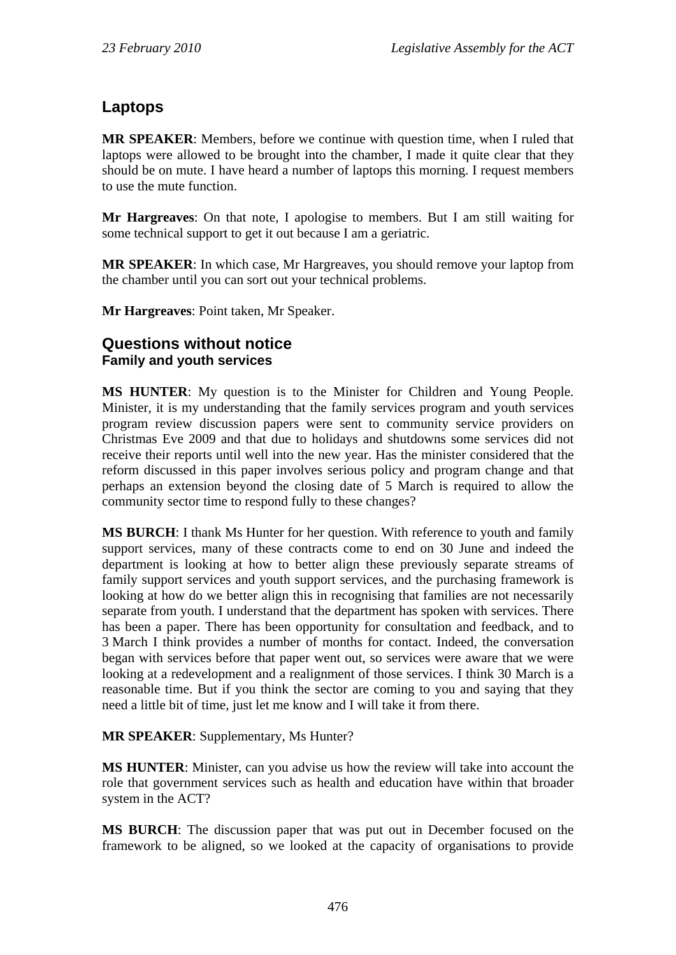# **Laptops**

**MR SPEAKER**: Members, before we continue with question time, when I ruled that laptops were allowed to be brought into the chamber, I made it quite clear that they should be on mute. I have heard a number of laptops this morning. I request members to use the mute function.

**Mr Hargreaves**: On that note, I apologise to members. But I am still waiting for some technical support to get it out because I am a geriatric.

**MR SPEAKER**: In which case, Mr Hargreaves, you should remove your laptop from the chamber until you can sort out your technical problems.

**Mr Hargreaves**: Point taken, Mr Speaker.

# **Questions without notice Family and youth services**

**MS HUNTER**: My question is to the Minister for Children and Young People. Minister, it is my understanding that the family services program and youth services program review discussion papers were sent to community service providers on Christmas Eve 2009 and that due to holidays and shutdowns some services did not receive their reports until well into the new year. Has the minister considered that the reform discussed in this paper involves serious policy and program change and that perhaps an extension beyond the closing date of 5 March is required to allow the community sector time to respond fully to these changes?

**MS BURCH**: I thank Ms Hunter for her question. With reference to youth and family support services, many of these contracts come to end on 30 June and indeed the department is looking at how to better align these previously separate streams of family support services and youth support services, and the purchasing framework is looking at how do we better align this in recognising that families are not necessarily separate from youth. I understand that the department has spoken with services. There has been a paper. There has been opportunity for consultation and feedback, and to 3 March I think provides a number of months for contact. Indeed, the conversation began with services before that paper went out, so services were aware that we were looking at a redevelopment and a realignment of those services. I think 30 March is a reasonable time. But if you think the sector are coming to you and saying that they need a little bit of time, just let me know and I will take it from there.

**MR SPEAKER**: Supplementary, Ms Hunter?

**MS HUNTER**: Minister, can you advise us how the review will take into account the role that government services such as health and education have within that broader system in the ACT?

**MS BURCH**: The discussion paper that was put out in December focused on the framework to be aligned, so we looked at the capacity of organisations to provide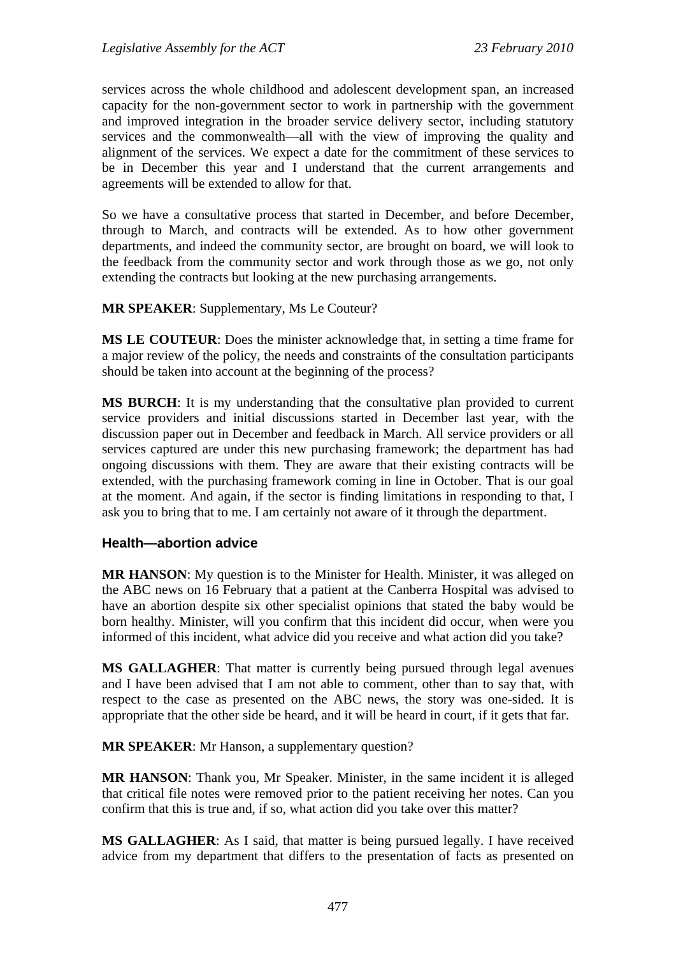services across the whole childhood and adolescent development span, an increased capacity for the non-government sector to work in partnership with the government and improved integration in the broader service delivery sector, including statutory services and the commonwealth—all with the view of improving the quality and alignment of the services. We expect a date for the commitment of these services to be in December this year and I understand that the current arrangements and agreements will be extended to allow for that.

So we have a consultative process that started in December, and before December, through to March, and contracts will be extended. As to how other government departments, and indeed the community sector, are brought on board, we will look to the feedback from the community sector and work through those as we go, not only extending the contracts but looking at the new purchasing arrangements.

#### **MR SPEAKER**: Supplementary, Ms Le Couteur?

**MS LE COUTEUR**: Does the minister acknowledge that, in setting a time frame for a major review of the policy, the needs and constraints of the consultation participants should be taken into account at the beginning of the process?

**MS BURCH**: It is my understanding that the consultative plan provided to current service providers and initial discussions started in December last year, with the discussion paper out in December and feedback in March. All service providers or all services captured are under this new purchasing framework; the department has had ongoing discussions with them. They are aware that their existing contracts will be extended, with the purchasing framework coming in line in October. That is our goal at the moment. And again, if the sector is finding limitations in responding to that, I ask you to bring that to me. I am certainly not aware of it through the department.

#### **Health—abortion advice**

**MR HANSON**: My question is to the Minister for Health. Minister, it was alleged on the ABC news on 16 February that a patient at the Canberra Hospital was advised to have an abortion despite six other specialist opinions that stated the baby would be born healthy. Minister, will you confirm that this incident did occur, when were you informed of this incident, what advice did you receive and what action did you take?

**MS GALLAGHER**: That matter is currently being pursued through legal avenues and I have been advised that I am not able to comment, other than to say that, with respect to the case as presented on the ABC news, the story was one-sided. It is appropriate that the other side be heard, and it will be heard in court, if it gets that far.

**MR SPEAKER**: Mr Hanson, a supplementary question?

**MR HANSON**: Thank you, Mr Speaker. Minister, in the same incident it is alleged that critical file notes were removed prior to the patient receiving her notes. Can you confirm that this is true and, if so, what action did you take over this matter?

**MS GALLAGHER**: As I said, that matter is being pursued legally. I have received advice from my department that differs to the presentation of facts as presented on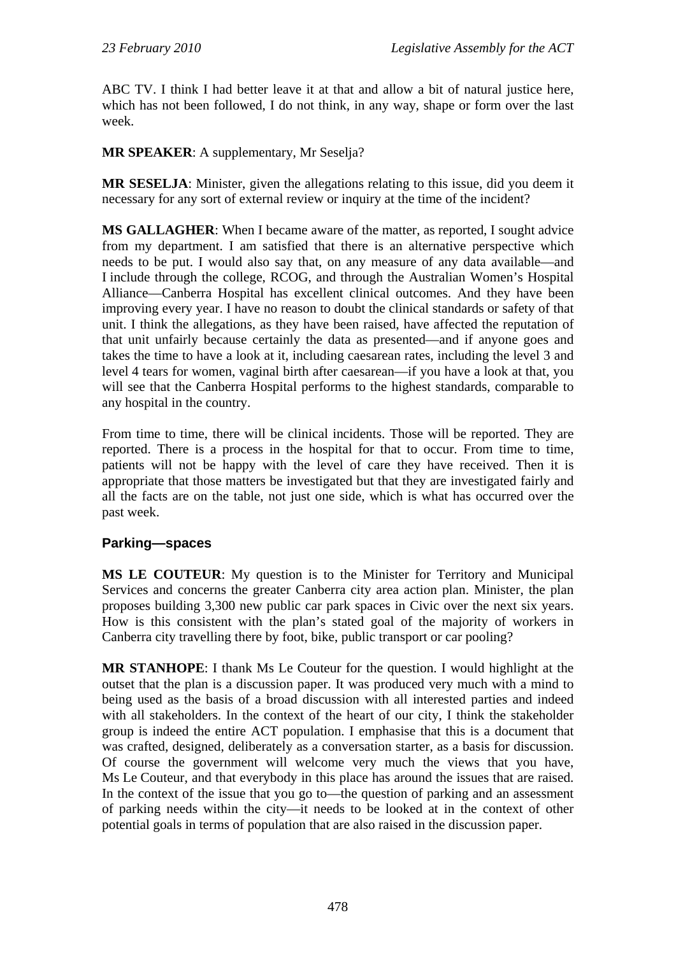ABC TV. I think I had better leave it at that and allow a bit of natural justice here, which has not been followed, I do not think, in any way, shape or form over the last week.

### **MR SPEAKER**: A supplementary, Mr Seselja?

**MR SESELJA**: Minister, given the allegations relating to this issue, did you deem it necessary for any sort of external review or inquiry at the time of the incident?

**MS GALLAGHER**: When I became aware of the matter, as reported, I sought advice from my department. I am satisfied that there is an alternative perspective which needs to be put. I would also say that, on any measure of any data available—and I include through the college, RCOG, and through the Australian Women's Hospital Alliance—Canberra Hospital has excellent clinical outcomes. And they have been improving every year. I have no reason to doubt the clinical standards or safety of that unit. I think the allegations, as they have been raised, have affected the reputation of that unit unfairly because certainly the data as presented—and if anyone goes and takes the time to have a look at it, including caesarean rates, including the level 3 and level 4 tears for women, vaginal birth after caesarean—if you have a look at that, you will see that the Canberra Hospital performs to the highest standards, comparable to any hospital in the country.

From time to time, there will be clinical incidents. Those will be reported. They are reported. There is a process in the hospital for that to occur. From time to time, patients will not be happy with the level of care they have received. Then it is appropriate that those matters be investigated but that they are investigated fairly and all the facts are on the table, not just one side, which is what has occurred over the past week.

#### **Parking—spaces**

**MS LE COUTEUR**: My question is to the Minister for Territory and Municipal Services and concerns the greater Canberra city area action plan. Minister, the plan proposes building 3,300 new public car park spaces in Civic over the next six years. How is this consistent with the plan's stated goal of the majority of workers in Canberra city travelling there by foot, bike, public transport or car pooling?

**MR STANHOPE**: I thank Ms Le Couteur for the question. I would highlight at the outset that the plan is a discussion paper. It was produced very much with a mind to being used as the basis of a broad discussion with all interested parties and indeed with all stakeholders. In the context of the heart of our city, I think the stakeholder group is indeed the entire ACT population. I emphasise that this is a document that was crafted, designed, deliberately as a conversation starter, as a basis for discussion. Of course the government will welcome very much the views that you have, Ms Le Couteur, and that everybody in this place has around the issues that are raised. In the context of the issue that you go to—the question of parking and an assessment of parking needs within the city—it needs to be looked at in the context of other potential goals in terms of population that are also raised in the discussion paper.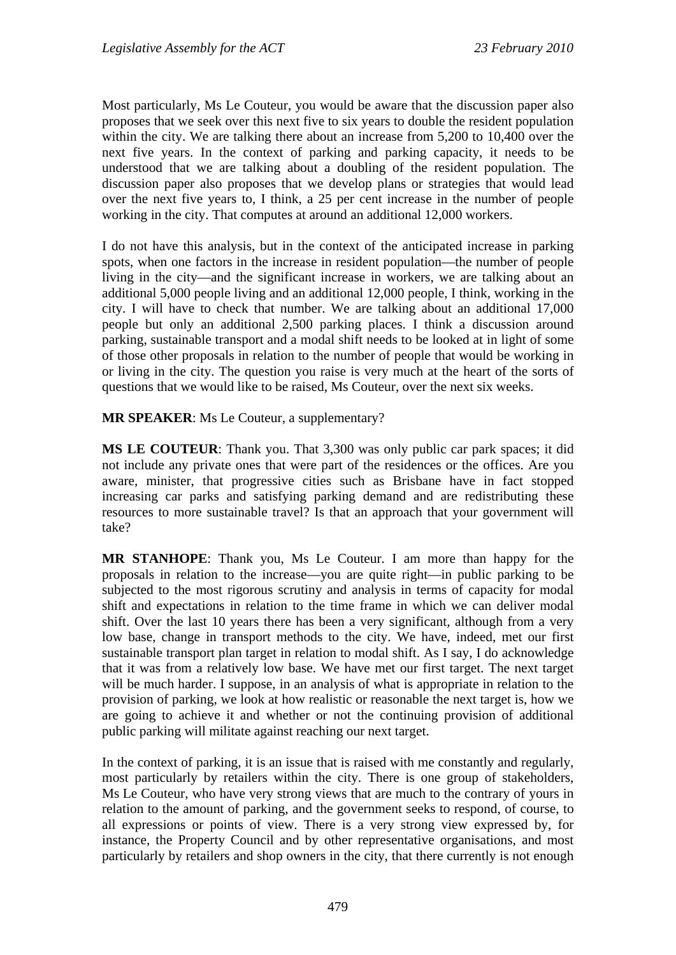Most particularly, Ms Le Couteur, you would be aware that the discussion paper also proposes that we seek over this next five to six years to double the resident population within the city. We are talking there about an increase from 5,200 to 10,400 over the next five years. In the context of parking and parking capacity, it needs to be understood that we are talking about a doubling of the resident population. The discussion paper also proposes that we develop plans or strategies that would lead over the next five years to, I think, a 25 per cent increase in the number of people working in the city. That computes at around an additional 12,000 workers.

I do not have this analysis, but in the context of the anticipated increase in parking spots, when one factors in the increase in resident population—the number of people living in the city—and the significant increase in workers, we are talking about an additional 5,000 people living and an additional 12,000 people, I think, working in the city. I will have to check that number. We are talking about an additional 17,000 people but only an additional 2,500 parking places. I think a discussion around parking, sustainable transport and a modal shift needs to be looked at in light of some of those other proposals in relation to the number of people that would be working in or living in the city. The question you raise is very much at the heart of the sorts of questions that we would like to be raised, Ms Couteur, over the next six weeks.

**MR SPEAKER**: Ms Le Couteur, a supplementary?

**MS LE COUTEUR**: Thank you. That 3,300 was only public car park spaces; it did not include any private ones that were part of the residences or the offices. Are you aware, minister, that progressive cities such as Brisbane have in fact stopped increasing car parks and satisfying parking demand and are redistributing these resources to more sustainable travel? Is that an approach that your government will take?

**MR STANHOPE**: Thank you, Ms Le Couteur. I am more than happy for the proposals in relation to the increase—you are quite right—in public parking to be subjected to the most rigorous scrutiny and analysis in terms of capacity for modal shift and expectations in relation to the time frame in which we can deliver modal shift. Over the last 10 years there has been a very significant, although from a very low base, change in transport methods to the city. We have, indeed, met our first sustainable transport plan target in relation to modal shift. As I say, I do acknowledge that it was from a relatively low base. We have met our first target. The next target will be much harder. I suppose, in an analysis of what is appropriate in relation to the provision of parking, we look at how realistic or reasonable the next target is, how we are going to achieve it and whether or not the continuing provision of additional public parking will militate against reaching our next target.

In the context of parking, it is an issue that is raised with me constantly and regularly, most particularly by retailers within the city. There is one group of stakeholders, Ms Le Couteur, who have very strong views that are much to the contrary of yours in relation to the amount of parking, and the government seeks to respond, of course, to all expressions or points of view. There is a very strong view expressed by, for instance, the Property Council and by other representative organisations, and most particularly by retailers and shop owners in the city, that there currently is not enough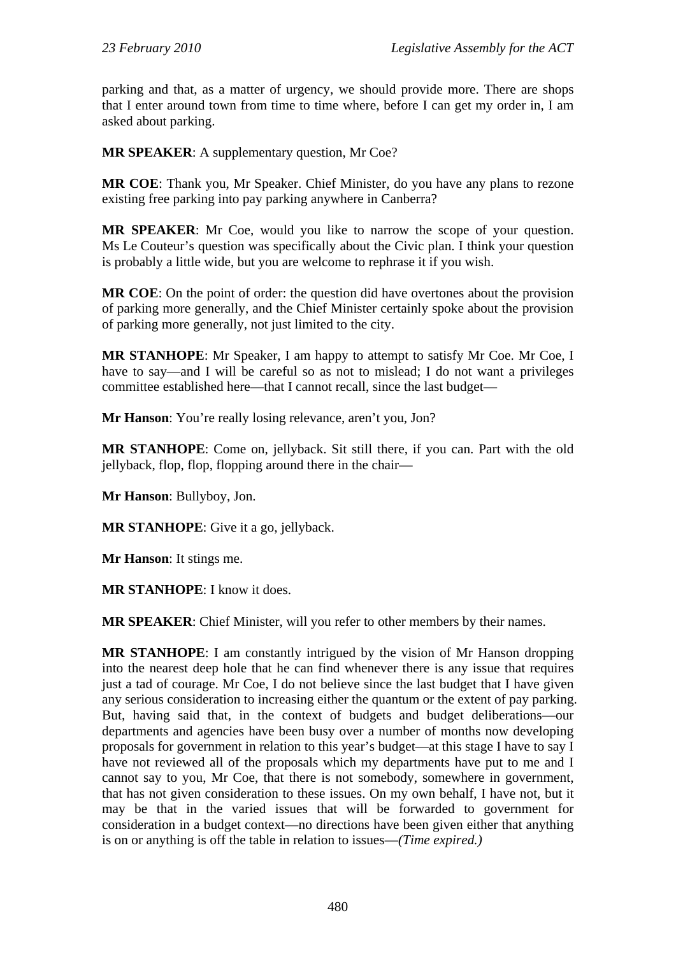parking and that, as a matter of urgency, we should provide more. There are shops that I enter around town from time to time where, before I can get my order in, I am asked about parking.

**MR SPEAKER**: A supplementary question, Mr Coe?

**MR COE**: Thank you, Mr Speaker. Chief Minister, do you have any plans to rezone existing free parking into pay parking anywhere in Canberra?

**MR SPEAKER**: Mr Coe, would you like to narrow the scope of your question. Ms Le Couteur's question was specifically about the Civic plan. I think your question is probably a little wide, but you are welcome to rephrase it if you wish.

**MR COE**: On the point of order: the question did have overtones about the provision of parking more generally, and the Chief Minister certainly spoke about the provision of parking more generally, not just limited to the city.

**MR STANHOPE**: Mr Speaker, I am happy to attempt to satisfy Mr Coe. Mr Coe, I have to say—and I will be careful so as not to mislead; I do not want a privileges committee established here—that I cannot recall, since the last budget—

**Mr Hanson**: You're really losing relevance, aren't you, Jon?

**MR STANHOPE**: Come on, jellyback. Sit still there, if you can. Part with the old jellyback, flop, flop, flopping around there in the chair—

**Mr Hanson**: Bullyboy, Jon.

**MR STANHOPE**: Give it a go, jellyback.

**Mr Hanson**: It stings me.

**MR STANHOPE**: I know it does.

**MR SPEAKER**: Chief Minister, will you refer to other members by their names.

**MR STANHOPE**: I am constantly intrigued by the vision of Mr Hanson dropping into the nearest deep hole that he can find whenever there is any issue that requires just a tad of courage. Mr Coe, I do not believe since the last budget that I have given any serious consideration to increasing either the quantum or the extent of pay parking. But, having said that, in the context of budgets and budget deliberations—our departments and agencies have been busy over a number of months now developing proposals for government in relation to this year's budget—at this stage I have to say I have not reviewed all of the proposals which my departments have put to me and I cannot say to you, Mr Coe, that there is not somebody, somewhere in government, that has not given consideration to these issues. On my own behalf, I have not, but it may be that in the varied issues that will be forwarded to government for consideration in a budget context—no directions have been given either that anything is on or anything is off the table in relation to issues—*(Time expired.)*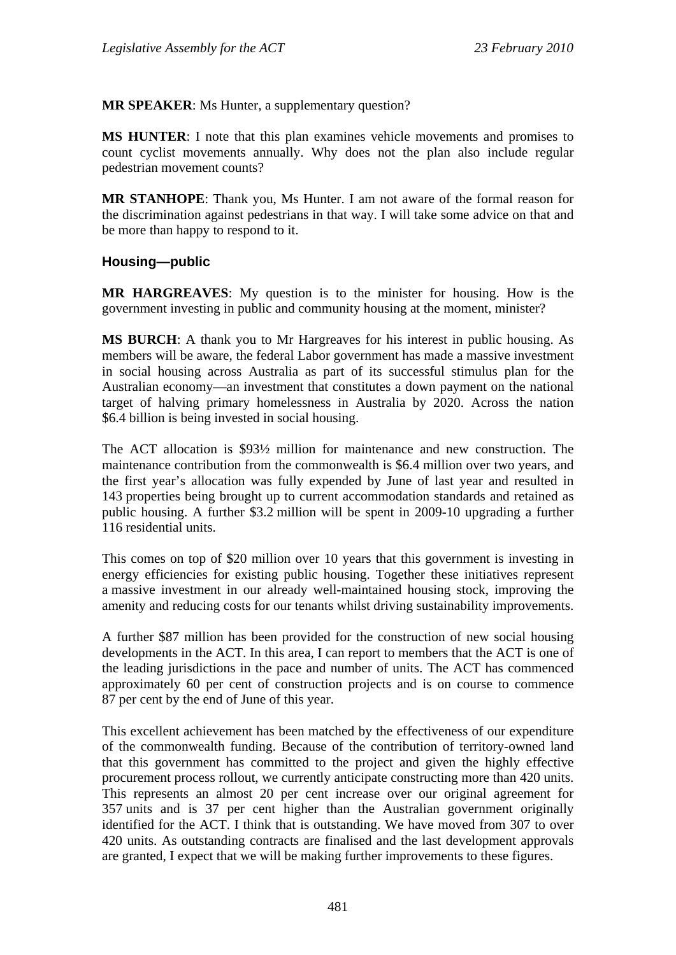**MR SPEAKER**: Ms Hunter, a supplementary question?

**MS HUNTER**: I note that this plan examines vehicle movements and promises to count cyclist movements annually. Why does not the plan also include regular pedestrian movement counts?

**MR STANHOPE**: Thank you, Ms Hunter. I am not aware of the formal reason for the discrimination against pedestrians in that way. I will take some advice on that and be more than happy to respond to it.

#### **Housing—public**

**MR HARGREAVES**: My question is to the minister for housing. How is the government investing in public and community housing at the moment, minister?

**MS BURCH**: A thank you to Mr Hargreaves for his interest in public housing. As members will be aware, the federal Labor government has made a massive investment in social housing across Australia as part of its successful stimulus plan for the Australian economy—an investment that constitutes a down payment on the national target of halving primary homelessness in Australia by 2020. Across the nation \$6.4 billion is being invested in social housing.

The ACT allocation is \$93½ million for maintenance and new construction. The maintenance contribution from the commonwealth is \$6.4 million over two years, and the first year's allocation was fully expended by June of last year and resulted in 143 properties being brought up to current accommodation standards and retained as public housing. A further \$3.2 million will be spent in 2009-10 upgrading a further 116 residential units.

This comes on top of \$20 million over 10 years that this government is investing in energy efficiencies for existing public housing. Together these initiatives represent a massive investment in our already well-maintained housing stock, improving the amenity and reducing costs for our tenants whilst driving sustainability improvements.

A further \$87 million has been provided for the construction of new social housing developments in the ACT. In this area, I can report to members that the ACT is one of the leading jurisdictions in the pace and number of units. The ACT has commenced approximately 60 per cent of construction projects and is on course to commence 87 per cent by the end of June of this year.

This excellent achievement has been matched by the effectiveness of our expenditure of the commonwealth funding. Because of the contribution of territory-owned land that this government has committed to the project and given the highly effective procurement process rollout, we currently anticipate constructing more than 420 units. This represents an almost 20 per cent increase over our original agreement for 357 units and is 37 per cent higher than the Australian government originally identified for the ACT. I think that is outstanding. We have moved from 307 to over 420 units. As outstanding contracts are finalised and the last development approvals are granted, I expect that we will be making further improvements to these figures.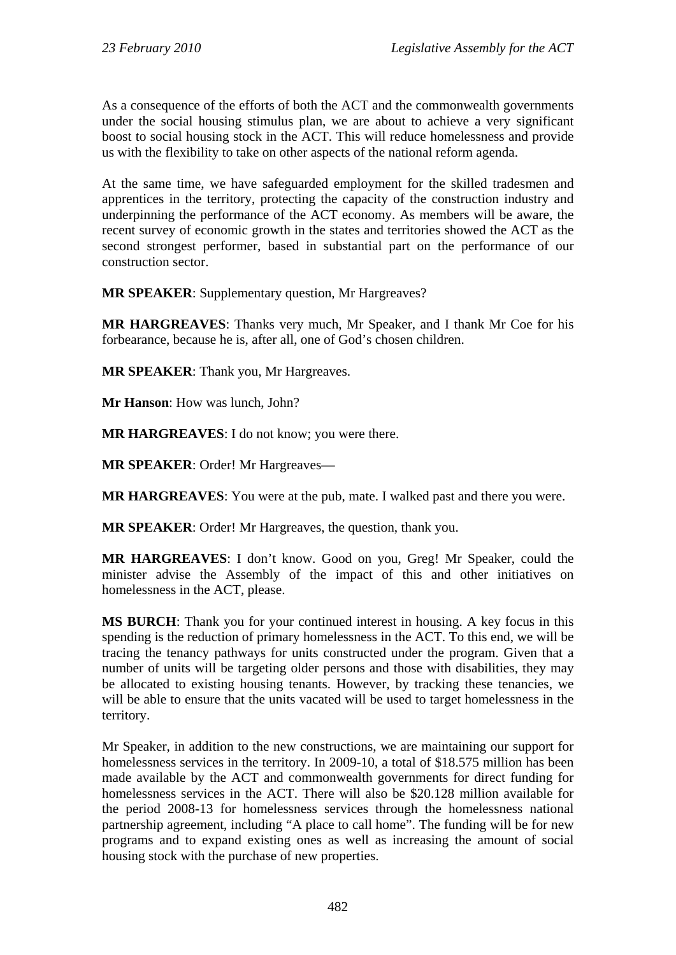As a consequence of the efforts of both the ACT and the commonwealth governments under the social housing stimulus plan, we are about to achieve a very significant boost to social housing stock in the ACT. This will reduce homelessness and provide us with the flexibility to take on other aspects of the national reform agenda.

At the same time, we have safeguarded employment for the skilled tradesmen and apprentices in the territory, protecting the capacity of the construction industry and underpinning the performance of the ACT economy. As members will be aware, the recent survey of economic growth in the states and territories showed the ACT as the second strongest performer, based in substantial part on the performance of our construction sector.

**MR SPEAKER**: Supplementary question, Mr Hargreaves?

**MR HARGREAVES**: Thanks very much, Mr Speaker, and I thank Mr Coe for his forbearance, because he is, after all, one of God's chosen children.

**MR SPEAKER**: Thank you, Mr Hargreaves.

**Mr Hanson**: How was lunch, John?

**MR HARGREAVES**: I do not know; you were there.

**MR SPEAKER**: Order! Mr Hargreaves—

**MR HARGREAVES**: You were at the pub, mate. I walked past and there you were.

**MR SPEAKER:** Order! Mr Hargreaves, the question, thank you.

**MR HARGREAVES**: I don't know. Good on you, Greg! Mr Speaker, could the minister advise the Assembly of the impact of this and other initiatives on homelessness in the ACT, please.

**MS BURCH**: Thank you for your continued interest in housing. A key focus in this spending is the reduction of primary homelessness in the ACT. To this end, we will be tracing the tenancy pathways for units constructed under the program. Given that a number of units will be targeting older persons and those with disabilities, they may be allocated to existing housing tenants. However, by tracking these tenancies, we will be able to ensure that the units vacated will be used to target homelessness in the territory.

Mr Speaker, in addition to the new constructions, we are maintaining our support for homelessness services in the territory. In 2009-10, a total of \$18.575 million has been made available by the ACT and commonwealth governments for direct funding for homelessness services in the ACT. There will also be \$20.128 million available for the period 2008-13 for homelessness services through the homelessness national partnership agreement, including "A place to call home". The funding will be for new programs and to expand existing ones as well as increasing the amount of social housing stock with the purchase of new properties.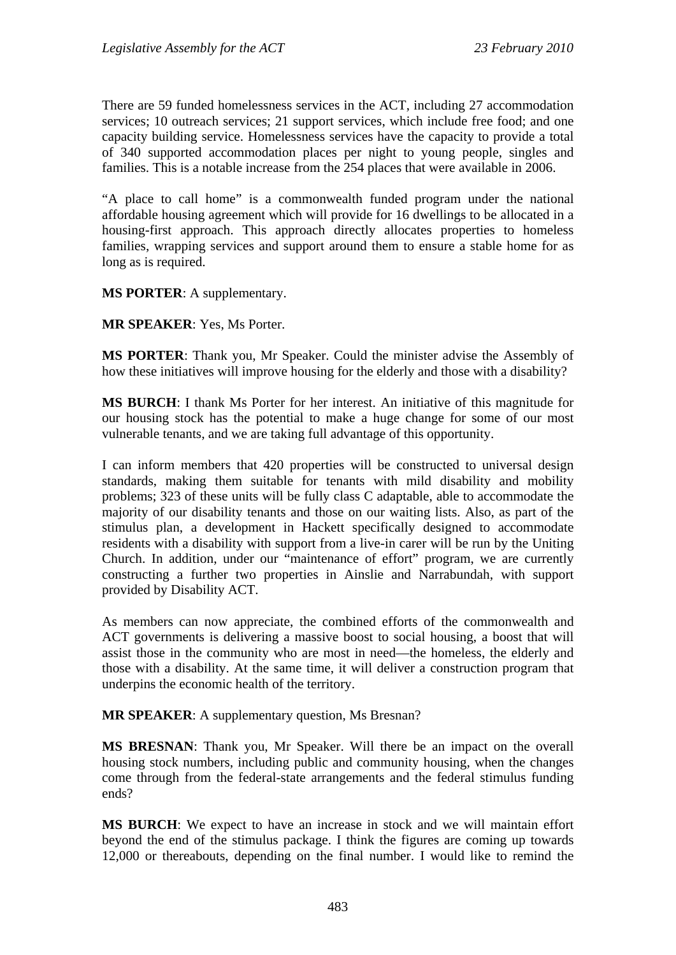There are 59 funded homelessness services in the ACT, including 27 accommodation services; 10 outreach services; 21 support services, which include free food; and one capacity building service. Homelessness services have the capacity to provide a total of 340 supported accommodation places per night to young people, singles and families. This is a notable increase from the 254 places that were available in 2006.

"A place to call home" is a commonwealth funded program under the national affordable housing agreement which will provide for 16 dwellings to be allocated in a housing-first approach. This approach directly allocates properties to homeless families, wrapping services and support around them to ensure a stable home for as long as is required.

**MS PORTER**: A supplementary.

**MR SPEAKER**: Yes, Ms Porter.

**MS PORTER**: Thank you, Mr Speaker. Could the minister advise the Assembly of how these initiatives will improve housing for the elderly and those with a disability?

**MS BURCH**: I thank Ms Porter for her interest. An initiative of this magnitude for our housing stock has the potential to make a huge change for some of our most vulnerable tenants, and we are taking full advantage of this opportunity.

I can inform members that 420 properties will be constructed to universal design standards, making them suitable for tenants with mild disability and mobility problems; 323 of these units will be fully class C adaptable, able to accommodate the majority of our disability tenants and those on our waiting lists. Also, as part of the stimulus plan, a development in Hackett specifically designed to accommodate residents with a disability with support from a live-in carer will be run by the Uniting Church. In addition, under our "maintenance of effort" program, we are currently constructing a further two properties in Ainslie and Narrabundah, with support provided by Disability ACT.

As members can now appreciate, the combined efforts of the commonwealth and ACT governments is delivering a massive boost to social housing, a boost that will assist those in the community who are most in need—the homeless, the elderly and those with a disability. At the same time, it will deliver a construction program that underpins the economic health of the territory.

**MR SPEAKER:** A supplementary question, Ms Bresnan?

**MS BRESNAN**: Thank you, Mr Speaker. Will there be an impact on the overall housing stock numbers, including public and community housing, when the changes come through from the federal-state arrangements and the federal stimulus funding ends?

**MS BURCH**: We expect to have an increase in stock and we will maintain effort beyond the end of the stimulus package. I think the figures are coming up towards 12,000 or thereabouts, depending on the final number. I would like to remind the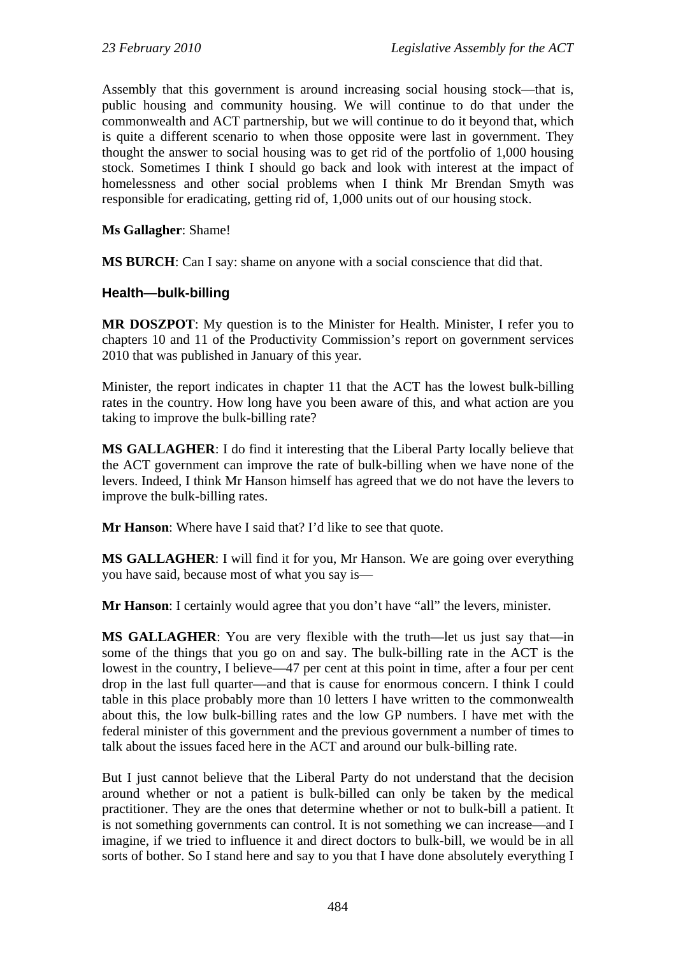Assembly that this government is around increasing social housing stock—that is, public housing and community housing. We will continue to do that under the commonwealth and ACT partnership, but we will continue to do it beyond that, which is quite a different scenario to when those opposite were last in government. They thought the answer to social housing was to get rid of the portfolio of 1,000 housing stock. Sometimes I think I should go back and look with interest at the impact of homelessness and other social problems when I think Mr Brendan Smyth was responsible for eradicating, getting rid of, 1,000 units out of our housing stock.

**Ms Gallagher**: Shame!

**MS BURCH**: Can I say: shame on anyone with a social conscience that did that.

#### **Health—bulk-billing**

**MR DOSZPOT**: My question is to the Minister for Health. Minister, I refer you to chapters 10 and 11 of the Productivity Commission's report on government services 2010 that was published in January of this year.

Minister, the report indicates in chapter 11 that the ACT has the lowest bulk-billing rates in the country. How long have you been aware of this, and what action are you taking to improve the bulk-billing rate?

**MS GALLAGHER**: I do find it interesting that the Liberal Party locally believe that the ACT government can improve the rate of bulk-billing when we have none of the levers. Indeed, I think Mr Hanson himself has agreed that we do not have the levers to improve the bulk-billing rates.

**Mr Hanson**: Where have I said that? I'd like to see that quote.

**MS GALLAGHER**: I will find it for you, Mr Hanson. We are going over everything you have said, because most of what you say is—

**Mr Hanson**: I certainly would agree that you don't have "all" the levers, minister.

**MS GALLAGHER**: You are very flexible with the truth—let us just say that—in some of the things that you go on and say. The bulk-billing rate in the ACT is the lowest in the country, I believe—47 per cent at this point in time, after a four per cent drop in the last full quarter—and that is cause for enormous concern. I think I could table in this place probably more than 10 letters I have written to the commonwealth about this, the low bulk-billing rates and the low GP numbers. I have met with the federal minister of this government and the previous government a number of times to talk about the issues faced here in the ACT and around our bulk-billing rate.

But I just cannot believe that the Liberal Party do not understand that the decision around whether or not a patient is bulk-billed can only be taken by the medical practitioner. They are the ones that determine whether or not to bulk-bill a patient. It is not something governments can control. It is not something we can increase—and I imagine, if we tried to influence it and direct doctors to bulk-bill, we would be in all sorts of bother. So I stand here and say to you that I have done absolutely everything I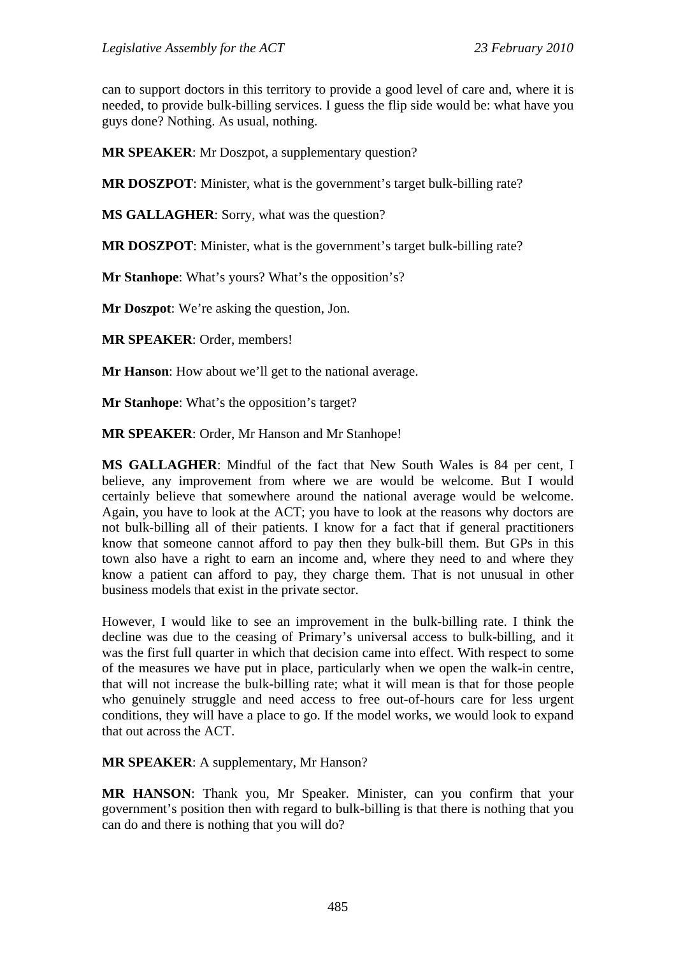can to support doctors in this territory to provide a good level of care and, where it is needed, to provide bulk-billing services. I guess the flip side would be: what have you guys done? Nothing. As usual, nothing.

**MR SPEAKER**: Mr Doszpot, a supplementary question?

**MR DOSZPOT**: Minister, what is the government's target bulk-billing rate?

**MS GALLAGHER**: Sorry, what was the question?

**MR DOSZPOT**: Minister, what is the government's target bulk-billing rate?

**Mr Stanhope**: What's yours? What's the opposition's?

**Mr Doszpot**: We're asking the question, Jon.

**MR SPEAKER**: Order, members!

**Mr Hanson**: How about we'll get to the national average.

**Mr Stanhope**: What's the opposition's target?

**MR SPEAKER**: Order, Mr Hanson and Mr Stanhope!

**MS GALLAGHER**: Mindful of the fact that New South Wales is 84 per cent, I believe, any improvement from where we are would be welcome. But I would certainly believe that somewhere around the national average would be welcome. Again, you have to look at the ACT; you have to look at the reasons why doctors are not bulk-billing all of their patients. I know for a fact that if general practitioners know that someone cannot afford to pay then they bulk-bill them. But GPs in this town also have a right to earn an income and, where they need to and where they know a patient can afford to pay, they charge them. That is not unusual in other business models that exist in the private sector.

However, I would like to see an improvement in the bulk-billing rate. I think the decline was due to the ceasing of Primary's universal access to bulk-billing, and it was the first full quarter in which that decision came into effect. With respect to some of the measures we have put in place, particularly when we open the walk-in centre, that will not increase the bulk-billing rate; what it will mean is that for those people who genuinely struggle and need access to free out-of-hours care for less urgent conditions, they will have a place to go. If the model works, we would look to expand that out across the ACT.

**MR SPEAKER**: A supplementary, Mr Hanson?

**MR HANSON**: Thank you, Mr Speaker. Minister, can you confirm that your government's position then with regard to bulk-billing is that there is nothing that you can do and there is nothing that you will do?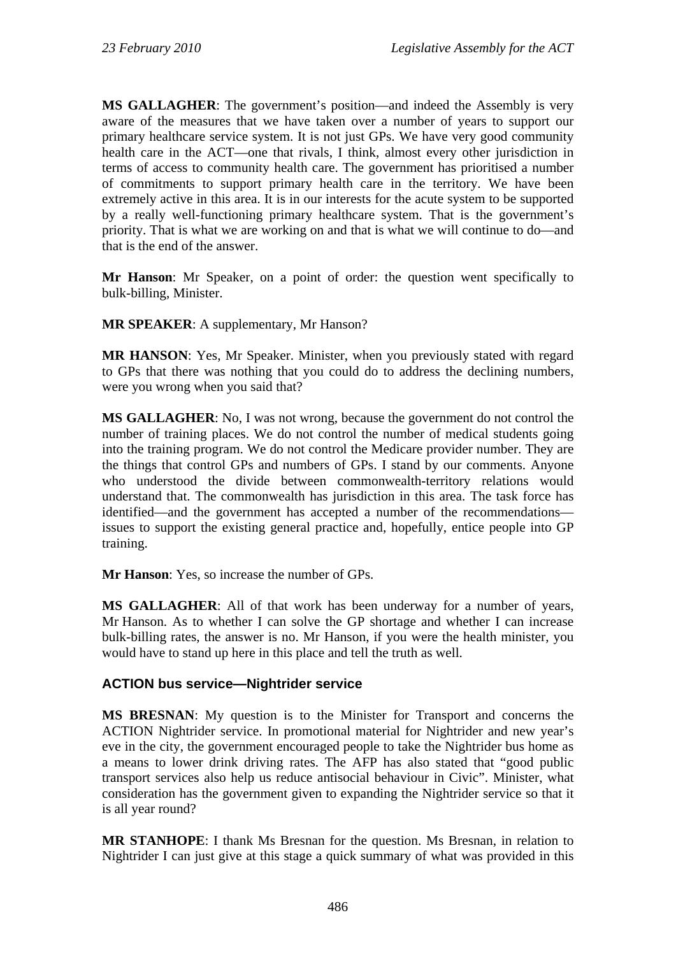**MS GALLAGHER**: The government's position—and indeed the Assembly is very aware of the measures that we have taken over a number of years to support our primary healthcare service system. It is not just GPs. We have very good community health care in the ACT—one that rivals, I think, almost every other jurisdiction in terms of access to community health care. The government has prioritised a number of commitments to support primary health care in the territory. We have been extremely active in this area. It is in our interests for the acute system to be supported by a really well-functioning primary healthcare system. That is the government's priority. That is what we are working on and that is what we will continue to do—and that is the end of the answer.

**Mr Hanson**: Mr Speaker, on a point of order: the question went specifically to bulk-billing, Minister.

**MR SPEAKER**: A supplementary, Mr Hanson?

**MR HANSON**: Yes, Mr Speaker. Minister, when you previously stated with regard to GPs that there was nothing that you could do to address the declining numbers, were you wrong when you said that?

**MS GALLAGHER**: No, I was not wrong, because the government do not control the number of training places. We do not control the number of medical students going into the training program. We do not control the Medicare provider number. They are the things that control GPs and numbers of GPs. I stand by our comments. Anyone who understood the divide between commonwealth-territory relations would understand that. The commonwealth has jurisdiction in this area. The task force has identified—and the government has accepted a number of the recommendations issues to support the existing general practice and, hopefully, entice people into GP training.

**Mr Hanson**: Yes, so increase the number of GPs.

**MS GALLAGHER**: All of that work has been underway for a number of years, Mr Hanson. As to whether I can solve the GP shortage and whether I can increase bulk-billing rates, the answer is no. Mr Hanson, if you were the health minister, you would have to stand up here in this place and tell the truth as well.

#### **ACTION bus service—Nightrider service**

**MS BRESNAN**: My question is to the Minister for Transport and concerns the ACTION Nightrider service. In promotional material for Nightrider and new year's eve in the city, the government encouraged people to take the Nightrider bus home as a means to lower drink driving rates. The AFP has also stated that "good public transport services also help us reduce antisocial behaviour in Civic". Minister, what consideration has the government given to expanding the Nightrider service so that it is all year round?

**MR STANHOPE**: I thank Ms Bresnan for the question. Ms Bresnan, in relation to Nightrider I can just give at this stage a quick summary of what was provided in this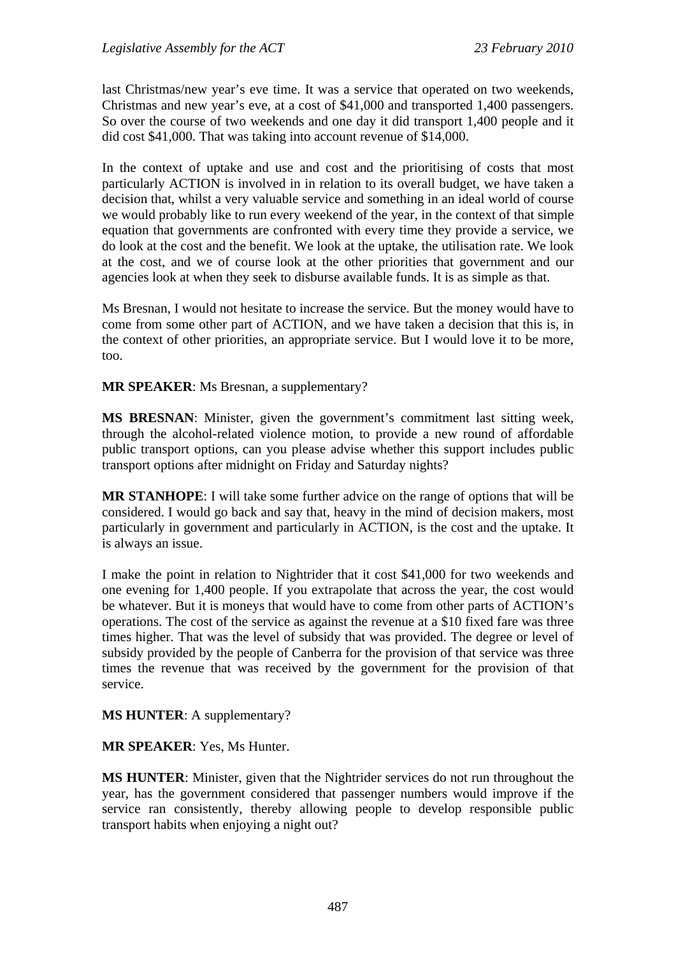last Christmas/new year's eve time. It was a service that operated on two weekends, Christmas and new year's eve, at a cost of \$41,000 and transported 1,400 passengers. So over the course of two weekends and one day it did transport 1,400 people and it did cost \$41,000. That was taking into account revenue of \$14,000.

In the context of uptake and use and cost and the prioritising of costs that most particularly ACTION is involved in in relation to its overall budget, we have taken a decision that, whilst a very valuable service and something in an ideal world of course we would probably like to run every weekend of the year, in the context of that simple equation that governments are confronted with every time they provide a service, we do look at the cost and the benefit. We look at the uptake, the utilisation rate. We look at the cost, and we of course look at the other priorities that government and our agencies look at when they seek to disburse available funds. It is as simple as that.

Ms Bresnan, I would not hesitate to increase the service. But the money would have to come from some other part of ACTION, and we have taken a decision that this is, in the context of other priorities, an appropriate service. But I would love it to be more, too.

**MR SPEAKER**: Ms Bresnan, a supplementary?

**MS BRESNAN**: Minister, given the government's commitment last sitting week, through the alcohol-related violence motion, to provide a new round of affordable public transport options, can you please advise whether this support includes public transport options after midnight on Friday and Saturday nights?

**MR STANHOPE**: I will take some further advice on the range of options that will be considered. I would go back and say that, heavy in the mind of decision makers, most particularly in government and particularly in ACTION, is the cost and the uptake. It is always an issue.

I make the point in relation to Nightrider that it cost \$41,000 for two weekends and one evening for 1,400 people. If you extrapolate that across the year, the cost would be whatever. But it is moneys that would have to come from other parts of ACTION's operations. The cost of the service as against the revenue at a \$10 fixed fare was three times higher. That was the level of subsidy that was provided. The degree or level of subsidy provided by the people of Canberra for the provision of that service was three times the revenue that was received by the government for the provision of that service.

**MS HUNTER**: A supplementary?

**MR SPEAKER**: Yes, Ms Hunter.

**MS HUNTER**: Minister, given that the Nightrider services do not run throughout the year, has the government considered that passenger numbers would improve if the service ran consistently, thereby allowing people to develop responsible public transport habits when enjoying a night out?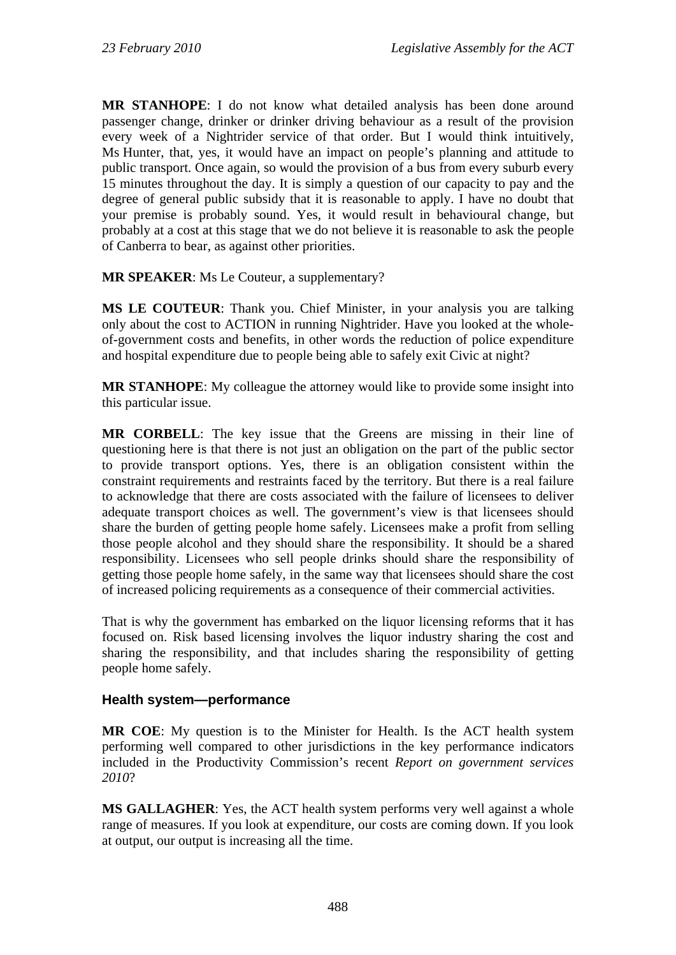**MR STANHOPE**: I do not know what detailed analysis has been done around passenger change, drinker or drinker driving behaviour as a result of the provision every week of a Nightrider service of that order. But I would think intuitively, Ms Hunter, that, yes, it would have an impact on people's planning and attitude to public transport. Once again, so would the provision of a bus from every suburb every 15 minutes throughout the day. It is simply a question of our capacity to pay and the degree of general public subsidy that it is reasonable to apply. I have no doubt that your premise is probably sound. Yes, it would result in behavioural change, but probably at a cost at this stage that we do not believe it is reasonable to ask the people of Canberra to bear, as against other priorities.

**MR SPEAKER**: Ms Le Couteur, a supplementary?

**MS LE COUTEUR**: Thank you. Chief Minister, in your analysis you are talking only about the cost to ACTION in running Nightrider. Have you looked at the wholeof-government costs and benefits, in other words the reduction of police expenditure and hospital expenditure due to people being able to safely exit Civic at night?

**MR STANHOPE**: My colleague the attorney would like to provide some insight into this particular issue.

**MR CORBELL**: The key issue that the Greens are missing in their line of questioning here is that there is not just an obligation on the part of the public sector to provide transport options. Yes, there is an obligation consistent within the constraint requirements and restraints faced by the territory. But there is a real failure to acknowledge that there are costs associated with the failure of licensees to deliver adequate transport choices as well. The government's view is that licensees should share the burden of getting people home safely. Licensees make a profit from selling those people alcohol and they should share the responsibility. It should be a shared responsibility. Licensees who sell people drinks should share the responsibility of getting those people home safely, in the same way that licensees should share the cost of increased policing requirements as a consequence of their commercial activities.

That is why the government has embarked on the liquor licensing reforms that it has focused on. Risk based licensing involves the liquor industry sharing the cost and sharing the responsibility, and that includes sharing the responsibility of getting people home safely.

# **Health system—performance**

**MR COE**: My question is to the Minister for Health. Is the ACT health system performing well compared to other jurisdictions in the key performance indicators included in the Productivity Commission's recent *Report on government services 2010*?

**MS GALLAGHER**: Yes, the ACT health system performs very well against a whole range of measures. If you look at expenditure, our costs are coming down. If you look at output, our output is increasing all the time.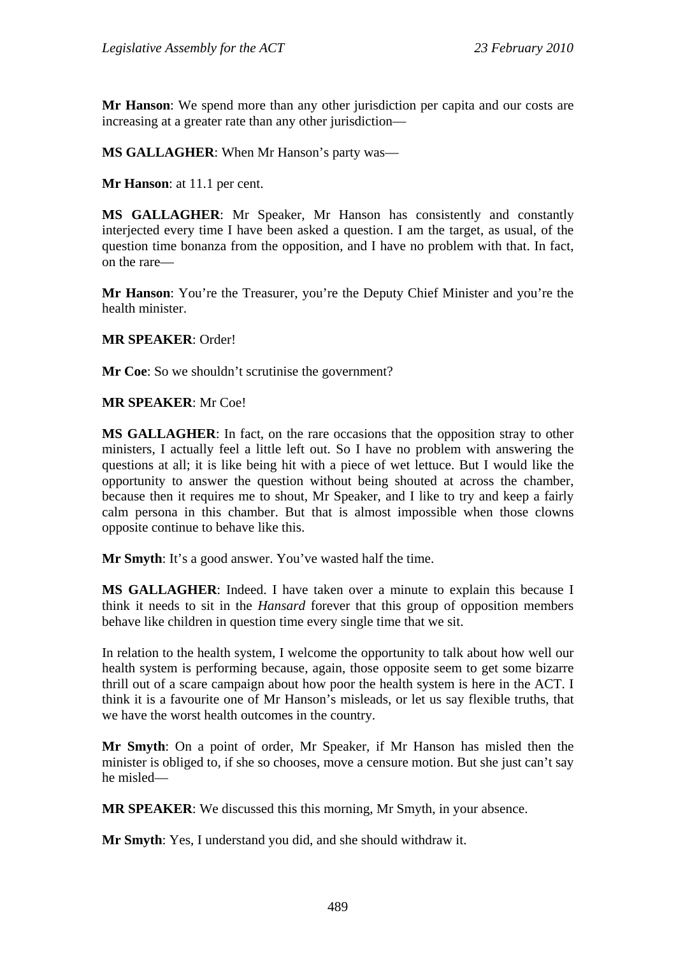**Mr Hanson**: We spend more than any other jurisdiction per capita and our costs are increasing at a greater rate than any other jurisdiction—

**MS GALLAGHER**: When Mr Hanson's party was—

**Mr Hanson**: at 11.1 per cent.

**MS GALLAGHER**: Mr Speaker, Mr Hanson has consistently and constantly interjected every time I have been asked a question. I am the target, as usual, of the question time bonanza from the opposition, and I have no problem with that. In fact, on the rare—

**Mr Hanson**: You're the Treasurer, you're the Deputy Chief Minister and you're the health minister.

#### **MR SPEAKER**: Order!

**Mr Coe**: So we shouldn't scrutinise the government?

**MR SPEAKER**: Mr Coe!

**MS GALLAGHER**: In fact, on the rare occasions that the opposition stray to other ministers, I actually feel a little left out. So I have no problem with answering the questions at all; it is like being hit with a piece of wet lettuce. But I would like the opportunity to answer the question without being shouted at across the chamber, because then it requires me to shout, Mr Speaker, and I like to try and keep a fairly calm persona in this chamber. But that is almost impossible when those clowns opposite continue to behave like this.

**Mr Smyth**: It's a good answer. You've wasted half the time.

**MS GALLAGHER**: Indeed. I have taken over a minute to explain this because I think it needs to sit in the *Hansard* forever that this group of opposition members behave like children in question time every single time that we sit.

In relation to the health system, I welcome the opportunity to talk about how well our health system is performing because, again, those opposite seem to get some bizarre thrill out of a scare campaign about how poor the health system is here in the ACT. I think it is a favourite one of Mr Hanson's misleads, or let us say flexible truths, that we have the worst health outcomes in the country.

**Mr Smyth**: On a point of order, Mr Speaker, if Mr Hanson has misled then the minister is obliged to, if she so chooses, move a censure motion. But she just can't say he misled—

**MR SPEAKER**: We discussed this this morning, Mr Smyth, in your absence.

**Mr Smyth**: Yes, I understand you did, and she should withdraw it.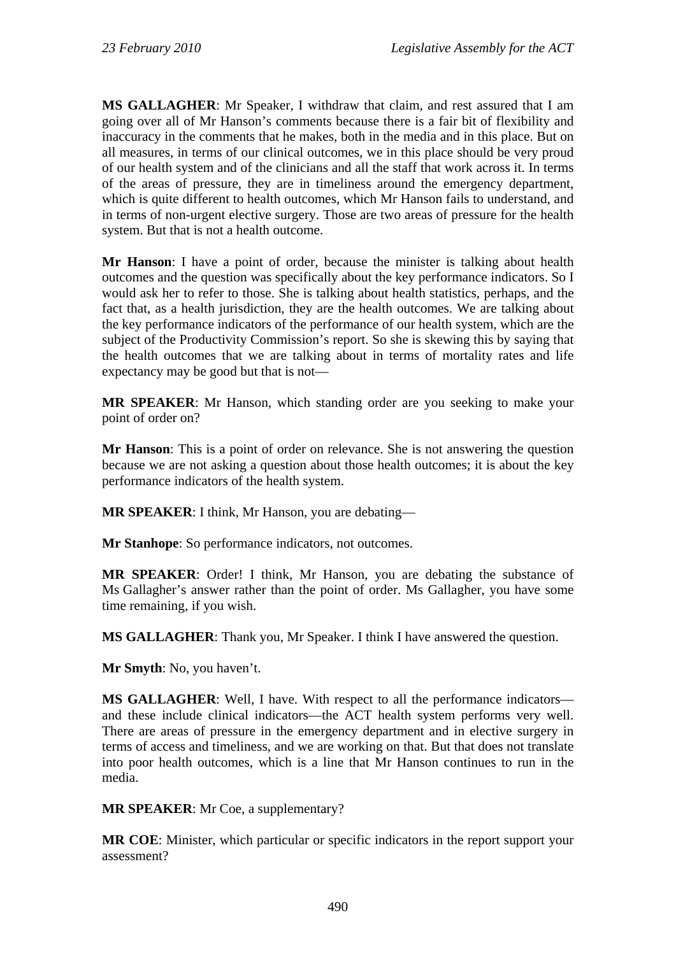**MS GALLAGHER**: Mr Speaker, I withdraw that claim, and rest assured that I am going over all of Mr Hanson's comments because there is a fair bit of flexibility and inaccuracy in the comments that he makes, both in the media and in this place. But on all measures, in terms of our clinical outcomes, we in this place should be very proud of our health system and of the clinicians and all the staff that work across it. In terms of the areas of pressure, they are in timeliness around the emergency department, which is quite different to health outcomes, which Mr Hanson fails to understand, and in terms of non-urgent elective surgery. Those are two areas of pressure for the health system. But that is not a health outcome.

**Mr Hanson**: I have a point of order, because the minister is talking about health outcomes and the question was specifically about the key performance indicators. So I would ask her to refer to those. She is talking about health statistics, perhaps, and the fact that, as a health jurisdiction, they are the health outcomes. We are talking about the key performance indicators of the performance of our health system, which are the subject of the Productivity Commission's report. So she is skewing this by saying that the health outcomes that we are talking about in terms of mortality rates and life expectancy may be good but that is not—

**MR SPEAKER**: Mr Hanson, which standing order are you seeking to make your point of order on?

**Mr Hanson**: This is a point of order on relevance. She is not answering the question because we are not asking a question about those health outcomes; it is about the key performance indicators of the health system.

**MR SPEAKER**: I think, Mr Hanson, you are debating—

**Mr Stanhope**: So performance indicators, not outcomes.

**MR SPEAKER**: Order! I think, Mr Hanson, you are debating the substance of Ms Gallagher's answer rather than the point of order. Ms Gallagher, you have some time remaining, if you wish.

**MS GALLAGHER**: Thank you, Mr Speaker. I think I have answered the question.

**Mr Smyth**: No, you haven't.

**MS GALLAGHER**: Well, I have. With respect to all the performance indicators and these include clinical indicators—the ACT health system performs very well. There are areas of pressure in the emergency department and in elective surgery in terms of access and timeliness, and we are working on that. But that does not translate into poor health outcomes, which is a line that Mr Hanson continues to run in the media.

**MR SPEAKER**: Mr Coe, a supplementary?

**MR COE**: Minister, which particular or specific indicators in the report support your assessment?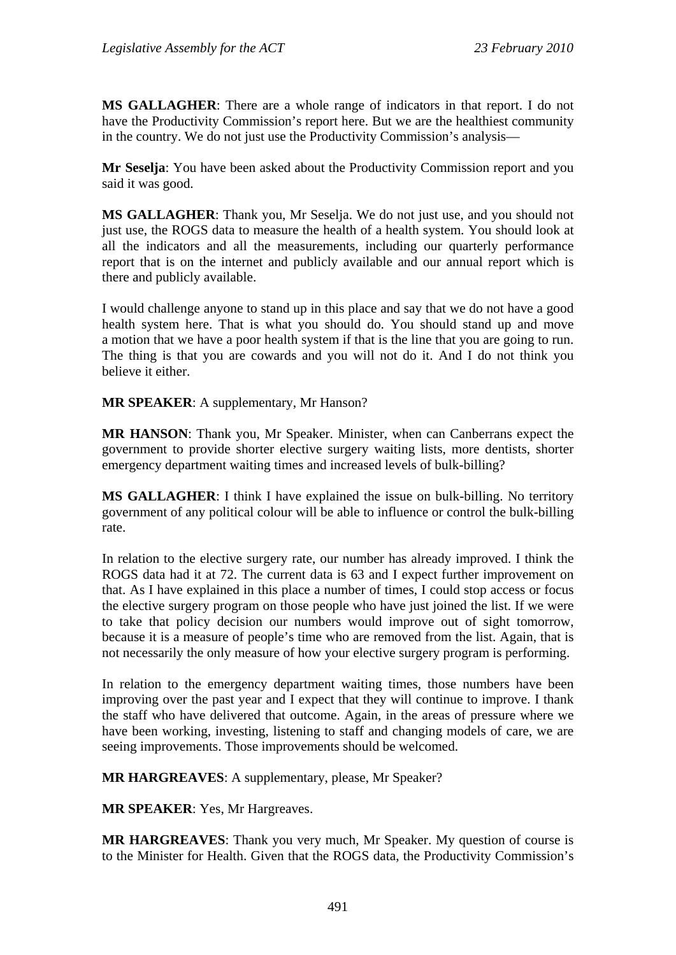**MS GALLAGHER**: There are a whole range of indicators in that report. I do not have the Productivity Commission's report here. But we are the healthiest community in the country. We do not just use the Productivity Commission's analysis—

**Mr Seselja**: You have been asked about the Productivity Commission report and you said it was good.

**MS GALLAGHER**: Thank you, Mr Seselja. We do not just use, and you should not just use, the ROGS data to measure the health of a health system. You should look at all the indicators and all the measurements, including our quarterly performance report that is on the internet and publicly available and our annual report which is there and publicly available.

I would challenge anyone to stand up in this place and say that we do not have a good health system here. That is what you should do. You should stand up and move a motion that we have a poor health system if that is the line that you are going to run. The thing is that you are cowards and you will not do it. And I do not think you believe it either.

**MR SPEAKER**: A supplementary, Mr Hanson?

**MR HANSON**: Thank you, Mr Speaker. Minister, when can Canberrans expect the government to provide shorter elective surgery waiting lists, more dentists, shorter emergency department waiting times and increased levels of bulk-billing?

**MS GALLAGHER**: I think I have explained the issue on bulk-billing. No territory government of any political colour will be able to influence or control the bulk-billing rate.

In relation to the elective surgery rate, our number has already improved. I think the ROGS data had it at 72. The current data is 63 and I expect further improvement on that. As I have explained in this place a number of times, I could stop access or focus the elective surgery program on those people who have just joined the list. If we were to take that policy decision our numbers would improve out of sight tomorrow, because it is a measure of people's time who are removed from the list. Again, that is not necessarily the only measure of how your elective surgery program is performing.

In relation to the emergency department waiting times, those numbers have been improving over the past year and I expect that they will continue to improve. I thank the staff who have delivered that outcome. Again, in the areas of pressure where we have been working, investing, listening to staff and changing models of care, we are seeing improvements. Those improvements should be welcomed.

**MR HARGREAVES**: A supplementary, please, Mr Speaker?

**MR SPEAKER**: Yes, Mr Hargreaves.

**MR HARGREAVES**: Thank you very much, Mr Speaker. My question of course is to the Minister for Health. Given that the ROGS data, the Productivity Commission's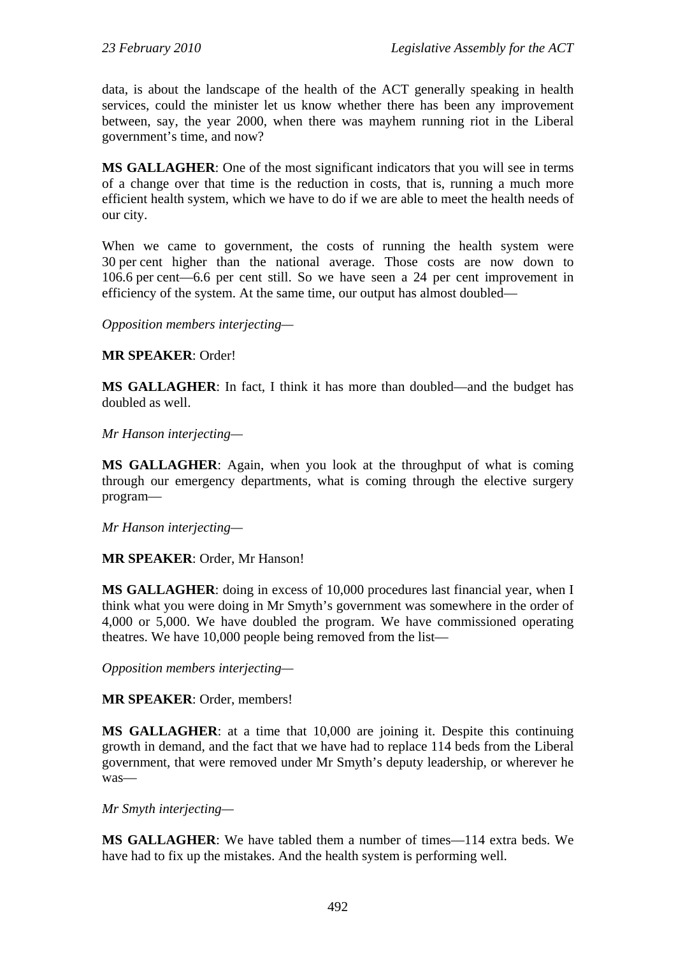data, is about the landscape of the health of the ACT generally speaking in health services, could the minister let us know whether there has been any improvement between, say, the year 2000, when there was mayhem running riot in the Liberal government's time, and now?

**MS GALLAGHER**: One of the most significant indicators that you will see in terms of a change over that time is the reduction in costs, that is, running a much more efficient health system, which we have to do if we are able to meet the health needs of our city.

When we came to government, the costs of running the health system were 30 per cent higher than the national average. Those costs are now down to 106.6 per cent—6.6 per cent still. So we have seen a 24 per cent improvement in efficiency of the system. At the same time, our output has almost doubled—

*Opposition members interjecting—* 

#### **MR SPEAKER**: Order!

**MS GALLAGHER**: In fact, I think it has more than doubled—and the budget has doubled as well.

*Mr Hanson interjecting—* 

**MS GALLAGHER**: Again, when you look at the throughput of what is coming through our emergency departments, what is coming through the elective surgery program—

*Mr Hanson interjecting—* 

**MR SPEAKER**: Order, Mr Hanson!

**MS GALLAGHER**: doing in excess of 10,000 procedures last financial year, when I think what you were doing in Mr Smyth's government was somewhere in the order of 4,000 or 5,000. We have doubled the program. We have commissioned operating theatres. We have 10,000 people being removed from the list—

*Opposition members interjecting—* 

**MR SPEAKER**: Order, members!

**MS GALLAGHER**: at a time that 10,000 are joining it. Despite this continuing growth in demand, and the fact that we have had to replace 114 beds from the Liberal government, that were removed under Mr Smyth's deputy leadership, or wherever he was—

*Mr Smyth interjecting—* 

**MS GALLAGHER**: We have tabled them a number of times—114 extra beds. We have had to fix up the mistakes. And the health system is performing well.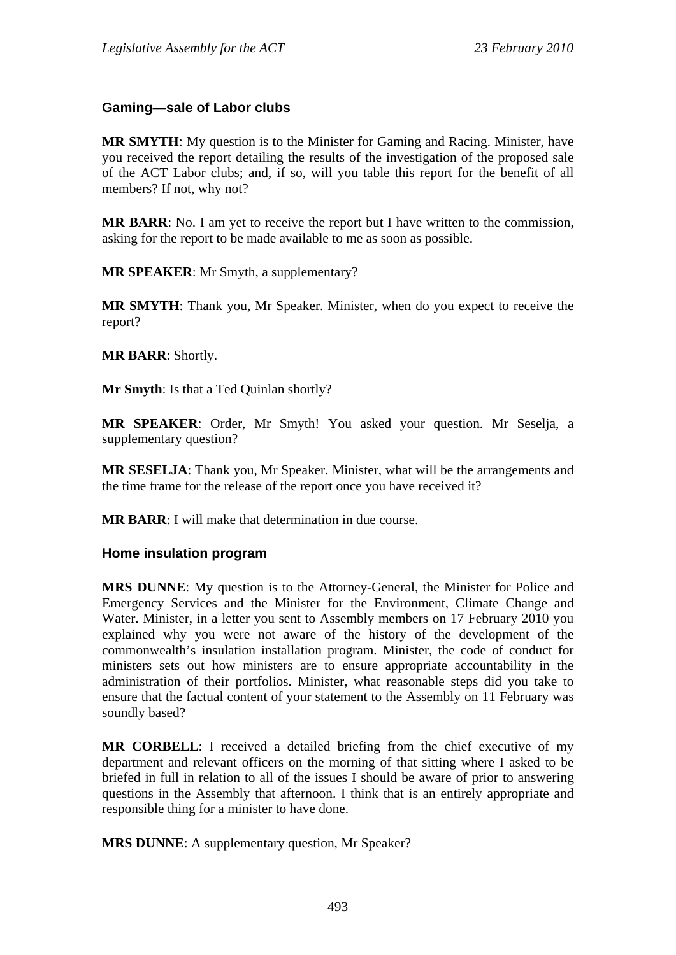#### **Gaming—sale of Labor clubs**

**MR SMYTH**: My question is to the Minister for Gaming and Racing. Minister, have you received the report detailing the results of the investigation of the proposed sale of the ACT Labor clubs; and, if so, will you table this report for the benefit of all members? If not, why not?

**MR BARR**: No. I am yet to receive the report but I have written to the commission, asking for the report to be made available to me as soon as possible.

**MR SPEAKER**: Mr Smyth, a supplementary?

**MR SMYTH**: Thank you, Mr Speaker. Minister, when do you expect to receive the report?

**MR BARR**: Shortly.

**Mr Smyth**: Is that a Ted Quinlan shortly?

**MR SPEAKER**: Order, Mr Smyth! You asked your question. Mr Seselja, a supplementary question?

**MR SESELJA**: Thank you, Mr Speaker. Minister, what will be the arrangements and the time frame for the release of the report once you have received it?

**MR BARR**: I will make that determination in due course.

#### **Home insulation program**

**MRS DUNNE**: My question is to the Attorney-General, the Minister for Police and Emergency Services and the Minister for the Environment, Climate Change and Water. Minister, in a letter you sent to Assembly members on 17 February 2010 you explained why you were not aware of the history of the development of the commonwealth's insulation installation program. Minister, the code of conduct for ministers sets out how ministers are to ensure appropriate accountability in the administration of their portfolios. Minister, what reasonable steps did you take to ensure that the factual content of your statement to the Assembly on 11 February was soundly based?

**MR CORBELL**: I received a detailed briefing from the chief executive of my department and relevant officers on the morning of that sitting where I asked to be briefed in full in relation to all of the issues I should be aware of prior to answering questions in the Assembly that afternoon. I think that is an entirely appropriate and responsible thing for a minister to have done.

**MRS DUNNE**: A supplementary question, Mr Speaker?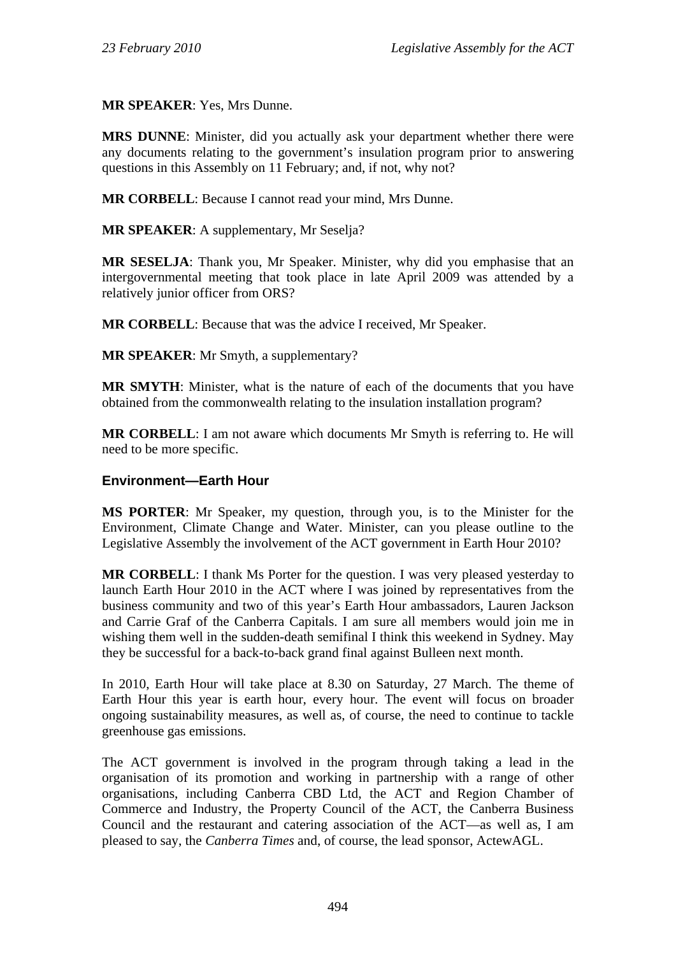**MR SPEAKER**: Yes, Mrs Dunne.

**MRS DUNNE**: Minister, did you actually ask your department whether there were any documents relating to the government's insulation program prior to answering questions in this Assembly on 11 February; and, if not, why not?

**MR CORBELL**: Because I cannot read your mind, Mrs Dunne.

**MR SPEAKER**: A supplementary, Mr Seselja?

**MR SESELJA**: Thank you, Mr Speaker. Minister, why did you emphasise that an intergovernmental meeting that took place in late April 2009 was attended by a relatively junior officer from ORS?

**MR CORBELL**: Because that was the advice I received, Mr Speaker.

**MR SPEAKER**: Mr Smyth, a supplementary?

**MR SMYTH**: Minister, what is the nature of each of the documents that you have obtained from the commonwealth relating to the insulation installation program?

**MR CORBELL**: I am not aware which documents Mr Smyth is referring to. He will need to be more specific.

#### **Environment—Earth Hour**

**MS PORTER**: Mr Speaker, my question, through you, is to the Minister for the Environment, Climate Change and Water. Minister, can you please outline to the Legislative Assembly the involvement of the ACT government in Earth Hour 2010?

**MR CORBELL**: I thank Ms Porter for the question. I was very pleased yesterday to launch Earth Hour 2010 in the ACT where I was joined by representatives from the business community and two of this year's Earth Hour ambassadors, Lauren Jackson and Carrie Graf of the Canberra Capitals. I am sure all members would join me in wishing them well in the sudden-death semifinal I think this weekend in Sydney. May they be successful for a back-to-back grand final against Bulleen next month.

In 2010, Earth Hour will take place at 8.30 on Saturday, 27 March. The theme of Earth Hour this year is earth hour, every hour. The event will focus on broader ongoing sustainability measures, as well as, of course, the need to continue to tackle greenhouse gas emissions.

The ACT government is involved in the program through taking a lead in the organisation of its promotion and working in partnership with a range of other organisations, including Canberra CBD Ltd, the ACT and Region Chamber of Commerce and Industry, the Property Council of the ACT, the Canberra Business Council and the restaurant and catering association of the ACT—as well as, I am pleased to say, the *Canberra Times* and, of course, the lead sponsor, ActewAGL.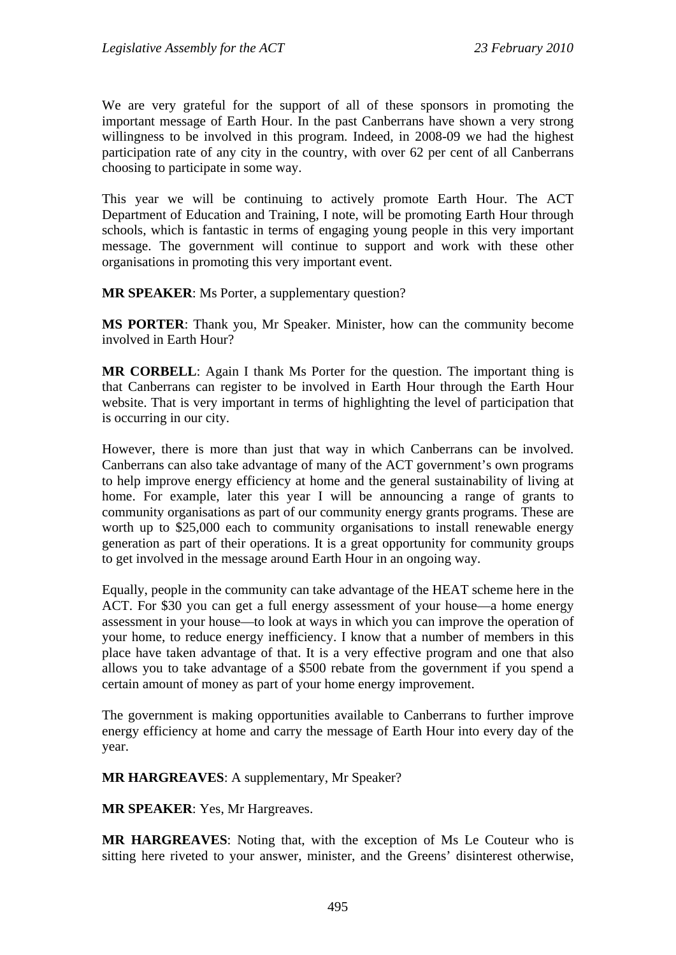We are very grateful for the support of all of these sponsors in promoting the important message of Earth Hour. In the past Canberrans have shown a very strong willingness to be involved in this program. Indeed, in 2008-09 we had the highest participation rate of any city in the country, with over 62 per cent of all Canberrans choosing to participate in some way.

This year we will be continuing to actively promote Earth Hour. The ACT Department of Education and Training, I note, will be promoting Earth Hour through schools, which is fantastic in terms of engaging young people in this very important message. The government will continue to support and work with these other organisations in promoting this very important event.

**MR SPEAKER:** Ms Porter, a supplementary question?

**MS PORTER**: Thank you, Mr Speaker. Minister, how can the community become involved in Earth Hour?

**MR CORBELL**: Again I thank Ms Porter for the question. The important thing is that Canberrans can register to be involved in Earth Hour through the Earth Hour website. That is very important in terms of highlighting the level of participation that is occurring in our city.

However, there is more than just that way in which Canberrans can be involved. Canberrans can also take advantage of many of the ACT government's own programs to help improve energy efficiency at home and the general sustainability of living at home. For example, later this year I will be announcing a range of grants to community organisations as part of our community energy grants programs. These are worth up to \$25,000 each to community organisations to install renewable energy generation as part of their operations. It is a great opportunity for community groups to get involved in the message around Earth Hour in an ongoing way.

Equally, people in the community can take advantage of the HEAT scheme here in the ACT. For \$30 you can get a full energy assessment of your house—a home energy assessment in your house—to look at ways in which you can improve the operation of your home, to reduce energy inefficiency. I know that a number of members in this place have taken advantage of that. It is a very effective program and one that also allows you to take advantage of a \$500 rebate from the government if you spend a certain amount of money as part of your home energy improvement.

The government is making opportunities available to Canberrans to further improve energy efficiency at home and carry the message of Earth Hour into every day of the year.

**MR HARGREAVES**: A supplementary, Mr Speaker?

**MR SPEAKER**: Yes, Mr Hargreaves.

**MR HARGREAVES**: Noting that, with the exception of Ms Le Couteur who is sitting here riveted to your answer, minister, and the Greens' disinterest otherwise,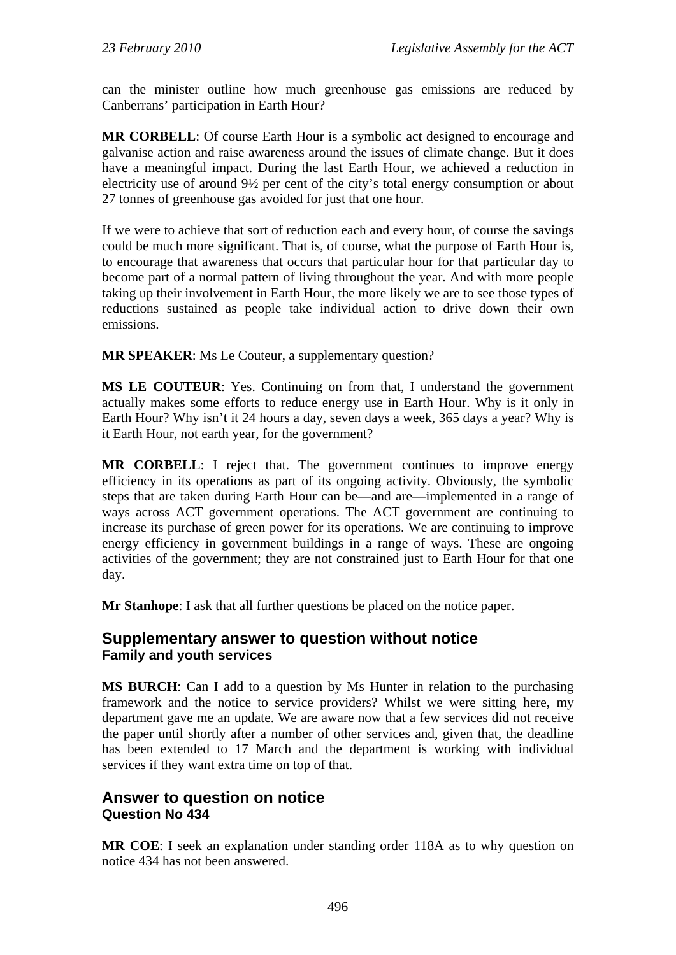can the minister outline how much greenhouse gas emissions are reduced by Canberrans' participation in Earth Hour?

**MR CORBELL**: Of course Earth Hour is a symbolic act designed to encourage and galvanise action and raise awareness around the issues of climate change. But it does have a meaningful impact. During the last Earth Hour, we achieved a reduction in electricity use of around 9½ per cent of the city's total energy consumption or about 27 tonnes of greenhouse gas avoided for just that one hour.

If we were to achieve that sort of reduction each and every hour, of course the savings could be much more significant. That is, of course, what the purpose of Earth Hour is, to encourage that awareness that occurs that particular hour for that particular day to become part of a normal pattern of living throughout the year. And with more people taking up their involvement in Earth Hour, the more likely we are to see those types of reductions sustained as people take individual action to drive down their own emissions.

**MR SPEAKER**: Ms Le Couteur, a supplementary question?

**MS LE COUTEUR**: Yes. Continuing on from that, I understand the government actually makes some efforts to reduce energy use in Earth Hour. Why is it only in Earth Hour? Why isn't it 24 hours a day, seven days a week, 365 days a year? Why is it Earth Hour, not earth year, for the government?

**MR CORBELL**: I reject that. The government continues to improve energy efficiency in its operations as part of its ongoing activity. Obviously, the symbolic steps that are taken during Earth Hour can be—and are—implemented in a range of ways across ACT government operations. The ACT government are continuing to increase its purchase of green power for its operations. We are continuing to improve energy efficiency in government buildings in a range of ways. These are ongoing activities of the government; they are not constrained just to Earth Hour for that one day.

**Mr Stanhope**: I ask that all further questions be placed on the notice paper.

# **Supplementary answer to question without notice Family and youth services**

**MS BURCH**: Can I add to a question by Ms Hunter in relation to the purchasing framework and the notice to service providers? Whilst we were sitting here, my department gave me an update. We are aware now that a few services did not receive the paper until shortly after a number of other services and, given that, the deadline has been extended to 17 March and the department is working with individual services if they want extra time on top of that.

# **Answer to question on notice Question No 434**

**MR COE**: I seek an explanation under standing order 118A as to why question on notice 434 has not been answered.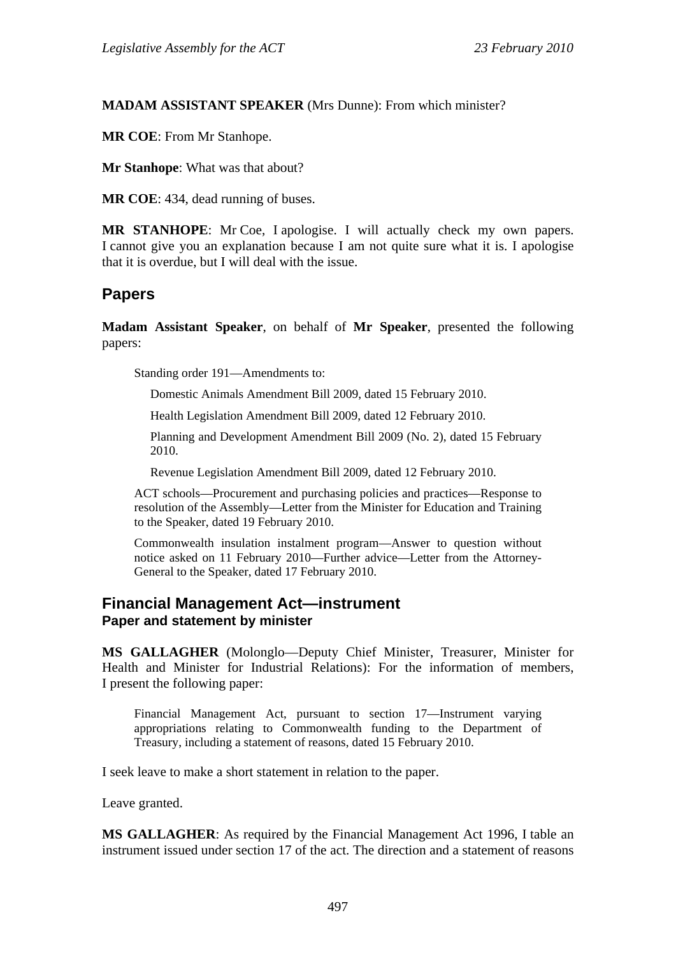### **MADAM ASSISTANT SPEAKER** (Mrs Dunne): From which minister?

**MR COE**: From Mr Stanhope.

**Mr Stanhope**: What was that about?

**MR COE**: 434, dead running of buses.

**MR STANHOPE**: Mr Coe, I apologise. I will actually check my own papers. I cannot give you an explanation because I am not quite sure what it is. I apologise that it is overdue, but I will deal with the issue.

# **Papers**

**Madam Assistant Speaker**, on behalf of **Mr Speaker**, presented the following papers:

Standing order 191—Amendments to:

Domestic Animals Amendment Bill 2009, dated 15 February 2010.

Health Legislation Amendment Bill 2009, dated 12 February 2010.

Planning and Development Amendment Bill 2009 (No. 2), dated 15 February 2010.

Revenue Legislation Amendment Bill 2009, dated 12 February 2010.

ACT schools—Procurement and purchasing policies and practices—Response to resolution of the Assembly—Letter from the Minister for Education and Training to the Speaker, dated 19 February 2010.

Commonwealth insulation instalment program—Answer to question without notice asked on 11 February 2010—Further advice—Letter from the Attorney-General to the Speaker, dated 17 February 2010.

# **Financial Management Act—instrument Paper and statement by minister**

**MS GALLAGHER** (Molonglo—Deputy Chief Minister, Treasurer, Minister for Health and Minister for Industrial Relations): For the information of members, I present the following paper:

Financial Management Act, pursuant to section 17—Instrument varying appropriations relating to Commonwealth funding to the Department of Treasury, including a statement of reasons, dated 15 February 2010.

I seek leave to make a short statement in relation to the paper.

Leave granted.

**MS GALLAGHER**: As required by the Financial Management Act 1996, I table an instrument issued under section 17 of the act. The direction and a statement of reasons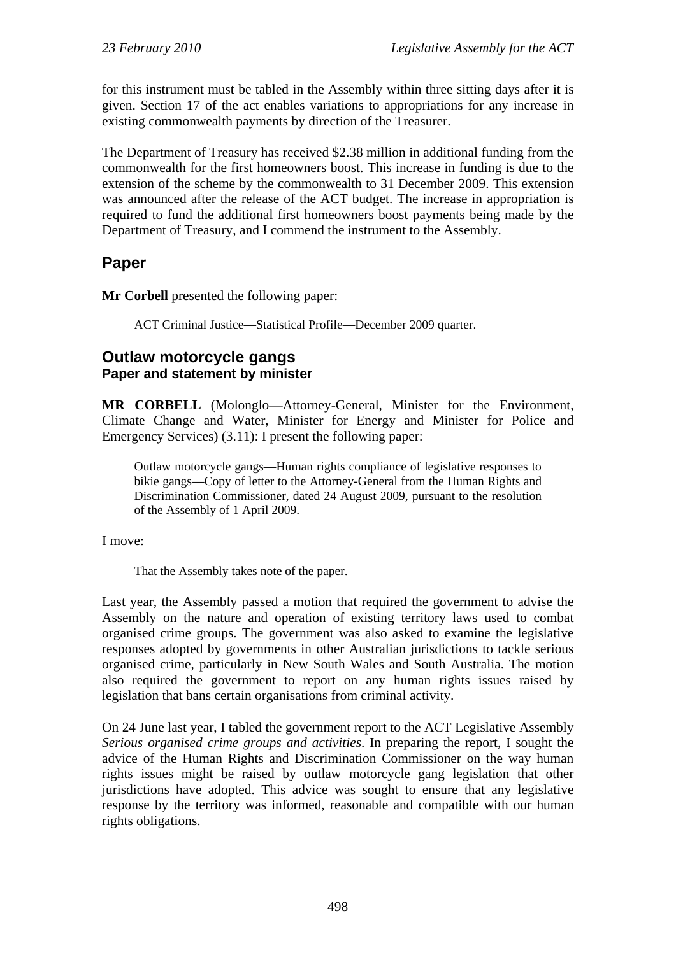for this instrument must be tabled in the Assembly within three sitting days after it is given. Section 17 of the act enables variations to appropriations for any increase in existing commonwealth payments by direction of the Treasurer.

The Department of Treasury has received \$2.38 million in additional funding from the commonwealth for the first homeowners boost. This increase in funding is due to the extension of the scheme by the commonwealth to 31 December 2009. This extension was announced after the release of the ACT budget. The increase in appropriation is required to fund the additional first homeowners boost payments being made by the Department of Treasury, and I commend the instrument to the Assembly.

# **Paper**

**Mr Corbell** presented the following paper:

ACT Criminal Justice—Statistical Profile—December 2009 quarter.

# **Outlaw motorcycle gangs Paper and statement by minister**

**MR CORBELL** (Molonglo—Attorney-General, Minister for the Environment, Climate Change and Water, Minister for Energy and Minister for Police and Emergency Services) (3.11): I present the following paper:

Outlaw motorcycle gangs—Human rights compliance of legislative responses to bikie gangs—Copy of letter to the Attorney-General from the Human Rights and Discrimination Commissioner, dated 24 August 2009, pursuant to the resolution of the Assembly of 1 April 2009.

I move:

That the Assembly takes note of the paper.

Last year, the Assembly passed a motion that required the government to advise the Assembly on the nature and operation of existing territory laws used to combat organised crime groups. The government was also asked to examine the legislative responses adopted by governments in other Australian jurisdictions to tackle serious organised crime, particularly in New South Wales and South Australia. The motion also required the government to report on any human rights issues raised by legislation that bans certain organisations from criminal activity.

On 24 June last year, I tabled the government report to the ACT Legislative Assembly *Serious organised crime groups and activities*. In preparing the report, I sought the advice of the Human Rights and Discrimination Commissioner on the way human rights issues might be raised by outlaw motorcycle gang legislation that other jurisdictions have adopted. This advice was sought to ensure that any legislative response by the territory was informed, reasonable and compatible with our human rights obligations.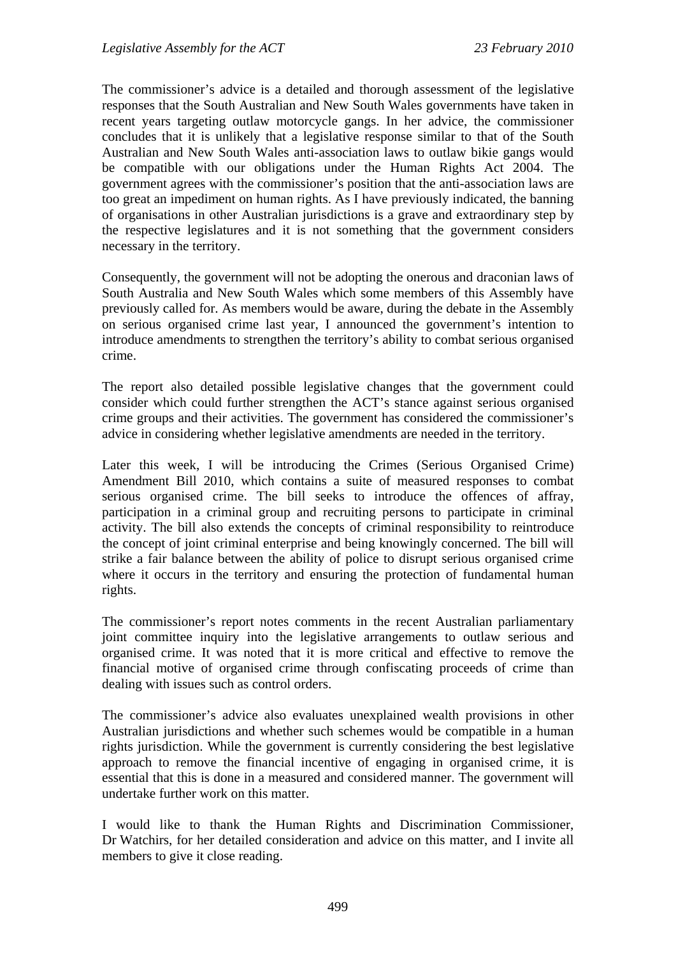The commissioner's advice is a detailed and thorough assessment of the legislative responses that the South Australian and New South Wales governments have taken in recent years targeting outlaw motorcycle gangs. In her advice, the commissioner concludes that it is unlikely that a legislative response similar to that of the South Australian and New South Wales anti-association laws to outlaw bikie gangs would be compatible with our obligations under the Human Rights Act 2004. The government agrees with the commissioner's position that the anti-association laws are too great an impediment on human rights. As I have previously indicated, the banning of organisations in other Australian jurisdictions is a grave and extraordinary step by the respective legislatures and it is not something that the government considers necessary in the territory.

Consequently, the government will not be adopting the onerous and draconian laws of South Australia and New South Wales which some members of this Assembly have previously called for. As members would be aware, during the debate in the Assembly on serious organised crime last year, I announced the government's intention to introduce amendments to strengthen the territory's ability to combat serious organised crime.

The report also detailed possible legislative changes that the government could consider which could further strengthen the ACT's stance against serious organised crime groups and their activities. The government has considered the commissioner's advice in considering whether legislative amendments are needed in the territory.

Later this week, I will be introducing the Crimes (Serious Organised Crime) Amendment Bill 2010, which contains a suite of measured responses to combat serious organised crime. The bill seeks to introduce the offences of affray, participation in a criminal group and recruiting persons to participate in criminal activity. The bill also extends the concepts of criminal responsibility to reintroduce the concept of joint criminal enterprise and being knowingly concerned. The bill will strike a fair balance between the ability of police to disrupt serious organised crime where it occurs in the territory and ensuring the protection of fundamental human rights.

The commissioner's report notes comments in the recent Australian parliamentary joint committee inquiry into the legislative arrangements to outlaw serious and organised crime. It was noted that it is more critical and effective to remove the financial motive of organised crime through confiscating proceeds of crime than dealing with issues such as control orders.

The commissioner's advice also evaluates unexplained wealth provisions in other Australian jurisdictions and whether such schemes would be compatible in a human rights jurisdiction. While the government is currently considering the best legislative approach to remove the financial incentive of engaging in organised crime, it is essential that this is done in a measured and considered manner. The government will undertake further work on this matter.

I would like to thank the Human Rights and Discrimination Commissioner, Dr Watchirs, for her detailed consideration and advice on this matter, and I invite all members to give it close reading.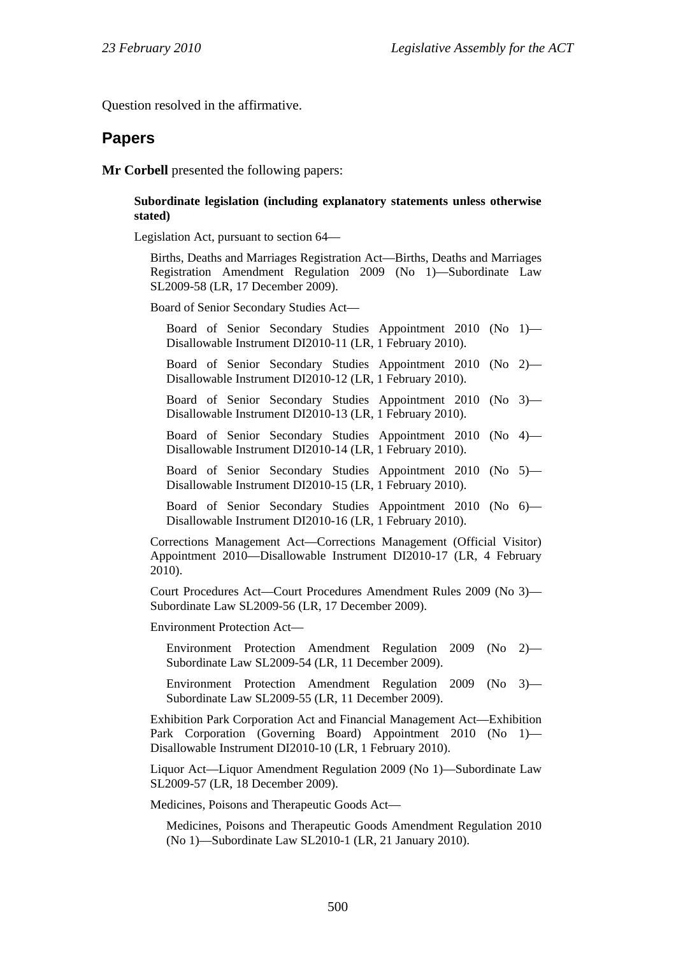Question resolved in the affirmative.

#### **Papers**

**Mr Corbell** presented the following papers:

**Subordinate legislation (including explanatory statements unless otherwise stated)** 

Legislation Act, pursuant to section 64—

Births, Deaths and Marriages Registration Act—Births, Deaths and Marriages Registration Amendment Regulation 2009 (No 1)—Subordinate Law SL2009-58 (LR, 17 December 2009).

Board of Senior Secondary Studies Act—

Board of Senior Secondary Studies Appointment 2010 (No 1)— Disallowable Instrument DI2010-11 (LR, 1 February 2010).

Board of Senior Secondary Studies Appointment 2010 (No 2)— Disallowable Instrument DI2010-12 (LR, 1 February 2010).

Board of Senior Secondary Studies Appointment 2010 (No 3)— Disallowable Instrument DI2010-13 (LR, 1 February 2010).

Board of Senior Secondary Studies Appointment 2010 (No 4)— Disallowable Instrument DI2010-14 (LR, 1 February 2010).

Board of Senior Secondary Studies Appointment 2010 (No 5)— Disallowable Instrument DI2010-15 (LR, 1 February 2010).

Board of Senior Secondary Studies Appointment 2010 (No 6)— Disallowable Instrument DI2010-16 (LR, 1 February 2010).

Corrections Management Act—Corrections Management (Official Visitor) Appointment 2010—Disallowable Instrument DI2010-17 (LR, 4 February 2010).

Court Procedures Act—Court Procedures Amendment Rules 2009 (No 3)— Subordinate Law SL2009-56 (LR, 17 December 2009).

Environment Protection Act—

Environment Protection Amendment Regulation 2009 (No 2)— Subordinate Law SL2009-54 (LR, 11 December 2009).

Environment Protection Amendment Regulation 2009 (No 3)— Subordinate Law SL2009-55 (LR, 11 December 2009).

Exhibition Park Corporation Act and Financial Management Act—Exhibition Park Corporation (Governing Board) Appointment 2010 (No 1)— Disallowable Instrument DI2010-10 (LR, 1 February 2010).

Liquor Act—Liquor Amendment Regulation 2009 (No 1)—Subordinate Law SL2009-57 (LR, 18 December 2009).

Medicines, Poisons and Therapeutic Goods Act—

Medicines, Poisons and Therapeutic Goods Amendment Regulation 2010 (No 1)—Subordinate Law SL2010-1 (LR, 21 January 2010).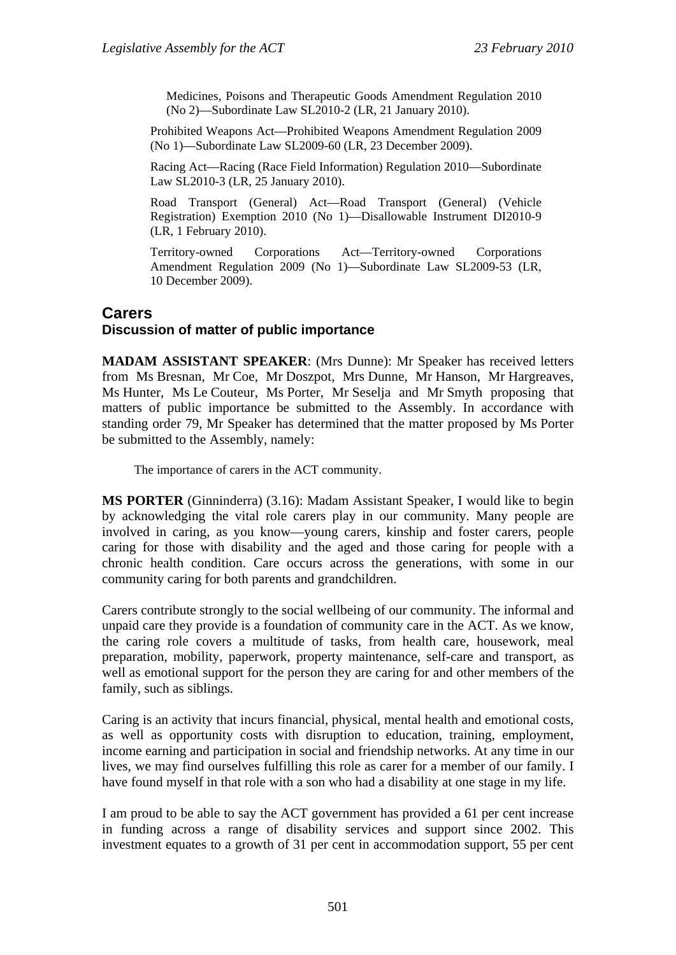Medicines, Poisons and Therapeutic Goods Amendment Regulation 2010 (No 2)—Subordinate Law SL2010-2 (LR, 21 January 2010).

Prohibited Weapons Act—Prohibited Weapons Amendment Regulation 2009 (No 1)—Subordinate Law SL2009-60 (LR, 23 December 2009).

Racing Act—Racing (Race Field Information) Regulation 2010—Subordinate Law SL2010-3 (LR, 25 January 2010).

Road Transport (General) Act—Road Transport (General) (Vehicle Registration) Exemption 2010 (No 1)—Disallowable Instrument DI2010-9 (LR, 1 February 2010).

Territory-owned Corporations Act—Territory-owned Corporations Amendment Regulation 2009 (No 1)—Subordinate Law SL2009-53 (LR, 10 December 2009).

### **Carers Discussion of matter of public importance**

**MADAM ASSISTANT SPEAKER**: (Mrs Dunne): Mr Speaker has received letters from Ms Bresnan, Mr Coe, Mr Doszpot, Mrs Dunne, Mr Hanson, Mr Hargreaves, Ms Hunter, Ms Le Couteur, Ms Porter, Mr Seselja and Mr Smyth proposing that matters of public importance be submitted to the Assembly. In accordance with standing order 79, Mr Speaker has determined that the matter proposed by Ms Porter be submitted to the Assembly, namely:

The importance of carers in the ACT community.

**MS PORTER** (Ginninderra) (3.16): Madam Assistant Speaker, I would like to begin by acknowledging the vital role carers play in our community. Many people are involved in caring, as you know—young carers, kinship and foster carers, people caring for those with disability and the aged and those caring for people with a chronic health condition. Care occurs across the generations, with some in our community caring for both parents and grandchildren.

Carers contribute strongly to the social wellbeing of our community. The informal and unpaid care they provide is a foundation of community care in the ACT. As we know, the caring role covers a multitude of tasks, from health care, housework, meal preparation, mobility, paperwork, property maintenance, self-care and transport, as well as emotional support for the person they are caring for and other members of the family, such as siblings.

Caring is an activity that incurs financial, physical, mental health and emotional costs, as well as opportunity costs with disruption to education, training, employment, income earning and participation in social and friendship networks. At any time in our lives, we may find ourselves fulfilling this role as carer for a member of our family. I have found myself in that role with a son who had a disability at one stage in my life.

I am proud to be able to say the ACT government has provided a 61 per cent increase in funding across a range of disability services and support since 2002. This investment equates to a growth of 31 per cent in accommodation support, 55 per cent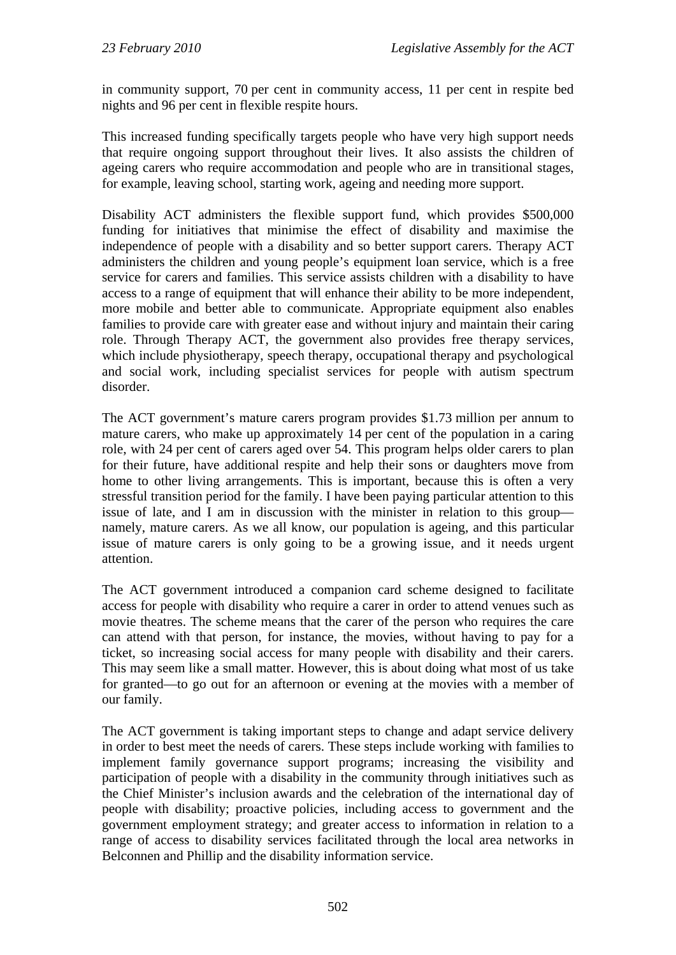in community support, 70 per cent in community access, 11 per cent in respite bed nights and 96 per cent in flexible respite hours.

This increased funding specifically targets people who have very high support needs that require ongoing support throughout their lives. It also assists the children of ageing carers who require accommodation and people who are in transitional stages, for example, leaving school, starting work, ageing and needing more support.

Disability ACT administers the flexible support fund, which provides \$500,000 funding for initiatives that minimise the effect of disability and maximise the independence of people with a disability and so better support carers. Therapy ACT administers the children and young people's equipment loan service, which is a free service for carers and families. This service assists children with a disability to have access to a range of equipment that will enhance their ability to be more independent, more mobile and better able to communicate. Appropriate equipment also enables families to provide care with greater ease and without injury and maintain their caring role. Through Therapy ACT, the government also provides free therapy services, which include physiotherapy, speech therapy, occupational therapy and psychological and social work, including specialist services for people with autism spectrum disorder.

The ACT government's mature carers program provides \$1.73 million per annum to mature carers, who make up approximately 14 per cent of the population in a caring role, with 24 per cent of carers aged over 54. This program helps older carers to plan for their future, have additional respite and help their sons or daughters move from home to other living arrangements. This is important, because this is often a very stressful transition period for the family. I have been paying particular attention to this issue of late, and I am in discussion with the minister in relation to this group namely, mature carers. As we all know, our population is ageing, and this particular issue of mature carers is only going to be a growing issue, and it needs urgent attention.

The ACT government introduced a companion card scheme designed to facilitate access for people with disability who require a carer in order to attend venues such as movie theatres. The scheme means that the carer of the person who requires the care can attend with that person, for instance, the movies, without having to pay for a ticket, so increasing social access for many people with disability and their carers. This may seem like a small matter. However, this is about doing what most of us take for granted—to go out for an afternoon or evening at the movies with a member of our family.

The ACT government is taking important steps to change and adapt service delivery in order to best meet the needs of carers. These steps include working with families to implement family governance support programs; increasing the visibility and participation of people with a disability in the community through initiatives such as the Chief Minister's inclusion awards and the celebration of the international day of people with disability; proactive policies, including access to government and the government employment strategy; and greater access to information in relation to a range of access to disability services facilitated through the local area networks in Belconnen and Phillip and the disability information service.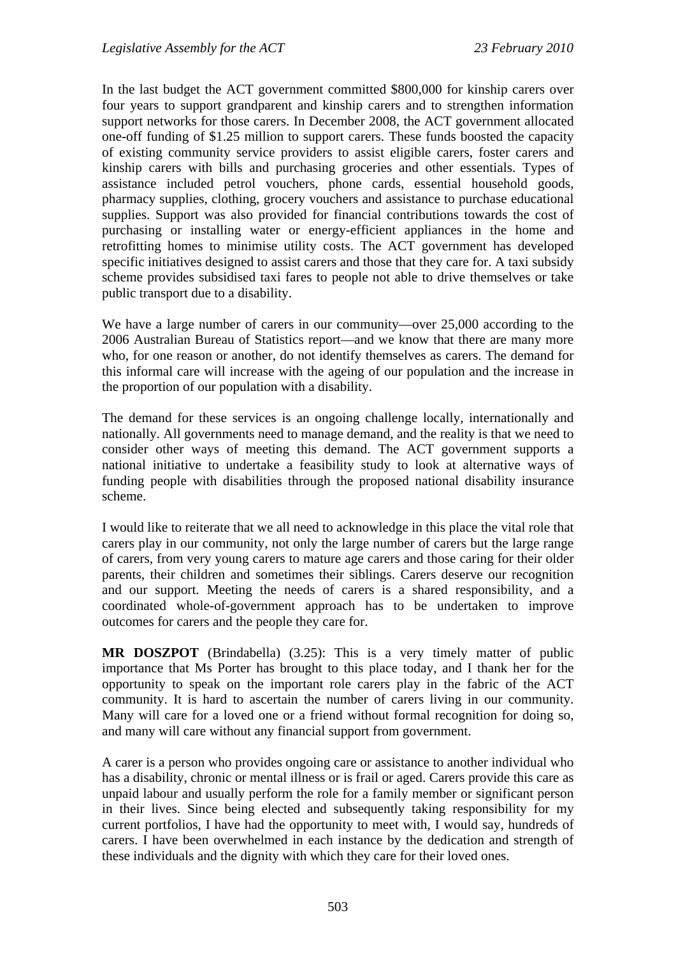In the last budget the ACT government committed \$800,000 for kinship carers over four years to support grandparent and kinship carers and to strengthen information support networks for those carers. In December 2008, the ACT government allocated one-off funding of \$1.25 million to support carers. These funds boosted the capacity of existing community service providers to assist eligible carers, foster carers and kinship carers with bills and purchasing groceries and other essentials. Types of assistance included petrol vouchers, phone cards, essential household goods, pharmacy supplies, clothing, grocery vouchers and assistance to purchase educational supplies. Support was also provided for financial contributions towards the cost of purchasing or installing water or energy-efficient appliances in the home and retrofitting homes to minimise utility costs. The ACT government has developed specific initiatives designed to assist carers and those that they care for. A taxi subsidy scheme provides subsidised taxi fares to people not able to drive themselves or take public transport due to a disability.

We have a large number of carers in our community—over 25,000 according to the 2006 Australian Bureau of Statistics report—and we know that there are many more who, for one reason or another, do not identify themselves as carers. The demand for this informal care will increase with the ageing of our population and the increase in the proportion of our population with a disability.

The demand for these services is an ongoing challenge locally, internationally and nationally. All governments need to manage demand, and the reality is that we need to consider other ways of meeting this demand. The ACT government supports a national initiative to undertake a feasibility study to look at alternative ways of funding people with disabilities through the proposed national disability insurance scheme.

I would like to reiterate that we all need to acknowledge in this place the vital role that carers play in our community, not only the large number of carers but the large range of carers, from very young carers to mature age carers and those caring for their older parents, their children and sometimes their siblings. Carers deserve our recognition and our support. Meeting the needs of carers is a shared responsibility, and a coordinated whole-of-government approach has to be undertaken to improve outcomes for carers and the people they care for.

**MR DOSZPOT** (Brindabella) (3.25): This is a very timely matter of public importance that Ms Porter has brought to this place today, and I thank her for the opportunity to speak on the important role carers play in the fabric of the ACT community. It is hard to ascertain the number of carers living in our community. Many will care for a loved one or a friend without formal recognition for doing so, and many will care without any financial support from government.

A carer is a person who provides ongoing care or assistance to another individual who has a disability, chronic or mental illness or is frail or aged. Carers provide this care as unpaid labour and usually perform the role for a family member or significant person in their lives. Since being elected and subsequently taking responsibility for my current portfolios, I have had the opportunity to meet with, I would say, hundreds of carers. I have been overwhelmed in each instance by the dedication and strength of these individuals and the dignity with which they care for their loved ones.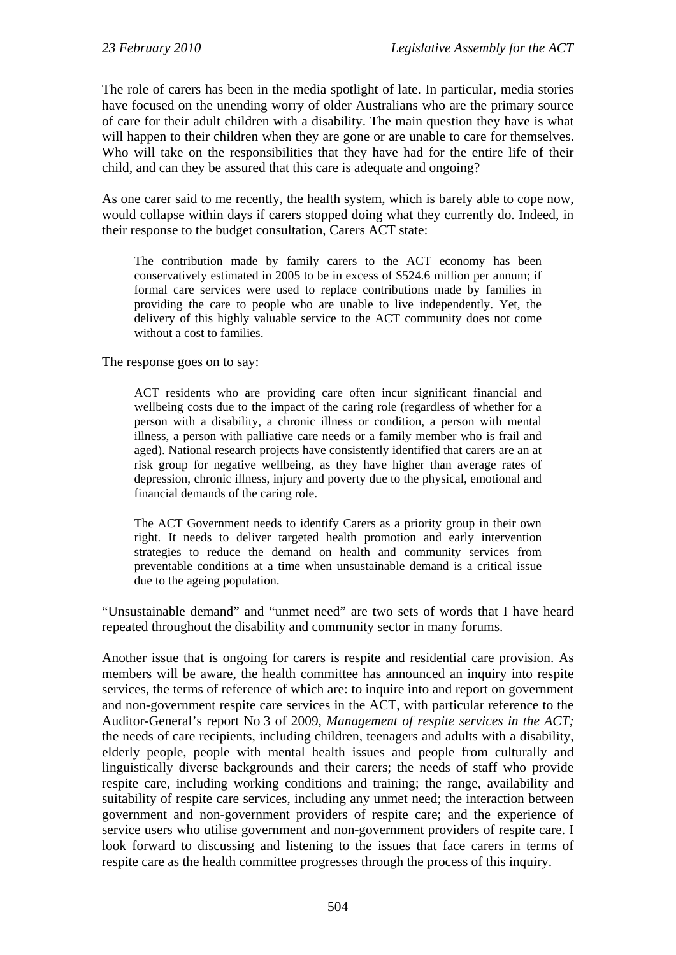The role of carers has been in the media spotlight of late. In particular, media stories have focused on the unending worry of older Australians who are the primary source of care for their adult children with a disability. The main question they have is what will happen to their children when they are gone or are unable to care for themselves. Who will take on the responsibilities that they have had for the entire life of their child, and can they be assured that this care is adequate and ongoing?

As one carer said to me recently, the health system, which is barely able to cope now, would collapse within days if carers stopped doing what they currently do. Indeed, in their response to the budget consultation, Carers ACT state:

The contribution made by family carers to the ACT economy has been conservatively estimated in 2005 to be in excess of \$524.6 million per annum; if formal care services were used to replace contributions made by families in providing the care to people who are unable to live independently. Yet, the delivery of this highly valuable service to the ACT community does not come without a cost to families.

The response goes on to say:

ACT residents who are providing care often incur significant financial and wellbeing costs due to the impact of the caring role (regardless of whether for a person with a disability, a chronic illness or condition, a person with mental illness, a person with palliative care needs or a family member who is frail and aged). National research projects have consistently identified that carers are an at risk group for negative wellbeing, as they have higher than average rates of depression, chronic illness, injury and poverty due to the physical, emotional and financial demands of the caring role.

The ACT Government needs to identify Carers as a priority group in their own right. It needs to deliver targeted health promotion and early intervention strategies to reduce the demand on health and community services from preventable conditions at a time when unsustainable demand is a critical issue due to the ageing population.

"Unsustainable demand" and "unmet need" are two sets of words that I have heard repeated throughout the disability and community sector in many forums.

Another issue that is ongoing for carers is respite and residential care provision. As members will be aware, the health committee has announced an inquiry into respite services, the terms of reference of which are: to inquire into and report on government and non-government respite care services in the ACT, with particular reference to the Auditor-General's report No 3 of 2009, *Management of respite services in the ACT;* the needs of care recipients, including children, teenagers and adults with a disability, elderly people, people with mental health issues and people from culturally and linguistically diverse backgrounds and their carers; the needs of staff who provide respite care, including working conditions and training; the range, availability and suitability of respite care services, including any unmet need; the interaction between government and non-government providers of respite care; and the experience of service users who utilise government and non-government providers of respite care. I look forward to discussing and listening to the issues that face carers in terms of respite care as the health committee progresses through the process of this inquiry.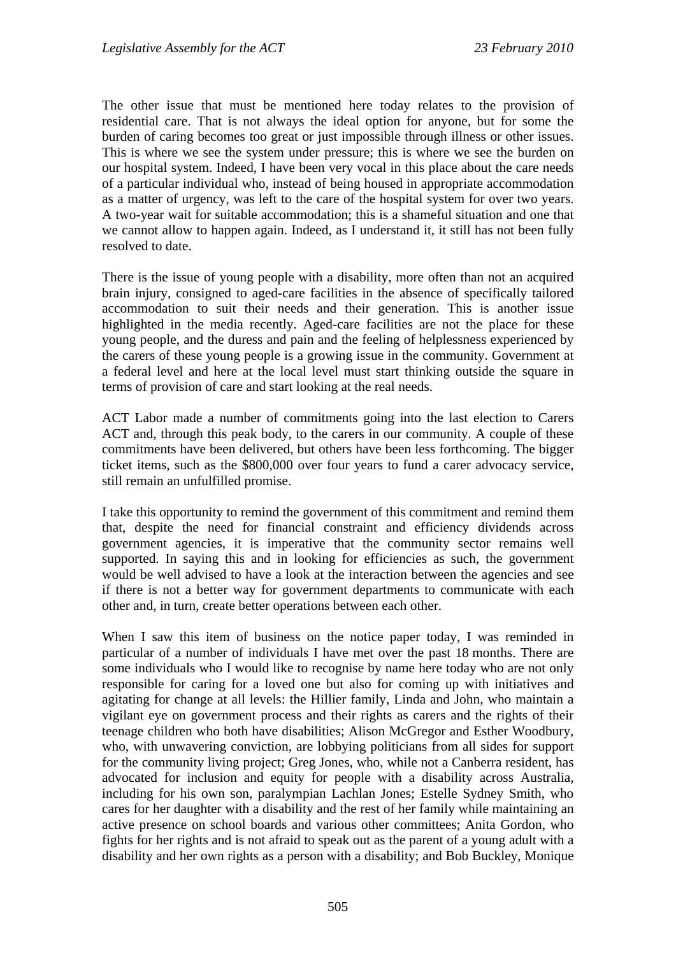The other issue that must be mentioned here today relates to the provision of residential care. That is not always the ideal option for anyone, but for some the burden of caring becomes too great or just impossible through illness or other issues. This is where we see the system under pressure; this is where we see the burden on our hospital system. Indeed, I have been very vocal in this place about the care needs of a particular individual who, instead of being housed in appropriate accommodation as a matter of urgency, was left to the care of the hospital system for over two years. A two-year wait for suitable accommodation; this is a shameful situation and one that we cannot allow to happen again. Indeed, as I understand it, it still has not been fully resolved to date.

There is the issue of young people with a disability, more often than not an acquired brain injury, consigned to aged-care facilities in the absence of specifically tailored accommodation to suit their needs and their generation. This is another issue highlighted in the media recently. Aged-care facilities are not the place for these young people, and the duress and pain and the feeling of helplessness experienced by the carers of these young people is a growing issue in the community. Government at a federal level and here at the local level must start thinking outside the square in terms of provision of care and start looking at the real needs.

ACT Labor made a number of commitments going into the last election to Carers ACT and, through this peak body, to the carers in our community. A couple of these commitments have been delivered, but others have been less forthcoming. The bigger ticket items, such as the \$800,000 over four years to fund a carer advocacy service, still remain an unfulfilled promise.

I take this opportunity to remind the government of this commitment and remind them that, despite the need for financial constraint and efficiency dividends across government agencies, it is imperative that the community sector remains well supported. In saying this and in looking for efficiencies as such, the government would be well advised to have a look at the interaction between the agencies and see if there is not a better way for government departments to communicate with each other and, in turn, create better operations between each other.

When I saw this item of business on the notice paper today, I was reminded in particular of a number of individuals I have met over the past 18 months. There are some individuals who I would like to recognise by name here today who are not only responsible for caring for a loved one but also for coming up with initiatives and agitating for change at all levels: the Hillier family, Linda and John, who maintain a vigilant eye on government process and their rights as carers and the rights of their teenage children who both have disabilities; Alison McGregor and Esther Woodbury, who, with unwavering conviction, are lobbying politicians from all sides for support for the community living project; Greg Jones, who, while not a Canberra resident, has advocated for inclusion and equity for people with a disability across Australia, including for his own son, paralympian Lachlan Jones; Estelle Sydney Smith, who cares for her daughter with a disability and the rest of her family while maintaining an active presence on school boards and various other committees; Anita Gordon, who fights for her rights and is not afraid to speak out as the parent of a young adult with a disability and her own rights as a person with a disability; and Bob Buckley, Monique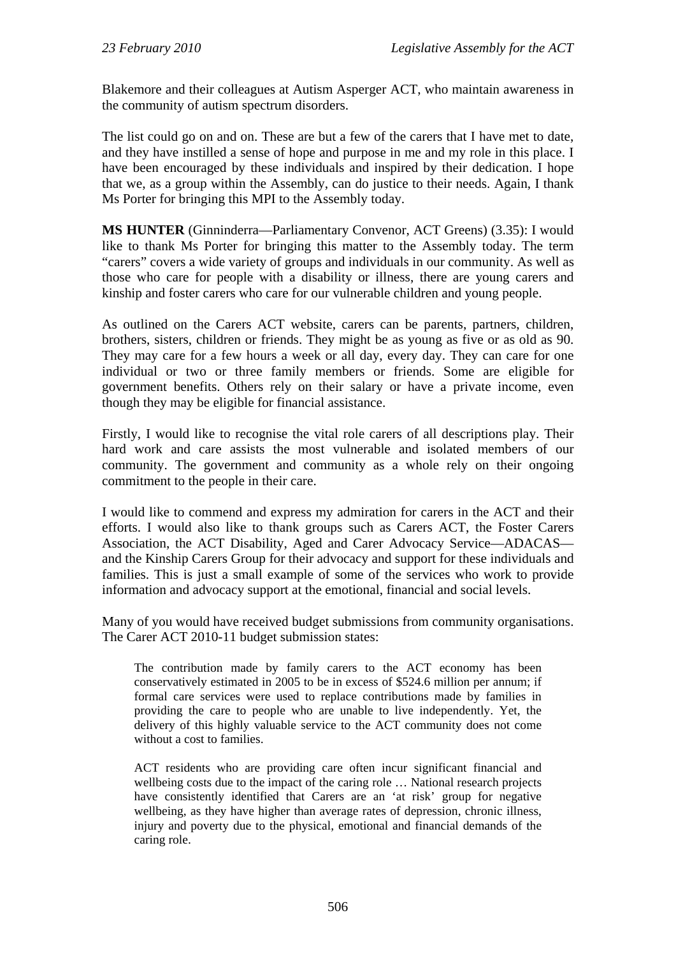Blakemore and their colleagues at Autism Asperger ACT, who maintain awareness in the community of autism spectrum disorders.

The list could go on and on. These are but a few of the carers that I have met to date, and they have instilled a sense of hope and purpose in me and my role in this place. I have been encouraged by these individuals and inspired by their dedication. I hope that we, as a group within the Assembly, can do justice to their needs. Again, I thank Ms Porter for bringing this MPI to the Assembly today.

**MS HUNTER** (Ginninderra—Parliamentary Convenor, ACT Greens) (3.35): I would like to thank Ms Porter for bringing this matter to the Assembly today. The term "carers" covers a wide variety of groups and individuals in our community. As well as those who care for people with a disability or illness, there are young carers and kinship and foster carers who care for our vulnerable children and young people.

As outlined on the Carers ACT website, carers can be parents, partners, children, brothers, sisters, children or friends. They might be as young as five or as old as 90. They may care for a few hours a week or all day, every day. They can care for one individual or two or three family members or friends. Some are eligible for government benefits. Others rely on their salary or have a private income, even though they may be eligible for financial assistance.

Firstly, I would like to recognise the vital role carers of all descriptions play. Their hard work and care assists the most vulnerable and isolated members of our community. The government and community as a whole rely on their ongoing commitment to the people in their care.

I would like to commend and express my admiration for carers in the ACT and their efforts. I would also like to thank groups such as Carers ACT, the Foster Carers Association, the ACT Disability, Aged and Carer Advocacy Service—ADACAS and the Kinship Carers Group for their advocacy and support for these individuals and families. This is just a small example of some of the services who work to provide information and advocacy support at the emotional, financial and social levels.

Many of you would have received budget submissions from community organisations. The Carer ACT 2010-11 budget submission states:

The contribution made by family carers to the ACT economy has been conservatively estimated in 2005 to be in excess of \$524.6 million per annum; if formal care services were used to replace contributions made by families in providing the care to people who are unable to live independently. Yet, the delivery of this highly valuable service to the ACT community does not come without a cost to families.

ACT residents who are providing care often incur significant financial and wellbeing costs due to the impact of the caring role … National research projects have consistently identified that Carers are an 'at risk' group for negative wellbeing, as they have higher than average rates of depression, chronic illness, injury and poverty due to the physical, emotional and financial demands of the caring role.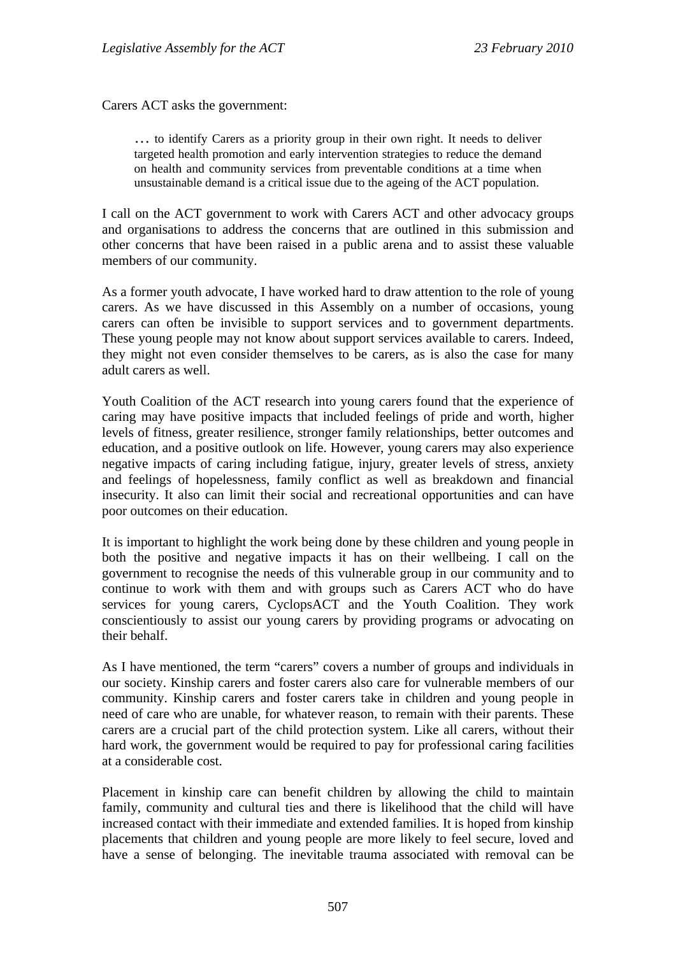Carers ACT asks the government:

… to identify Carers as a priority group in their own right. It needs to deliver targeted health promotion and early intervention strategies to reduce the demand on health and community services from preventable conditions at a time when unsustainable demand is a critical issue due to the ageing of the ACT population.

I call on the ACT government to work with Carers ACT and other advocacy groups and organisations to address the concerns that are outlined in this submission and other concerns that have been raised in a public arena and to assist these valuable members of our community.

As a former youth advocate, I have worked hard to draw attention to the role of young carers. As we have discussed in this Assembly on a number of occasions, young carers can often be invisible to support services and to government departments. These young people may not know about support services available to carers. Indeed, they might not even consider themselves to be carers, as is also the case for many adult carers as well.

Youth Coalition of the ACT research into young carers found that the experience of caring may have positive impacts that included feelings of pride and worth, higher levels of fitness, greater resilience, stronger family relationships, better outcomes and education, and a positive outlook on life. However, young carers may also experience negative impacts of caring including fatigue, injury, greater levels of stress, anxiety and feelings of hopelessness, family conflict as well as breakdown and financial insecurity. It also can limit their social and recreational opportunities and can have poor outcomes on their education.

It is important to highlight the work being done by these children and young people in both the positive and negative impacts it has on their wellbeing. I call on the government to recognise the needs of this vulnerable group in our community and to continue to work with them and with groups such as Carers ACT who do have services for young carers, CyclopsACT and the Youth Coalition. They work conscientiously to assist our young carers by providing programs or advocating on their behalf.

As I have mentioned, the term "carers" covers a number of groups and individuals in our society. Kinship carers and foster carers also care for vulnerable members of our community. Kinship carers and foster carers take in children and young people in need of care who are unable, for whatever reason, to remain with their parents. These carers are a crucial part of the child protection system. Like all carers, without their hard work, the government would be required to pay for professional caring facilities at a considerable cost.

Placement in kinship care can benefit children by allowing the child to maintain family, community and cultural ties and there is likelihood that the child will have increased contact with their immediate and extended families. It is hoped from kinship placements that children and young people are more likely to feel secure, loved and have a sense of belonging. The inevitable trauma associated with removal can be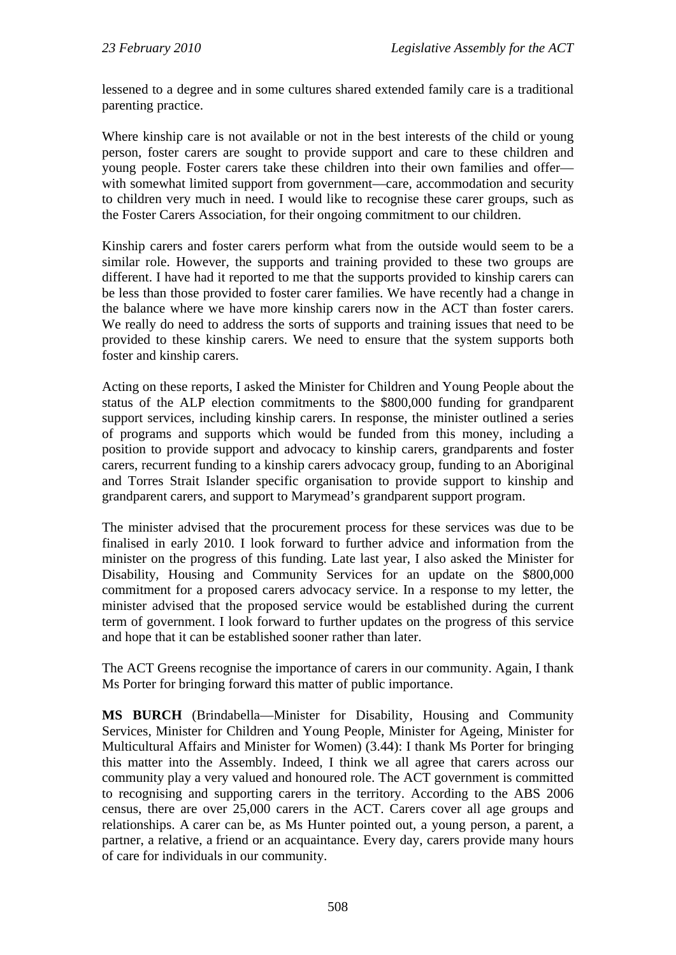lessened to a degree and in some cultures shared extended family care is a traditional parenting practice.

Where kinship care is not available or not in the best interests of the child or young person, foster carers are sought to provide support and care to these children and young people. Foster carers take these children into their own families and offer with somewhat limited support from government—care, accommodation and security to children very much in need. I would like to recognise these carer groups, such as the Foster Carers Association, for their ongoing commitment to our children.

Kinship carers and foster carers perform what from the outside would seem to be a similar role. However, the supports and training provided to these two groups are different. I have had it reported to me that the supports provided to kinship carers can be less than those provided to foster carer families. We have recently had a change in the balance where we have more kinship carers now in the ACT than foster carers. We really do need to address the sorts of supports and training issues that need to be provided to these kinship carers. We need to ensure that the system supports both foster and kinship carers.

Acting on these reports, I asked the Minister for Children and Young People about the status of the ALP election commitments to the \$800,000 funding for grandparent support services, including kinship carers. In response, the minister outlined a series of programs and supports which would be funded from this money, including a position to provide support and advocacy to kinship carers, grandparents and foster carers, recurrent funding to a kinship carers advocacy group, funding to an Aboriginal and Torres Strait Islander specific organisation to provide support to kinship and grandparent carers, and support to Marymead's grandparent support program.

The minister advised that the procurement process for these services was due to be finalised in early 2010. I look forward to further advice and information from the minister on the progress of this funding. Late last year, I also asked the Minister for Disability, Housing and Community Services for an update on the \$800,000 commitment for a proposed carers advocacy service. In a response to my letter, the minister advised that the proposed service would be established during the current term of government. I look forward to further updates on the progress of this service and hope that it can be established sooner rather than later.

The ACT Greens recognise the importance of carers in our community. Again, I thank Ms Porter for bringing forward this matter of public importance.

**MS BURCH** (Brindabella—Minister for Disability, Housing and Community Services, Minister for Children and Young People, Minister for Ageing, Minister for Multicultural Affairs and Minister for Women) (3.44): I thank Ms Porter for bringing this matter into the Assembly. Indeed, I think we all agree that carers across our community play a very valued and honoured role. The ACT government is committed to recognising and supporting carers in the territory. According to the ABS 2006 census, there are over 25,000 carers in the ACT. Carers cover all age groups and relationships. A carer can be, as Ms Hunter pointed out, a young person, a parent, a partner, a relative, a friend or an acquaintance. Every day, carers provide many hours of care for individuals in our community.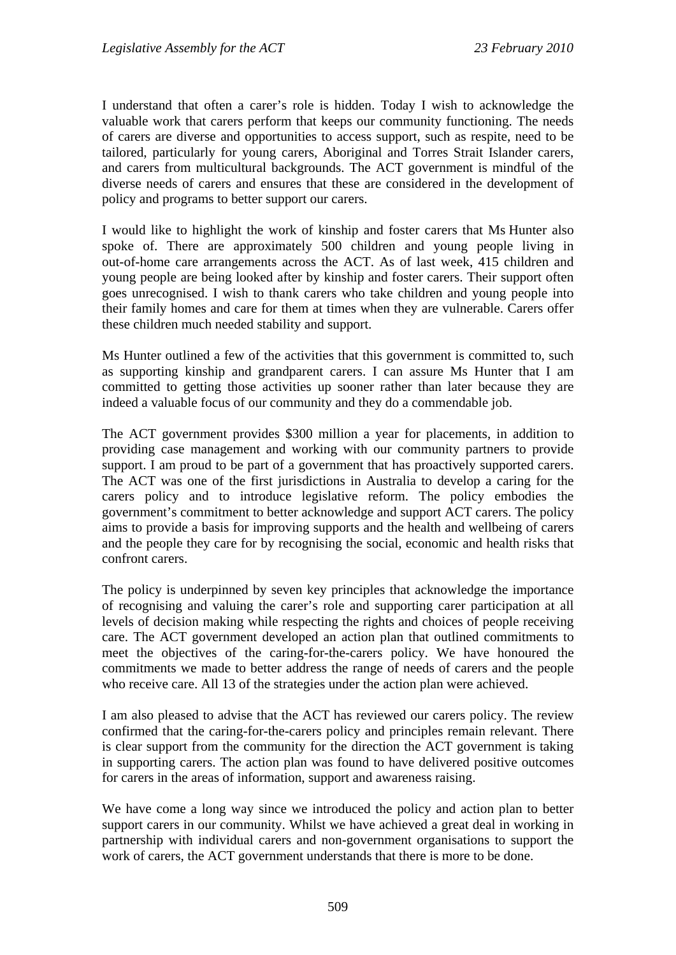I understand that often a carer's role is hidden. Today I wish to acknowledge the valuable work that carers perform that keeps our community functioning. The needs of carers are diverse and opportunities to access support, such as respite, need to be tailored, particularly for young carers, Aboriginal and Torres Strait Islander carers, and carers from multicultural backgrounds. The ACT government is mindful of the diverse needs of carers and ensures that these are considered in the development of policy and programs to better support our carers.

I would like to highlight the work of kinship and foster carers that Ms Hunter also spoke of. There are approximately 500 children and young people living in out-of-home care arrangements across the ACT. As of last week, 415 children and young people are being looked after by kinship and foster carers. Their support often goes unrecognised. I wish to thank carers who take children and young people into their family homes and care for them at times when they are vulnerable. Carers offer these children much needed stability and support.

Ms Hunter outlined a few of the activities that this government is committed to, such as supporting kinship and grandparent carers. I can assure Ms Hunter that I am committed to getting those activities up sooner rather than later because they are indeed a valuable focus of our community and they do a commendable job.

The ACT government provides \$300 million a year for placements, in addition to providing case management and working with our community partners to provide support. I am proud to be part of a government that has proactively supported carers. The ACT was one of the first jurisdictions in Australia to develop a caring for the carers policy and to introduce legislative reform. The policy embodies the government's commitment to better acknowledge and support ACT carers. The policy aims to provide a basis for improving supports and the health and wellbeing of carers and the people they care for by recognising the social, economic and health risks that confront carers.

The policy is underpinned by seven key principles that acknowledge the importance of recognising and valuing the carer's role and supporting carer participation at all levels of decision making while respecting the rights and choices of people receiving care. The ACT government developed an action plan that outlined commitments to meet the objectives of the caring-for-the-carers policy. We have honoured the commitments we made to better address the range of needs of carers and the people who receive care. All 13 of the strategies under the action plan were achieved.

I am also pleased to advise that the ACT has reviewed our carers policy. The review confirmed that the caring-for-the-carers policy and principles remain relevant. There is clear support from the community for the direction the ACT government is taking in supporting carers. The action plan was found to have delivered positive outcomes for carers in the areas of information, support and awareness raising.

We have come a long way since we introduced the policy and action plan to better support carers in our community. Whilst we have achieved a great deal in working in partnership with individual carers and non-government organisations to support the work of carers, the ACT government understands that there is more to be done.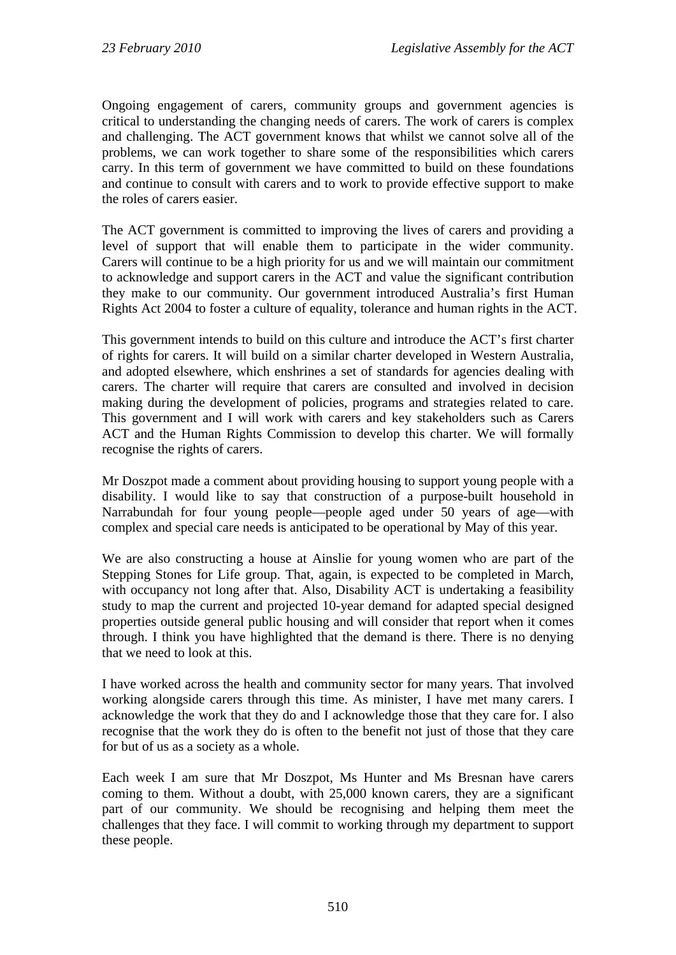Ongoing engagement of carers, community groups and government agencies is critical to understanding the changing needs of carers. The work of carers is complex and challenging. The ACT government knows that whilst we cannot solve all of the problems, we can work together to share some of the responsibilities which carers carry. In this term of government we have committed to build on these foundations and continue to consult with carers and to work to provide effective support to make the roles of carers easier.

The ACT government is committed to improving the lives of carers and providing a level of support that will enable them to participate in the wider community. Carers will continue to be a high priority for us and we will maintain our commitment to acknowledge and support carers in the ACT and value the significant contribution they make to our community. Our government introduced Australia's first Human Rights Act 2004 to foster a culture of equality, tolerance and human rights in the ACT.

This government intends to build on this culture and introduce the ACT's first charter of rights for carers. It will build on a similar charter developed in Western Australia, and adopted elsewhere, which enshrines a set of standards for agencies dealing with carers. The charter will require that carers are consulted and involved in decision making during the development of policies, programs and strategies related to care. This government and I will work with carers and key stakeholders such as Carers ACT and the Human Rights Commission to develop this charter. We will formally recognise the rights of carers.

Mr Doszpot made a comment about providing housing to support young people with a disability. I would like to say that construction of a purpose-built household in Narrabundah for four young people—people aged under 50 years of age—with complex and special care needs is anticipated to be operational by May of this year.

We are also constructing a house at Ainslie for young women who are part of the Stepping Stones for Life group. That, again, is expected to be completed in March, with occupancy not long after that. Also, Disability ACT is undertaking a feasibility study to map the current and projected 10-year demand for adapted special designed properties outside general public housing and will consider that report when it comes through. I think you have highlighted that the demand is there. There is no denying that we need to look at this.

I have worked across the health and community sector for many years. That involved working alongside carers through this time. As minister, I have met many carers. I acknowledge the work that they do and I acknowledge those that they care for. I also recognise that the work they do is often to the benefit not just of those that they care for but of us as a society as a whole.

Each week I am sure that Mr Doszpot, Ms Hunter and Ms Bresnan have carers coming to them. Without a doubt, with 25,000 known carers, they are a significant part of our community. We should be recognising and helping them meet the challenges that they face. I will commit to working through my department to support these people.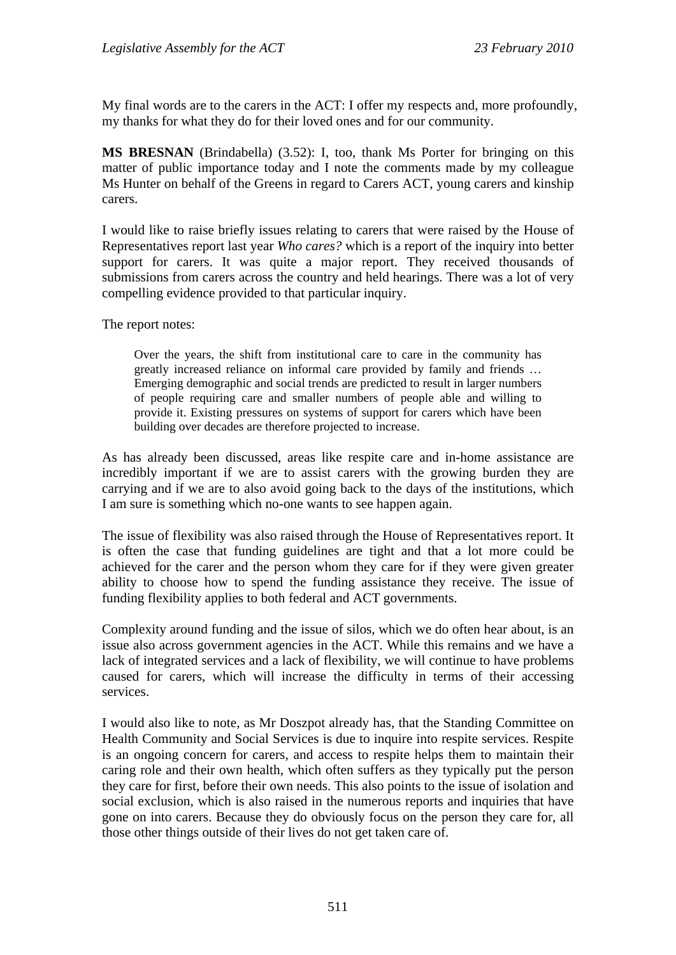My final words are to the carers in the ACT: I offer my respects and, more profoundly, my thanks for what they do for their loved ones and for our community.

**MS BRESNAN** (Brindabella) (3.52): I, too, thank Ms Porter for bringing on this matter of public importance today and I note the comments made by my colleague Ms Hunter on behalf of the Greens in regard to Carers ACT, young carers and kinship carers.

I would like to raise briefly issues relating to carers that were raised by the House of Representatives report last year *Who cares?* which is a report of the inquiry into better support for carers. It was quite a major report. They received thousands of submissions from carers across the country and held hearings. There was a lot of very compelling evidence provided to that particular inquiry.

The report notes:

Over the years, the shift from institutional care to care in the community has greatly increased reliance on informal care provided by family and friends … Emerging demographic and social trends are predicted to result in larger numbers of people requiring care and smaller numbers of people able and willing to provide it. Existing pressures on systems of support for carers which have been building over decades are therefore projected to increase.

As has already been discussed, areas like respite care and in-home assistance are incredibly important if we are to assist carers with the growing burden they are carrying and if we are to also avoid going back to the days of the institutions, which I am sure is something which no-one wants to see happen again.

The issue of flexibility was also raised through the House of Representatives report. It is often the case that funding guidelines are tight and that a lot more could be achieved for the carer and the person whom they care for if they were given greater ability to choose how to spend the funding assistance they receive. The issue of funding flexibility applies to both federal and ACT governments.

Complexity around funding and the issue of silos, which we do often hear about, is an issue also across government agencies in the ACT. While this remains and we have a lack of integrated services and a lack of flexibility, we will continue to have problems caused for carers, which will increase the difficulty in terms of their accessing services.

I would also like to note, as Mr Doszpot already has, that the Standing Committee on Health Community and Social Services is due to inquire into respite services. Respite is an ongoing concern for carers, and access to respite helps them to maintain their caring role and their own health, which often suffers as they typically put the person they care for first, before their own needs. This also points to the issue of isolation and social exclusion, which is also raised in the numerous reports and inquiries that have gone on into carers. Because they do obviously focus on the person they care for, all those other things outside of their lives do not get taken care of.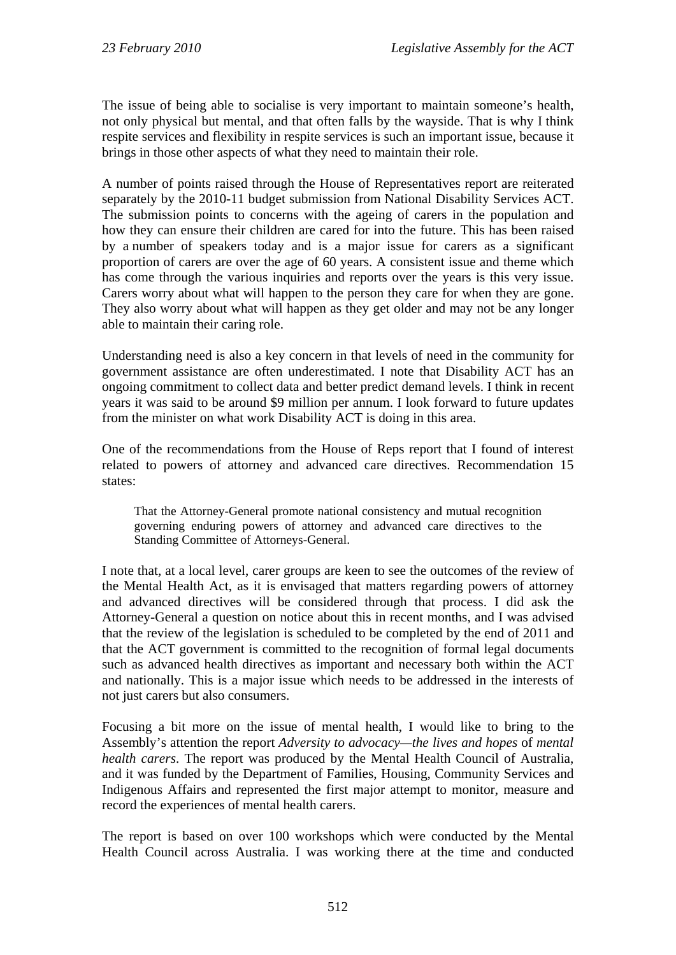The issue of being able to socialise is very important to maintain someone's health, not only physical but mental, and that often falls by the wayside. That is why I think respite services and flexibility in respite services is such an important issue, because it brings in those other aspects of what they need to maintain their role.

A number of points raised through the House of Representatives report are reiterated separately by the 2010-11 budget submission from National Disability Services ACT. The submission points to concerns with the ageing of carers in the population and how they can ensure their children are cared for into the future. This has been raised by a number of speakers today and is a major issue for carers as a significant proportion of carers are over the age of 60 years. A consistent issue and theme which has come through the various inquiries and reports over the years is this very issue. Carers worry about what will happen to the person they care for when they are gone. They also worry about what will happen as they get older and may not be any longer able to maintain their caring role.

Understanding need is also a key concern in that levels of need in the community for government assistance are often underestimated. I note that Disability ACT has an ongoing commitment to collect data and better predict demand levels. I think in recent years it was said to be around \$9 million per annum. I look forward to future updates from the minister on what work Disability ACT is doing in this area.

One of the recommendations from the House of Reps report that I found of interest related to powers of attorney and advanced care directives. Recommendation 15 states:

That the Attorney-General promote national consistency and mutual recognition governing enduring powers of attorney and advanced care directives to the Standing Committee of Attorneys-General.

I note that, at a local level, carer groups are keen to see the outcomes of the review of the Mental Health Act, as it is envisaged that matters regarding powers of attorney and advanced directives will be considered through that process. I did ask the Attorney-General a question on notice about this in recent months, and I was advised that the review of the legislation is scheduled to be completed by the end of 2011 and that the ACT government is committed to the recognition of formal legal documents such as advanced health directives as important and necessary both within the ACT and nationally. This is a major issue which needs to be addressed in the interests of not just carers but also consumers.

Focusing a bit more on the issue of mental health, I would like to bring to the Assembly's attention the report *Adversity to advocacy—the lives and hopes* of *mental health carers*. The report was produced by the Mental Health Council of Australia, and it was funded by the Department of Families, Housing, Community Services and Indigenous Affairs and represented the first major attempt to monitor, measure and record the experiences of mental health carers.

The report is based on over 100 workshops which were conducted by the Mental Health Council across Australia. I was working there at the time and conducted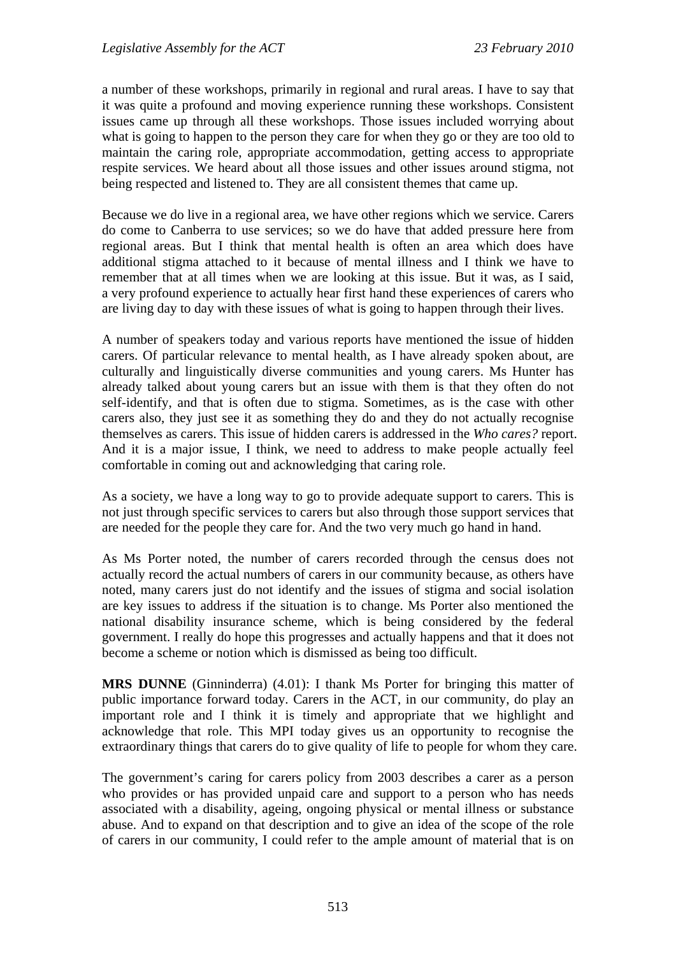a number of these workshops, primarily in regional and rural areas. I have to say that it was quite a profound and moving experience running these workshops. Consistent issues came up through all these workshops. Those issues included worrying about what is going to happen to the person they care for when they go or they are too old to maintain the caring role, appropriate accommodation, getting access to appropriate respite services. We heard about all those issues and other issues around stigma, not being respected and listened to. They are all consistent themes that came up.

Because we do live in a regional area, we have other regions which we service. Carers do come to Canberra to use services; so we do have that added pressure here from regional areas. But I think that mental health is often an area which does have additional stigma attached to it because of mental illness and I think we have to remember that at all times when we are looking at this issue. But it was, as I said, a very profound experience to actually hear first hand these experiences of carers who are living day to day with these issues of what is going to happen through their lives.

A number of speakers today and various reports have mentioned the issue of hidden carers. Of particular relevance to mental health, as I have already spoken about, are culturally and linguistically diverse communities and young carers. Ms Hunter has already talked about young carers but an issue with them is that they often do not self-identify, and that is often due to stigma. Sometimes, as is the case with other carers also, they just see it as something they do and they do not actually recognise themselves as carers. This issue of hidden carers is addressed in the *Who cares?* report. And it is a major issue, I think, we need to address to make people actually feel comfortable in coming out and acknowledging that caring role.

As a society, we have a long way to go to provide adequate support to carers. This is not just through specific services to carers but also through those support services that are needed for the people they care for. And the two very much go hand in hand.

As Ms Porter noted, the number of carers recorded through the census does not actually record the actual numbers of carers in our community because, as others have noted, many carers just do not identify and the issues of stigma and social isolation are key issues to address if the situation is to change. Ms Porter also mentioned the national disability insurance scheme, which is being considered by the federal government. I really do hope this progresses and actually happens and that it does not become a scheme or notion which is dismissed as being too difficult.

**MRS DUNNE** (Ginninderra) (4.01): I thank Ms Porter for bringing this matter of public importance forward today. Carers in the ACT, in our community, do play an important role and I think it is timely and appropriate that we highlight and acknowledge that role. This MPI today gives us an opportunity to recognise the extraordinary things that carers do to give quality of life to people for whom they care.

The government's caring for carers policy from 2003 describes a carer as a person who provides or has provided unpaid care and support to a person who has needs associated with a disability, ageing, ongoing physical or mental illness or substance abuse. And to expand on that description and to give an idea of the scope of the role of carers in our community, I could refer to the ample amount of material that is on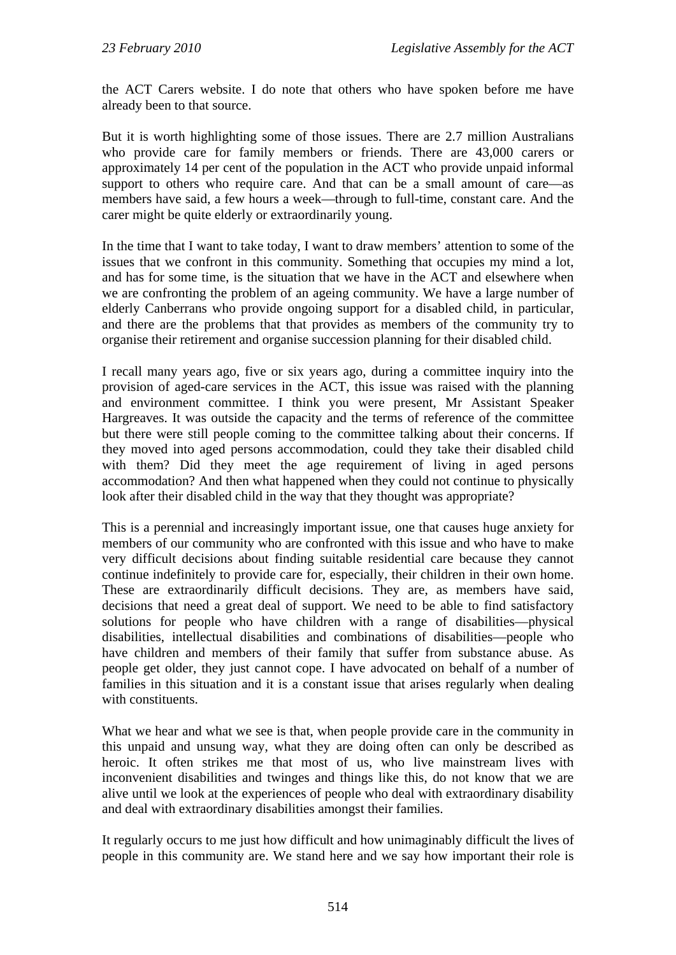the ACT Carers website. I do note that others who have spoken before me have already been to that source.

But it is worth highlighting some of those issues. There are 2.7 million Australians who provide care for family members or friends. There are 43,000 carers or approximately 14 per cent of the population in the ACT who provide unpaid informal support to others who require care. And that can be a small amount of care—as members have said, a few hours a week—through to full-time, constant care. And the carer might be quite elderly or extraordinarily young.

In the time that I want to take today, I want to draw members' attention to some of the issues that we confront in this community. Something that occupies my mind a lot, and has for some time, is the situation that we have in the ACT and elsewhere when we are confronting the problem of an ageing community. We have a large number of elderly Canberrans who provide ongoing support for a disabled child, in particular, and there are the problems that that provides as members of the community try to organise their retirement and organise succession planning for their disabled child.

I recall many years ago, five or six years ago, during a committee inquiry into the provision of aged-care services in the ACT, this issue was raised with the planning and environment committee. I think you were present, Mr Assistant Speaker Hargreaves. It was outside the capacity and the terms of reference of the committee but there were still people coming to the committee talking about their concerns. If they moved into aged persons accommodation, could they take their disabled child with them? Did they meet the age requirement of living in aged persons accommodation? And then what happened when they could not continue to physically look after their disabled child in the way that they thought was appropriate?

This is a perennial and increasingly important issue, one that causes huge anxiety for members of our community who are confronted with this issue and who have to make very difficult decisions about finding suitable residential care because they cannot continue indefinitely to provide care for, especially, their children in their own home. These are extraordinarily difficult decisions. They are, as members have said, decisions that need a great deal of support. We need to be able to find satisfactory solutions for people who have children with a range of disabilities—physical disabilities, intellectual disabilities and combinations of disabilities—people who have children and members of their family that suffer from substance abuse. As people get older, they just cannot cope. I have advocated on behalf of a number of families in this situation and it is a constant issue that arises regularly when dealing with constituents.

What we hear and what we see is that, when people provide care in the community in this unpaid and unsung way, what they are doing often can only be described as heroic. It often strikes me that most of us, who live mainstream lives with inconvenient disabilities and twinges and things like this, do not know that we are alive until we look at the experiences of people who deal with extraordinary disability and deal with extraordinary disabilities amongst their families.

It regularly occurs to me just how difficult and how unimaginably difficult the lives of people in this community are. We stand here and we say how important their role is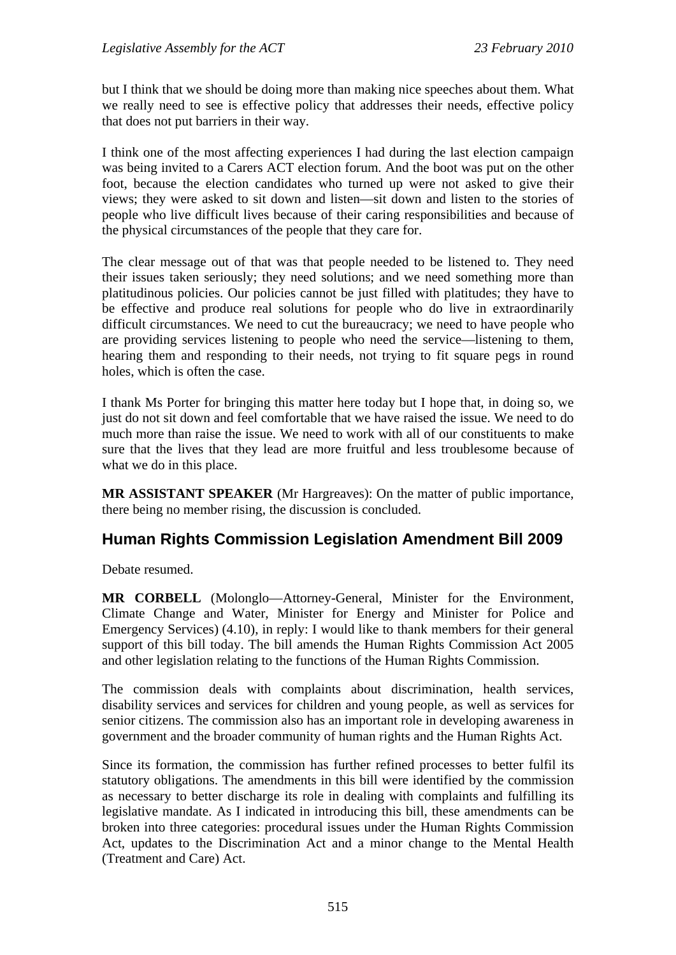but I think that we should be doing more than making nice speeches about them. What we really need to see is effective policy that addresses their needs, effective policy that does not put barriers in their way.

I think one of the most affecting experiences I had during the last election campaign was being invited to a Carers ACT election forum. And the boot was put on the other foot, because the election candidates who turned up were not asked to give their views; they were asked to sit down and listen—sit down and listen to the stories of people who live difficult lives because of their caring responsibilities and because of the physical circumstances of the people that they care for.

The clear message out of that was that people needed to be listened to. They need their issues taken seriously; they need solutions; and we need something more than platitudinous policies. Our policies cannot be just filled with platitudes; they have to be effective and produce real solutions for people who do live in extraordinarily difficult circumstances. We need to cut the bureaucracy; we need to have people who are providing services listening to people who need the service—listening to them, hearing them and responding to their needs, not trying to fit square pegs in round holes, which is often the case.

I thank Ms Porter for bringing this matter here today but I hope that, in doing so, we just do not sit down and feel comfortable that we have raised the issue. We need to do much more than raise the issue. We need to work with all of our constituents to make sure that the lives that they lead are more fruitful and less troublesome because of what we do in this place.

**MR ASSISTANT SPEAKER** (Mr Hargreaves): On the matter of public importance, there being no member rising, the discussion is concluded.

# **Human Rights Commission Legislation Amendment Bill 2009**

Debate resumed.

**MR CORBELL** (Molonglo—Attorney-General, Minister for the Environment, Climate Change and Water, Minister for Energy and Minister for Police and Emergency Services) (4.10), in reply: I would like to thank members for their general support of this bill today. The bill amends the Human Rights Commission Act 2005 and other legislation relating to the functions of the Human Rights Commission.

The commission deals with complaints about discrimination, health services, disability services and services for children and young people, as well as services for senior citizens. The commission also has an important role in developing awareness in government and the broader community of human rights and the Human Rights Act.

Since its formation, the commission has further refined processes to better fulfil its statutory obligations. The amendments in this bill were identified by the commission as necessary to better discharge its role in dealing with complaints and fulfilling its legislative mandate. As I indicated in introducing this bill, these amendments can be broken into three categories: procedural issues under the Human Rights Commission Act, updates to the Discrimination Act and a minor change to the Mental Health (Treatment and Care) Act.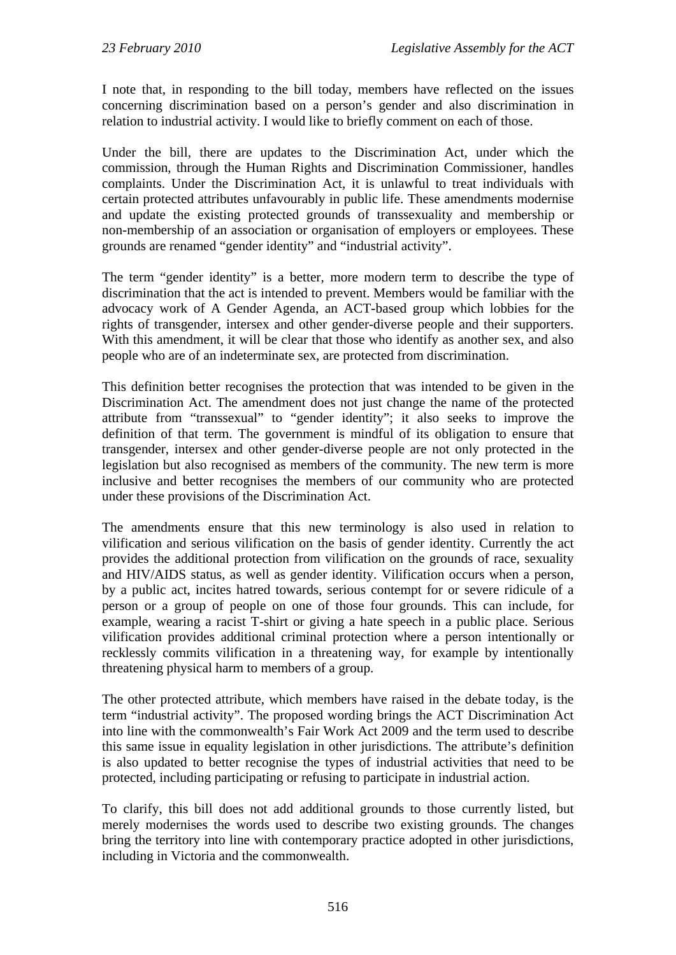I note that, in responding to the bill today, members have reflected on the issues concerning discrimination based on a person's gender and also discrimination in relation to industrial activity. I would like to briefly comment on each of those.

Under the bill, there are updates to the Discrimination Act, under which the commission, through the Human Rights and Discrimination Commissioner, handles complaints. Under the Discrimination Act, it is unlawful to treat individuals with certain protected attributes unfavourably in public life. These amendments modernise and update the existing protected grounds of transsexuality and membership or non-membership of an association or organisation of employers or employees. These grounds are renamed "gender identity" and "industrial activity".

The term "gender identity" is a better, more modern term to describe the type of discrimination that the act is intended to prevent. Members would be familiar with the advocacy work of A Gender Agenda, an ACT-based group which lobbies for the rights of transgender, intersex and other gender-diverse people and their supporters. With this amendment, it will be clear that those who identify as another sex, and also people who are of an indeterminate sex, are protected from discrimination.

This definition better recognises the protection that was intended to be given in the Discrimination Act. The amendment does not just change the name of the protected attribute from "transsexual" to "gender identity"; it also seeks to improve the definition of that term. The government is mindful of its obligation to ensure that transgender, intersex and other gender-diverse people are not only protected in the legislation but also recognised as members of the community. The new term is more inclusive and better recognises the members of our community who are protected under these provisions of the Discrimination Act.

The amendments ensure that this new terminology is also used in relation to vilification and serious vilification on the basis of gender identity. Currently the act provides the additional protection from vilification on the grounds of race, sexuality and HIV/AIDS status, as well as gender identity. Vilification occurs when a person, by a public act, incites hatred towards, serious contempt for or severe ridicule of a person or a group of people on one of those four grounds. This can include, for example, wearing a racist T-shirt or giving a hate speech in a public place. Serious vilification provides additional criminal protection where a person intentionally or recklessly commits vilification in a threatening way, for example by intentionally threatening physical harm to members of a group.

The other protected attribute, which members have raised in the debate today, is the term "industrial activity". The proposed wording brings the ACT Discrimination Act into line with the commonwealth's Fair Work Act 2009 and the term used to describe this same issue in equality legislation in other jurisdictions. The attribute's definition is also updated to better recognise the types of industrial activities that need to be protected, including participating or refusing to participate in industrial action.

To clarify, this bill does not add additional grounds to those currently listed, but merely modernises the words used to describe two existing grounds. The changes bring the territory into line with contemporary practice adopted in other jurisdictions, including in Victoria and the commonwealth.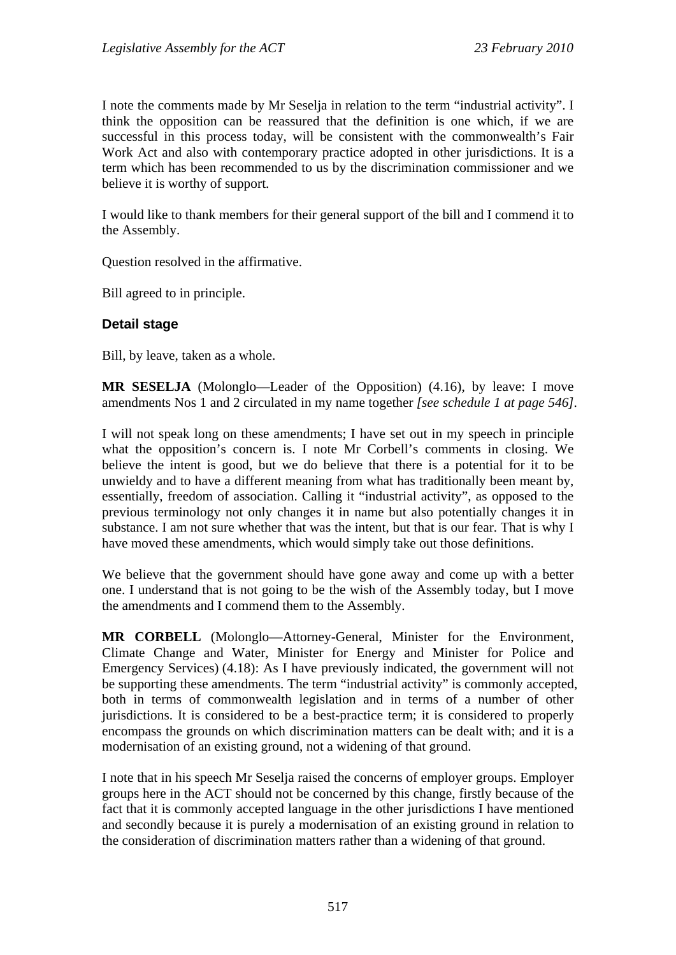I note the comments made by Mr Seselja in relation to the term "industrial activity". I think the opposition can be reassured that the definition is one which, if we are successful in this process today, will be consistent with the commonwealth's Fair Work Act and also with contemporary practice adopted in other jurisdictions. It is a term which has been recommended to us by the discrimination commissioner and we believe it is worthy of support.

I would like to thank members for their general support of the bill and I commend it to the Assembly.

Question resolved in the affirmative.

Bill agreed to in principle.

### **Detail stage**

Bill, by leave, taken as a whole.

**MR SESELJA** (Molonglo—Leader of the Opposition) (4.16), by leave: I move amendments Nos 1 and 2 circulated in my name together *[see schedule 1 at page 546]*.

I will not speak long on these amendments; I have set out in my speech in principle what the opposition's concern is. I note Mr Corbell's comments in closing. We believe the intent is good, but we do believe that there is a potential for it to be unwieldy and to have a different meaning from what has traditionally been meant by, essentially, freedom of association. Calling it "industrial activity", as opposed to the previous terminology not only changes it in name but also potentially changes it in substance. I am not sure whether that was the intent, but that is our fear. That is why I have moved these amendments, which would simply take out those definitions.

We believe that the government should have gone away and come up with a better one. I understand that is not going to be the wish of the Assembly today, but I move the amendments and I commend them to the Assembly.

**MR CORBELL** (Molonglo—Attorney-General, Minister for the Environment, Climate Change and Water, Minister for Energy and Minister for Police and Emergency Services) (4.18): As I have previously indicated, the government will not be supporting these amendments. The term "industrial activity" is commonly accepted, both in terms of commonwealth legislation and in terms of a number of other jurisdictions. It is considered to be a best-practice term; it is considered to properly encompass the grounds on which discrimination matters can be dealt with; and it is a modernisation of an existing ground, not a widening of that ground.

I note that in his speech Mr Seselja raised the concerns of employer groups. Employer groups here in the ACT should not be concerned by this change, firstly because of the fact that it is commonly accepted language in the other jurisdictions I have mentioned and secondly because it is purely a modernisation of an existing ground in relation to the consideration of discrimination matters rather than a widening of that ground.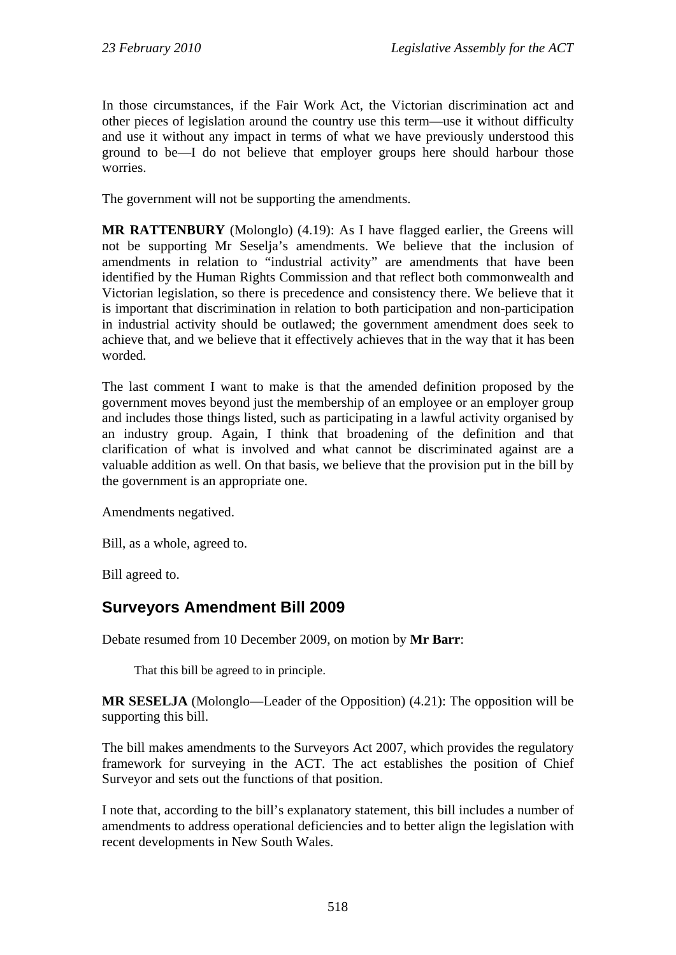In those circumstances, if the Fair Work Act, the Victorian discrimination act and other pieces of legislation around the country use this term—use it without difficulty and use it without any impact in terms of what we have previously understood this ground to be—I do not believe that employer groups here should harbour those worries.

The government will not be supporting the amendments.

**MR RATTENBURY** (Molonglo) (4.19): As I have flagged earlier, the Greens will not be supporting Mr Seselja's amendments. We believe that the inclusion of amendments in relation to "industrial activity" are amendments that have been identified by the Human Rights Commission and that reflect both commonwealth and Victorian legislation, so there is precedence and consistency there. We believe that it is important that discrimination in relation to both participation and non-participation in industrial activity should be outlawed; the government amendment does seek to achieve that, and we believe that it effectively achieves that in the way that it has been worded.

The last comment I want to make is that the amended definition proposed by the government moves beyond just the membership of an employee or an employer group and includes those things listed, such as participating in a lawful activity organised by an industry group. Again, I think that broadening of the definition and that clarification of what is involved and what cannot be discriminated against are a valuable addition as well. On that basis, we believe that the provision put in the bill by the government is an appropriate one.

Amendments negatived.

Bill, as a whole, agreed to.

Bill agreed to.

# **Surveyors Amendment Bill 2009**

Debate resumed from 10 December 2009, on motion by **Mr Barr**:

That this bill be agreed to in principle.

**MR SESELJA** (Molonglo—Leader of the Opposition) (4.21): The opposition will be supporting this bill.

The bill makes amendments to the Surveyors Act 2007, which provides the regulatory framework for surveying in the ACT. The act establishes the position of Chief Surveyor and sets out the functions of that position.

I note that, according to the bill's explanatory statement, this bill includes a number of amendments to address operational deficiencies and to better align the legislation with recent developments in New South Wales.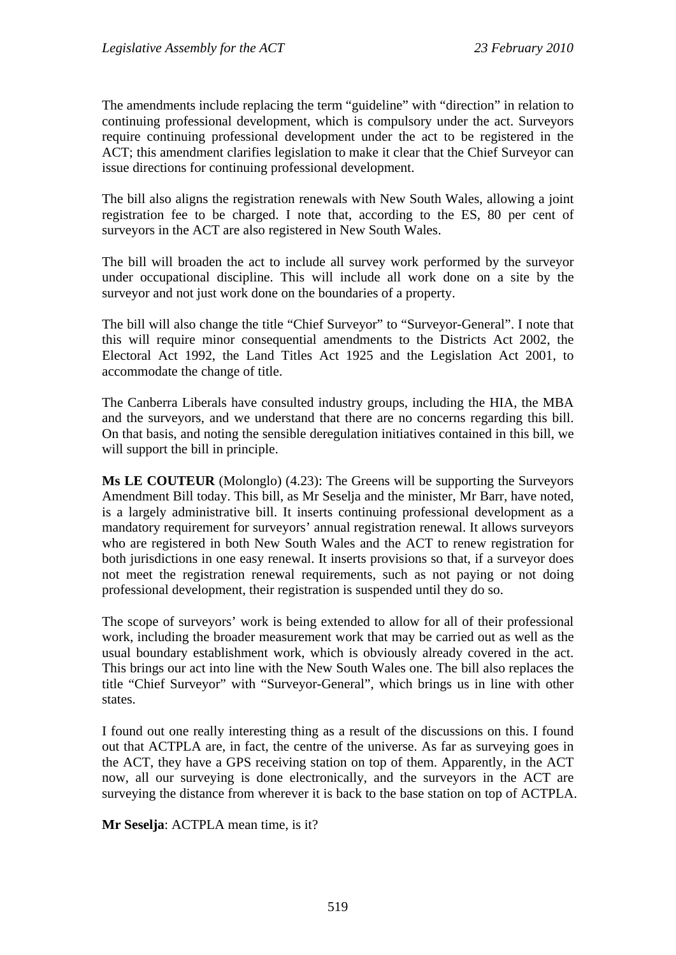The amendments include replacing the term "guideline" with "direction" in relation to continuing professional development, which is compulsory under the act. Surveyors require continuing professional development under the act to be registered in the ACT; this amendment clarifies legislation to make it clear that the Chief Surveyor can issue directions for continuing professional development.

The bill also aligns the registration renewals with New South Wales, allowing a joint registration fee to be charged. I note that, according to the ES, 80 per cent of surveyors in the ACT are also registered in New South Wales.

The bill will broaden the act to include all survey work performed by the surveyor under occupational discipline. This will include all work done on a site by the surveyor and not just work done on the boundaries of a property.

The bill will also change the title "Chief Surveyor" to "Surveyor-General". I note that this will require minor consequential amendments to the Districts Act 2002, the Electoral Act 1992, the Land Titles Act 1925 and the Legislation Act 2001, to accommodate the change of title.

The Canberra Liberals have consulted industry groups, including the HIA, the MBA and the surveyors, and we understand that there are no concerns regarding this bill. On that basis, and noting the sensible deregulation initiatives contained in this bill, we will support the bill in principle.

**Ms LE COUTEUR** (Molonglo) (4.23): The Greens will be supporting the Surveyors Amendment Bill today. This bill, as Mr Seselja and the minister, Mr Barr, have noted, is a largely administrative bill. It inserts continuing professional development as a mandatory requirement for surveyors' annual registration renewal. It allows surveyors who are registered in both New South Wales and the ACT to renew registration for both jurisdictions in one easy renewal. It inserts provisions so that, if a surveyor does not meet the registration renewal requirements, such as not paying or not doing professional development, their registration is suspended until they do so.

The scope of surveyors' work is being extended to allow for all of their professional work, including the broader measurement work that may be carried out as well as the usual boundary establishment work, which is obviously already covered in the act. This brings our act into line with the New South Wales one. The bill also replaces the title "Chief Surveyor" with "Surveyor-General", which brings us in line with other states.

I found out one really interesting thing as a result of the discussions on this. I found out that ACTPLA are, in fact, the centre of the universe. As far as surveying goes in the ACT, they have a GPS receiving station on top of them. Apparently, in the ACT now, all our surveying is done electronically, and the surveyors in the ACT are surveying the distance from wherever it is back to the base station on top of ACTPLA.

**Mr Seselja**: ACTPLA mean time, is it?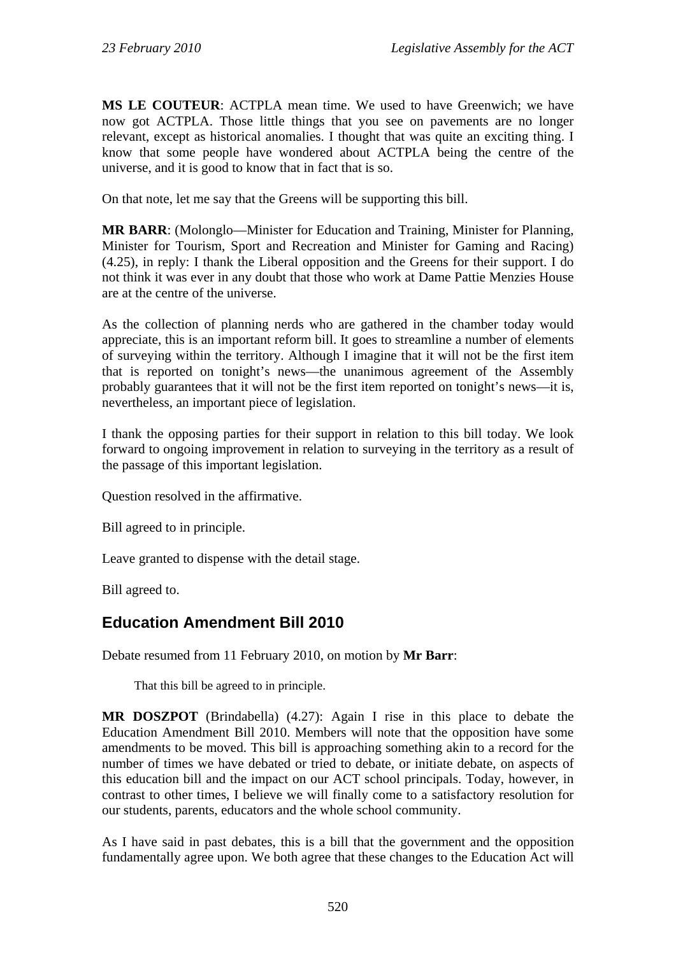**MS LE COUTEUR**: ACTPLA mean time. We used to have Greenwich; we have now got ACTPLA. Those little things that you see on pavements are no longer relevant, except as historical anomalies. I thought that was quite an exciting thing. I know that some people have wondered about ACTPLA being the centre of the universe, and it is good to know that in fact that is so.

On that note, let me say that the Greens will be supporting this bill.

**MR BARR**: (Molonglo—Minister for Education and Training, Minister for Planning, Minister for Tourism, Sport and Recreation and Minister for Gaming and Racing) (4.25), in reply: I thank the Liberal opposition and the Greens for their support. I do not think it was ever in any doubt that those who work at Dame Pattie Menzies House are at the centre of the universe.

As the collection of planning nerds who are gathered in the chamber today would appreciate, this is an important reform bill. It goes to streamline a number of elements of surveying within the territory. Although I imagine that it will not be the first item that is reported on tonight's news—the unanimous agreement of the Assembly probably guarantees that it will not be the first item reported on tonight's news—it is, nevertheless, an important piece of legislation.

I thank the opposing parties for their support in relation to this bill today. We look forward to ongoing improvement in relation to surveying in the territory as a result of the passage of this important legislation.

Question resolved in the affirmative.

Bill agreed to in principle.

Leave granted to dispense with the detail stage.

Bill agreed to.

# **Education Amendment Bill 2010**

Debate resumed from 11 February 2010, on motion by **Mr Barr**:

That this bill be agreed to in principle.

**MR DOSZPOT** (Brindabella) (4.27): Again I rise in this place to debate the Education Amendment Bill 2010. Members will note that the opposition have some amendments to be moved. This bill is approaching something akin to a record for the number of times we have debated or tried to debate, or initiate debate, on aspects of this education bill and the impact on our ACT school principals. Today, however, in contrast to other times, I believe we will finally come to a satisfactory resolution for our students, parents, educators and the whole school community.

As I have said in past debates, this is a bill that the government and the opposition fundamentally agree upon. We both agree that these changes to the Education Act will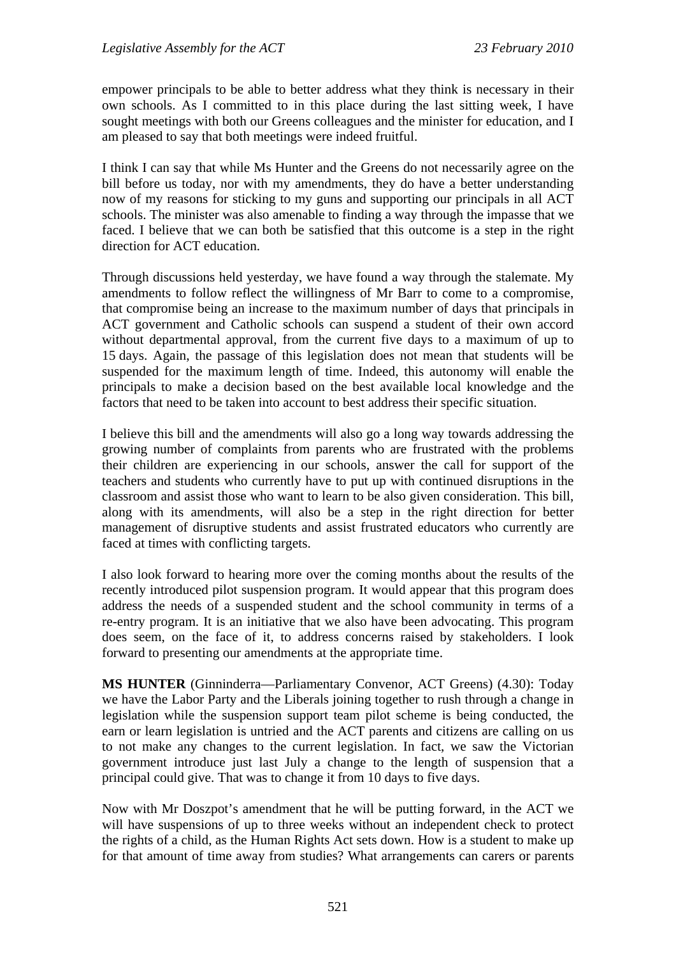empower principals to be able to better address what they think is necessary in their own schools. As I committed to in this place during the last sitting week, I have sought meetings with both our Greens colleagues and the minister for education, and I am pleased to say that both meetings were indeed fruitful.

I think I can say that while Ms Hunter and the Greens do not necessarily agree on the bill before us today, nor with my amendments, they do have a better understanding now of my reasons for sticking to my guns and supporting our principals in all ACT schools. The minister was also amenable to finding a way through the impasse that we faced. I believe that we can both be satisfied that this outcome is a step in the right direction for ACT education.

Through discussions held yesterday, we have found a way through the stalemate. My amendments to follow reflect the willingness of Mr Barr to come to a compromise, that compromise being an increase to the maximum number of days that principals in ACT government and Catholic schools can suspend a student of their own accord without departmental approval, from the current five days to a maximum of up to 15 days. Again, the passage of this legislation does not mean that students will be suspended for the maximum length of time. Indeed, this autonomy will enable the principals to make a decision based on the best available local knowledge and the factors that need to be taken into account to best address their specific situation.

I believe this bill and the amendments will also go a long way towards addressing the growing number of complaints from parents who are frustrated with the problems their children are experiencing in our schools, answer the call for support of the teachers and students who currently have to put up with continued disruptions in the classroom and assist those who want to learn to be also given consideration. This bill, along with its amendments, will also be a step in the right direction for better management of disruptive students and assist frustrated educators who currently are faced at times with conflicting targets.

I also look forward to hearing more over the coming months about the results of the recently introduced pilot suspension program. It would appear that this program does address the needs of a suspended student and the school community in terms of a re-entry program. It is an initiative that we also have been advocating. This program does seem, on the face of it, to address concerns raised by stakeholders. I look forward to presenting our amendments at the appropriate time.

**MS HUNTER** (Ginninderra—Parliamentary Convenor, ACT Greens) (4.30): Today we have the Labor Party and the Liberals joining together to rush through a change in legislation while the suspension support team pilot scheme is being conducted, the earn or learn legislation is untried and the ACT parents and citizens are calling on us to not make any changes to the current legislation. In fact, we saw the Victorian government introduce just last July a change to the length of suspension that a principal could give. That was to change it from 10 days to five days.

Now with Mr Doszpot's amendment that he will be putting forward, in the ACT we will have suspensions of up to three weeks without an independent check to protect the rights of a child, as the Human Rights Act sets down. How is a student to make up for that amount of time away from studies? What arrangements can carers or parents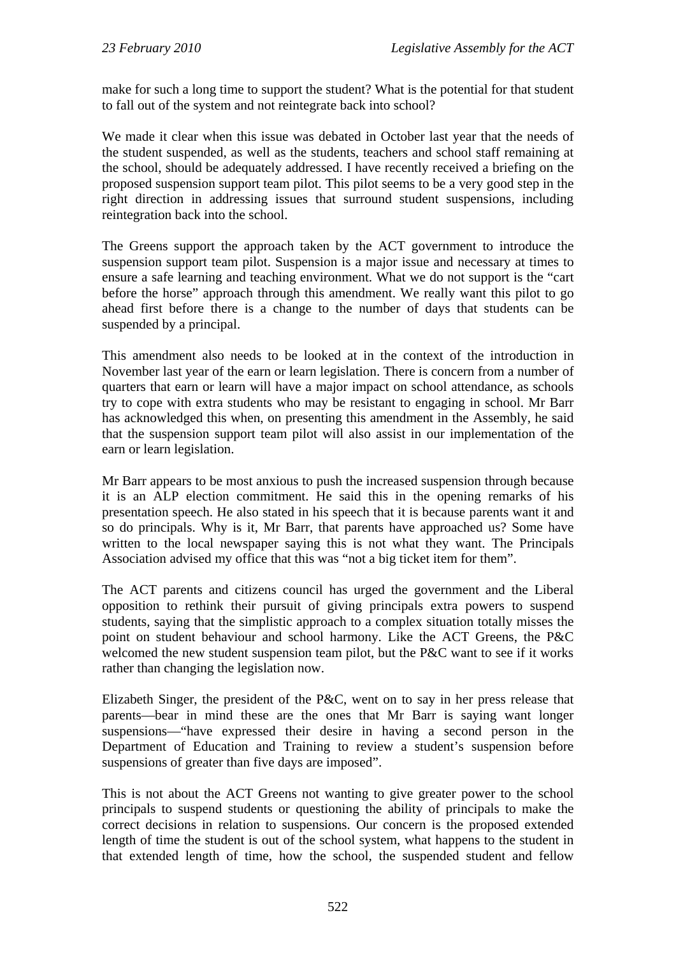make for such a long time to support the student? What is the potential for that student to fall out of the system and not reintegrate back into school?

We made it clear when this issue was debated in October last year that the needs of the student suspended, as well as the students, teachers and school staff remaining at the school, should be adequately addressed. I have recently received a briefing on the proposed suspension support team pilot. This pilot seems to be a very good step in the right direction in addressing issues that surround student suspensions, including reintegration back into the school.

The Greens support the approach taken by the ACT government to introduce the suspension support team pilot. Suspension is a major issue and necessary at times to ensure a safe learning and teaching environment. What we do not support is the "cart before the horse" approach through this amendment. We really want this pilot to go ahead first before there is a change to the number of days that students can be suspended by a principal.

This amendment also needs to be looked at in the context of the introduction in November last year of the earn or learn legislation. There is concern from a number of quarters that earn or learn will have a major impact on school attendance, as schools try to cope with extra students who may be resistant to engaging in school. Mr Barr has acknowledged this when, on presenting this amendment in the Assembly, he said that the suspension support team pilot will also assist in our implementation of the earn or learn legislation.

Mr Barr appears to be most anxious to push the increased suspension through because it is an ALP election commitment. He said this in the opening remarks of his presentation speech. He also stated in his speech that it is because parents want it and so do principals. Why is it, Mr Barr, that parents have approached us? Some have written to the local newspaper saying this is not what they want. The Principals Association advised my office that this was "not a big ticket item for them".

The ACT parents and citizens council has urged the government and the Liberal opposition to rethink their pursuit of giving principals extra powers to suspend students, saying that the simplistic approach to a complex situation totally misses the point on student behaviour and school harmony. Like the ACT Greens, the P&C welcomed the new student suspension team pilot, but the P&C want to see if it works rather than changing the legislation now.

Elizabeth Singer, the president of the P&C, went on to say in her press release that parents—bear in mind these are the ones that Mr Barr is saying want longer suspensions—"have expressed their desire in having a second person in the Department of Education and Training to review a student's suspension before suspensions of greater than five days are imposed".

This is not about the ACT Greens not wanting to give greater power to the school principals to suspend students or questioning the ability of principals to make the correct decisions in relation to suspensions. Our concern is the proposed extended length of time the student is out of the school system, what happens to the student in that extended length of time, how the school, the suspended student and fellow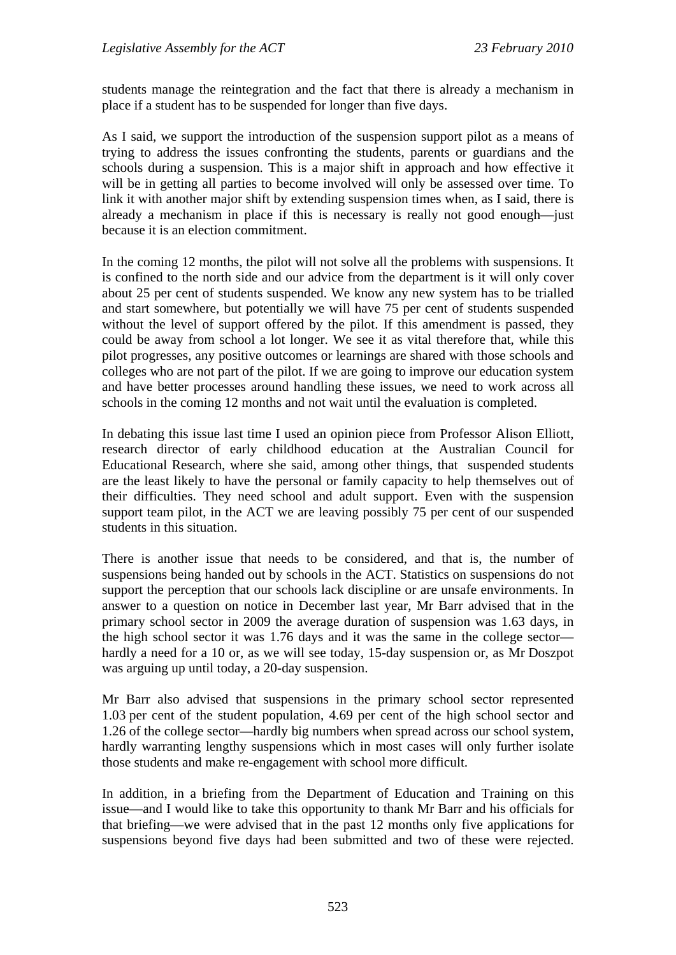students manage the reintegration and the fact that there is already a mechanism in place if a student has to be suspended for longer than five days.

As I said, we support the introduction of the suspension support pilot as a means of trying to address the issues confronting the students, parents or guardians and the schools during a suspension. This is a major shift in approach and how effective it will be in getting all parties to become involved will only be assessed over time. To link it with another major shift by extending suspension times when, as I said, there is already a mechanism in place if this is necessary is really not good enough—just because it is an election commitment.

In the coming 12 months, the pilot will not solve all the problems with suspensions. It is confined to the north side and our advice from the department is it will only cover about 25 per cent of students suspended. We know any new system has to be trialled and start somewhere, but potentially we will have 75 per cent of students suspended without the level of support offered by the pilot. If this amendment is passed, they could be away from school a lot longer. We see it as vital therefore that, while this pilot progresses, any positive outcomes or learnings are shared with those schools and colleges who are not part of the pilot. If we are going to improve our education system and have better processes around handling these issues, we need to work across all schools in the coming 12 months and not wait until the evaluation is completed.

In debating this issue last time I used an opinion piece from Professor Alison Elliott, research director of early childhood education at the Australian Council for Educational Research, where she said, among other things, that suspended students are the least likely to have the personal or family capacity to help themselves out of their difficulties. They need school and adult support. Even with the suspension support team pilot, in the ACT we are leaving possibly 75 per cent of our suspended students in this situation.

There is another issue that needs to be considered, and that is, the number of suspensions being handed out by schools in the ACT. Statistics on suspensions do not support the perception that our schools lack discipline or are unsafe environments. In answer to a question on notice in December last year, Mr Barr advised that in the primary school sector in 2009 the average duration of suspension was 1.63 days, in the high school sector it was 1.76 days and it was the same in the college sector hardly a need for a 10 or, as we will see today, 15-day suspension or, as Mr Doszpot was arguing up until today, a 20-day suspension.

Mr Barr also advised that suspensions in the primary school sector represented 1.03 per cent of the student population, 4.69 per cent of the high school sector and 1.26 of the college sector—hardly big numbers when spread across our school system, hardly warranting lengthy suspensions which in most cases will only further isolate those students and make re-engagement with school more difficult.

In addition, in a briefing from the Department of Education and Training on this issue—and I would like to take this opportunity to thank Mr Barr and his officials for that briefing—we were advised that in the past 12 months only five applications for suspensions beyond five days had been submitted and two of these were rejected.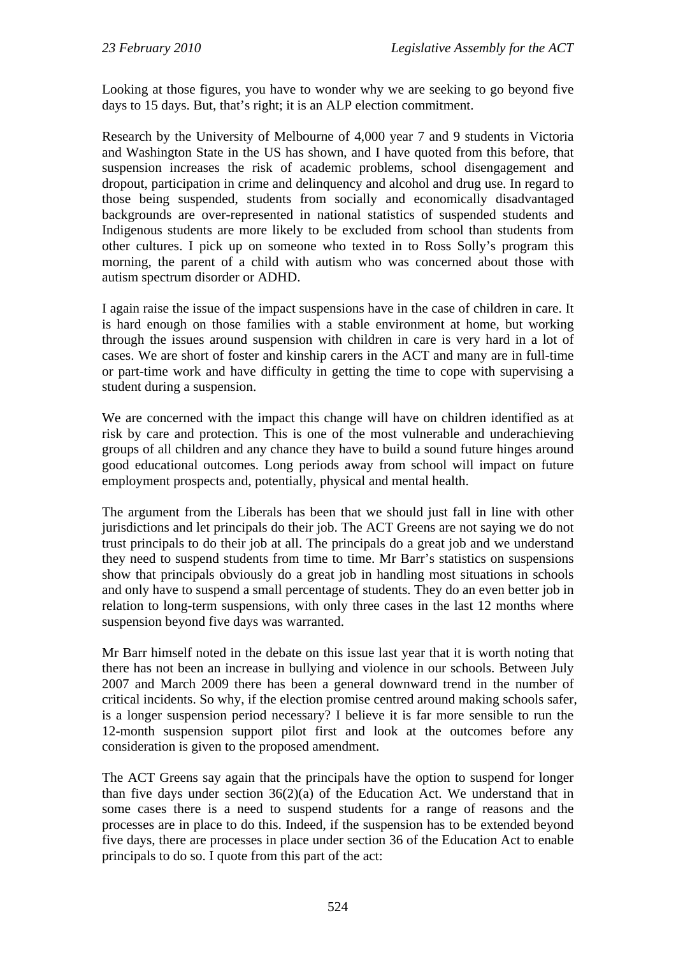Looking at those figures, you have to wonder why we are seeking to go beyond five days to 15 days. But, that's right; it is an ALP election commitment.

Research by the University of Melbourne of 4,000 year 7 and 9 students in Victoria and Washington State in the US has shown, and I have quoted from this before, that suspension increases the risk of academic problems, school disengagement and dropout, participation in crime and delinquency and alcohol and drug use. In regard to those being suspended, students from socially and economically disadvantaged backgrounds are over-represented in national statistics of suspended students and Indigenous students are more likely to be excluded from school than students from other cultures. I pick up on someone who texted in to Ross Solly's program this morning, the parent of a child with autism who was concerned about those with autism spectrum disorder or ADHD.

I again raise the issue of the impact suspensions have in the case of children in care. It is hard enough on those families with a stable environment at home, but working through the issues around suspension with children in care is very hard in a lot of cases. We are short of foster and kinship carers in the ACT and many are in full-time or part-time work and have difficulty in getting the time to cope with supervising a student during a suspension.

We are concerned with the impact this change will have on children identified as at risk by care and protection. This is one of the most vulnerable and underachieving groups of all children and any chance they have to build a sound future hinges around good educational outcomes. Long periods away from school will impact on future employment prospects and, potentially, physical and mental health.

The argument from the Liberals has been that we should just fall in line with other jurisdictions and let principals do their job. The ACT Greens are not saying we do not trust principals to do their job at all. The principals do a great job and we understand they need to suspend students from time to time. Mr Barr's statistics on suspensions show that principals obviously do a great job in handling most situations in schools and only have to suspend a small percentage of students. They do an even better job in relation to long-term suspensions, with only three cases in the last 12 months where suspension beyond five days was warranted.

Mr Barr himself noted in the debate on this issue last year that it is worth noting that there has not been an increase in bullying and violence in our schools. Between July 2007 and March 2009 there has been a general downward trend in the number of critical incidents. So why, if the election promise centred around making schools safer, is a longer suspension period necessary? I believe it is far more sensible to run the 12-month suspension support pilot first and look at the outcomes before any consideration is given to the proposed amendment.

The ACT Greens say again that the principals have the option to suspend for longer than five days under section  $36(2)(a)$  of the Education Act. We understand that in some cases there is a need to suspend students for a range of reasons and the processes are in place to do this. Indeed, if the suspension has to be extended beyond five days, there are processes in place under section 36 of the Education Act to enable principals to do so. I quote from this part of the act: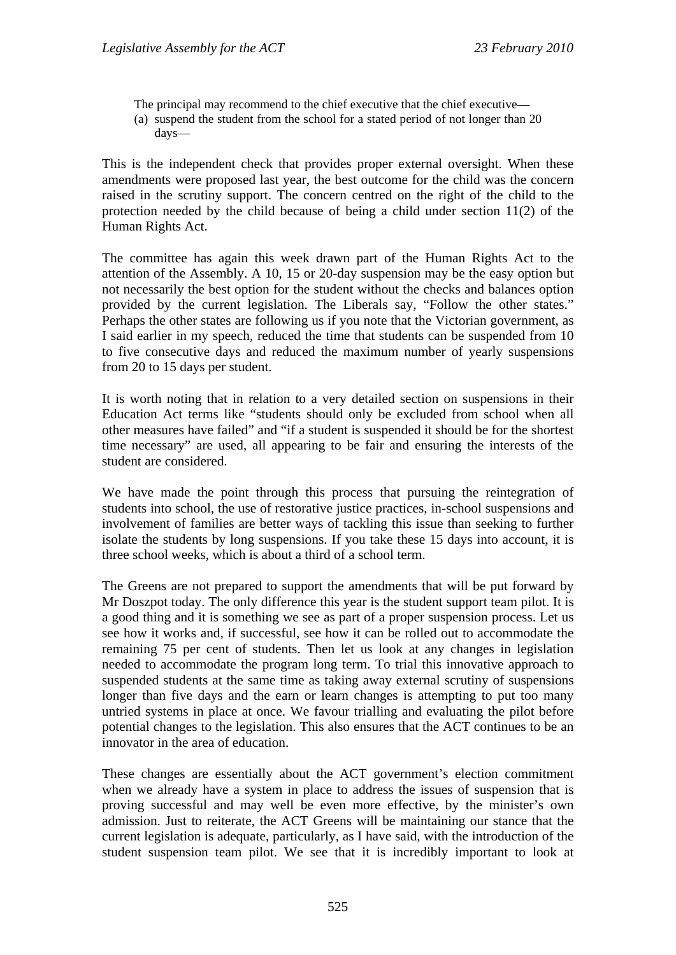The principal may recommend to the chief executive that the chief executive—

(a) suspend the student from the school for a stated period of not longer than 20 days—

This is the independent check that provides proper external oversight. When these amendments were proposed last year, the best outcome for the child was the concern raised in the scrutiny support. The concern centred on the right of the child to the protection needed by the child because of being a child under section 11(2) of the Human Rights Act.

The committee has again this week drawn part of the Human Rights Act to the attention of the Assembly. A 10, 15 or 20-day suspension may be the easy option but not necessarily the best option for the student without the checks and balances option provided by the current legislation. The Liberals say, "Follow the other states." Perhaps the other states are following us if you note that the Victorian government, as I said earlier in my speech, reduced the time that students can be suspended from 10 to five consecutive days and reduced the maximum number of yearly suspensions from 20 to 15 days per student.

It is worth noting that in relation to a very detailed section on suspensions in their Education Act terms like "students should only be excluded from school when all other measures have failed" and "if a student is suspended it should be for the shortest time necessary" are used, all appearing to be fair and ensuring the interests of the student are considered.

We have made the point through this process that pursuing the reintegration of students into school, the use of restorative justice practices, in-school suspensions and involvement of families are better ways of tackling this issue than seeking to further isolate the students by long suspensions. If you take these 15 days into account, it is three school weeks, which is about a third of a school term.

The Greens are not prepared to support the amendments that will be put forward by Mr Doszpot today. The only difference this year is the student support team pilot. It is a good thing and it is something we see as part of a proper suspension process. Let us see how it works and, if successful, see how it can be rolled out to accommodate the remaining 75 per cent of students. Then let us look at any changes in legislation needed to accommodate the program long term. To trial this innovative approach to suspended students at the same time as taking away external scrutiny of suspensions longer than five days and the earn or learn changes is attempting to put too many untried systems in place at once. We favour trialling and evaluating the pilot before potential changes to the legislation. This also ensures that the ACT continues to be an innovator in the area of education.

These changes are essentially about the ACT government's election commitment when we already have a system in place to address the issues of suspension that is proving successful and may well be even more effective, by the minister's own admission. Just to reiterate, the ACT Greens will be maintaining our stance that the current legislation is adequate, particularly, as I have said, with the introduction of the student suspension team pilot. We see that it is incredibly important to look at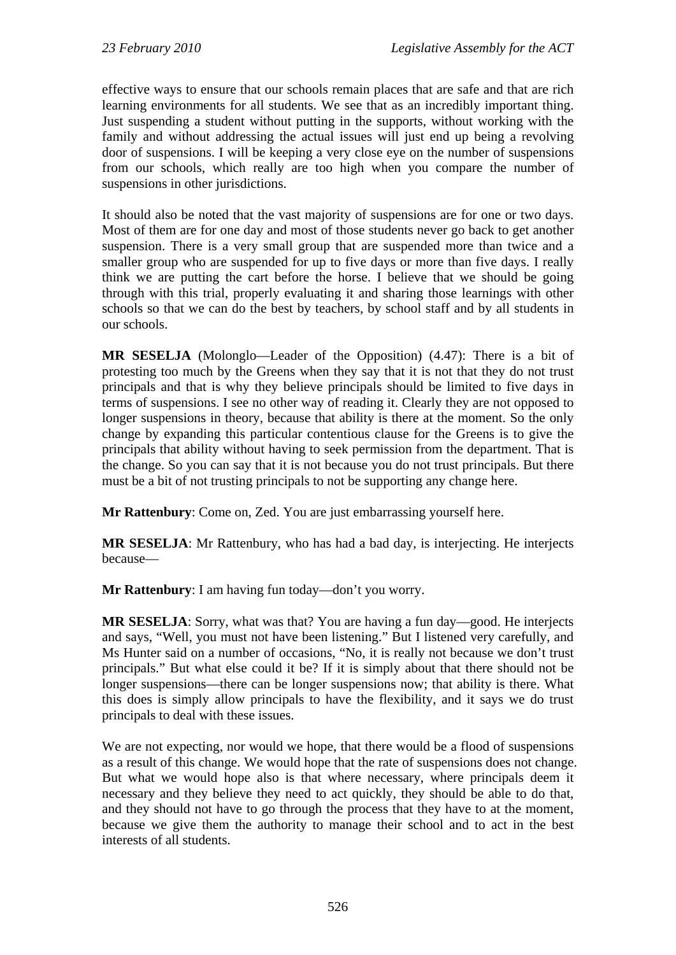effective ways to ensure that our schools remain places that are safe and that are rich learning environments for all students. We see that as an incredibly important thing. Just suspending a student without putting in the supports, without working with the family and without addressing the actual issues will just end up being a revolving door of suspensions. I will be keeping a very close eye on the number of suspensions from our schools, which really are too high when you compare the number of suspensions in other jurisdictions.

It should also be noted that the vast majority of suspensions are for one or two days. Most of them are for one day and most of those students never go back to get another suspension. There is a very small group that are suspended more than twice and a smaller group who are suspended for up to five days or more than five days. I really think we are putting the cart before the horse. I believe that we should be going through with this trial, properly evaluating it and sharing those learnings with other schools so that we can do the best by teachers, by school staff and by all students in our schools.

**MR SESELJA** (Molonglo—Leader of the Opposition) (4.47): There is a bit of protesting too much by the Greens when they say that it is not that they do not trust principals and that is why they believe principals should be limited to five days in terms of suspensions. I see no other way of reading it. Clearly they are not opposed to longer suspensions in theory, because that ability is there at the moment. So the only change by expanding this particular contentious clause for the Greens is to give the principals that ability without having to seek permission from the department. That is the change. So you can say that it is not because you do not trust principals. But there must be a bit of not trusting principals to not be supporting any change here.

**Mr Rattenbury**: Come on, Zed. You are just embarrassing yourself here.

**MR SESELJA**: Mr Rattenbury, who has had a bad day, is interjecting. He interjects because—

**Mr Rattenbury**: I am having fun today—don't you worry.

**MR SESELJA**: Sorry, what was that? You are having a fun day—good. He interjects and says, "Well, you must not have been listening." But I listened very carefully, and Ms Hunter said on a number of occasions, "No, it is really not because we don't trust principals." But what else could it be? If it is simply about that there should not be longer suspensions—there can be longer suspensions now; that ability is there. What this does is simply allow principals to have the flexibility, and it says we do trust principals to deal with these issues.

We are not expecting, nor would we hope, that there would be a flood of suspensions as a result of this change. We would hope that the rate of suspensions does not change. But what we would hope also is that where necessary, where principals deem it necessary and they believe they need to act quickly, they should be able to do that, and they should not have to go through the process that they have to at the moment, because we give them the authority to manage their school and to act in the best interests of all students.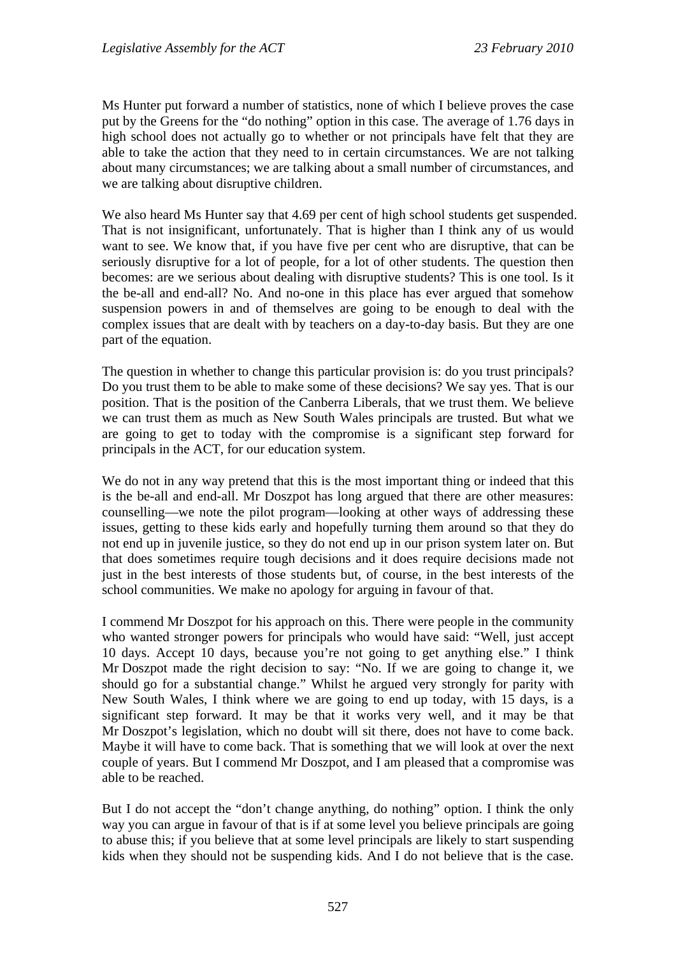Ms Hunter put forward a number of statistics, none of which I believe proves the case put by the Greens for the "do nothing" option in this case. The average of 1.76 days in high school does not actually go to whether or not principals have felt that they are able to take the action that they need to in certain circumstances. We are not talking about many circumstances; we are talking about a small number of circumstances, and we are talking about disruptive children.

We also heard Ms Hunter say that 4.69 per cent of high school students get suspended. That is not insignificant, unfortunately. That is higher than I think any of us would want to see. We know that, if you have five per cent who are disruptive, that can be seriously disruptive for a lot of people, for a lot of other students. The question then becomes: are we serious about dealing with disruptive students? This is one tool. Is it the be-all and end-all? No. And no-one in this place has ever argued that somehow suspension powers in and of themselves are going to be enough to deal with the complex issues that are dealt with by teachers on a day-to-day basis. But they are one part of the equation.

The question in whether to change this particular provision is: do you trust principals? Do you trust them to be able to make some of these decisions? We say yes. That is our position. That is the position of the Canberra Liberals, that we trust them. We believe we can trust them as much as New South Wales principals are trusted. But what we are going to get to today with the compromise is a significant step forward for principals in the ACT, for our education system.

We do not in any way pretend that this is the most important thing or indeed that this is the be-all and end-all. Mr Doszpot has long argued that there are other measures: counselling—we note the pilot program—looking at other ways of addressing these issues, getting to these kids early and hopefully turning them around so that they do not end up in juvenile justice, so they do not end up in our prison system later on. But that does sometimes require tough decisions and it does require decisions made not just in the best interests of those students but, of course, in the best interests of the school communities. We make no apology for arguing in favour of that.

I commend Mr Doszpot for his approach on this. There were people in the community who wanted stronger powers for principals who would have said: "Well, just accept 10 days. Accept 10 days, because you're not going to get anything else." I think Mr Doszpot made the right decision to say: "No. If we are going to change it, we should go for a substantial change." Whilst he argued very strongly for parity with New South Wales, I think where we are going to end up today, with 15 days, is a significant step forward. It may be that it works very well, and it may be that Mr Doszpot's legislation, which no doubt will sit there, does not have to come back. Maybe it will have to come back. That is something that we will look at over the next couple of years. But I commend Mr Doszpot, and I am pleased that a compromise was able to be reached.

But I do not accept the "don't change anything, do nothing" option. I think the only way you can argue in favour of that is if at some level you believe principals are going to abuse this; if you believe that at some level principals are likely to start suspending kids when they should not be suspending kids. And I do not believe that is the case.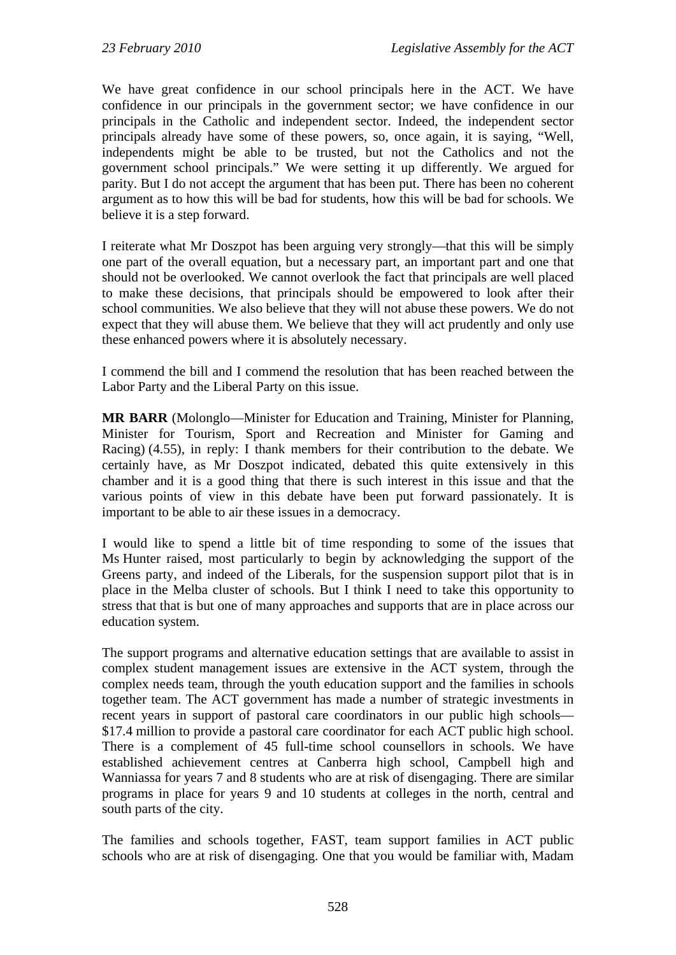We have great confidence in our school principals here in the ACT. We have confidence in our principals in the government sector; we have confidence in our principals in the Catholic and independent sector. Indeed, the independent sector principals already have some of these powers, so, once again, it is saying, "Well, independents might be able to be trusted, but not the Catholics and not the government school principals." We were setting it up differently. We argued for parity. But I do not accept the argument that has been put. There has been no coherent argument as to how this will be bad for students, how this will be bad for schools. We believe it is a step forward.

I reiterate what Mr Doszpot has been arguing very strongly—that this will be simply one part of the overall equation, but a necessary part, an important part and one that should not be overlooked. We cannot overlook the fact that principals are well placed to make these decisions, that principals should be empowered to look after their school communities. We also believe that they will not abuse these powers. We do not expect that they will abuse them. We believe that they will act prudently and only use these enhanced powers where it is absolutely necessary.

I commend the bill and I commend the resolution that has been reached between the Labor Party and the Liberal Party on this issue.

**MR BARR** (Molonglo—Minister for Education and Training, Minister for Planning, Minister for Tourism, Sport and Recreation and Minister for Gaming and Racing) (4.55), in reply: I thank members for their contribution to the debate. We certainly have, as Mr Doszpot indicated, debated this quite extensively in this chamber and it is a good thing that there is such interest in this issue and that the various points of view in this debate have been put forward passionately. It is important to be able to air these issues in a democracy.

I would like to spend a little bit of time responding to some of the issues that Ms Hunter raised, most particularly to begin by acknowledging the support of the Greens party, and indeed of the Liberals, for the suspension support pilot that is in place in the Melba cluster of schools. But I think I need to take this opportunity to stress that that is but one of many approaches and supports that are in place across our education system.

The support programs and alternative education settings that are available to assist in complex student management issues are extensive in the ACT system, through the complex needs team, through the youth education support and the families in schools together team. The ACT government has made a number of strategic investments in recent years in support of pastoral care coordinators in our public high schools— \$17.4 million to provide a pastoral care coordinator for each ACT public high school. There is a complement of 45 full-time school counsellors in schools. We have established achievement centres at Canberra high school, Campbell high and Wanniassa for years 7 and 8 students who are at risk of disengaging. There are similar programs in place for years 9 and 10 students at colleges in the north, central and south parts of the city.

The families and schools together, FAST, team support families in ACT public schools who are at risk of disengaging. One that you would be familiar with, Madam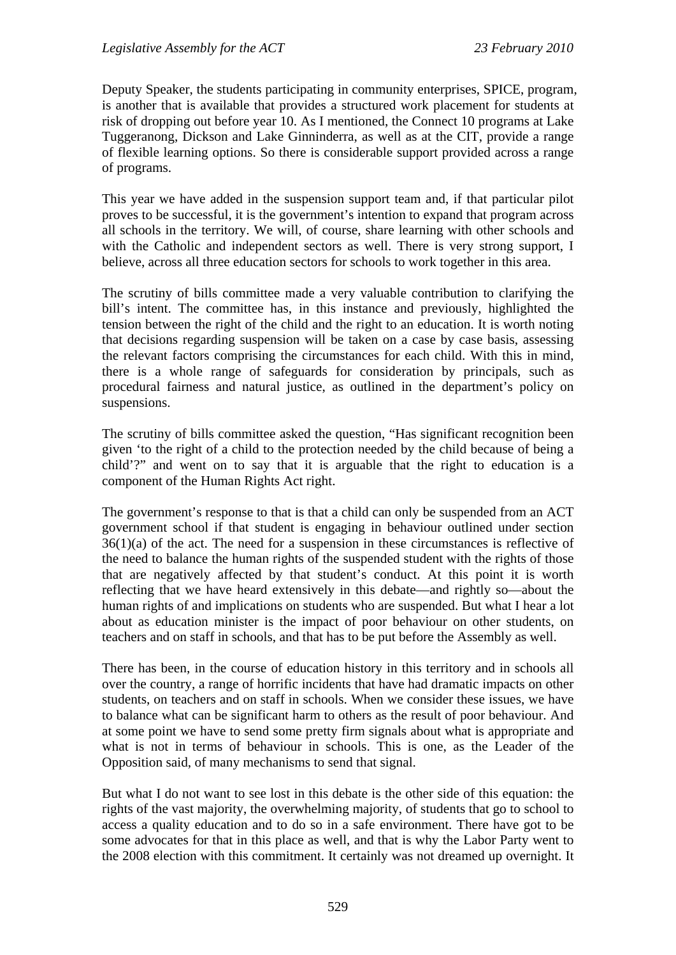Deputy Speaker, the students participating in community enterprises, SPICE, program, is another that is available that provides a structured work placement for students at risk of dropping out before year 10. As I mentioned, the Connect 10 programs at Lake Tuggeranong, Dickson and Lake Ginninderra, as well as at the CIT, provide a range of flexible learning options. So there is considerable support provided across a range of programs.

This year we have added in the suspension support team and, if that particular pilot proves to be successful, it is the government's intention to expand that program across all schools in the territory. We will, of course, share learning with other schools and with the Catholic and independent sectors as well. There is very strong support, I believe, across all three education sectors for schools to work together in this area.

The scrutiny of bills committee made a very valuable contribution to clarifying the bill's intent. The committee has, in this instance and previously, highlighted the tension between the right of the child and the right to an education. It is worth noting that decisions regarding suspension will be taken on a case by case basis, assessing the relevant factors comprising the circumstances for each child. With this in mind, there is a whole range of safeguards for consideration by principals, such as procedural fairness and natural justice, as outlined in the department's policy on suspensions.

The scrutiny of bills committee asked the question, "Has significant recognition been given 'to the right of a child to the protection needed by the child because of being a child'?" and went on to say that it is arguable that the right to education is a component of the Human Rights Act right.

The government's response to that is that a child can only be suspended from an ACT government school if that student is engaging in behaviour outlined under section  $36(1)(a)$  of the act. The need for a suspension in these circumstances is reflective of the need to balance the human rights of the suspended student with the rights of those that are negatively affected by that student's conduct. At this point it is worth reflecting that we have heard extensively in this debate—and rightly so—about the human rights of and implications on students who are suspended. But what I hear a lot about as education minister is the impact of poor behaviour on other students, on teachers and on staff in schools, and that has to be put before the Assembly as well.

There has been, in the course of education history in this territory and in schools all over the country, a range of horrific incidents that have had dramatic impacts on other students, on teachers and on staff in schools. When we consider these issues, we have to balance what can be significant harm to others as the result of poor behaviour. And at some point we have to send some pretty firm signals about what is appropriate and what is not in terms of behaviour in schools. This is one, as the Leader of the Opposition said, of many mechanisms to send that signal.

But what I do not want to see lost in this debate is the other side of this equation: the rights of the vast majority, the overwhelming majority, of students that go to school to access a quality education and to do so in a safe environment. There have got to be some advocates for that in this place as well, and that is why the Labor Party went to the 2008 election with this commitment. It certainly was not dreamed up overnight. It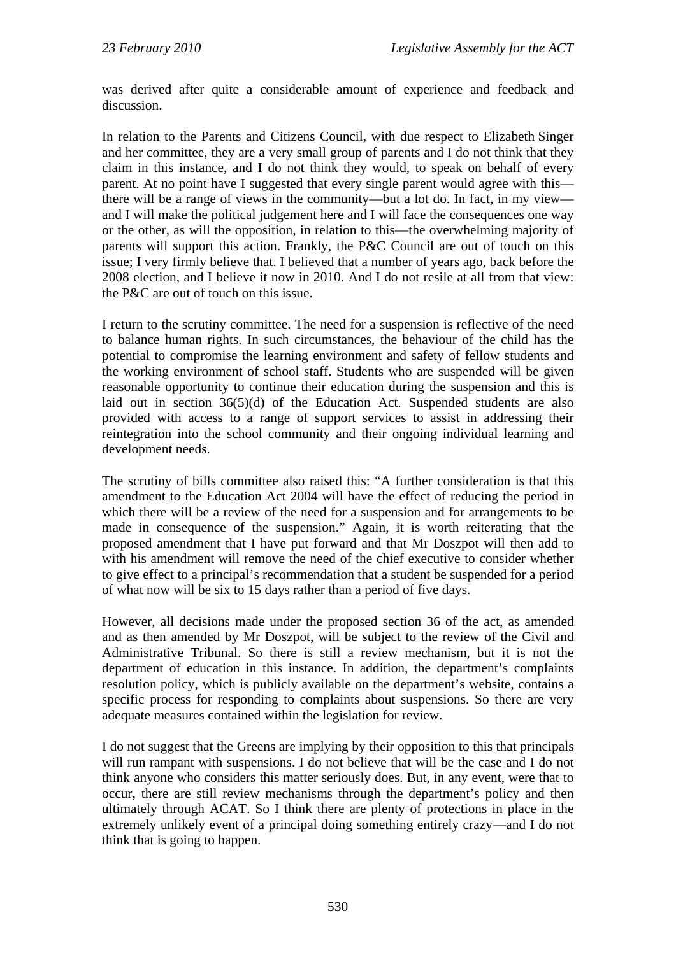was derived after quite a considerable amount of experience and feedback and discussion.

In relation to the Parents and Citizens Council, with due respect to Elizabeth Singer and her committee, they are a very small group of parents and I do not think that they claim in this instance, and I do not think they would, to speak on behalf of every parent. At no point have I suggested that every single parent would agree with this there will be a range of views in the community—but a lot do. In fact, in my view and I will make the political judgement here and I will face the consequences one way or the other, as will the opposition, in relation to this—the overwhelming majority of parents will support this action. Frankly, the P&C Council are out of touch on this issue; I very firmly believe that. I believed that a number of years ago, back before the 2008 election, and I believe it now in 2010. And I do not resile at all from that view: the P&C are out of touch on this issue.

I return to the scrutiny committee. The need for a suspension is reflective of the need to balance human rights. In such circumstances, the behaviour of the child has the potential to compromise the learning environment and safety of fellow students and the working environment of school staff. Students who are suspended will be given reasonable opportunity to continue their education during the suspension and this is laid out in section 36(5)(d) of the Education Act. Suspended students are also provided with access to a range of support services to assist in addressing their reintegration into the school community and their ongoing individual learning and development needs.

The scrutiny of bills committee also raised this: "A further consideration is that this amendment to the Education Act 2004 will have the effect of reducing the period in which there will be a review of the need for a suspension and for arrangements to be made in consequence of the suspension." Again, it is worth reiterating that the proposed amendment that I have put forward and that Mr Doszpot will then add to with his amendment will remove the need of the chief executive to consider whether to give effect to a principal's recommendation that a student be suspended for a period of what now will be six to 15 days rather than a period of five days.

However, all decisions made under the proposed section 36 of the act, as amended and as then amended by Mr Doszpot, will be subject to the review of the Civil and Administrative Tribunal. So there is still a review mechanism, but it is not the department of education in this instance. In addition, the department's complaints resolution policy, which is publicly available on the department's website, contains a specific process for responding to complaints about suspensions. So there are very adequate measures contained within the legislation for review.

I do not suggest that the Greens are implying by their opposition to this that principals will run rampant with suspensions. I do not believe that will be the case and I do not think anyone who considers this matter seriously does. But, in any event, were that to occur, there are still review mechanisms through the department's policy and then ultimately through ACAT. So I think there are plenty of protections in place in the extremely unlikely event of a principal doing something entirely crazy—and I do not think that is going to happen.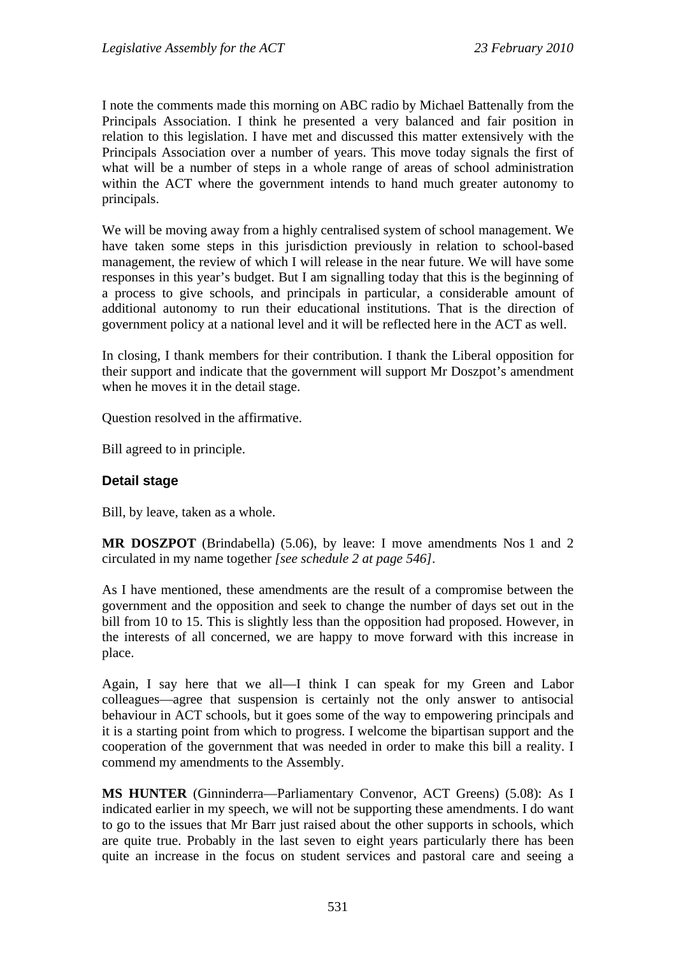I note the comments made this morning on ABC radio by Michael Battenally from the Principals Association. I think he presented a very balanced and fair position in relation to this legislation. I have met and discussed this matter extensively with the Principals Association over a number of years. This move today signals the first of what will be a number of steps in a whole range of areas of school administration within the ACT where the government intends to hand much greater autonomy to principals.

We will be moving away from a highly centralised system of school management. We have taken some steps in this jurisdiction previously in relation to school-based management, the review of which I will release in the near future. We will have some responses in this year's budget. But I am signalling today that this is the beginning of a process to give schools, and principals in particular, a considerable amount of additional autonomy to run their educational institutions. That is the direction of government policy at a national level and it will be reflected here in the ACT as well.

In closing, I thank members for their contribution. I thank the Liberal opposition for their support and indicate that the government will support Mr Doszpot's amendment when he moves it in the detail stage.

Question resolved in the affirmative.

Bill agreed to in principle.

#### **Detail stage**

Bill, by leave, taken as a whole.

**MR DOSZPOT** (Brindabella) (5.06), by leave: I move amendments Nos 1 and 2 circulated in my name together *[see schedule 2 at page 546]*.

As I have mentioned, these amendments are the result of a compromise between the government and the opposition and seek to change the number of days set out in the bill from 10 to 15. This is slightly less than the opposition had proposed. However, in the interests of all concerned, we are happy to move forward with this increase in place.

Again, I say here that we all—I think I can speak for my Green and Labor colleagues—agree that suspension is certainly not the only answer to antisocial behaviour in ACT schools, but it goes some of the way to empowering principals and it is a starting point from which to progress. I welcome the bipartisan support and the cooperation of the government that was needed in order to make this bill a reality. I commend my amendments to the Assembly.

**MS HUNTER** (Ginninderra—Parliamentary Convenor, ACT Greens) (5.08): As I indicated earlier in my speech, we will not be supporting these amendments. I do want to go to the issues that Mr Barr just raised about the other supports in schools, which are quite true. Probably in the last seven to eight years particularly there has been quite an increase in the focus on student services and pastoral care and seeing a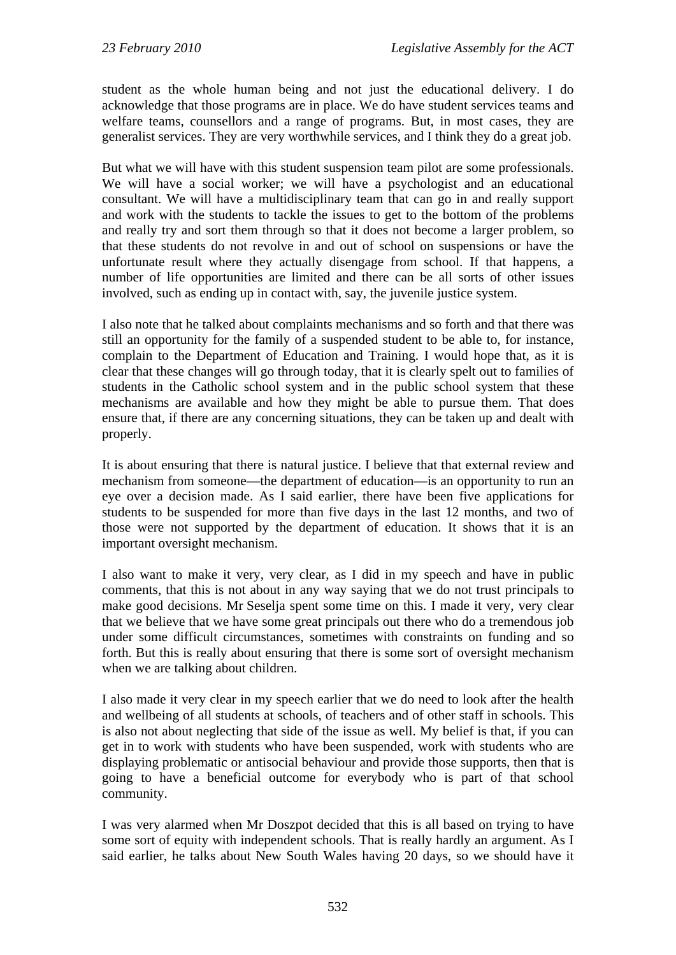student as the whole human being and not just the educational delivery. I do acknowledge that those programs are in place. We do have student services teams and welfare teams, counsellors and a range of programs. But, in most cases, they are generalist services. They are very worthwhile services, and I think they do a great job.

But what we will have with this student suspension team pilot are some professionals. We will have a social worker; we will have a psychologist and an educational consultant. We will have a multidisciplinary team that can go in and really support and work with the students to tackle the issues to get to the bottom of the problems and really try and sort them through so that it does not become a larger problem, so that these students do not revolve in and out of school on suspensions or have the unfortunate result where they actually disengage from school. If that happens, a number of life opportunities are limited and there can be all sorts of other issues involved, such as ending up in contact with, say, the juvenile justice system.

I also note that he talked about complaints mechanisms and so forth and that there was still an opportunity for the family of a suspended student to be able to, for instance, complain to the Department of Education and Training. I would hope that, as it is clear that these changes will go through today, that it is clearly spelt out to families of students in the Catholic school system and in the public school system that these mechanisms are available and how they might be able to pursue them. That does ensure that, if there are any concerning situations, they can be taken up and dealt with properly.

It is about ensuring that there is natural justice. I believe that that external review and mechanism from someone—the department of education—is an opportunity to run an eye over a decision made. As I said earlier, there have been five applications for students to be suspended for more than five days in the last 12 months, and two of those were not supported by the department of education. It shows that it is an important oversight mechanism.

I also want to make it very, very clear, as I did in my speech and have in public comments, that this is not about in any way saying that we do not trust principals to make good decisions. Mr Seselja spent some time on this. I made it very, very clear that we believe that we have some great principals out there who do a tremendous job under some difficult circumstances, sometimes with constraints on funding and so forth. But this is really about ensuring that there is some sort of oversight mechanism when we are talking about children.

I also made it very clear in my speech earlier that we do need to look after the health and wellbeing of all students at schools, of teachers and of other staff in schools. This is also not about neglecting that side of the issue as well. My belief is that, if you can get in to work with students who have been suspended, work with students who are displaying problematic or antisocial behaviour and provide those supports, then that is going to have a beneficial outcome for everybody who is part of that school community.

I was very alarmed when Mr Doszpot decided that this is all based on trying to have some sort of equity with independent schools. That is really hardly an argument. As I said earlier, he talks about New South Wales having 20 days, so we should have it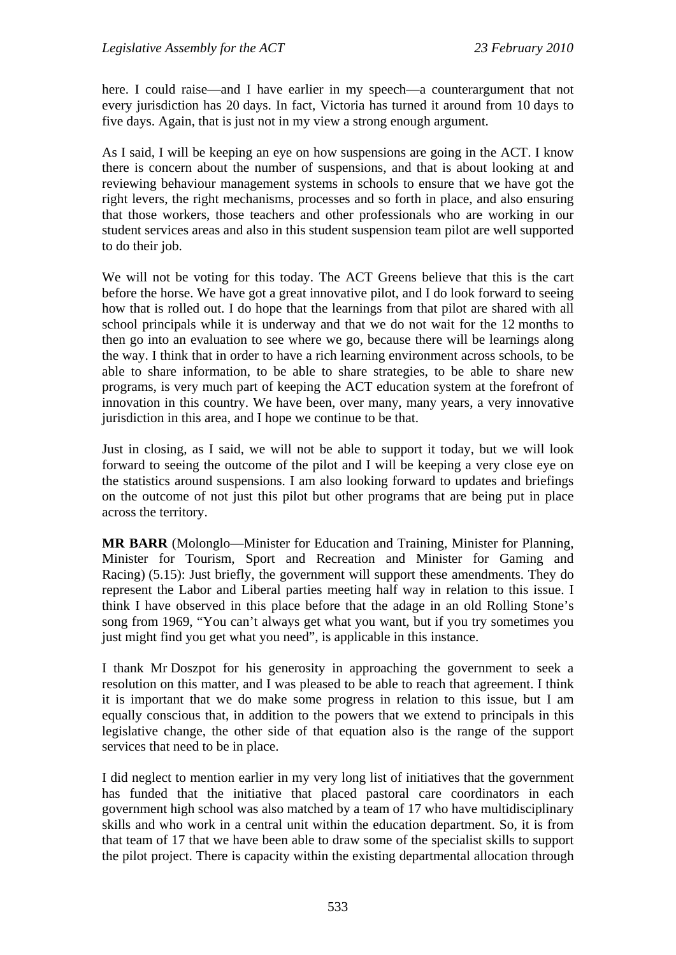here. I could raise—and I have earlier in my speech—a counterargument that not every jurisdiction has 20 days. In fact, Victoria has turned it around from 10 days to five days. Again, that is just not in my view a strong enough argument.

As I said, I will be keeping an eye on how suspensions are going in the ACT. I know there is concern about the number of suspensions, and that is about looking at and reviewing behaviour management systems in schools to ensure that we have got the right levers, the right mechanisms, processes and so forth in place, and also ensuring that those workers, those teachers and other professionals who are working in our student services areas and also in this student suspension team pilot are well supported to do their job.

We will not be voting for this today. The ACT Greens believe that this is the cart before the horse. We have got a great innovative pilot, and I do look forward to seeing how that is rolled out. I do hope that the learnings from that pilot are shared with all school principals while it is underway and that we do not wait for the 12 months to then go into an evaluation to see where we go, because there will be learnings along the way. I think that in order to have a rich learning environment across schools, to be able to share information, to be able to share strategies, to be able to share new programs, is very much part of keeping the ACT education system at the forefront of innovation in this country. We have been, over many, many years, a very innovative jurisdiction in this area, and I hope we continue to be that.

Just in closing, as I said, we will not be able to support it today, but we will look forward to seeing the outcome of the pilot and I will be keeping a very close eye on the statistics around suspensions. I am also looking forward to updates and briefings on the outcome of not just this pilot but other programs that are being put in place across the territory.

**MR BARR** (Molonglo—Minister for Education and Training, Minister for Planning, Minister for Tourism, Sport and Recreation and Minister for Gaming and Racing) (5.15): Just briefly, the government will support these amendments. They do represent the Labor and Liberal parties meeting half way in relation to this issue. I think I have observed in this place before that the adage in an old Rolling Stone's song from 1969, "You can't always get what you want, but if you try sometimes you just might find you get what you need", is applicable in this instance.

I thank Mr Doszpot for his generosity in approaching the government to seek a resolution on this matter, and I was pleased to be able to reach that agreement. I think it is important that we do make some progress in relation to this issue, but I am equally conscious that, in addition to the powers that we extend to principals in this legislative change, the other side of that equation also is the range of the support services that need to be in place.

I did neglect to mention earlier in my very long list of initiatives that the government has funded that the initiative that placed pastoral care coordinators in each government high school was also matched by a team of 17 who have multidisciplinary skills and who work in a central unit within the education department. So, it is from that team of 17 that we have been able to draw some of the specialist skills to support the pilot project. There is capacity within the existing departmental allocation through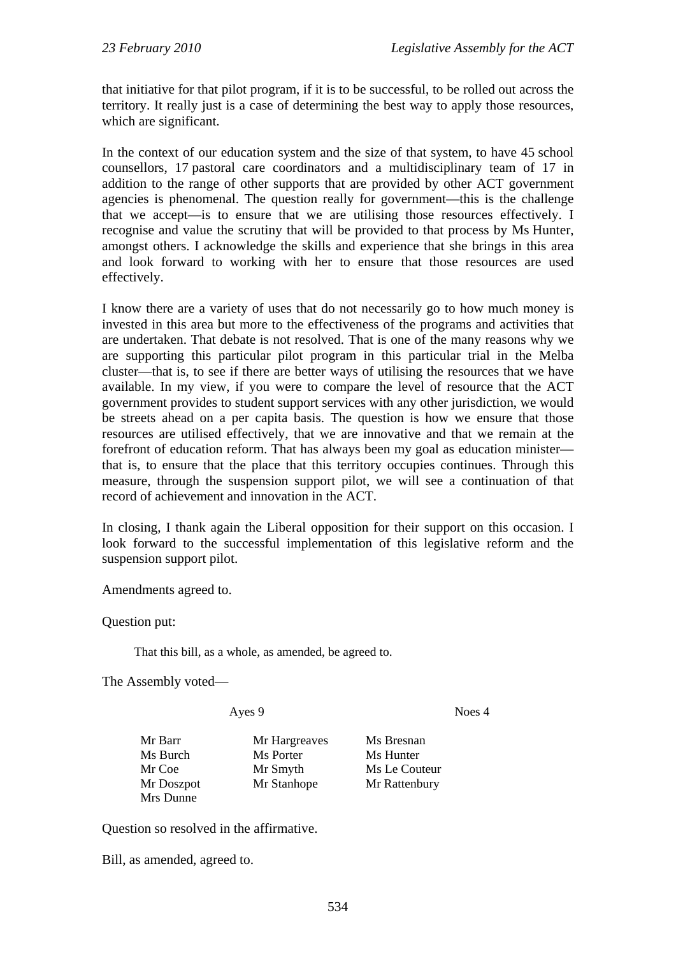that initiative for that pilot program, if it is to be successful, to be rolled out across the territory. It really just is a case of determining the best way to apply those resources, which are significant.

In the context of our education system and the size of that system, to have 45 school counsellors, 17 pastoral care coordinators and a multidisciplinary team of 17 in addition to the range of other supports that are provided by other ACT government agencies is phenomenal. The question really for government—this is the challenge that we accept—is to ensure that we are utilising those resources effectively. I recognise and value the scrutiny that will be provided to that process by Ms Hunter, amongst others. I acknowledge the skills and experience that she brings in this area and look forward to working with her to ensure that those resources are used effectively.

I know there are a variety of uses that do not necessarily go to how much money is invested in this area but more to the effectiveness of the programs and activities that are undertaken. That debate is not resolved. That is one of the many reasons why we are supporting this particular pilot program in this particular trial in the Melba cluster—that is, to see if there are better ways of utilising the resources that we have available. In my view, if you were to compare the level of resource that the ACT government provides to student support services with any other jurisdiction, we would be streets ahead on a per capita basis. The question is how we ensure that those resources are utilised effectively, that we are innovative and that we remain at the forefront of education reform. That has always been my goal as education minister that is, to ensure that the place that this territory occupies continues. Through this measure, through the suspension support pilot, we will see a continuation of that record of achievement and innovation in the ACT.

In closing, I thank again the Liberal opposition for their support on this occasion. I look forward to the successful implementation of this legislative reform and the suspension support pilot.

Amendments agreed to.

Question put:

That this bill, as a whole, as amended, be agreed to.

The Assembly voted—

Ayes 9 Noes 4

| Mr Barr    | Mr Hargreaves | Ms Bresnan    |
|------------|---------------|---------------|
| Ms Burch   | Ms Porter     | Ms Hunter     |
| Mr Coe     | Mr Smyth      | Ms Le Couteur |
| Mr Doszpot | Mr Stanhope   | Mr Rattenbury |
| Mrs Dunne  |               |               |

Question so resolved in the affirmative.

Bill, as amended, agreed to.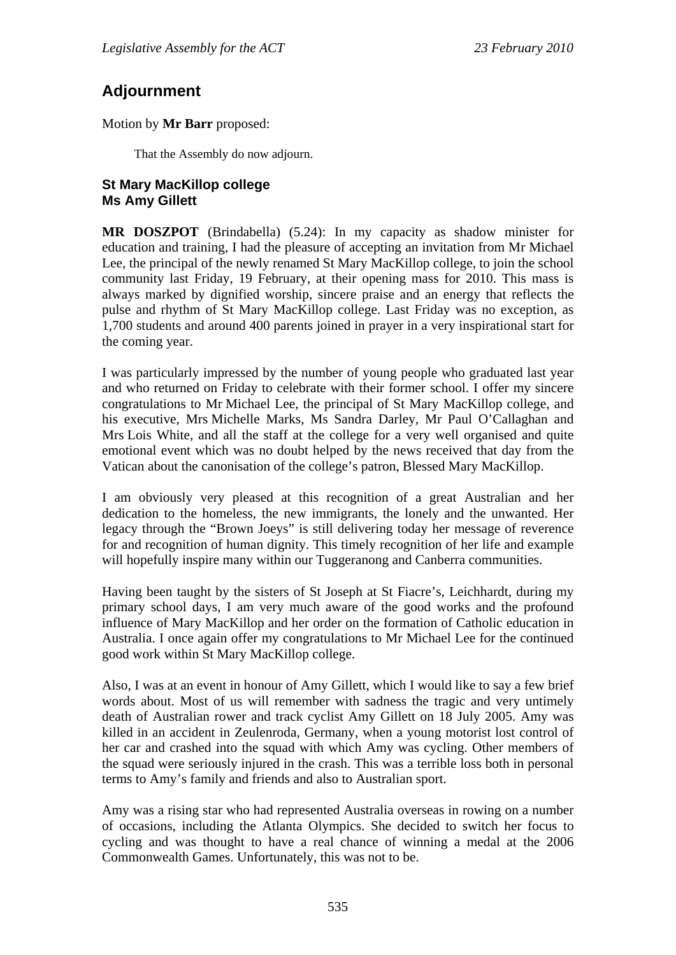# **Adjournment**

Motion by **Mr Barr** proposed:

That the Assembly do now adjourn.

#### **St Mary MacKillop college Ms Amy Gillett**

**MR DOSZPOT** (Brindabella) (5.24): In my capacity as shadow minister for education and training, I had the pleasure of accepting an invitation from Mr Michael Lee, the principal of the newly renamed St Mary MacKillop college, to join the school community last Friday, 19 February, at their opening mass for 2010. This mass is always marked by dignified worship, sincere praise and an energy that reflects the pulse and rhythm of St Mary MacKillop college. Last Friday was no exception, as 1,700 students and around 400 parents joined in prayer in a very inspirational start for the coming year.

I was particularly impressed by the number of young people who graduated last year and who returned on Friday to celebrate with their former school. I offer my sincere congratulations to Mr Michael Lee, the principal of St Mary MacKillop college, and his executive, Mrs Michelle Marks, Ms Sandra Darley, Mr Paul O'Callaghan and Mrs Lois White, and all the staff at the college for a very well organised and quite emotional event which was no doubt helped by the news received that day from the Vatican about the canonisation of the college's patron, Blessed Mary MacKillop.

I am obviously very pleased at this recognition of a great Australian and her dedication to the homeless, the new immigrants, the lonely and the unwanted. Her legacy through the "Brown Joeys" is still delivering today her message of reverence for and recognition of human dignity. This timely recognition of her life and example will hopefully inspire many within our Tuggeranong and Canberra communities.

Having been taught by the sisters of St Joseph at St Fiacre's, Leichhardt, during my primary school days, I am very much aware of the good works and the profound influence of Mary MacKillop and her order on the formation of Catholic education in Australia. I once again offer my congratulations to Mr Michael Lee for the continued good work within St Mary MacKillop college.

Also, I was at an event in honour of Amy Gillett, which I would like to say a few brief words about. Most of us will remember with sadness the tragic and very untimely death of Australian rower and track cyclist Amy Gillett on 18 July 2005. Amy was killed in an accident in Zeulenroda, Germany, when a young motorist lost control of her car and crashed into the squad with which Amy was cycling. Other members of the squad were seriously injured in the crash. This was a terrible loss both in personal terms to Amy's family and friends and also to Australian sport.

Amy was a rising star who had represented Australia overseas in rowing on a number of occasions, including the Atlanta Olympics. She decided to switch her focus to cycling and was thought to have a real chance of winning a medal at the 2006 Commonwealth Games. Unfortunately, this was not to be.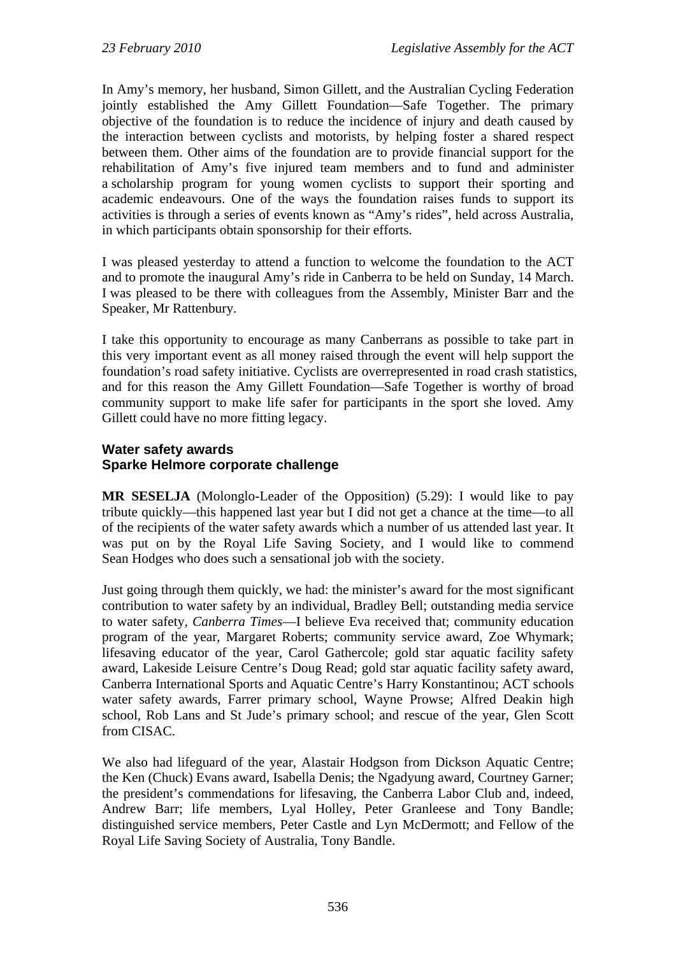In Amy's memory, her husband, Simon Gillett, and the Australian Cycling Federation jointly established the Amy Gillett Foundation—Safe Together. The primary objective of the foundation is to reduce the incidence of injury and death caused by the interaction between cyclists and motorists, by helping foster a shared respect between them. Other aims of the foundation are to provide financial support for the rehabilitation of Amy's five injured team members and to fund and administer a scholarship program for young women cyclists to support their sporting and academic endeavours. One of the ways the foundation raises funds to support its activities is through a series of events known as "Amy's rides", held across Australia, in which participants obtain sponsorship for their efforts.

I was pleased yesterday to attend a function to welcome the foundation to the ACT and to promote the inaugural Amy's ride in Canberra to be held on Sunday, 14 March. I was pleased to be there with colleagues from the Assembly, Minister Barr and the Speaker, Mr Rattenbury.

I take this opportunity to encourage as many Canberrans as possible to take part in this very important event as all money raised through the event will help support the foundation's road safety initiative. Cyclists are overrepresented in road crash statistics, and for this reason the Amy Gillett Foundation—Safe Together is worthy of broad community support to make life safer for participants in the sport she loved. Amy Gillett could have no more fitting legacy.

#### **Water safety awards Sparke Helmore corporate challenge**

**MR SESELJA** (Molonglo-Leader of the Opposition) (5.29): I would like to pay tribute quickly—this happened last year but I did not get a chance at the time—to all of the recipients of the water safety awards which a number of us attended last year. It was put on by the Royal Life Saving Society, and I would like to commend Sean Hodges who does such a sensational job with the society.

Just going through them quickly, we had: the minister's award for the most significant contribution to water safety by an individual, Bradley Bell; outstanding media service to water safety, *Canberra Times*—I believe Eva received that; community education program of the year, Margaret Roberts; community service award, Zoe Whymark; lifesaving educator of the year, Carol Gathercole; gold star aquatic facility safety award, Lakeside Leisure Centre's Doug Read; gold star aquatic facility safety award, Canberra International Sports and Aquatic Centre's Harry Konstantinou; ACT schools water safety awards, Farrer primary school, Wayne Prowse; Alfred Deakin high school, Rob Lans and St Jude's primary school; and rescue of the year, Glen Scott from CISAC.

We also had lifeguard of the year, Alastair Hodgson from Dickson Aquatic Centre; the Ken (Chuck) Evans award, Isabella Denis; the Ngadyung award, Courtney Garner; the president's commendations for lifesaving, the Canberra Labor Club and, indeed, Andrew Barr; life members, Lyal Holley, Peter Granleese and Tony Bandle; distinguished service members, Peter Castle and Lyn McDermott; and Fellow of the Royal Life Saving Society of Australia, Tony Bandle.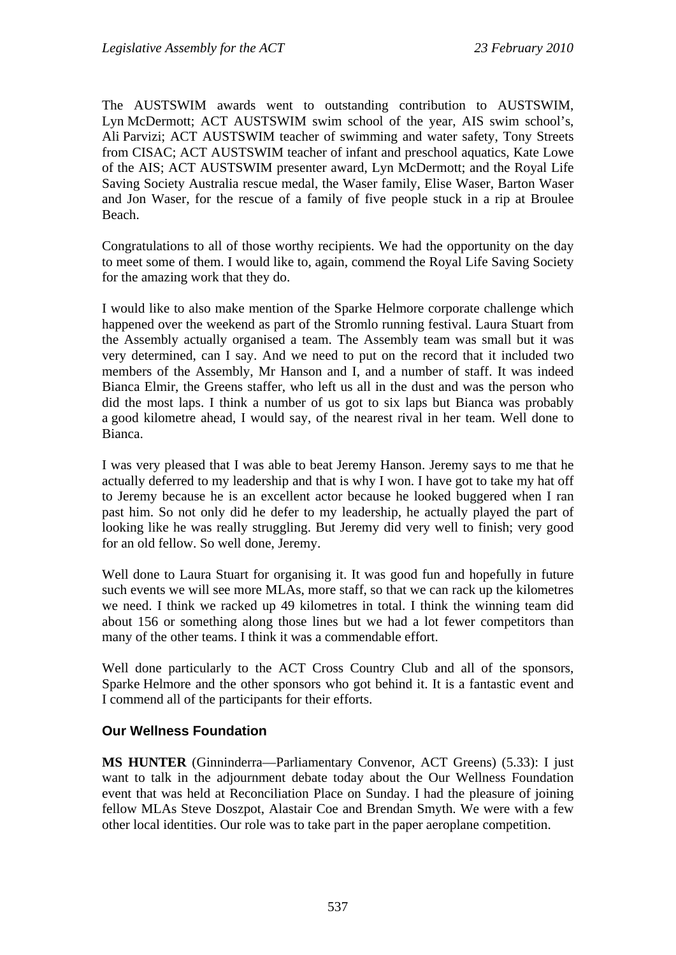The AUSTSWIM awards went to outstanding contribution to AUSTSWIM, Lyn McDermott; ACT AUSTSWIM swim school of the year, AIS swim school's, Ali Parvizi; ACT AUSTSWIM teacher of swimming and water safety, Tony Streets from CISAC; ACT AUSTSWIM teacher of infant and preschool aquatics, Kate Lowe of the AIS; ACT AUSTSWIM presenter award, Lyn McDermott; and the Royal Life Saving Society Australia rescue medal, the Waser family, Elise Waser, Barton Waser and Jon Waser, for the rescue of a family of five people stuck in a rip at Broulee Beach.

Congratulations to all of those worthy recipients. We had the opportunity on the day to meet some of them. I would like to, again, commend the Royal Life Saving Society for the amazing work that they do.

I would like to also make mention of the Sparke Helmore corporate challenge which happened over the weekend as part of the Stromlo running festival. Laura Stuart from the Assembly actually organised a team. The Assembly team was small but it was very determined, can I say. And we need to put on the record that it included two members of the Assembly, Mr Hanson and I, and a number of staff. It was indeed Bianca Elmir, the Greens staffer, who left us all in the dust and was the person who did the most laps. I think a number of us got to six laps but Bianca was probably a good kilometre ahead, I would say, of the nearest rival in her team. Well done to Bianca.

I was very pleased that I was able to beat Jeremy Hanson. Jeremy says to me that he actually deferred to my leadership and that is why I won. I have got to take my hat off to Jeremy because he is an excellent actor because he looked buggered when I ran past him. So not only did he defer to my leadership, he actually played the part of looking like he was really struggling. But Jeremy did very well to finish; very good for an old fellow. So well done, Jeremy.

Well done to Laura Stuart for organising it. It was good fun and hopefully in future such events we will see more MLAs, more staff, so that we can rack up the kilometres we need. I think we racked up 49 kilometres in total. I think the winning team did about 156 or something along those lines but we had a lot fewer competitors than many of the other teams. I think it was a commendable effort.

Well done particularly to the ACT Cross Country Club and all of the sponsors, Sparke Helmore and the other sponsors who got behind it. It is a fantastic event and I commend all of the participants for their efforts.

#### **Our Wellness Foundation**

**MS HUNTER** (Ginninderra—Parliamentary Convenor, ACT Greens) (5.33): I just want to talk in the adjournment debate today about the Our Wellness Foundation event that was held at Reconciliation Place on Sunday. I had the pleasure of joining fellow MLAs Steve Doszpot, Alastair Coe and Brendan Smyth. We were with a few other local identities. Our role was to take part in the paper aeroplane competition.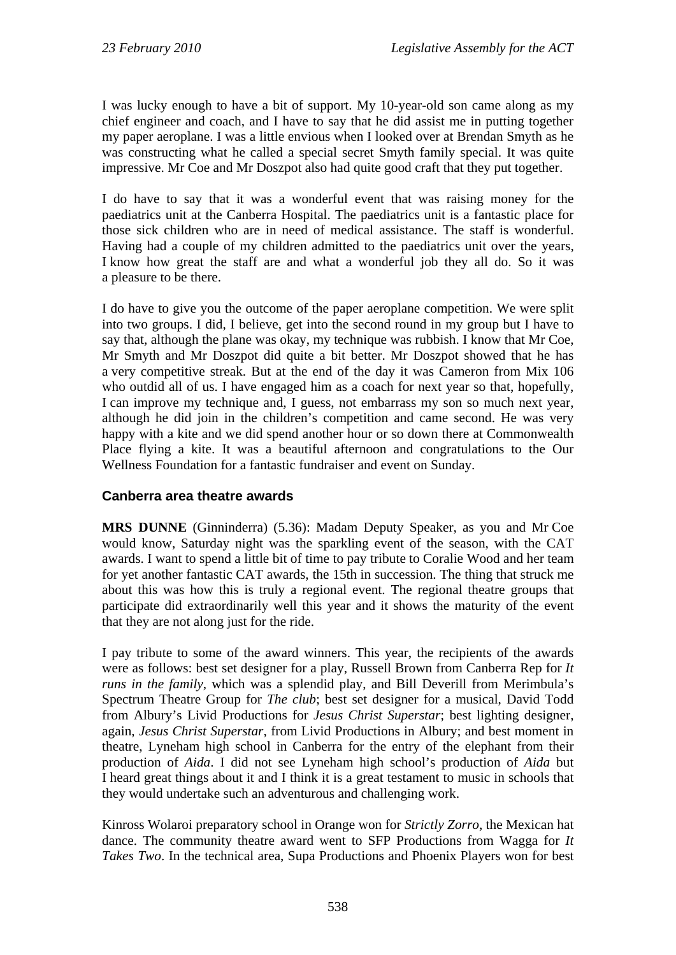I was lucky enough to have a bit of support. My 10-year-old son came along as my chief engineer and coach, and I have to say that he did assist me in putting together my paper aeroplane. I was a little envious when I looked over at Brendan Smyth as he was constructing what he called a special secret Smyth family special. It was quite impressive. Mr Coe and Mr Doszpot also had quite good craft that they put together.

I do have to say that it was a wonderful event that was raising money for the paediatrics unit at the Canberra Hospital. The paediatrics unit is a fantastic place for those sick children who are in need of medical assistance. The staff is wonderful. Having had a couple of my children admitted to the paediatrics unit over the years, I know how great the staff are and what a wonderful job they all do. So it was a pleasure to be there.

I do have to give you the outcome of the paper aeroplane competition. We were split into two groups. I did, I believe, get into the second round in my group but I have to say that, although the plane was okay, my technique was rubbish. I know that Mr Coe, Mr Smyth and Mr Doszpot did quite a bit better. Mr Doszpot showed that he has a very competitive streak. But at the end of the day it was Cameron from Mix 106 who outdid all of us. I have engaged him as a coach for next year so that, hopefully, I can improve my technique and, I guess, not embarrass my son so much next year, although he did join in the children's competition and came second. He was very happy with a kite and we did spend another hour or so down there at Commonwealth Place flying a kite. It was a beautiful afternoon and congratulations to the Our Wellness Foundation for a fantastic fundraiser and event on Sunday.

### **Canberra area theatre awards**

**MRS DUNNE** (Ginninderra) (5.36): Madam Deputy Speaker, as you and Mr Coe would know, Saturday night was the sparkling event of the season, with the CAT awards. I want to spend a little bit of time to pay tribute to Coralie Wood and her team for yet another fantastic CAT awards, the 15th in succession. The thing that struck me about this was how this is truly a regional event. The regional theatre groups that participate did extraordinarily well this year and it shows the maturity of the event that they are not along just for the ride.

I pay tribute to some of the award winners. This year, the recipients of the awards were as follows: best set designer for a play, Russell Brown from Canberra Rep for *It runs in the family*, which was a splendid play, and Bill Deverill from Merimbula's Spectrum Theatre Group for *The club*; best set designer for a musical, David Todd from Albury's Livid Productions for *Jesus Christ Superstar*; best lighting designer, again, *Jesus Christ Superstar*, from Livid Productions in Albury; and best moment in theatre, Lyneham high school in Canberra for the entry of the elephant from their production of *Aida*. I did not see Lyneham high school's production of *Aida* but I heard great things about it and I think it is a great testament to music in schools that they would undertake such an adventurous and challenging work.

Kinross Wolaroi preparatory school in Orange won for *Strictly Zorro*, the Mexican hat dance. The community theatre award went to SFP Productions from Wagga for *It Takes Two*. In the technical area, Supa Productions and Phoenix Players won for best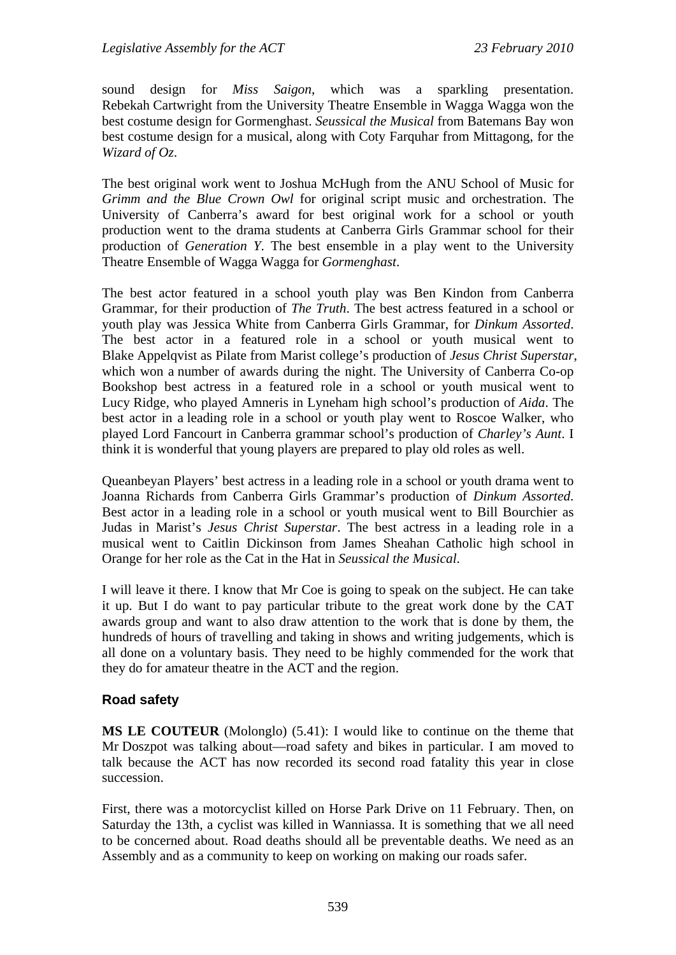sound design for *Miss Saigon*, which was a sparkling presentation. Rebekah Cartwright from the University Theatre Ensemble in Wagga Wagga won the best costume design for Gormenghast. *Seussical the Musical* from Batemans Bay won best costume design for a musical, along with Coty Farquhar from Mittagong, for the *Wizard of Oz*.

The best original work went to Joshua McHugh from the ANU School of Music for *Grimm and the Blue Crown Owl* for original script music and orchestration. The University of Canberra's award for best original work for a school or youth production went to the drama students at Canberra Girls Grammar school for their production of *Generation Y*. The best ensemble in a play went to the University Theatre Ensemble of Wagga Wagga for *Gormenghast*.

The best actor featured in a school youth play was Ben Kindon from Canberra Grammar, for their production of *The Truth*. The best actress featured in a school or youth play was Jessica White from Canberra Girls Grammar, for *Dinkum Assorted*. The best actor in a featured role in a school or youth musical went to Blake Appelqvist as Pilate from Marist college's production of *Jesus Christ Superstar*, which won a number of awards during the night. The University of Canberra Co-op Bookshop best actress in a featured role in a school or youth musical went to Lucy Ridge, who played Amneris in Lyneham high school's production of *Aida*. The best actor in a leading role in a school or youth play went to Roscoe Walker, who played Lord Fancourt in Canberra grammar school's production of *Charley's Aunt*. I think it is wonderful that young players are prepared to play old roles as well.

Queanbeyan Players' best actress in a leading role in a school or youth drama went to Joanna Richards from Canberra Girls Grammar's production of *Dinkum Assorted*. Best actor in a leading role in a school or youth musical went to Bill Bourchier as Judas in Marist's *Jesus Christ Superstar*. The best actress in a leading role in a musical went to Caitlin Dickinson from James Sheahan Catholic high school in Orange for her role as the Cat in the Hat in *Seussical the Musical*.

I will leave it there. I know that Mr Coe is going to speak on the subject. He can take it up. But I do want to pay particular tribute to the great work done by the CAT awards group and want to also draw attention to the work that is done by them, the hundreds of hours of travelling and taking in shows and writing judgements, which is all done on a voluntary basis. They need to be highly commended for the work that they do for amateur theatre in the ACT and the region.

### **Road safety**

**MS LE COUTEUR** (Molonglo) (5.41): I would like to continue on the theme that Mr Doszpot was talking about—road safety and bikes in particular. I am moved to talk because the ACT has now recorded its second road fatality this year in close succession.

First, there was a motorcyclist killed on Horse Park Drive on 11 February. Then, on Saturday the 13th, a cyclist was killed in Wanniassa. It is something that we all need to be concerned about. Road deaths should all be preventable deaths. We need as an Assembly and as a community to keep on working on making our roads safer.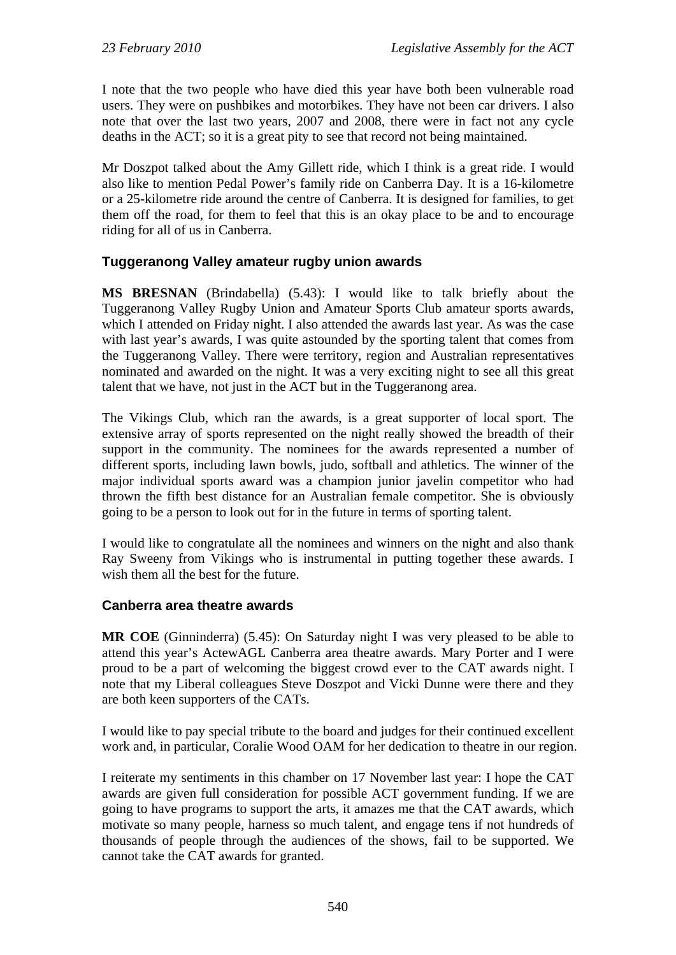I note that the two people who have died this year have both been vulnerable road users. They were on pushbikes and motorbikes. They have not been car drivers. I also note that over the last two years, 2007 and 2008, there were in fact not any cycle deaths in the ACT; so it is a great pity to see that record not being maintained.

Mr Doszpot talked about the Amy Gillett ride, which I think is a great ride. I would also like to mention Pedal Power's family ride on Canberra Day. It is a 16-kilometre or a 25-kilometre ride around the centre of Canberra. It is designed for families, to get them off the road, for them to feel that this is an okay place to be and to encourage riding for all of us in Canberra.

### **Tuggeranong Valley amateur rugby union awards**

**MS BRESNAN** (Brindabella) (5.43): I would like to talk briefly about the Tuggeranong Valley Rugby Union and Amateur Sports Club amateur sports awards, which I attended on Friday night. I also attended the awards last year. As was the case with last year's awards, I was quite astounded by the sporting talent that comes from the Tuggeranong Valley. There were territory, region and Australian representatives nominated and awarded on the night. It was a very exciting night to see all this great talent that we have, not just in the ACT but in the Tuggeranong area.

The Vikings Club, which ran the awards, is a great supporter of local sport. The extensive array of sports represented on the night really showed the breadth of their support in the community. The nominees for the awards represented a number of different sports, including lawn bowls, judo, softball and athletics. The winner of the major individual sports award was a champion junior javelin competitor who had thrown the fifth best distance for an Australian female competitor. She is obviously going to be a person to look out for in the future in terms of sporting talent.

I would like to congratulate all the nominees and winners on the night and also thank Ray Sweeny from Vikings who is instrumental in putting together these awards. I wish them all the best for the future.

#### **Canberra area theatre awards**

**MR COE** (Ginninderra) (5.45): On Saturday night I was very pleased to be able to attend this year's ActewAGL Canberra area theatre awards. Mary Porter and I were proud to be a part of welcoming the biggest crowd ever to the CAT awards night. I note that my Liberal colleagues Steve Doszpot and Vicki Dunne were there and they are both keen supporters of the CATs.

I would like to pay special tribute to the board and judges for their continued excellent work and, in particular, Coralie Wood OAM for her dedication to theatre in our region.

I reiterate my sentiments in this chamber on 17 November last year: I hope the CAT awards are given full consideration for possible ACT government funding. If we are going to have programs to support the arts, it amazes me that the CAT awards, which motivate so many people, harness so much talent, and engage tens if not hundreds of thousands of people through the audiences of the shows, fail to be supported. We cannot take the CAT awards for granted.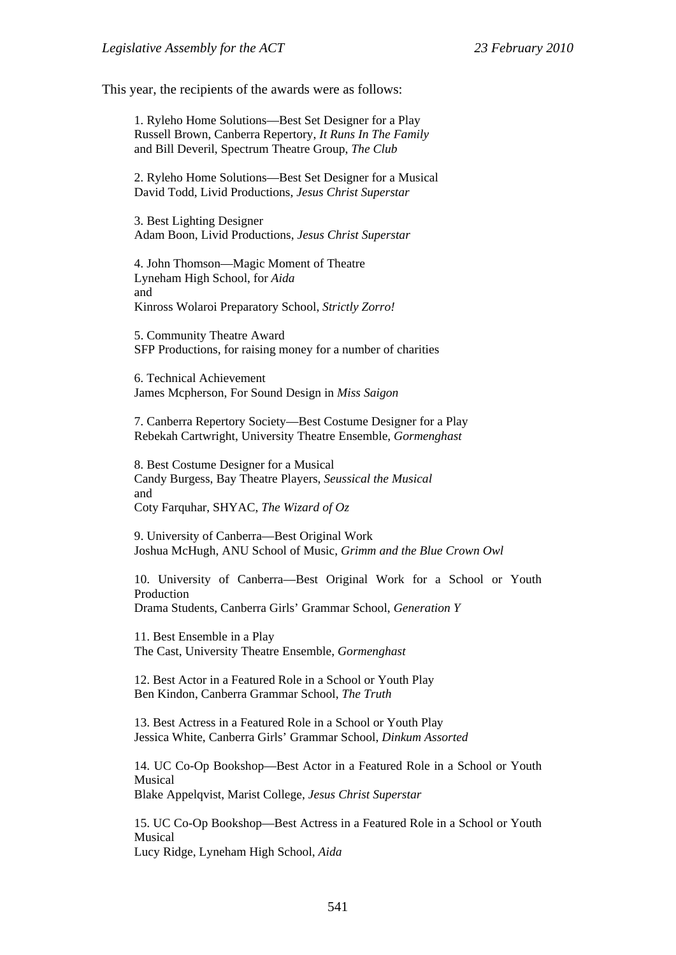This year, the recipients of the awards were as follows:

1. Ryleho Home Solutions—Best Set Designer for a Play Russell Brown, Canberra Repertory, *It Runs In The Family*  and Bill Deveril, Spectrum Theatre Group, *The Club*

2. Ryleho Home Solutions—Best Set Designer for a Musical David Todd, Livid Productions, *Jesus Christ Superstar*

3. Best Lighting Designer Adam Boon, Livid Productions, *Jesus Christ Superstar* 

4. John Thomson—Magic Moment of Theatre Lyneham High School, for *Aida*  and Kinross Wolaroi Preparatory School, *Strictly Zorro!*

5. Community Theatre Award SFP Productions, for raising money for a number of charities

6. Technical Achievement James Mcpherson, For Sound Design in *Miss Saigon*

7. Canberra Repertory Society—Best Costume Designer for a Play Rebekah Cartwright, University Theatre Ensemble, *Gormenghast*

8. Best Costume Designer for a Musical Candy Burgess, Bay Theatre Players, *Seussical the Musical*  and Coty Farquhar, SHYAC, *The Wizard of Oz*

9. University of Canberra—Best Original Work Joshua McHugh, ANU School of Music, *Grimm and the Blue Crown Owl*

10. University of Canberra—Best Original Work for a School or Youth Production Drama Students, Canberra Girls' Grammar School, *Generation Y* 

11. Best Ensemble in a Play The Cast, University Theatre Ensemble, *Gormenghast* 

12. Best Actor in a Featured Role in a School or Youth Play Ben Kindon, Canberra Grammar School, *The Truth* 

13. Best Actress in a Featured Role in a School or Youth Play Jessica White, Canberra Girls' Grammar School, *Dinkum Assorted*

14. UC Co-Op Bookshop—Best Actor in a Featured Role in a School or Youth Musical Blake Appelqvist, Marist College, *Jesus Christ Superstar*

15. UC Co-Op Bookshop—Best Actress in a Featured Role in a School or Youth Musical Lucy Ridge, Lyneham High School, *Aida*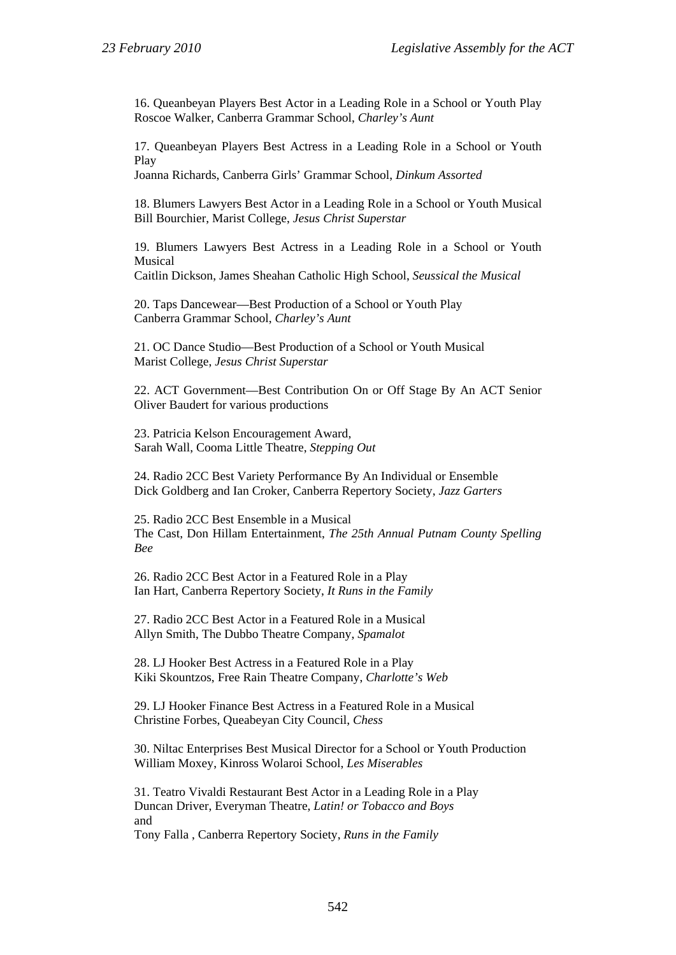16. Queanbeyan Players Best Actor in a Leading Role in a School or Youth Play Roscoe Walker, Canberra Grammar School, *Charley's Aunt*

17. Queanbeyan Players Best Actress in a Leading Role in a School or Youth Play

Joanna Richards, Canberra Girls' Grammar School, *Dinkum Assorted*

18. Blumers Lawyers Best Actor in a Leading Role in a School or Youth Musical Bill Bourchier, Marist College, *Jesus Christ Superstar*

19. Blumers Lawyers Best Actress in a Leading Role in a School or Youth Musical

Caitlin Dickson, James Sheahan Catholic High School, *Seussical the Musical*

20. Taps Dancewear—Best Production of a School or Youth Play Canberra Grammar School, *Charley's Aunt* 

21. OC Dance Studio—Best Production of a School or Youth Musical Marist College, *Jesus Christ Superstar* 

22. ACT Government—Best Contribution On or Off Stage By An ACT Senior Oliver Baudert for various productions

23. Patricia Kelson Encouragement Award, Sarah Wall, Cooma Little Theatre, *Stepping Out*

24. Radio 2CC Best Variety Performance By An Individual or Ensemble Dick Goldberg and Ian Croker, Canberra Repertory Society, *Jazz Garters*

25. Radio 2CC Best Ensemble in a Musical The Cast, Don Hillam Entertainment, *The 25th Annual Putnam County Spelling Bee*

26. Radio 2CC Best Actor in a Featured Role in a Play Ian Hart, Canberra Repertory Society, *It Runs in the Family*

27. Radio 2CC Best Actor in a Featured Role in a Musical Allyn Smith, The Dubbo Theatre Company, *Spamalot*

28. LJ Hooker Best Actress in a Featured Role in a Play Kiki Skountzos, Free Rain Theatre Company, *Charlotte's Web*

29. LJ Hooker Finance Best Actress in a Featured Role in a Musical Christine Forbes, Queabeyan City Council, *Chess*

30. Niltac Enterprises Best Musical Director for a School or Youth Production William Moxey, Kinross Wolaroi School, *Les Miserables* 

31. Teatro Vivaldi Restaurant Best Actor in a Leading Role in a Play Duncan Driver, Everyman Theatre, *Latin! or Tobacco and Boys*  and

Tony Falla , Canberra Repertory Society, *Runs in the Family*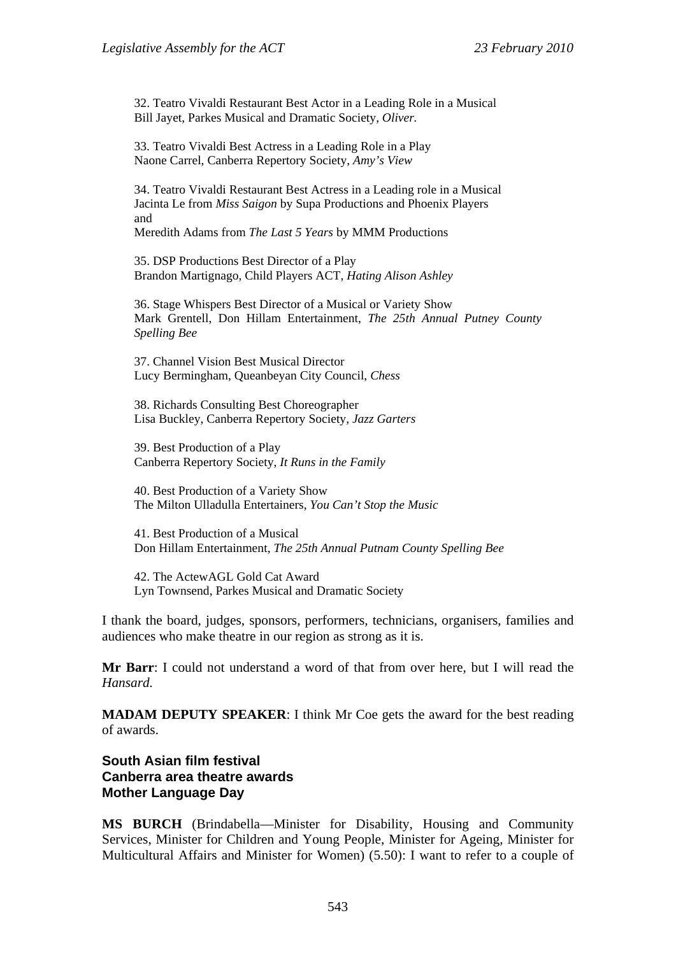32. Teatro Vivaldi Restaurant Best Actor in a Leading Role in a Musical Bill Jayet, Parkes Musical and Dramatic Society, *Oliver.* 

33. Teatro Vivaldi Best Actress in a Leading Role in a Play Naone Carrel, Canberra Repertory Society, *Amy's View* 

34. Teatro Vivaldi Restaurant Best Actress in a Leading role in a Musical Jacinta Le from *Miss Saigon* by Supa Productions and Phoenix Players and

Meredith Adams from *The Last 5 Years* by MMM Productions

35. DSP Productions Best Director of a Play Brandon Martignago, Child Players ACT, *Hating Alison Ashley*

36. Stage Whispers Best Director of a Musical or Variety Show Mark Grentell, Don Hillam Entertainment, *The 25th Annual Putney County Spelling Bee*

37. Channel Vision Best Musical Director Lucy Bermingham, Queanbeyan City Council, *Chess*

38. Richards Consulting Best Choreographer Lisa Buckley, Canberra Repertory Society, *Jazz Garters*

39. Best Production of a Play Canberra Repertory Society, *It Runs in the Family*

40. Best Production of a Variety Show The Milton Ulladulla Entertainers, *You Can't Stop the Music*

41. Best Production of a Musical Don Hillam Entertainment, *The 25th Annual Putnam County Spelling Bee* 

42. The ActewAGL Gold Cat Award Lyn Townsend, Parkes Musical and Dramatic Society

I thank the board, judges, sponsors, performers, technicians, organisers, families and audiences who make theatre in our region as strong as it is.

**Mr Barr**: I could not understand a word of that from over here, but I will read the *Hansard.*

**MADAM DEPUTY SPEAKER**: I think Mr Coe gets the award for the best reading of awards.

**South Asian film festival Canberra area theatre awards Mother Language Day** 

**MS BURCH** (Brindabella—Minister for Disability, Housing and Community Services, Minister for Children and Young People, Minister for Ageing, Minister for Multicultural Affairs and Minister for Women) (5.50): I want to refer to a couple of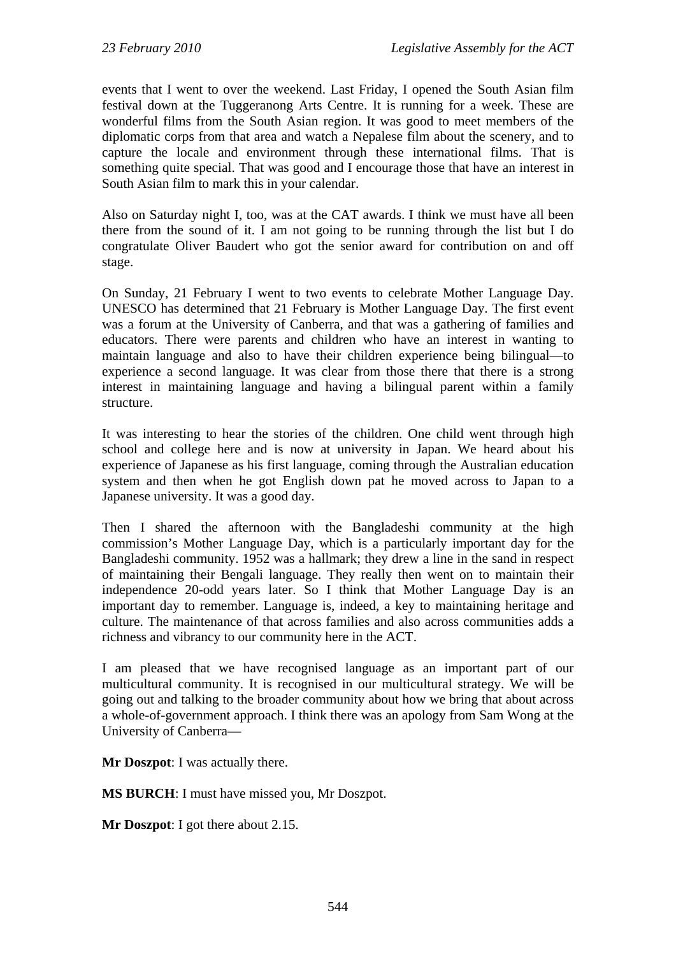events that I went to over the weekend. Last Friday, I opened the South Asian film festival down at the Tuggeranong Arts Centre. It is running for a week. These are wonderful films from the South Asian region. It was good to meet members of the diplomatic corps from that area and watch a Nepalese film about the scenery, and to capture the locale and environment through these international films. That is something quite special. That was good and I encourage those that have an interest in South Asian film to mark this in your calendar.

Also on Saturday night I, too, was at the CAT awards. I think we must have all been there from the sound of it. I am not going to be running through the list but I do congratulate Oliver Baudert who got the senior award for contribution on and off stage.

On Sunday, 21 February I went to two events to celebrate Mother Language Day. UNESCO has determined that 21 February is Mother Language Day. The first event was a forum at the University of Canberra, and that was a gathering of families and educators. There were parents and children who have an interest in wanting to maintain language and also to have their children experience being bilingual—to experience a second language. It was clear from those there that there is a strong interest in maintaining language and having a bilingual parent within a family structure.

It was interesting to hear the stories of the children. One child went through high school and college here and is now at university in Japan. We heard about his experience of Japanese as his first language, coming through the Australian education system and then when he got English down pat he moved across to Japan to a Japanese university. It was a good day.

Then I shared the afternoon with the Bangladeshi community at the high commission's Mother Language Day, which is a particularly important day for the Bangladeshi community. 1952 was a hallmark; they drew a line in the sand in respect of maintaining their Bengali language. They really then went on to maintain their independence 20-odd years later. So I think that Mother Language Day is an important day to remember. Language is, indeed, a key to maintaining heritage and culture. The maintenance of that across families and also across communities adds a richness and vibrancy to our community here in the ACT.

I am pleased that we have recognised language as an important part of our multicultural community. It is recognised in our multicultural strategy. We will be going out and talking to the broader community about how we bring that about across a whole-of-government approach. I think there was an apology from Sam Wong at the University of Canberra—

**Mr Doszpot**: I was actually there.

**MS BURCH**: I must have missed you, Mr Doszpot.

**Mr Doszpot**: I got there about 2.15.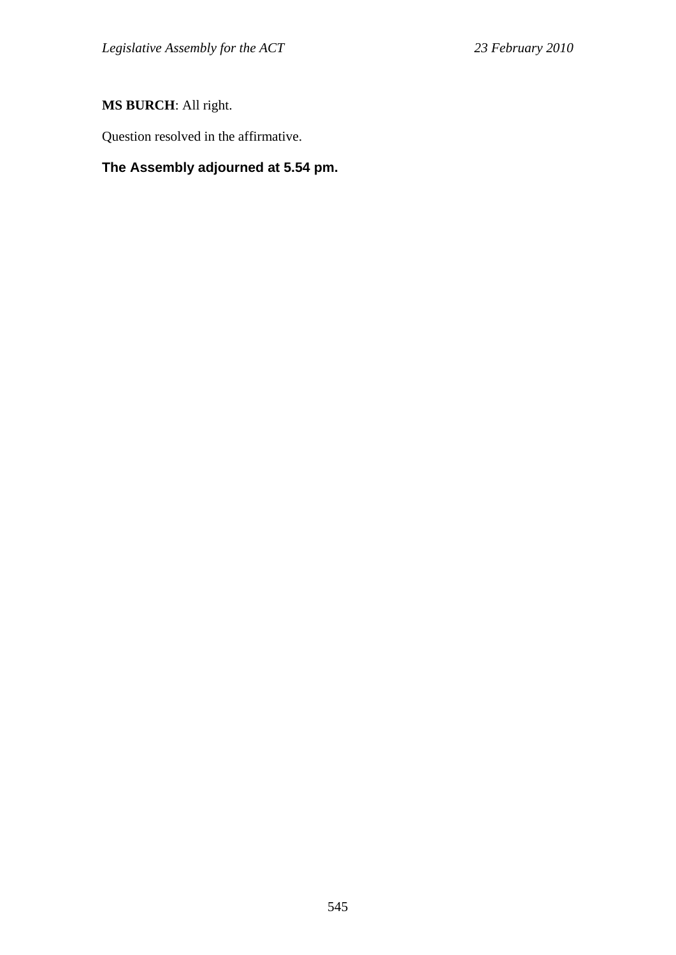## **MS BURCH**: All right.

Question resolved in the affirmative.

## **The Assembly adjourned at 5.54 pm.**